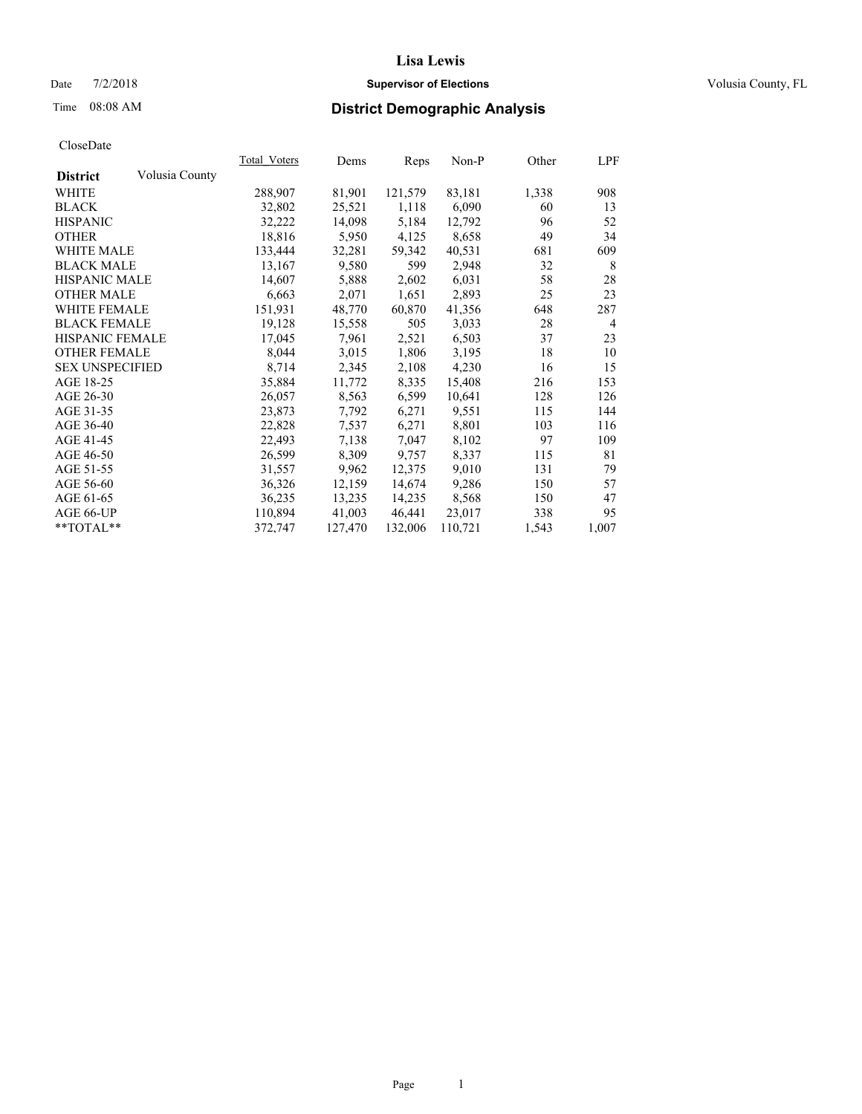#### Date  $7/2/2018$  **Supervisor of Elections Supervisor of Elections** Volusia County, FL

# Time 08:08 AM **District Demographic Analysis**

|                        |                | Total Voters | Dems    | Reps    | Non-P   | Other | LPF            |
|------------------------|----------------|--------------|---------|---------|---------|-------|----------------|
| <b>District</b>        | Volusia County |              |         |         |         |       |                |
| <b>WHITE</b>           |                | 288,907      | 81,901  | 121,579 | 83,181  | 1,338 | 908            |
| <b>BLACK</b>           |                | 32,802       | 25,521  | 1,118   | 6,090   | 60    | 13             |
| <b>HISPANIC</b>        |                | 32,222       | 14,098  | 5,184   | 12,792  | 96    | 52             |
| <b>OTHER</b>           |                | 18,816       | 5,950   | 4,125   | 8,658   | 49    | 34             |
| <b>WHITE MALE</b>      |                | 133,444      | 32,281  | 59,342  | 40,531  | 681   | 609            |
| <b>BLACK MALE</b>      |                | 13,167       | 9,580   | 599     | 2,948   | 32    | 8              |
| <b>HISPANIC MALE</b>   |                | 14,607       | 5,888   | 2,602   | 6,031   | 58    | 28             |
| <b>OTHER MALE</b>      |                | 6,663        | 2,071   | 1,651   | 2,893   | 25    | 23             |
| <b>WHITE FEMALE</b>    |                | 151,931      | 48,770  | 60,870  | 41,356  | 648   | 287            |
| <b>BLACK FEMALE</b>    |                | 19,128       | 15,558  | 505     | 3,033   | 28    | $\overline{4}$ |
| HISPANIC FEMALE        |                | 17,045       | 7,961   | 2,521   | 6,503   | 37    | 23             |
| <b>OTHER FEMALE</b>    |                | 8,044        | 3,015   | 1,806   | 3,195   | 18    | 10             |
| <b>SEX UNSPECIFIED</b> |                | 8,714        | 2,345   | 2,108   | 4,230   | 16    | 15             |
| AGE 18-25              |                | 35,884       | 11,772  | 8,335   | 15,408  | 216   | 153            |
| AGE 26-30              |                | 26,057       | 8,563   | 6,599   | 10,641  | 128   | 126            |
| AGE 31-35              |                | 23,873       | 7,792   | 6,271   | 9,551   | 115   | 144            |
| AGE 36-40              |                | 22,828       | 7,537   | 6,271   | 8,801   | 103   | 116            |
| AGE 41-45              |                | 22,493       | 7,138   | 7,047   | 8,102   | 97    | 109            |
| AGE 46-50              |                | 26,599       | 8,309   | 9,757   | 8,337   | 115   | 81             |
| AGE 51-55              |                | 31,557       | 9,962   | 12,375  | 9,010   | 131   | 79             |
| AGE 56-60              |                | 36,326       | 12,159  | 14,674  | 9,286   | 150   | 57             |
| AGE 61-65              |                | 36,235       | 13,235  | 14,235  | 8,568   | 150   | 47             |
| AGE 66-UP              |                | 110,894      | 41,003  | 46,441  | 23,017  | 338   | 95             |
| **TOTAL**              |                | 372,747      | 127,470 | 132,006 | 110,721 | 1,543 | 1,007          |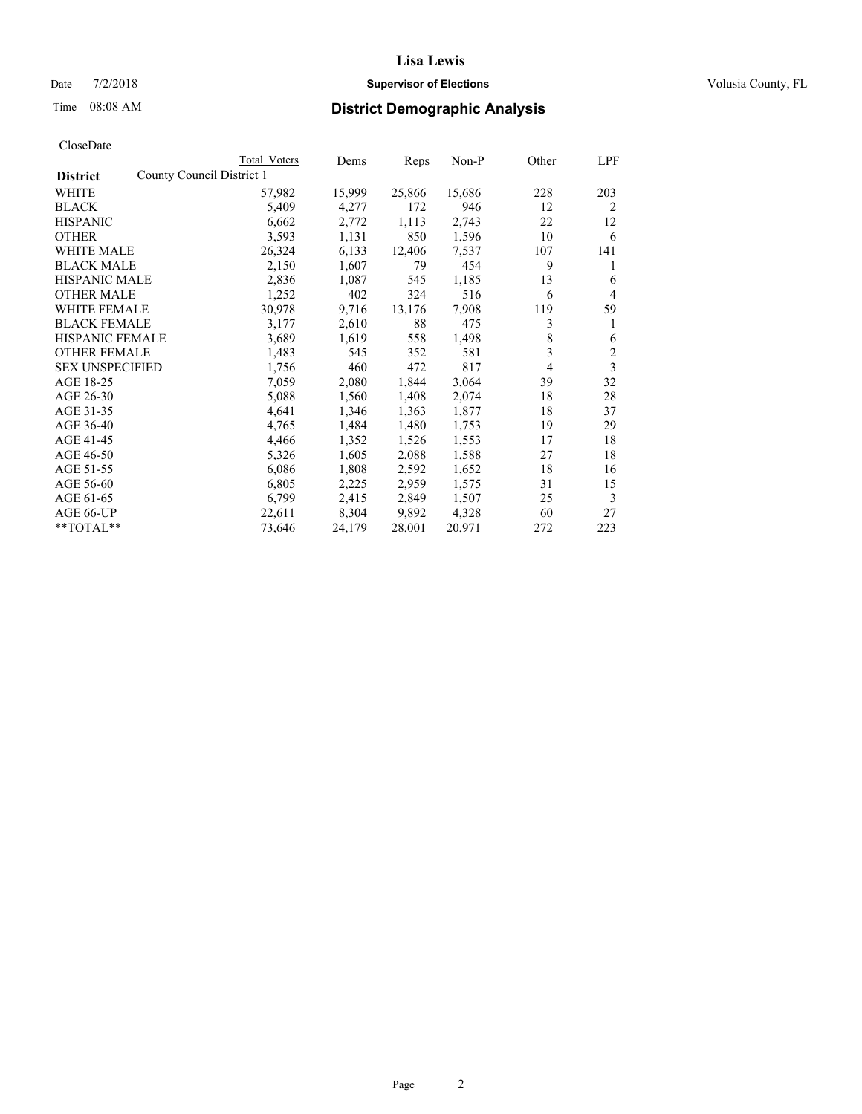### Date  $7/2/2018$  **Supervisor of Elections Supervisor of Elections** Volusia County, FL

|                                              | Total Voters | Dems   | Reps   | Non-P  | Other          | LPF            |
|----------------------------------------------|--------------|--------|--------|--------|----------------|----------------|
| County Council District 1<br><b>District</b> |              |        |        |        |                |                |
| WHITE                                        | 57,982       | 15,999 | 25,866 | 15,686 | 228            | 203            |
| <b>BLACK</b>                                 | 5,409        | 4,277  | 172    | 946    | 12             | 2              |
| <b>HISPANIC</b>                              | 6,662        | 2,772  | 1,113  | 2,743  | 22             | 12             |
| <b>OTHER</b>                                 | 3,593        | 1,131  | 850    | 1,596  | 10             | 6              |
| WHITE MALE                                   | 26,324       | 6,133  | 12,406 | 7,537  | 107            | 141            |
| <b>BLACK MALE</b>                            | 2,150        | 1,607  | 79     | 454    | 9              | 1              |
| <b>HISPANIC MALE</b>                         | 2,836        | 1,087  | 545    | 1,185  | 13             | 6              |
| <b>OTHER MALE</b>                            | 1,252        | 402    | 324    | 516    | 6              | 4              |
| <b>WHITE FEMALE</b>                          | 30,978       | 9,716  | 13,176 | 7,908  | 119            | 59             |
| <b>BLACK FEMALE</b>                          | 3,177        | 2,610  | 88     | 475    | 3              | 1              |
| <b>HISPANIC FEMALE</b>                       | 3,689        | 1,619  | 558    | 1,498  | 8              | 6              |
| <b>OTHER FEMALE</b>                          | 1,483        | 545    | 352    | 581    | 3              | $\overline{2}$ |
| <b>SEX UNSPECIFIED</b>                       | 1,756        | 460    | 472    | 817    | $\overline{4}$ | 3              |
| AGE 18-25                                    | 7,059        | 2,080  | 1,844  | 3,064  | 39             | 32             |
| AGE 26-30                                    | 5,088        | 1,560  | 1,408  | 2,074  | 18             | 28             |
| AGE 31-35                                    | 4,641        | 1,346  | 1,363  | 1,877  | 18             | 37             |
| AGE 36-40                                    | 4,765        | 1,484  | 1,480  | 1,753  | 19             | 29             |
| AGE 41-45                                    | 4,466        | 1,352  | 1,526  | 1,553  | 17             | 18             |
| AGE 46-50                                    | 5,326        | 1,605  | 2,088  | 1,588  | 27             | 18             |
| AGE 51-55                                    | 6,086        | 1,808  | 2,592  | 1,652  | 18             | 16             |
| AGE 56-60                                    | 6,805        | 2,225  | 2,959  | 1,575  | 31             | 15             |
| AGE 61-65                                    | 6,799        | 2,415  | 2,849  | 1,507  | 25             | 3              |
| AGE 66-UP                                    | 22,611       | 8,304  | 9,892  | 4,328  | 60             | 27             |
| **TOTAL**                                    | 73,646       | 24,179 | 28,001 | 20,971 | 272            | 223            |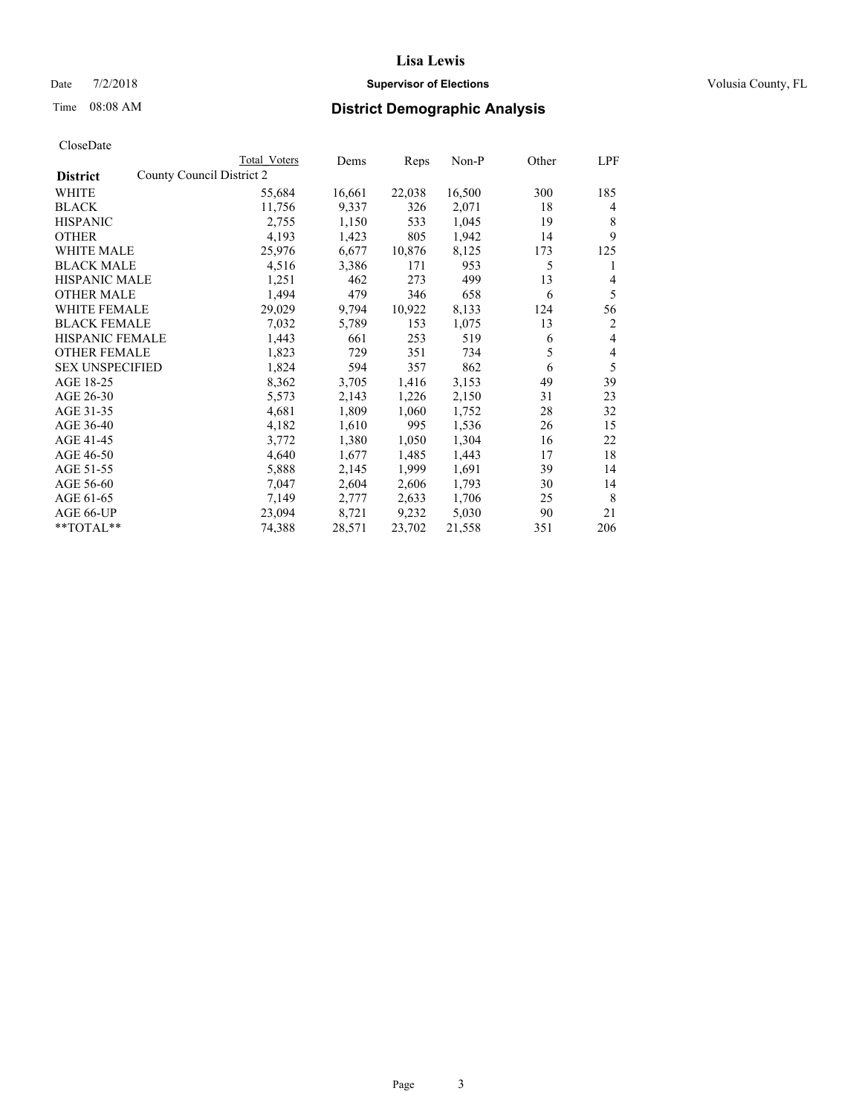#### Date  $7/2/2018$  **Supervisor of Elections Supervisor of Elections** Volusia County, FL

| CloseDate |
|-----------|
|-----------|

|                                              | Total Voters | Dems   | Reps   | Non-P  | Other | LPF |
|----------------------------------------------|--------------|--------|--------|--------|-------|-----|
| County Council District 2<br><b>District</b> |              |        |        |        |       |     |
| WHITE                                        | 55,684       | 16,661 | 22,038 | 16,500 | 300   | 185 |
| <b>BLACK</b>                                 | 11,756       | 9,337  | 326    | 2,071  | 18    | 4   |
| <b>HISPANIC</b>                              | 2,755        | 1,150  | 533    | 1,045  | 19    | 8   |
| <b>OTHER</b>                                 | 4,193        | 1,423  | 805    | 1,942  | 14    | 9   |
| WHITE MALE                                   | 25,976       | 6,677  | 10,876 | 8,125  | 173   | 125 |
| <b>BLACK MALE</b>                            | 4,516        | 3,386  | 171    | 953    | 5     | 1   |
| <b>HISPANIC MALE</b>                         | 1,251        | 462    | 273    | 499    | 13    | 4   |
| <b>OTHER MALE</b>                            | 1,494        | 479    | 346    | 658    | 6     | 5   |
| <b>WHITE FEMALE</b>                          | 29,029       | 9,794  | 10,922 | 8,133  | 124   | 56  |
| <b>BLACK FEMALE</b>                          | 7,032        | 5,789  | 153    | 1,075  | 13    | 2   |
| <b>HISPANIC FEMALE</b>                       | 1,443        | 661    | 253    | 519    | 6     | 4   |
| <b>OTHER FEMALE</b>                          | 1,823        | 729    | 351    | 734    | 5     | 4   |
| <b>SEX UNSPECIFIED</b>                       | 1,824        | 594    | 357    | 862    | 6     | 5   |
| AGE 18-25                                    | 8,362        | 3,705  | 1,416  | 3,153  | 49    | 39  |
| AGE 26-30                                    | 5,573        | 2,143  | 1,226  | 2,150  | 31    | 23  |
| AGE 31-35                                    | 4,681        | 1,809  | 1,060  | 1,752  | 28    | 32  |
| AGE 36-40                                    | 4,182        | 1,610  | 995    | 1,536  | 26    | 15  |
| AGE 41-45                                    | 3,772        | 1,380  | 1,050  | 1,304  | 16    | 22  |
| AGE 46-50                                    | 4,640        | 1,677  | 1,485  | 1,443  | 17    | 18  |
| AGE 51-55                                    | 5,888        | 2,145  | 1,999  | 1,691  | 39    | 14  |
| AGE 56-60                                    | 7,047        | 2,604  | 2,606  | 1,793  | 30    | 14  |
| AGE 61-65                                    | 7,149        | 2,777  | 2,633  | 1,706  | 25    | 8   |
| AGE 66-UP                                    | 23,094       | 8,721  | 9,232  | 5,030  | 90    | 21  |
| $*$ $TOTAL**$                                | 74,388       | 28,571 | 23,702 | 21,558 | 351   | 206 |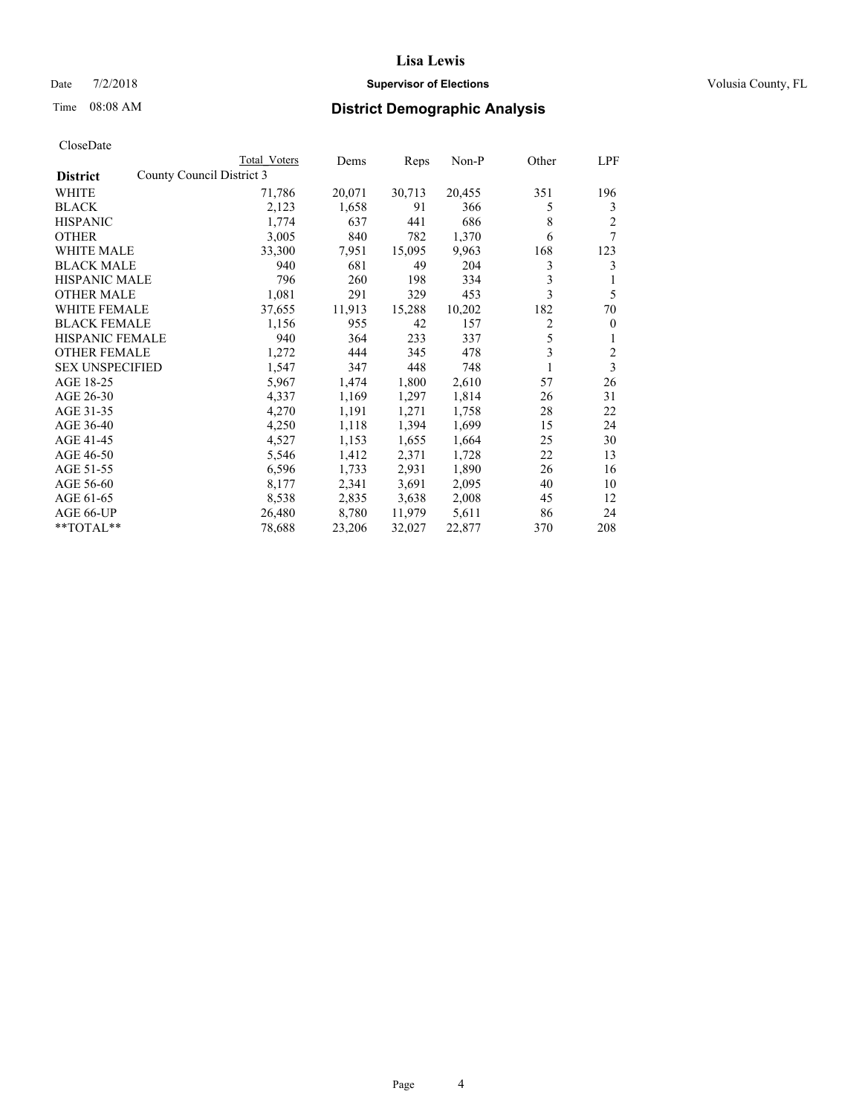#### Date  $7/2/2018$  **Supervisor of Elections Supervisor of Elections** Volusia County, FL

### Time 08:08 AM **District Demographic Analysis**

|                                              | Total Voters | Dems   | Reps   | Non-P  | Other | LPF          |
|----------------------------------------------|--------------|--------|--------|--------|-------|--------------|
| County Council District 3<br><b>District</b> |              |        |        |        |       |              |
| WHITE                                        | 71,786       | 20,071 | 30,713 | 20,455 | 351   | 196          |
| <b>BLACK</b>                                 | 2,123        | 1,658  | 91     | 366    | 5     | 3            |
| <b>HISPANIC</b>                              | 1,774        | 637    | 441    | 686    | 8     | 2            |
| <b>OTHER</b>                                 | 3,005        | 840    | 782    | 1,370  | 6     | 7            |
| WHITE MALE                                   | 33,300       | 7,951  | 15,095 | 9,963  | 168   | 123          |
| <b>BLACK MALE</b>                            | 940          | 681    | 49     | 204    | 3     | 3            |
| <b>HISPANIC MALE</b>                         | 796          | 260    | 198    | 334    | 3     | 1            |
| <b>OTHER MALE</b>                            | 1,081        | 291    | 329    | 453    | 3     | 5            |
| <b>WHITE FEMALE</b>                          | 37,655       | 11,913 | 15,288 | 10,202 | 182   | 70           |
| <b>BLACK FEMALE</b>                          | 1,156        | 955    | 42     | 157    | 2     | $\mathbf{0}$ |
| <b>HISPANIC FEMALE</b>                       | 940          | 364    | 233    | 337    | 5     | 1            |
| <b>OTHER FEMALE</b>                          | 1,272        | 444    | 345    | 478    | 3     | 2            |
| <b>SEX UNSPECIFIED</b>                       | 1,547        | 347    | 448    | 748    | 1     | 3            |
| AGE 18-25                                    | 5,967        | 1,474  | 1,800  | 2,610  | 57    | 26           |
| AGE 26-30                                    | 4,337        | 1,169  | 1,297  | 1,814  | 26    | 31           |
| AGE 31-35                                    | 4,270        | 1,191  | 1,271  | 1,758  | 28    | 22           |
| AGE 36-40                                    | 4,250        | 1,118  | 1,394  | 1,699  | 15    | 24           |
| AGE 41-45                                    | 4,527        | 1,153  | 1,655  | 1,664  | 25    | 30           |
| AGE 46-50                                    | 5,546        | 1,412  | 2,371  | 1,728  | 22    | 13           |
| AGE 51-55                                    | 6,596        | 1,733  | 2,931  | 1,890  | 26    | 16           |
| AGE 56-60                                    | 8,177        | 2,341  | 3,691  | 2,095  | 40    | 10           |
| AGE 61-65                                    | 8,538        | 2,835  | 3,638  | 2,008  | 45    | 12           |
| AGE 66-UP                                    | 26,480       | 8,780  | 11,979 | 5,611  | 86    | 24           |
| $*$ TOTAL $*$                                | 78,688       | 23,206 | 32,027 | 22,877 | 370   | 208          |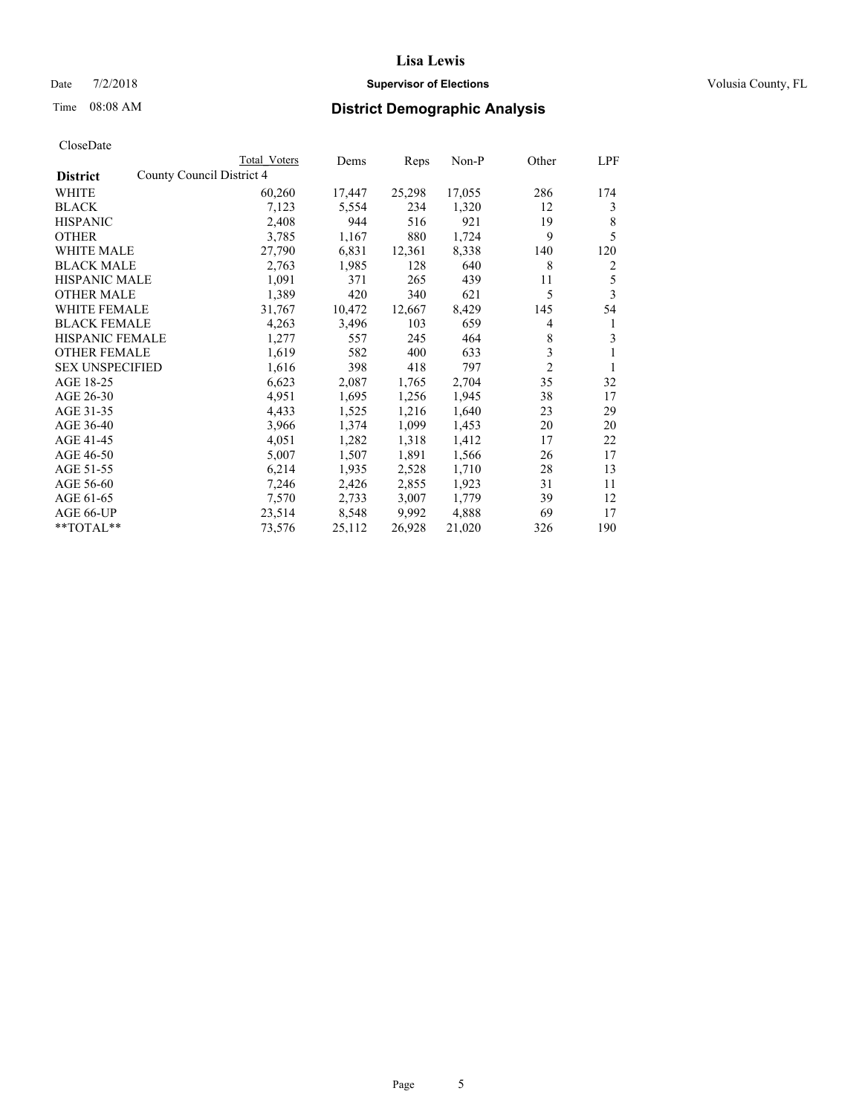#### Date  $7/2/2018$  **Supervisor of Elections Supervisor of Elections** Volusia County, FL

|                                              | Total Voters | Dems   | Reps   | Non-P  | Other          | LPF |
|----------------------------------------------|--------------|--------|--------|--------|----------------|-----|
| County Council District 4<br><b>District</b> |              |        |        |        |                |     |
| WHITE                                        | 60,260       | 17,447 | 25,298 | 17,055 | 286            | 174 |
| <b>BLACK</b>                                 | 7,123        | 5,554  | 234    | 1,320  | 12             | 3   |
| <b>HISPANIC</b>                              | 2,408        | 944    | 516    | 921    | 19             | 8   |
| <b>OTHER</b>                                 | 3,785        | 1,167  | 880    | 1,724  | 9              | 5   |
| WHITE MALE                                   | 27,790       | 6,831  | 12,361 | 8,338  | 140            | 120 |
| <b>BLACK MALE</b>                            | 2,763        | 1,985  | 128    | 640    | 8              | 2   |
| <b>HISPANIC MALE</b>                         | 1,091        | 371    | 265    | 439    | 11             | 5   |
| <b>OTHER MALE</b>                            | 1,389        | 420    | 340    | 621    | 5              | 3   |
| <b>WHITE FEMALE</b>                          | 31,767       | 10,472 | 12,667 | 8,429  | 145            | 54  |
| <b>BLACK FEMALE</b>                          | 4,263        | 3,496  | 103    | 659    | 4              | 1   |
| <b>HISPANIC FEMALE</b>                       | 1,277        | 557    | 245    | 464    | 8              | 3   |
| <b>OTHER FEMALE</b>                          | 1,619        | 582    | 400    | 633    | 3              | 1   |
| <b>SEX UNSPECIFIED</b>                       | 1,616        | 398    | 418    | 797    | $\overline{2}$ | 1   |
| AGE 18-25                                    | 6,623        | 2,087  | 1,765  | 2,704  | 35             | 32  |
| AGE 26-30                                    | 4,951        | 1,695  | 1,256  | 1,945  | 38             | 17  |
| AGE 31-35                                    | 4,433        | 1,525  | 1,216  | 1,640  | 23             | 29  |
| AGE 36-40                                    | 3,966        | 1,374  | 1,099  | 1,453  | 20             | 20  |
| AGE 41-45                                    | 4,051        | 1,282  | 1,318  | 1,412  | 17             | 22  |
| AGE 46-50                                    | 5,007        | 1,507  | 1,891  | 1,566  | 26             | 17  |
| AGE 51-55                                    | 6,214        | 1,935  | 2,528  | 1,710  | 28             | 13  |
| AGE 56-60                                    | 7,246        | 2,426  | 2,855  | 1,923  | 31             | 11  |
| AGE 61-65                                    | 7,570        | 2,733  | 3,007  | 1,779  | 39             | 12  |
| AGE 66-UP                                    | 23,514       | 8,548  | 9,992  | 4,888  | 69             | 17  |
| $*$ $TOTAL**$                                | 73,576       | 25,112 | 26,928 | 21,020 | 326            | 190 |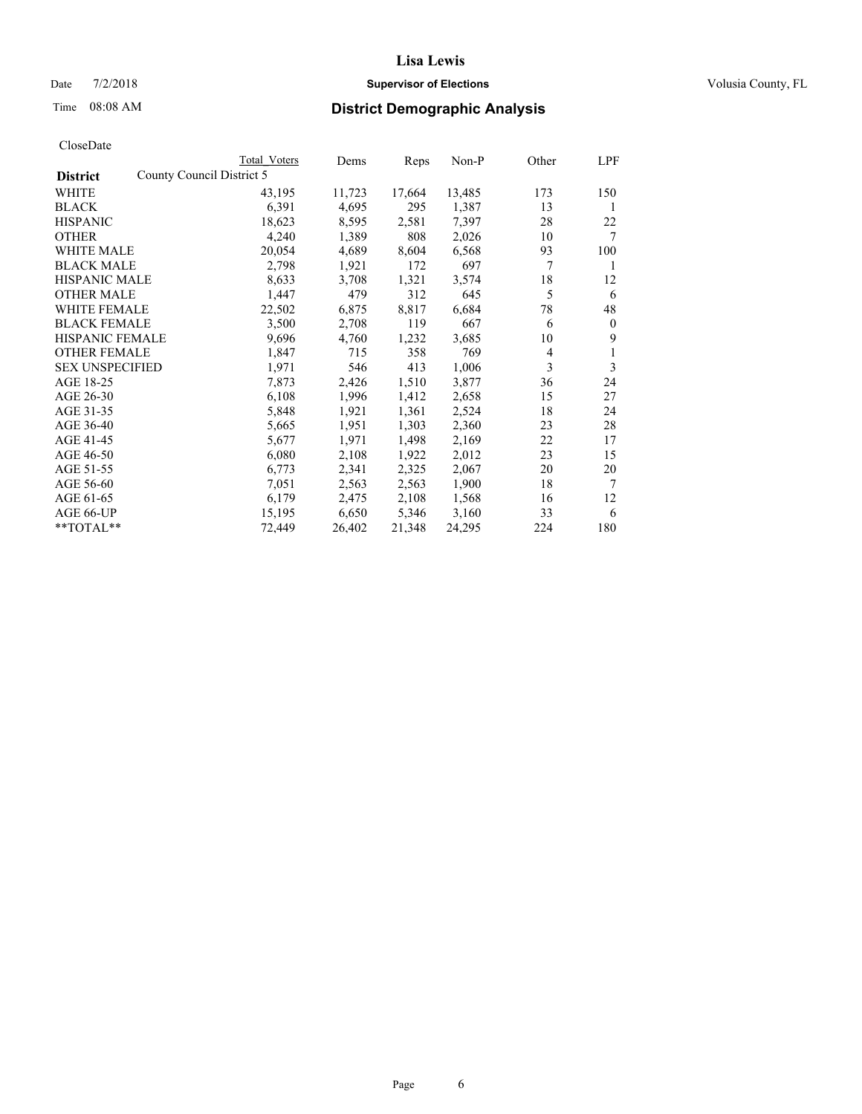### Date  $7/2/2018$  **Supervisor of Elections Supervisor of Elections** Volusia County, FL

|                                              | Total Voters | Dems   | Reps   | Non-P  | Other          | LPF            |
|----------------------------------------------|--------------|--------|--------|--------|----------------|----------------|
| County Council District 5<br><b>District</b> |              |        |        |        |                |                |
| WHITE                                        | 43,195       | 11,723 | 17,664 | 13,485 | 173            | 150            |
| BLACK                                        | 6,391        | 4,695  | 295    | 1,387  | 13             | 1              |
| <b>HISPANIC</b>                              | 18,623       | 8,595  | 2,581  | 7,397  | 28             | 22             |
| <b>OTHER</b>                                 | 4,240        | 1,389  | 808    | 2,026  | 10             | 7              |
| <b>WHITE MALE</b>                            | 20,054       | 4,689  | 8,604  | 6,568  | 93             | 100            |
| <b>BLACK MALE</b>                            | 2,798        | 1,921  | 172    | 697    | 7              | 1              |
| <b>HISPANIC MALE</b>                         | 8,633        | 3,708  | 1,321  | 3,574  | 18             | 12             |
| <b>OTHER MALE</b>                            | 1,447        | 479    | 312    | 645    | 5              | 6              |
| <b>WHITE FEMALE</b>                          | 22,502       | 6,875  | 8,817  | 6,684  | 78             | 48             |
| <b>BLACK FEMALE</b>                          | 3,500        | 2,708  | 119    | 667    | 6              | $\overline{0}$ |
| HISPANIC FEMALE                              | 9,696        | 4,760  | 1,232  | 3,685  | 10             | 9              |
| <b>OTHER FEMALE</b>                          | 1,847        | 715    | 358    | 769    | $\overline{4}$ | 1              |
| <b>SEX UNSPECIFIED</b>                       | 1,971        | 546    | 413    | 1,006  | 3              | 3              |
| AGE 18-25                                    | 7,873        | 2,426  | 1,510  | 3,877  | 36             | 24             |
| AGE 26-30                                    | 6,108        | 1,996  | 1,412  | 2,658  | 15             | 27             |
| AGE 31-35                                    | 5,848        | 1,921  | 1,361  | 2,524  | 18             | 24             |
| AGE 36-40                                    | 5,665        | 1,951  | 1,303  | 2,360  | 23             | 28             |
| AGE 41-45                                    | 5,677        | 1,971  | 1,498  | 2,169  | 22             | 17             |
| AGE 46-50                                    | 6,080        | 2,108  | 1,922  | 2,012  | 23             | 15             |
| AGE 51-55                                    | 6,773        | 2,341  | 2,325  | 2,067  | 20             | 20             |
| AGE 56-60                                    | 7,051        | 2,563  | 2,563  | 1,900  | 18             | 7              |
| AGE 61-65                                    | 6,179        | 2,475  | 2,108  | 1,568  | 16             | 12             |
| AGE 66-UP                                    | 15,195       | 6,650  | 5,346  | 3,160  | 33             | 6              |
| **TOTAL**                                    | 72,449       | 26,402 | 21,348 | 24,295 | 224            | 180            |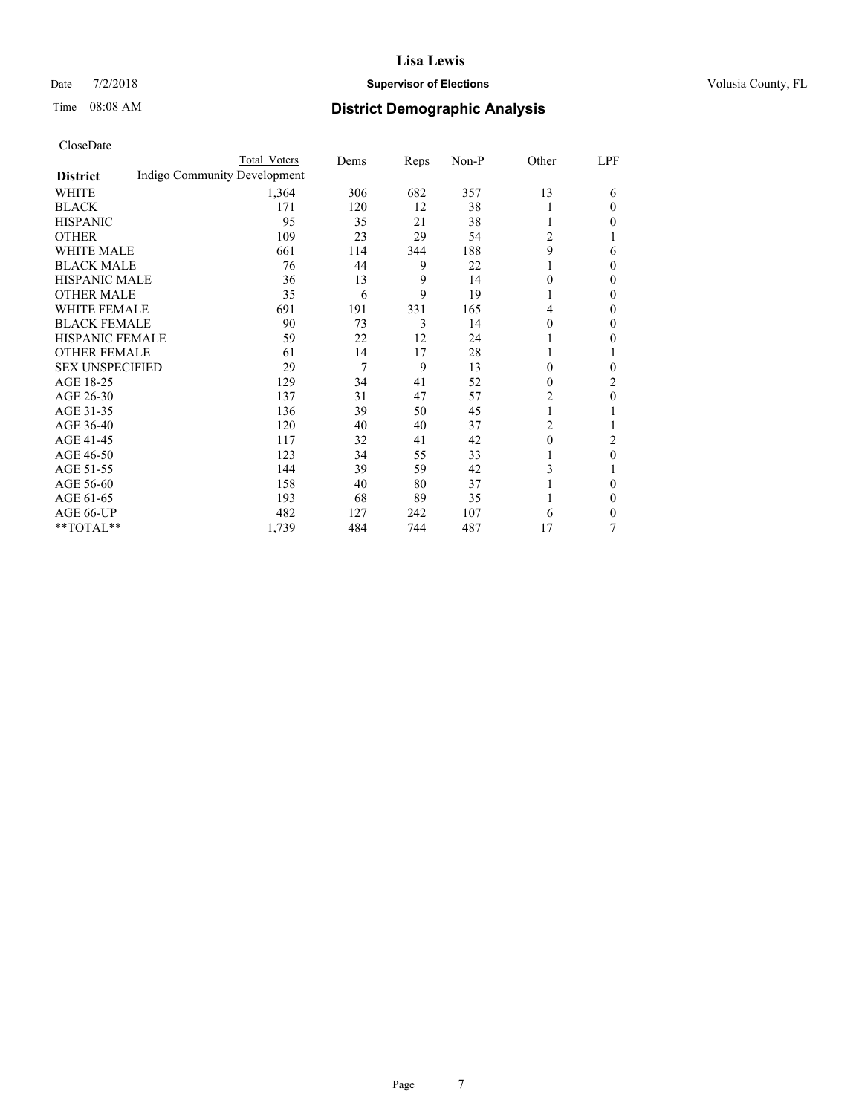#### Date  $7/2/2018$  **Supervisor of Elections Supervisor of Elections** Volusia County, FL

# Time 08:08 AM **District Demographic Analysis**

|                        |                              | Total Voters | Dems | Reps | Non-P | Other          | LPF            |
|------------------------|------------------------------|--------------|------|------|-------|----------------|----------------|
| <b>District</b>        | Indigo Community Development |              |      |      |       |                |                |
| WHITE                  |                              | 1,364        | 306  | 682  | 357   | 13             | 6              |
| <b>BLACK</b>           |                              | 171          | 120  | 12   | 38    | 1              | 0              |
| <b>HISPANIC</b>        |                              | 95           | 35   | 21   | 38    | 1              | 0              |
| <b>OTHER</b>           |                              | 109          | 23   | 29   | 54    | 2              |                |
| <b>WHITE MALE</b>      |                              | 661          | 114  | 344  | 188   | 9              | 6              |
| <b>BLACK MALE</b>      |                              | 76           | 44   | 9    | 22    |                | 0              |
| <b>HISPANIC MALE</b>   |                              | 36           | 13   | 9    | 14    | $\theta$       | 0              |
| <b>OTHER MALE</b>      |                              | 35           | 6    | 9    | 19    | 1              | 0              |
| <b>WHITE FEMALE</b>    |                              | 691          | 191  | 331  | 165   | 4              | 0              |
| <b>BLACK FEMALE</b>    |                              | 90           | 73   | 3    | 14    | 0              | 0              |
| HISPANIC FEMALE        |                              | 59           | 22   | 12   | 24    |                | 0              |
| <b>OTHER FEMALE</b>    |                              | 61           | 14   | 17   | 28    | 1              |                |
| <b>SEX UNSPECIFIED</b> |                              | 29           | 7    | 9    | 13    | $\theta$       | 0              |
| AGE 18-25              |                              | 129          | 34   | 41   | 52    | $\theta$       | $\overline{2}$ |
| AGE 26-30              |                              | 137          | 31   | 47   | 57    | 2              | 0              |
| AGE 31-35              |                              | 136          | 39   | 50   | 45    | 1              |                |
| AGE 36-40              |                              | 120          | 40   | 40   | 37    | $\overline{c}$ |                |
| AGE 41-45              |                              | 117          | 32   | 41   | 42    | $\theta$       | 2              |
| AGE 46-50              |                              | 123          | 34   | 55   | 33    | 1              | 0              |
| AGE 51-55              |                              | 144          | 39   | 59   | 42    | 3              |                |
| AGE 56-60              |                              | 158          | 40   | 80   | 37    |                | 0              |
| AGE 61-65              |                              | 193          | 68   | 89   | 35    |                | $_{0}$         |
| AGE 66-UP              |                              | 482          | 127  | 242  | 107   | 6              | 0              |
| **TOTAL**              |                              | 1,739        | 484  | 744  | 487   | 17             | 7              |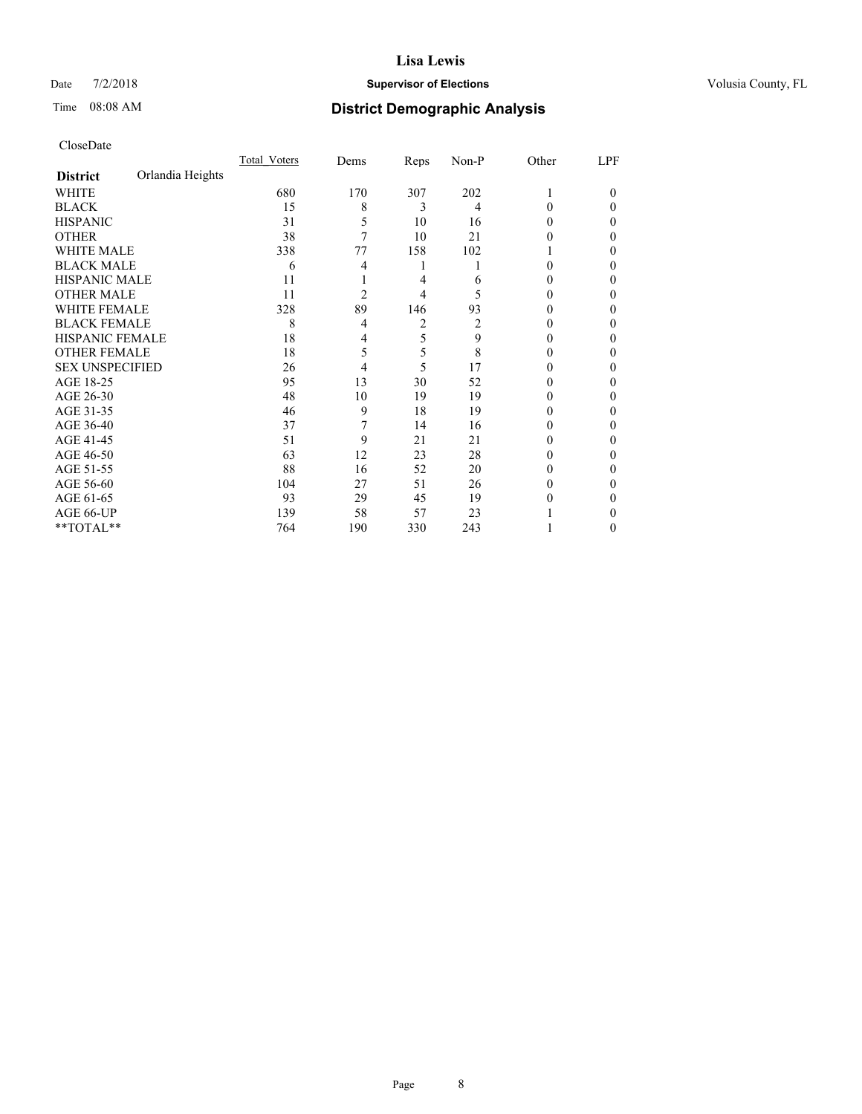#### Date  $7/2/2018$  **Supervisor of Elections Supervisor of Elections** Volusia County, FL

# Time 08:08 AM **District Demographic Analysis**

|                        |                  | Total Voters | Dems | Reps | Non-P | Other  | LPF    |
|------------------------|------------------|--------------|------|------|-------|--------|--------|
| <b>District</b>        | Orlandia Heights |              |      |      |       |        |        |
| WHITE                  |                  | 680          | 170  | 307  | 202   | 1      | $_{0}$ |
| <b>BLACK</b>           |                  | 15           | 8    | 3    | 4     | 0      | 0      |
| <b>HISPANIC</b>        |                  | 31           | 5    | 10   | 16    | 0      | 0      |
| <b>OTHER</b>           |                  | 38           | 7    | 10   | 21    | 0      | 0      |
| WHITE MALE             |                  | 338          | 77   | 158  | 102   |        | 0      |
| <b>BLACK MALE</b>      |                  | 6            | 4    | 1    |       | 0      | 0      |
| <b>HISPANIC MALE</b>   |                  | 11           |      | 4    | 6     | 0      | 0      |
| <b>OTHER MALE</b>      |                  | 11           | 2    | 4    | 5     | $_{0}$ | 0      |
| <b>WHITE FEMALE</b>    |                  | 328          | 89   | 146  | 93    | 0      | 0      |
| <b>BLACK FEMALE</b>    |                  | 8            | 4    | 2    | 2     | $_{0}$ | 0      |
| <b>HISPANIC FEMALE</b> |                  | 18           | 4    | 5    | 9     | $_{0}$ | 0      |
| <b>OTHER FEMALE</b>    |                  | 18           | 5    | 5    | 8     | $_{0}$ | 0      |
| <b>SEX UNSPECIFIED</b> |                  | 26           | 4    | 5    | 17    | 0      | 0      |
| AGE 18-25              |                  | 95           | 13   | 30   | 52    | $_{0}$ | 0      |
| AGE 26-30              |                  | 48           | 10   | 19   | 19    | $_{0}$ | 0      |
| AGE 31-35              |                  | 46           | 9    | 18   | 19    | 0      | 0      |
| AGE 36-40              |                  | 37           | 7    | 14   | 16    | 0      | 0      |
| AGE 41-45              |                  | 51           | 9    | 21   | 21    | 0      | 0      |
| AGE 46-50              |                  | 63           | 12   | 23   | 28    | 0      | 0      |
| AGE 51-55              |                  | 88           | 16   | 52   | 20    | 0      | 0      |
| AGE 56-60              |                  | 104          | 27   | 51   | 26    | 0      | 0      |
| AGE 61-65              |                  | 93           | 29   | 45   | 19    | $_{0}$ | 0      |
| AGE 66-UP              |                  | 139          | 58   | 57   | 23    |        | 0      |
| **TOTAL**              |                  | 764          | 190  | 330  | 243   |        | 0      |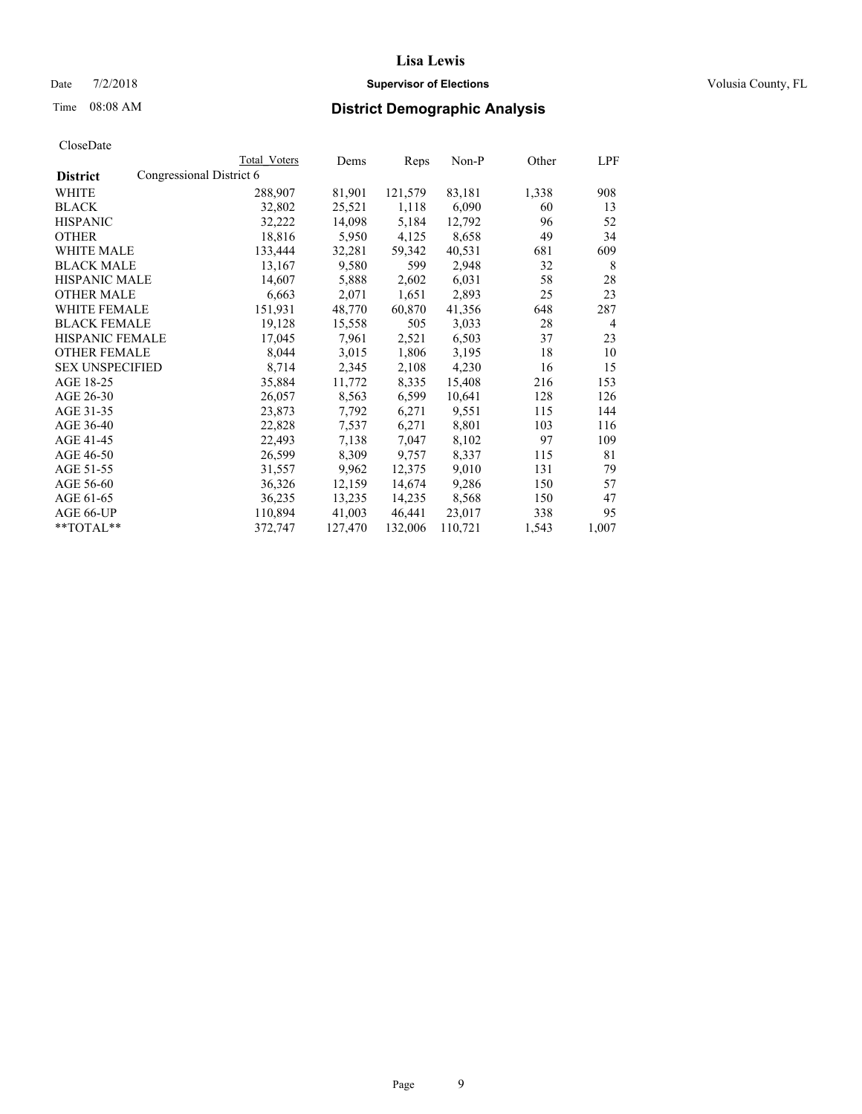Date  $7/2/2018$  **Supervisor of Elections Supervisor of Elections** Volusia County, FL

### Time 08:08 AM **District Demographic Analysis**

|                        |                          | Total Voters | Dems    | Reps    | Non-P   | Other | LPF   |
|------------------------|--------------------------|--------------|---------|---------|---------|-------|-------|
| <b>District</b>        | Congressional District 6 |              |         |         |         |       |       |
| WHITE                  |                          | 288,907      | 81,901  | 121,579 | 83,181  | 1,338 | 908   |
| <b>BLACK</b>           |                          | 32,802       | 25,521  | 1,118   | 6,090   | 60    | 13    |
| <b>HISPANIC</b>        |                          | 32,222       | 14,098  | 5,184   | 12,792  | 96    | 52    |
| <b>OTHER</b>           |                          | 18,816       | 5,950   | 4,125   | 8,658   | 49    | 34    |
| WHITE MALE             |                          | 133,444      | 32,281  | 59,342  | 40,531  | 681   | 609   |
| <b>BLACK MALE</b>      |                          | 13,167       | 9,580   | 599     | 2,948   | 32    | 8     |
| <b>HISPANIC MALE</b>   |                          | 14,607       | 5,888   | 2,602   | 6,031   | 58    | 28    |
| <b>OTHER MALE</b>      |                          | 6,663        | 2,071   | 1,651   | 2,893   | 25    | 23    |
| <b>WHITE FEMALE</b>    |                          | 151,931      | 48,770  | 60,870  | 41,356  | 648   | 287   |
| <b>BLACK FEMALE</b>    |                          | 19,128       | 15,558  | 505     | 3,033   | 28    | 4     |
| <b>HISPANIC FEMALE</b> |                          | 17,045       | 7,961   | 2,521   | 6,503   | 37    | 23    |
| <b>OTHER FEMALE</b>    |                          | 8,044        | 3,015   | 1,806   | 3,195   | 18    | 10    |
| <b>SEX UNSPECIFIED</b> |                          | 8,714        | 2,345   | 2,108   | 4,230   | 16    | 15    |
| AGE 18-25              |                          | 35,884       | 11,772  | 8,335   | 15,408  | 216   | 153   |
| AGE 26-30              |                          | 26,057       | 8,563   | 6,599   | 10,641  | 128   | 126   |
| AGE 31-35              |                          | 23,873       | 7,792   | 6,271   | 9,551   | 115   | 144   |
| AGE 36-40              |                          | 22,828       | 7,537   | 6,271   | 8,801   | 103   | 116   |
| AGE 41-45              |                          | 22,493       | 7,138   | 7,047   | 8,102   | 97    | 109   |
| AGE 46-50              |                          | 26,599       | 8,309   | 9,757   | 8,337   | 115   | 81    |
| AGE 51-55              |                          | 31,557       | 9,962   | 12,375  | 9,010   | 131   | 79    |
| AGE 56-60              |                          | 36,326       | 12,159  | 14,674  | 9,286   | 150   | 57    |
| AGE 61-65              |                          | 36,235       | 13,235  | 14,235  | 8,568   | 150   | 47    |
| AGE 66-UP              |                          | 110,894      | 41,003  | 46,441  | 23,017  | 338   | 95    |
| $*$ $TOTAL**$          |                          | 372,747      | 127,470 | 132,006 | 110,721 | 1,543 | 1,007 |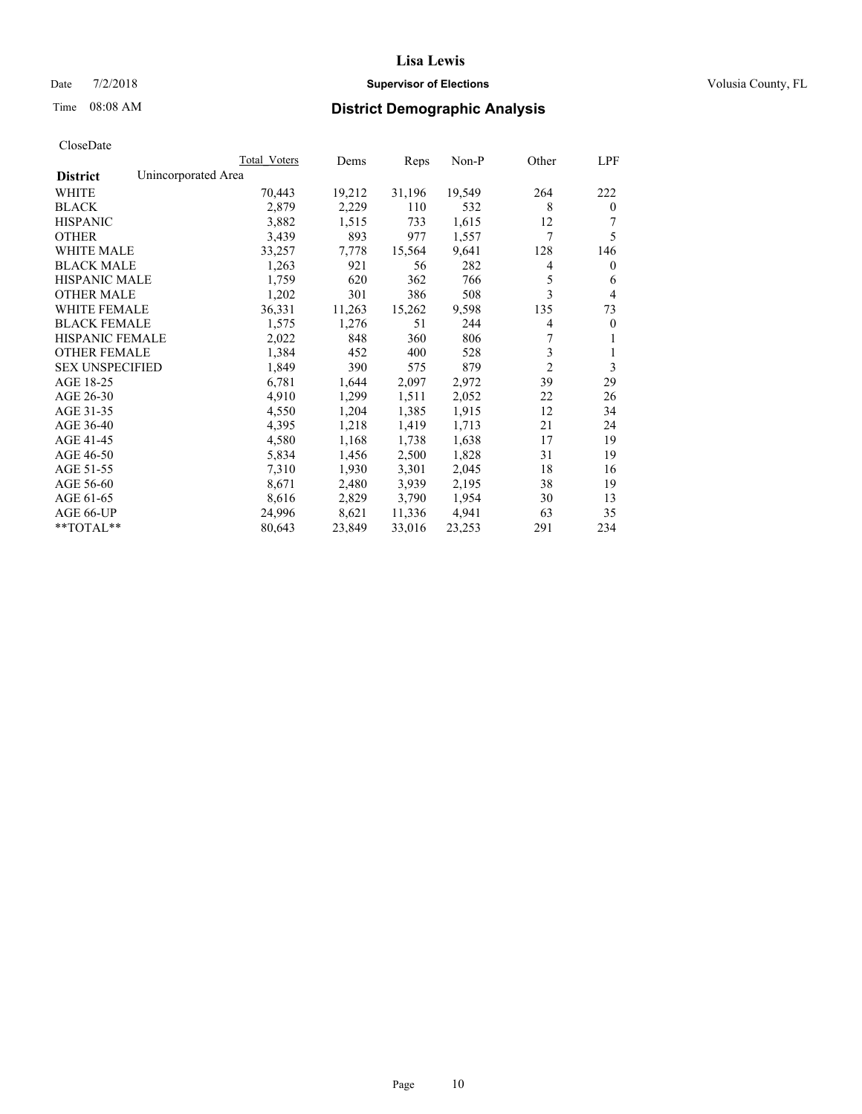#### Date  $7/2/2018$  **Supervisor of Elections Supervisor of Elections** Volusia County, FL

### Time 08:08 AM **District Demographic Analysis**

|                                        | Total Voters | Dems   | Reps   | Non-P  | Other          | LPF          |
|----------------------------------------|--------------|--------|--------|--------|----------------|--------------|
| Unincorporated Area<br><b>District</b> |              |        |        |        |                |              |
| WHITE                                  | 70,443       | 19,212 | 31,196 | 19,549 | 264            | 222          |
| <b>BLACK</b>                           | 2,879        | 2,229  | 110    | 532    | 8              | $\mathbf{0}$ |
| <b>HISPANIC</b>                        | 3,882        | 1,515  | 733    | 1,615  | 12             |              |
| <b>OTHER</b>                           | 3,439        | 893    | 977    | 1,557  | 7              | 5            |
| WHITE MALE                             | 33,257       | 7,778  | 15,564 | 9,641  | 128            | 146          |
| <b>BLACK MALE</b>                      | 1,263        | 921    | 56     | 282    | 4              | $\mathbf{0}$ |
| <b>HISPANIC MALE</b>                   | 1,759        | 620    | 362    | 766    | 5              | 6            |
| <b>OTHER MALE</b>                      | 1,202        | 301    | 386    | 508    | 3              | 4            |
| WHITE FEMALE                           | 36,331       | 11,263 | 15,262 | 9,598  | 135            | 73           |
| <b>BLACK FEMALE</b>                    | 1,575        | 1,276  | 51     | 244    | 4              | $\mathbf{0}$ |
| <b>HISPANIC FEMALE</b>                 | 2,022        | 848    | 360    | 806    | 7              | 1            |
| <b>OTHER FEMALE</b>                    | 1,384        | 452    | 400    | 528    | 3              | 1            |
| <b>SEX UNSPECIFIED</b>                 | 1,849        | 390    | 575    | 879    | $\overline{2}$ | 3            |
| AGE 18-25                              | 6,781        | 1,644  | 2,097  | 2,972  | 39             | 29           |
| AGE 26-30                              | 4,910        | 1,299  | 1,511  | 2,052  | 22             | 26           |
| AGE 31-35                              | 4,550        | 1,204  | 1,385  | 1,915  | 12             | 34           |
| AGE 36-40                              | 4,395        | 1,218  | 1,419  | 1,713  | 21             | 24           |
| AGE 41-45                              | 4,580        | 1,168  | 1,738  | 1,638  | 17             | 19           |
| AGE 46-50                              | 5,834        | 1,456  | 2,500  | 1,828  | 31             | 19           |
| AGE 51-55                              | 7,310        | 1,930  | 3,301  | 2,045  | 18             | 16           |
| AGE 56-60                              | 8,671        | 2,480  | 3,939  | 2,195  | 38             | 19           |
| AGE 61-65                              | 8,616        | 2,829  | 3,790  | 1,954  | 30             | 13           |
| AGE 66-UP                              | 24,996       | 8,621  | 11,336 | 4,941  | 63             | 35           |
| $*$ $TOTAL**$                          | 80,643       | 23,849 | 33,016 | 23,253 | 291            | 234          |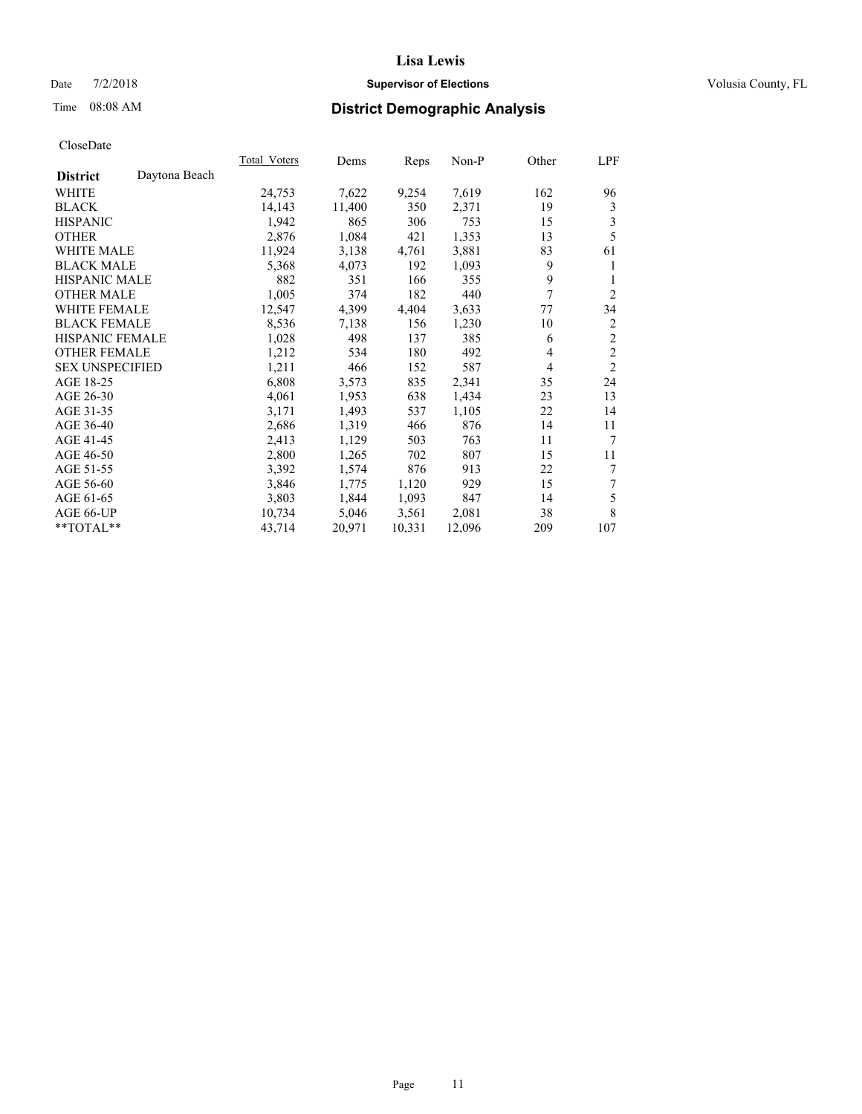### Date  $7/2/2018$  **Supervisor of Elections Supervisor of Elections** Volusia County, FL

# Time 08:08 AM **District Demographic Analysis**

|                                  | Total Voters | Dems   | Reps   | Non-P  | Other | LPF            |
|----------------------------------|--------------|--------|--------|--------|-------|----------------|
| Daytona Beach<br><b>District</b> |              |        |        |        |       |                |
| WHITE                            | 24,753       | 7,622  | 9,254  | 7,619  | 162   | 96             |
| <b>BLACK</b>                     | 14,143       | 11,400 | 350    | 2,371  | 19    | 3              |
| <b>HISPANIC</b>                  | 1,942        | 865    | 306    | 753    | 15    | 3              |
| <b>OTHER</b>                     | 2,876        | 1,084  | 421    | 1,353  | 13    | 5              |
| <b>WHITE MALE</b>                | 11,924       | 3,138  | 4,761  | 3,881  | 83    | 61             |
| <b>BLACK MALE</b>                | 5,368        | 4,073  | 192    | 1,093  | 9     | 1              |
| <b>HISPANIC MALE</b>             | 882          | 351    | 166    | 355    | 9     | 1              |
| <b>OTHER MALE</b>                | 1,005        | 374    | 182    | 440    | 7     | $\overline{2}$ |
| WHITE FEMALE                     | 12,547       | 4,399  | 4,404  | 3,633  | 77    | 34             |
| <b>BLACK FEMALE</b>              | 8,536        | 7,138  | 156    | 1,230  | 10    | 2              |
| <b>HISPANIC FEMALE</b>           | 1,028        | 498    | 137    | 385    | 6     | $\overline{c}$ |
| <b>OTHER FEMALE</b>              | 1,212        | 534    | 180    | 492    | 4     | $\overline{2}$ |
| <b>SEX UNSPECIFIED</b>           | 1,211        | 466    | 152    | 587    | 4     | $\overline{2}$ |
| AGE 18-25                        | 6,808        | 3,573  | 835    | 2,341  | 35    | 24             |
| AGE 26-30                        | 4,061        | 1,953  | 638    | 1,434  | 23    | 13             |
| AGE 31-35                        | 3,171        | 1,493  | 537    | 1,105  | 22    | 14             |
| AGE 36-40                        | 2,686        | 1,319  | 466    | 876    | 14    | 11             |
| AGE 41-45                        | 2,413        | 1,129  | 503    | 763    | 11    | 7              |
| AGE 46-50                        | 2,800        | 1,265  | 702    | 807    | 15    | 11             |
| AGE 51-55                        | 3,392        | 1,574  | 876    | 913    | 22    | 7              |
| AGE 56-60                        | 3,846        | 1,775  | 1,120  | 929    | 15    | 7              |
| AGE 61-65                        | 3,803        | 1,844  | 1,093  | 847    | 14    | 5              |
| AGE 66-UP                        | 10,734       | 5,046  | 3,561  | 2,081  | 38    | 8              |
| **TOTAL**                        | 43,714       | 20,971 | 10,331 | 12,096 | 209   | 107            |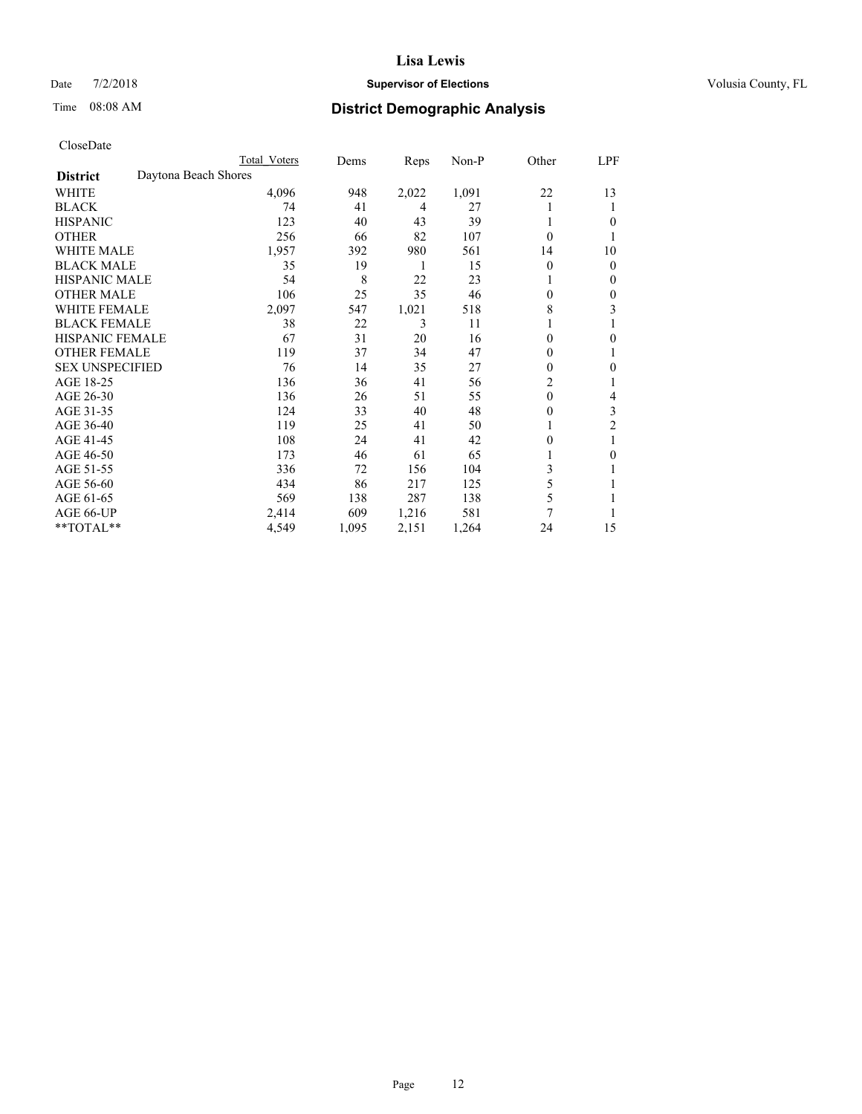### Date  $7/2/2018$  **Supervisor of Elections Supervisor of Elections** Volusia County, FL

# Time 08:08 AM **District Demographic Analysis**

|                        | Total Voters         | Dems  | Reps  | Non-P | Other          | LPF            |
|------------------------|----------------------|-------|-------|-------|----------------|----------------|
| <b>District</b>        | Daytona Beach Shores |       |       |       |                |                |
| WHITE                  | 4,096                | 948   | 2,022 | 1,091 | 22             | 13             |
| <b>BLACK</b>           | 74                   | 41    | 4     | 27    |                | 1              |
| <b>HISPANIC</b>        | 123                  | 40    | 43    | 39    |                | $\theta$       |
| <b>OTHER</b>           | 256                  | 66    | 82    | 107   | $\theta$       |                |
| <b>WHITE MALE</b>      | 1,957                | 392   | 980   | 561   | 14             | 10             |
| <b>BLACK MALE</b>      | 35                   | 19    | 1     | 15    | $\theta$       | $\mathbf{0}$   |
| <b>HISPANIC MALE</b>   | 54                   | 8     | 22    | 23    |                | $\mathbf{0}$   |
| <b>OTHER MALE</b>      | 106                  | 25    | 35    | 46    | 0              | 0              |
| <b>WHITE FEMALE</b>    | 2,097                | 547   | 1,021 | 518   | 8              | 3              |
| <b>BLACK FEMALE</b>    | 38                   | 22    | 3     | 11    |                |                |
| <b>HISPANIC FEMALE</b> | 67                   | 31    | 20    | 16    | 0              | $\theta$       |
| <b>OTHER FEMALE</b>    | 119                  | 37    | 34    | 47    | 0              | 1              |
| <b>SEX UNSPECIFIED</b> | 76                   | 14    | 35    | 27    | 0              | $\theta$       |
| AGE 18-25              | 136                  | 36    | 41    | 56    | $\overline{c}$ |                |
| AGE 26-30              | 136                  | 26    | 51    | 55    | $\theta$       | 4              |
| AGE 31-35              | 124                  | 33    | 40    | 48    | 0              | 3              |
| AGE 36-40              | 119                  | 25    | 41    | 50    |                | $\overline{c}$ |
| AGE 41-45              | 108                  | 24    | 41    | 42    | 0              |                |
| AGE 46-50              | 173                  | 46    | 61    | 65    |                | $\theta$       |
| AGE 51-55              | 336                  | 72    | 156   | 104   | 3              | 1              |
| AGE 56-60              | 434                  | 86    | 217   | 125   | 5              |                |
| AGE 61-65              | 569                  | 138   | 287   | 138   | 5              |                |
| AGE 66-UP              | 2,414                | 609   | 1,216 | 581   | 7              |                |
| **TOTAL**              | 4,549                | 1,095 | 2,151 | 1,264 | 24             | 15             |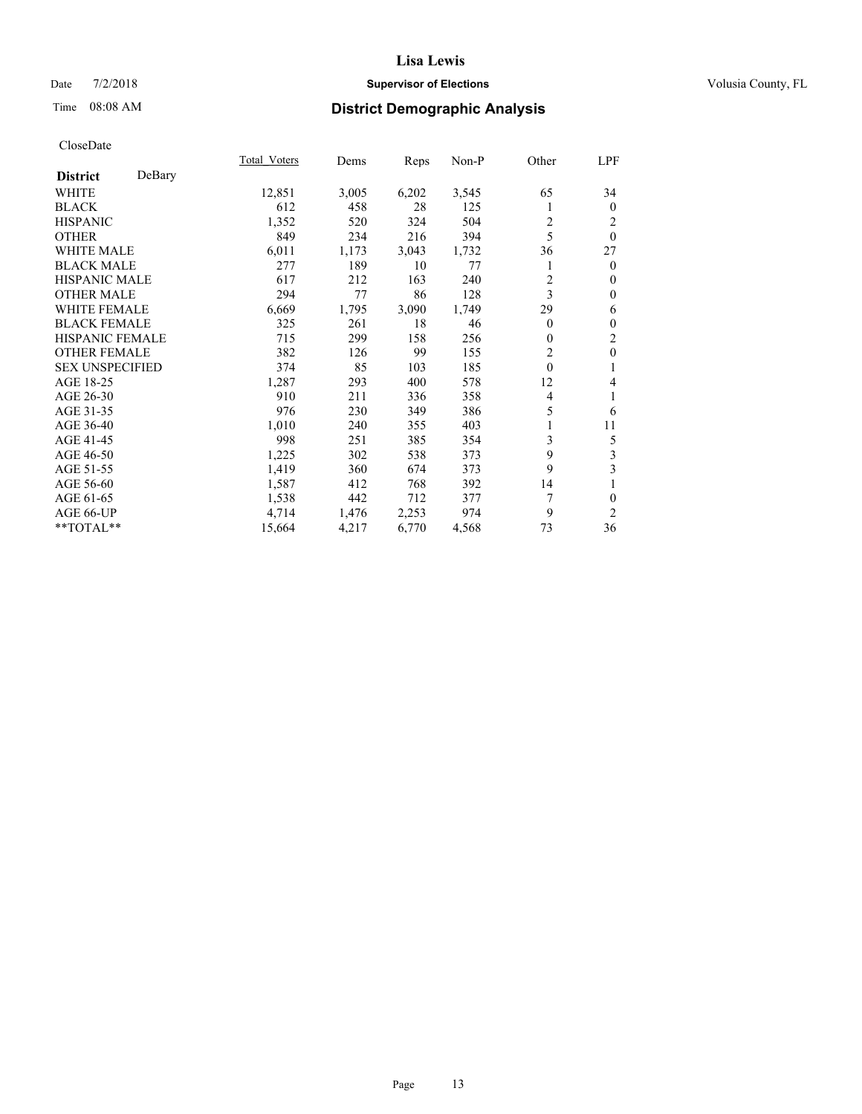### Date  $7/2/2018$  **Supervisor of Elections Supervisor of Elections** Volusia County, FL

# Time 08:08 AM **District Demographic Analysis**

|                        |        | Total Voters | Dems  | Reps  | Non-P | Other          | LPF            |
|------------------------|--------|--------------|-------|-------|-------|----------------|----------------|
| <b>District</b>        | DeBary |              |       |       |       |                |                |
| <b>WHITE</b>           |        | 12,851       | 3,005 | 6,202 | 3,545 | 65             | 34             |
| <b>BLACK</b>           |        | 612          | 458   | 28    | 125   | 1              | $\mathbf{0}$   |
| <b>HISPANIC</b>        |        | 1,352        | 520   | 324   | 504   | 2              | 2              |
| <b>OTHER</b>           |        | 849          | 234   | 216   | 394   | 5              | $\theta$       |
| <b>WHITE MALE</b>      |        | 6,011        | 1,173 | 3,043 | 1,732 | 36             | 27             |
| <b>BLACK MALE</b>      |        | 277          | 189   | 10    | 77    |                | $\mathbf{0}$   |
| <b>HISPANIC MALE</b>   |        | 617          | 212   | 163   | 240   | $\overline{2}$ | $\theta$       |
| <b>OTHER MALE</b>      |        | 294          | 77    | 86    | 128   | 3              | $\mathbf{0}$   |
| <b>WHITE FEMALE</b>    |        | 6,669        | 1,795 | 3,090 | 1,749 | 29             | 6              |
| <b>BLACK FEMALE</b>    |        | 325          | 261   | 18    | 46    | $\overline{0}$ | $\mathbf{0}$   |
| <b>HISPANIC FEMALE</b> |        | 715          | 299   | 158   | 256   | 0              | $\overline{c}$ |
| <b>OTHER FEMALE</b>    |        | 382          | 126   | 99    | 155   | $\overline{2}$ | $\mathbf{0}$   |
| <b>SEX UNSPECIFIED</b> |        | 374          | 85    | 103   | 185   | $\theta$       | 1              |
| AGE 18-25              |        | 1,287        | 293   | 400   | 578   | 12             | 4              |
| AGE 26-30              |        | 910          | 211   | 336   | 358   | 4              | 1              |
| AGE 31-35              |        | 976          | 230   | 349   | 386   | 5              | 6              |
| AGE 36-40              |        | 1,010        | 240   | 355   | 403   |                | 11             |
| AGE 41-45              |        | 998          | 251   | 385   | 354   | 3              | 5              |
| AGE 46-50              |        | 1,225        | 302   | 538   | 373   | 9              | 3              |
| AGE 51-55              |        | 1,419        | 360   | 674   | 373   | 9              | 3              |
| AGE 56-60              |        | 1,587        | 412   | 768   | 392   | 14             | 1              |
| AGE 61-65              |        | 1,538        | 442   | 712   | 377   | 7              | $\theta$       |
| AGE 66-UP              |        | 4,714        | 1,476 | 2,253 | 974   | 9              | $\overline{2}$ |
| **TOTAL**              |        | 15,664       | 4,217 | 6,770 | 4,568 | 73             | 36             |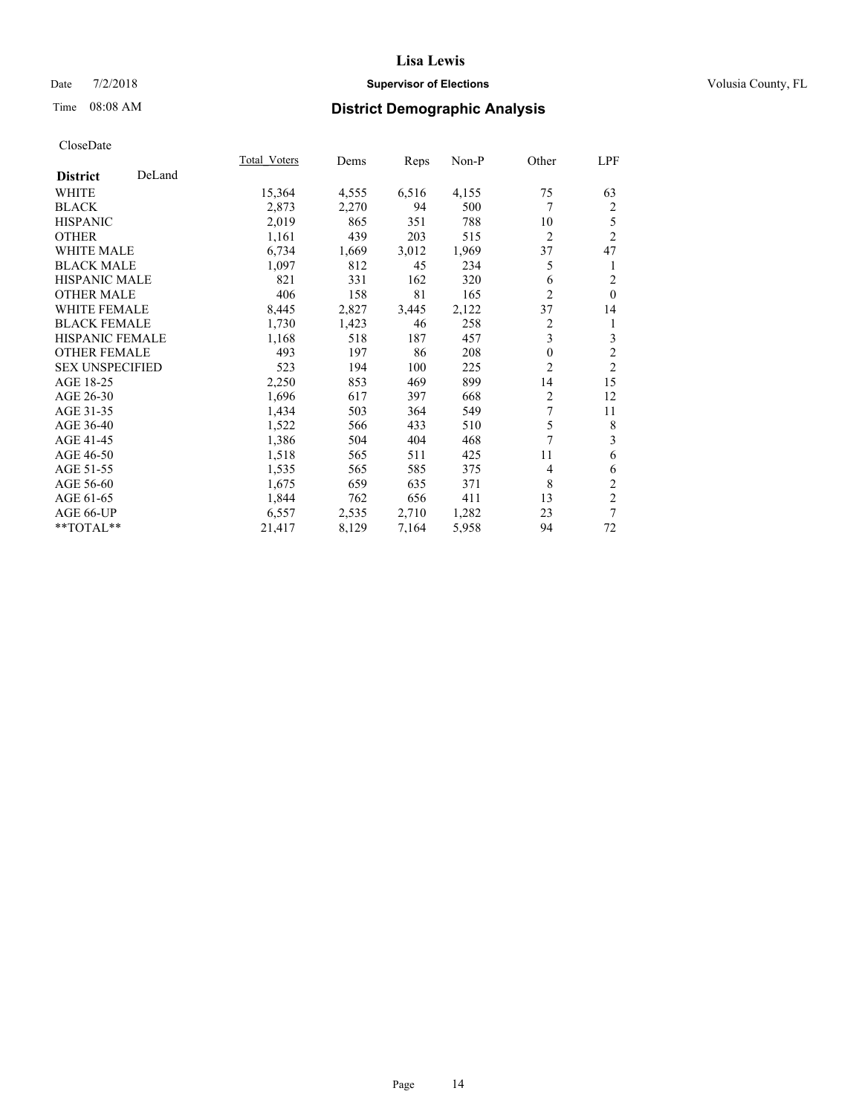### Date  $7/2/2018$  **Supervisor of Elections Supervisor of Elections** Volusia County, FL

# Time 08:08 AM **District Demographic Analysis**

|                        |        | Total Voters | Dems  | Reps  | Non-P | Other          | LPF            |
|------------------------|--------|--------------|-------|-------|-------|----------------|----------------|
| <b>District</b>        | DeLand |              |       |       |       |                |                |
| WHITE                  |        | 15,364       | 4,555 | 6,516 | 4,155 | 75             | 63             |
| <b>BLACK</b>           |        | 2,873        | 2,270 | 94    | 500   | 7              | $\overline{2}$ |
| <b>HISPANIC</b>        |        | 2,019        | 865   | 351   | 788   | 10             | 5              |
| <b>OTHER</b>           |        | 1,161        | 439   | 203   | 515   | $\overline{2}$ | $\overline{2}$ |
| WHITE MALE             |        | 6,734        | 1,669 | 3,012 | 1,969 | 37             | 47             |
| <b>BLACK MALE</b>      |        | 1,097        | 812   | 45    | 234   | 5              | 1              |
| <b>HISPANIC MALE</b>   |        | 821          | 331   | 162   | 320   | 6              | $\overline{2}$ |
| <b>OTHER MALE</b>      |        | 406          | 158   | 81    | 165   | $\overline{2}$ | $\mathbf{0}$   |
| WHITE FEMALE           |        | 8,445        | 2,827 | 3,445 | 2,122 | 37             | 14             |
| <b>BLACK FEMALE</b>    |        | 1,730        | 1,423 | 46    | 258   | 2              | 1              |
| <b>HISPANIC FEMALE</b> |        | 1,168        | 518   | 187   | 457   | 3              | 3              |
| <b>OTHER FEMALE</b>    |        | 493          | 197   | 86    | 208   | $\mathbf{0}$   | $\mathfrak{2}$ |
| <b>SEX UNSPECIFIED</b> |        | 523          | 194   | 100   | 225   | $\overline{2}$ | $\mathfrak{2}$ |
| AGE 18-25              |        | 2,250        | 853   | 469   | 899   | 14             | 15             |
| AGE 26-30              |        | 1,696        | 617   | 397   | 668   | 2              | 12             |
| AGE 31-35              |        | 1,434        | 503   | 364   | 549   | 7              | 11             |
| AGE 36-40              |        | 1,522        | 566   | 433   | 510   | 5              | 8              |
| AGE 41-45              |        | 1,386        | 504   | 404   | 468   | 7              | 3              |
| AGE 46-50              |        | 1,518        | 565   | 511   | 425   | 11             | 6              |
| AGE 51-55              |        | 1,535        | 565   | 585   | 375   | 4              | 6              |
| AGE 56-60              |        | 1,675        | 659   | 635   | 371   | 8              | $\mathfrak{2}$ |
| AGE 61-65              |        | 1,844        | 762   | 656   | 411   | 13             | $\overline{c}$ |
| AGE 66-UP              |        | 6,557        | 2,535 | 2,710 | 1,282 | 23             | 7              |
| **TOTAL**              |        | 21,417       | 8,129 | 7,164 | 5,958 | 94             | 72             |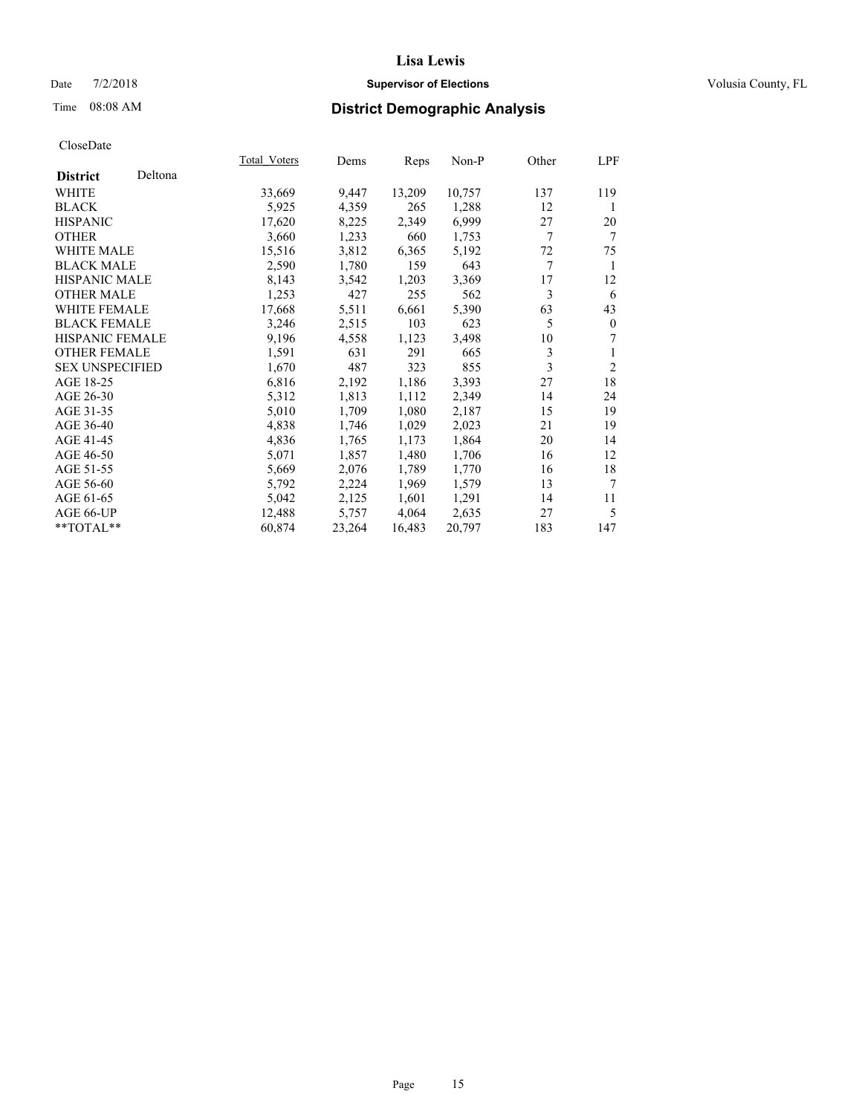### Date  $7/2/2018$  **Supervisor of Elections Supervisor of Elections** Volusia County, FL

# Time 08:08 AM **District Demographic Analysis**

|                        |         | Total Voters | Dems   | Reps   | Non-P  | Other | LPF          |
|------------------------|---------|--------------|--------|--------|--------|-------|--------------|
| <b>District</b>        | Deltona |              |        |        |        |       |              |
| WHITE                  |         | 33,669       | 9,447  | 13,209 | 10,757 | 137   | 119          |
| <b>BLACK</b>           |         | 5,925        | 4,359  | 265    | 1,288  | 12    | 1            |
| <b>HISPANIC</b>        |         | 17,620       | 8,225  | 2,349  | 6,999  | 27    | 20           |
| <b>OTHER</b>           |         | 3,660        | 1,233  | 660    | 1,753  | 7     | 7            |
| WHITE MALE             |         | 15,516       | 3,812  | 6,365  | 5,192  | 72    | 75           |
| <b>BLACK MALE</b>      |         | 2,590        | 1,780  | 159    | 643    | 7     | 1            |
| <b>HISPANIC MALE</b>   |         | 8,143        | 3,542  | 1,203  | 3,369  | 17    | 12           |
| <b>OTHER MALE</b>      |         | 1,253        | 427    | 255    | 562    | 3     | 6            |
| <b>WHITE FEMALE</b>    |         | 17,668       | 5,511  | 6,661  | 5,390  | 63    | 43           |
| <b>BLACK FEMALE</b>    |         | 3,246        | 2,515  | 103    | 623    | 5     | $\mathbf{0}$ |
| <b>HISPANIC FEMALE</b> |         | 9,196        | 4,558  | 1,123  | 3,498  | 10    | 7            |
| <b>OTHER FEMALE</b>    |         | 1,591        | 631    | 291    | 665    | 3     |              |
| <b>SEX UNSPECIFIED</b> |         | 1,670        | 487    | 323    | 855    | 3     | 2            |
| AGE 18-25              |         | 6,816        | 2,192  | 1,186  | 3,393  | 27    | 18           |
| AGE 26-30              |         | 5,312        | 1,813  | 1,112  | 2,349  | 14    | 24           |
| AGE 31-35              |         | 5,010        | 1,709  | 1,080  | 2,187  | 15    | 19           |
| AGE 36-40              |         | 4,838        | 1,746  | 1,029  | 2,023  | 21    | 19           |
| AGE 41-45              |         | 4,836        | 1,765  | 1,173  | 1,864  | 20    | 14           |
| AGE 46-50              |         | 5,071        | 1,857  | 1,480  | 1,706  | 16    | 12           |
| AGE 51-55              |         | 5,669        | 2,076  | 1,789  | 1,770  | 16    | 18           |
| AGE 56-60              |         | 5,792        | 2,224  | 1,969  | 1,579  | 13    | 7            |
| AGE 61-65              |         | 5,042        | 2,125  | 1,601  | 1,291  | 14    | 11           |
| AGE 66-UP              |         | 12,488       | 5,757  | 4,064  | 2,635  | 27    | 5            |
| **TOTAL**              |         | 60,874       | 23,264 | 16,483 | 20,797 | 183   | 147          |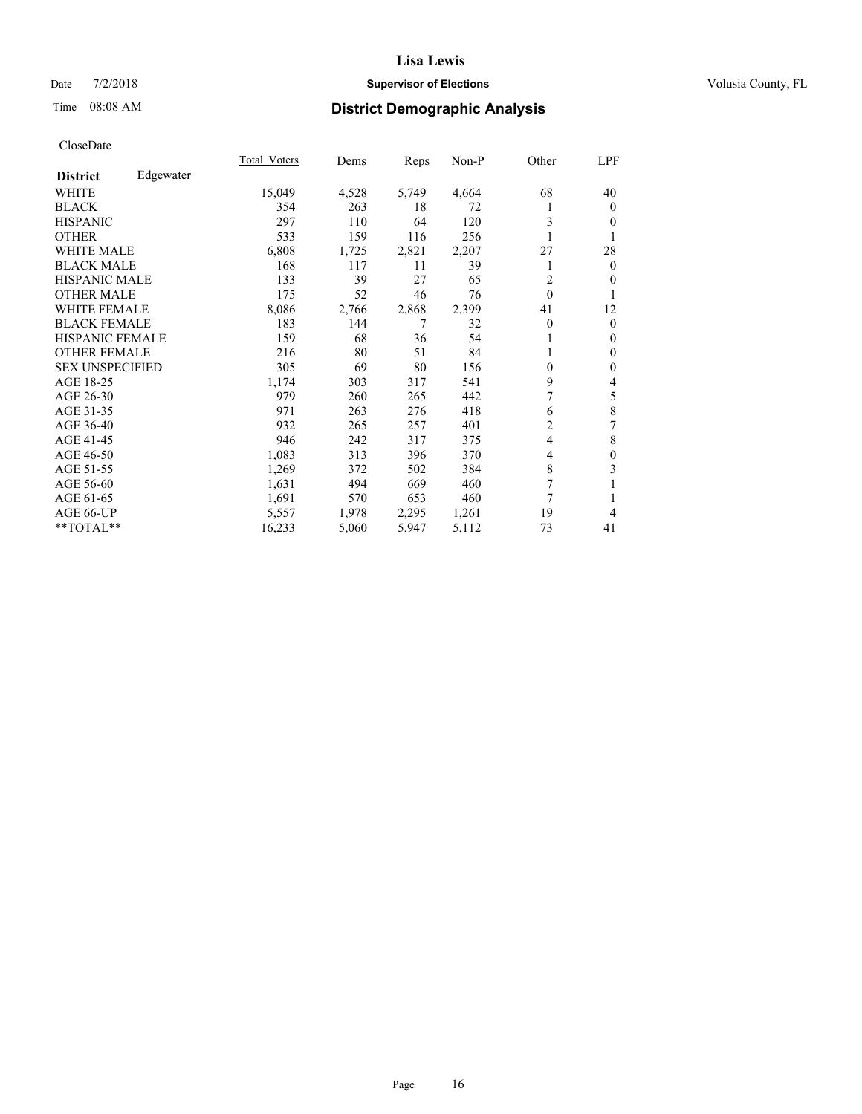### Date  $7/2/2018$  **Supervisor of Elections Supervisor of Elections** Volusia County, FL

### Time 08:08 AM **District Demographic Analysis**

|                        |           | Total Voters | Dems  | Reps  | Non-P | Other          | LPF          |
|------------------------|-----------|--------------|-------|-------|-------|----------------|--------------|
| <b>District</b>        | Edgewater |              |       |       |       |                |              |
| WHITE                  |           | 15,049       | 4,528 | 5,749 | 4,664 | 68             | 40           |
| <b>BLACK</b>           |           | 354          | 263   | 18    | 72    |                | $\Omega$     |
| <b>HISPANIC</b>        |           | 297          | 110   | 64    | 120   | 3              | $\Omega$     |
| <b>OTHER</b>           |           | 533          | 159   | 116   | 256   |                | 1            |
| WHITE MALE             |           | 6,808        | 1,725 | 2,821 | 2,207 | 27             | 28           |
| <b>BLACK MALE</b>      |           | 168          | 117   | 11    | 39    |                | $\Omega$     |
| <b>HISPANIC MALE</b>   |           | 133          | 39    | 27    | 65    | $\overline{2}$ | $\Omega$     |
| <b>OTHER MALE</b>      |           | 175          | 52    | 46    | 76    | $\mathbf{0}$   | 1            |
| <b>WHITE FEMALE</b>    |           | 8,086        | 2,766 | 2,868 | 2,399 | 41             | 12           |
| <b>BLACK FEMALE</b>    |           | 183          | 144   | 7     | 32    | $\theta$       | $\mathbf{0}$ |
| <b>HISPANIC FEMALE</b> |           | 159          | 68    | 36    | 54    |                | $\mathbf{0}$ |
| <b>OTHER FEMALE</b>    |           | 216          | 80    | 51    | 84    |                | $\mathbf{0}$ |
| <b>SEX UNSPECIFIED</b> |           | 305          | 69    | 80    | 156   | 0              | $\mathbf{0}$ |
| AGE 18-25              |           | 1,174        | 303   | 317   | 541   | 9              | 4            |
| AGE 26-30              |           | 979          | 260   | 265   | 442   | 7              | 5            |
| AGE 31-35              |           | 971          | 263   | 276   | 418   | 6              | 8            |
| AGE 36-40              |           | 932          | 265   | 257   | 401   | 2              | 7            |
| AGE 41-45              |           | 946          | 242   | 317   | 375   | $\overline{4}$ | 8            |
| AGE 46-50              |           | 1,083        | 313   | 396   | 370   | 4              | $\mathbf{0}$ |
| AGE 51-55              |           | 1,269        | 372   | 502   | 384   | 8              | 3            |
| AGE 56-60              |           | 1,631        | 494   | 669   | 460   | 7              | 1            |
| AGE 61-65              |           | 1,691        | 570   | 653   | 460   | 7              | 1            |
| AGE 66-UP              |           | 5,557        | 1,978 | 2,295 | 1,261 | 19             | 4            |
| **TOTAL**              |           | 16,233       | 5,060 | 5,947 | 5,112 | 73             | 41           |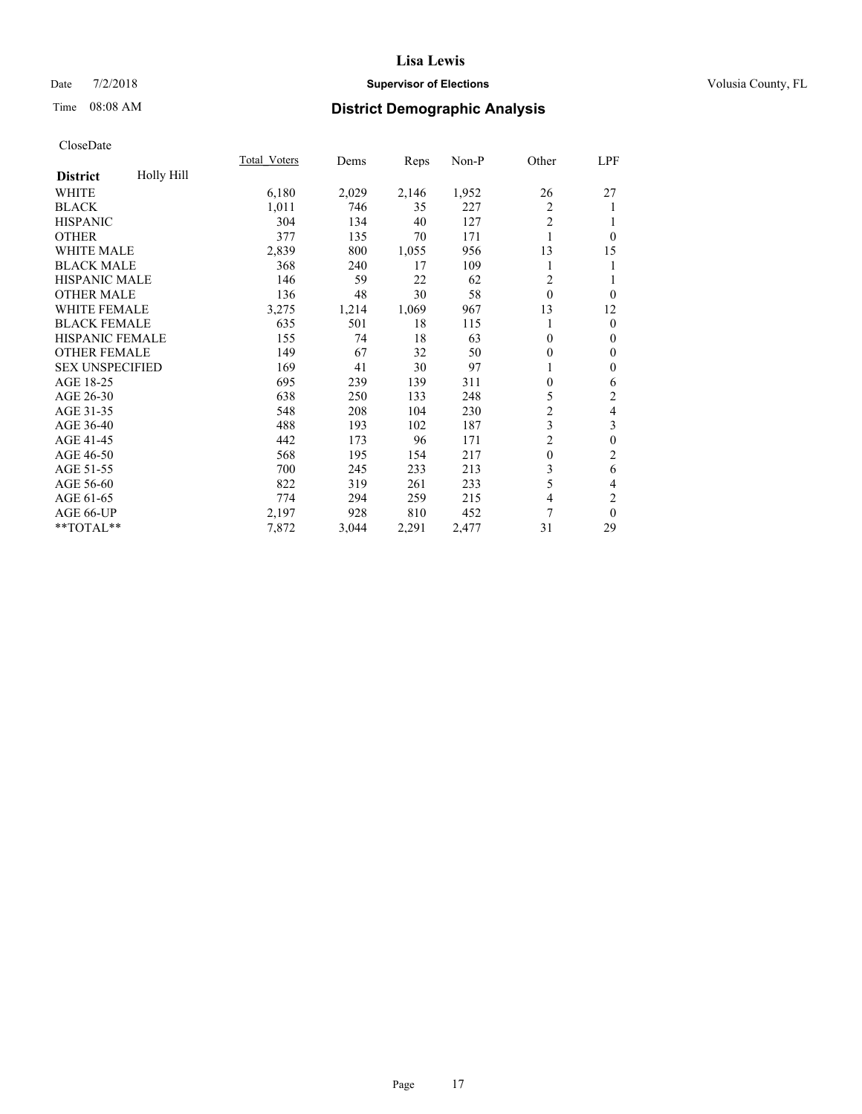### Date  $7/2/2018$  **Supervisor of Elections Supervisor of Elections** Volusia County, FL

# Time 08:08 AM **District Demographic Analysis**

|                               | <b>Total Voters</b> | Dems  | Reps  | Non-P | Other          | LPF                     |
|-------------------------------|---------------------|-------|-------|-------|----------------|-------------------------|
| Holly Hill<br><b>District</b> |                     |       |       |       |                |                         |
| WHITE                         | 6,180               | 2,029 | 2,146 | 1,952 | 26             | 27                      |
| <b>BLACK</b>                  | 1,011               | 746   | 35    | 227   | 2              | 1                       |
| <b>HISPANIC</b>               | 304                 | 134   | 40    | 127   | $\overline{2}$ | 1                       |
| <b>OTHER</b>                  | 377                 | 135   | 70    | 171   | 1              | $\theta$                |
| <b>WHITE MALE</b>             | 2,839               | 800   | 1,055 | 956   | 13             | 15                      |
| <b>BLACK MALE</b>             | 368                 | 240   | 17    | 109   | 1              | 1                       |
| HISPANIC MALE                 | 146                 | 59    | 22    | 62    | $\overline{2}$ | 1                       |
| <b>OTHER MALE</b>             | 136                 | 48    | 30    | 58    | $\Omega$       | $\theta$                |
| <b>WHITE FEMALE</b>           | 3,275               | 1,214 | 1,069 | 967   | 13             | 12                      |
| <b>BLACK FEMALE</b>           | 635                 | 501   | 18    | 115   |                | $\theta$                |
| <b>HISPANIC FEMALE</b>        | 155                 | 74    | 18    | 63    | $\mathbf{0}$   | $\mathbf{0}$            |
| <b>OTHER FEMALE</b>           | 149                 | 67    | 32    | 50    | $\mathbf{0}$   | $\mathbf{0}$            |
| <b>SEX UNSPECIFIED</b>        | 169                 | 41    | 30    | 97    |                | $\boldsymbol{0}$        |
| AGE 18-25                     | 695                 | 239   | 139   | 311   | 0              | 6                       |
| AGE 26-30                     | 638                 | 250   | 133   | 248   | 5              | 2                       |
| AGE 31-35                     | 548                 | 208   | 104   | 230   | $\overline{c}$ | $\overline{\mathbf{4}}$ |
| AGE 36-40                     | 488                 | 193   | 102   | 187   | 3              | 3                       |
| AGE 41-45                     | 442                 | 173   | 96    | 171   | $\overline{c}$ | $\boldsymbol{0}$        |
| AGE 46-50                     | 568                 | 195   | 154   | 217   | $\mathbf{0}$   | $\mathfrak{2}$          |
| AGE 51-55                     | 700                 | 245   | 233   | 213   | 3              | 6                       |
| AGE 56-60                     | 822                 | 319   | 261   | 233   | 5              | $\overline{4}$          |
| AGE 61-65                     | 774                 | 294   | 259   | 215   | 4              | $\overline{2}$          |
| AGE 66-UP                     | 2,197               | 928   | 810   | 452   | 7              | $\theta$                |
| **TOTAL**                     | 7,872               | 3,044 | 2,291 | 2,477 | 31             | 29                      |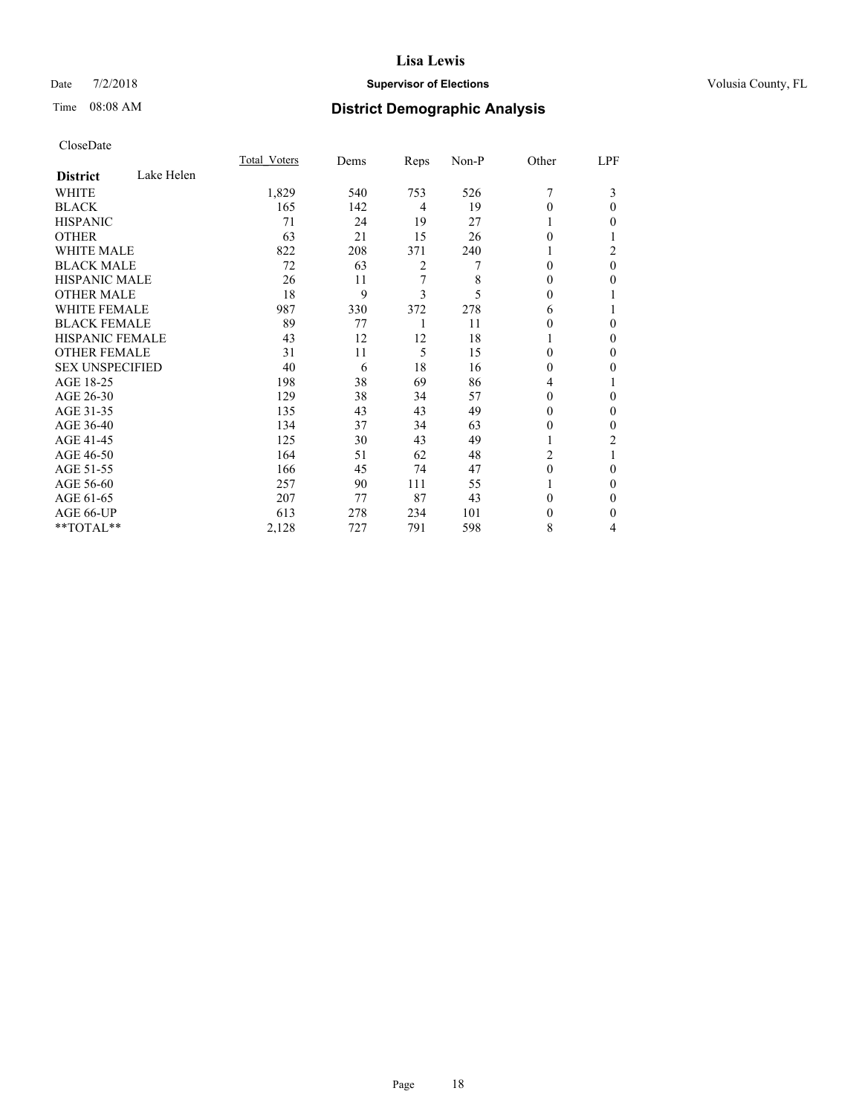### Date  $7/2/2018$  **Supervisor of Elections Supervisor of Elections** Volusia County, FL

# Time 08:08 AM **District Demographic Analysis**

|                        |            | Total Voters | Dems | Reps | Non-P | Other    | LPF |
|------------------------|------------|--------------|------|------|-------|----------|-----|
| <b>District</b>        | Lake Helen |              |      |      |       |          |     |
| WHITE                  |            | 1,829        | 540  | 753  | 526   | 7        | 3   |
| <b>BLACK</b>           |            | 165          | 142  | 4    | 19    | 0        | 0   |
| <b>HISPANIC</b>        |            | 71           | 24   | 19   | 27    |          | 0   |
| <b>OTHER</b>           |            | 63           | 21   | 15   | 26    | 0        |     |
| <b>WHITE MALE</b>      |            | 822          | 208  | 371  | 240   | 1        | 2   |
| <b>BLACK MALE</b>      |            | 72           | 63   | 2    | 7     | $\Omega$ | 0   |
| <b>HISPANIC MALE</b>   |            | 26           | 11   | 7    | 8     | 0        | 0   |
| <b>OTHER MALE</b>      |            | 18           | 9    | 3    | 5     | 0        |     |
| <b>WHITE FEMALE</b>    |            | 987          | 330  | 372  | 278   | 6        |     |
| <b>BLACK FEMALE</b>    |            | 89           | 77   | 1    | 11    | 0        | 0   |
| <b>HISPANIC FEMALE</b> |            | 43           | 12   | 12   | 18    |          | 0   |
| <b>OTHER FEMALE</b>    |            | 31           | 11   | 5    | 15    | $\Omega$ | 0   |
| <b>SEX UNSPECIFIED</b> |            | 40           | 6    | 18   | 16    | $\Omega$ | 0   |
| AGE 18-25              |            | 198          | 38   | 69   | 86    | 4        |     |
| AGE 26-30              |            | 129          | 38   | 34   | 57    | 0        | 0   |
| AGE 31-35              |            | 135          | 43   | 43   | 49    | 0        | 0   |
| AGE 36-40              |            | 134          | 37   | 34   | 63    | 0        | 0   |
| AGE 41-45              |            | 125          | 30   | 43   | 49    | 1        | 2   |
| AGE 46-50              |            | 164          | 51   | 62   | 48    | 2        |     |
| AGE 51-55              |            | 166          | 45   | 74   | 47    | $\theta$ | 0   |
| AGE 56-60              |            | 257          | 90   | 111  | 55    |          | 0   |
| AGE 61-65              |            | 207          | 77   | 87   | 43    | 0        | 0   |
| AGE 66-UP              |            | 613          | 278  | 234  | 101   | 0        | 0   |
| **TOTAL**              |            | 2,128        | 727  | 791  | 598   | 8        | 4   |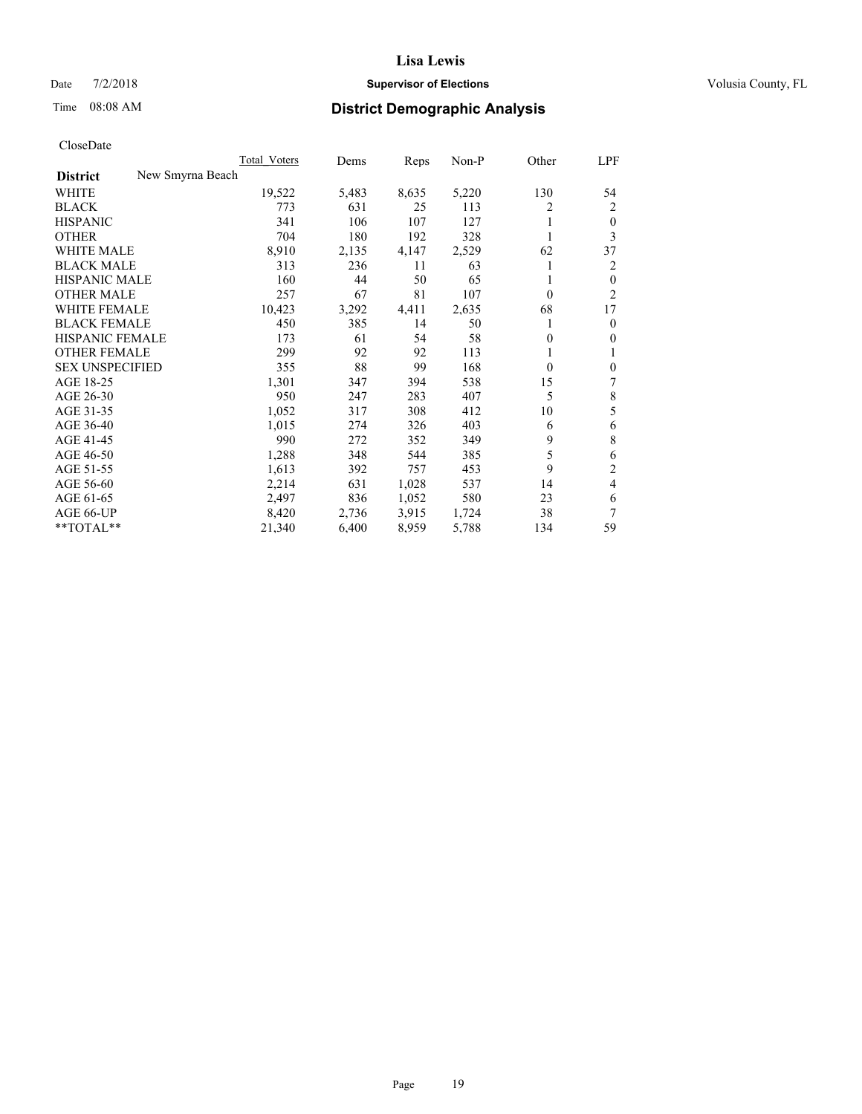### Date  $7/2/2018$  **Supervisor of Elections Supervisor of Elections** Volusia County, FL

# Time 08:08 AM **District Demographic Analysis**

|                                     | Total Voters | Dems  | Reps  | $Non-P$ | Other    | LPF            |
|-------------------------------------|--------------|-------|-------|---------|----------|----------------|
| New Smyrna Beach<br><b>District</b> |              |       |       |         |          |                |
| WHITE                               | 19,522       | 5,483 | 8,635 | 5,220   | 130      | 54             |
| <b>BLACK</b>                        | 773          | 631   | 25    | 113     | 2        | 2              |
| <b>HISPANIC</b>                     | 341          | 106   | 107   | 127     | 1        | $\mathbf{0}$   |
| <b>OTHER</b>                        | 704          | 180   | 192   | 328     | 1        | 3              |
| <b>WHITE MALE</b>                   | 8,910        | 2,135 | 4,147 | 2,529   | 62       | 37             |
| <b>BLACK MALE</b>                   | 313          | 236   | 11    | 63      | 1        | 2              |
| <b>HISPANIC MALE</b>                | 160          | 44    | 50    | 65      |          | $\mathbf{0}$   |
| <b>OTHER MALE</b>                   | 257          | 67    | 81    | 107     | $\theta$ | 2              |
| <b>WHITE FEMALE</b>                 | 10,423       | 3,292 | 4,411 | 2,635   | 68       | 17             |
| <b>BLACK FEMALE</b>                 | 450          | 385   | 14    | 50      | 1        | $\mathbf{0}$   |
| HISPANIC FEMALE                     | 173          | 61    | 54    | 58      | $\theta$ | $\mathbf{0}$   |
| <b>OTHER FEMALE</b>                 | 299          | 92    | 92    | 113     | 1        | 1              |
| <b>SEX UNSPECIFIED</b>              | 355          | 88    | 99    | 168     | $\theta$ | $\mathbf{0}$   |
| AGE 18-25                           | 1,301        | 347   | 394   | 538     | 15       | 7              |
| AGE 26-30                           | 950          | 247   | 283   | 407     | 5        | 8              |
| AGE 31-35                           | 1,052        | 317   | 308   | 412     | 10       | 5              |
| AGE 36-40                           | 1,015        | 274   | 326   | 403     | 6        | 6              |
| AGE 41-45                           | 990          | 272   | 352   | 349     | 9        | 8              |
| AGE 46-50                           | 1,288        | 348   | 544   | 385     | 5        | 6              |
| AGE 51-55                           | 1,613        | 392   | 757   | 453     | 9        | $\overline{2}$ |
| AGE 56-60                           | 2,214        | 631   | 1,028 | 537     | 14       | 4              |
| AGE 61-65                           | 2,497        | 836   | 1,052 | 580     | 23       | 6              |
| AGE 66-UP                           | 8,420        | 2,736 | 3,915 | 1,724   | 38       | 7              |
| **TOTAL**                           | 21,340       | 6,400 | 8,959 | 5,788   | 134      | 59             |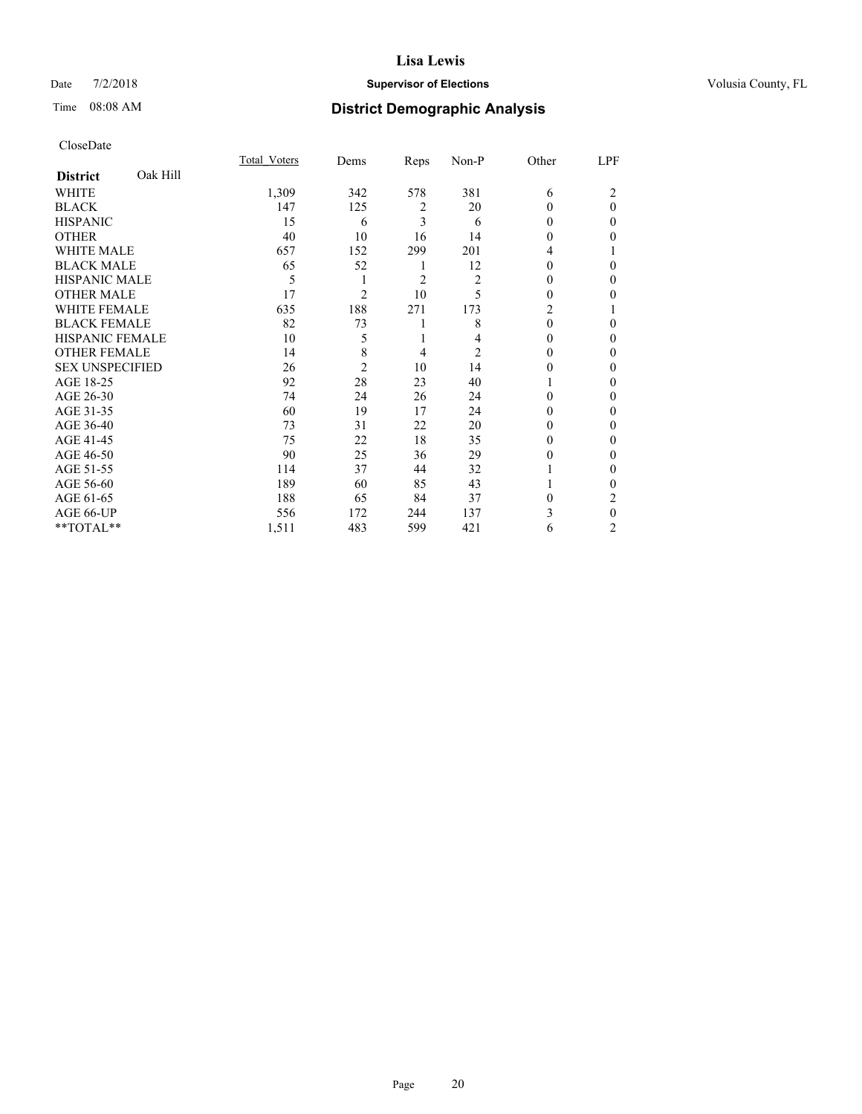### Date  $7/2/2018$  **Supervisor of Elections Supervisor of Elections** Volusia County, FL

# Time 08:08 AM **District Demographic Analysis**

|                        |          | Total Voters | Dems           | Reps | Non-P          | Other          | LPF      |
|------------------------|----------|--------------|----------------|------|----------------|----------------|----------|
| <b>District</b>        | Oak Hill |              |                |      |                |                |          |
| WHITE                  |          | 1,309        | 342            | 578  | 381            | 6              | 2        |
| <b>BLACK</b>           |          | 147          | 125            | 2    | 20             | 0              | $\theta$ |
| <b>HISPANIC</b>        |          | 15           | 6              | 3    | 6              | 0              | 0        |
| <b>OTHER</b>           |          | 40           | 10             | 16   | 14             | 0              | 0        |
| <b>WHITE MALE</b>      |          | 657          | 152            | 299  | 201            | 4              |          |
| <b>BLACK MALE</b>      |          | 65           | 52             | 1    | 12             | 0              | 0        |
| <b>HISPANIC MALE</b>   |          | 5            |                | 2    | $\overline{c}$ | $_{0}$         | 0        |
| <b>OTHER MALE</b>      |          | 17           | $\overline{c}$ | 10   | 5              | 0              | 0        |
| <b>WHITE FEMALE</b>    |          | 635          | 188            | 271  | 173            | $\overline{c}$ |          |
| <b>BLACK FEMALE</b>    |          | 82           | 73             | 1    | 8              | 0              | 0        |
| <b>HISPANIC FEMALE</b> |          | 10           | 5              | 1    | 4              | 0              | 0        |
| <b>OTHER FEMALE</b>    |          | 14           | 8              | 4    | 2              | 0              | 0        |
| <b>SEX UNSPECIFIED</b> |          | 26           | $\overline{2}$ | 10   | 14             | 0              | 0        |
| AGE 18-25              |          | 92           | 28             | 23   | 40             |                | 0        |
| AGE 26-30              |          | 74           | 24             | 26   | 24             | 0              | 0        |
| AGE 31-35              |          | 60           | 19             | 17   | 24             | 0              | 0        |
| AGE 36-40              |          | 73           | 31             | 22   | 20             | 0              | 0        |
| AGE 41-45              |          | 75           | 22             | 18   | 35             | 0              | 0        |
| AGE 46-50              |          | 90           | 25             | 36   | 29             | 0              | 0        |
| AGE 51-55              |          | 114          | 37             | 44   | 32             |                | 0        |
| AGE 56-60              |          | 189          | 60             | 85   | 43             |                | 0        |
| AGE 61-65              |          | 188          | 65             | 84   | 37             | 0              | 2        |
| AGE 66-UP              |          | 556          | 172            | 244  | 137            | 3              | 0        |
| **TOTAL**              |          | 1,511        | 483            | 599  | 421            | 6              | 2        |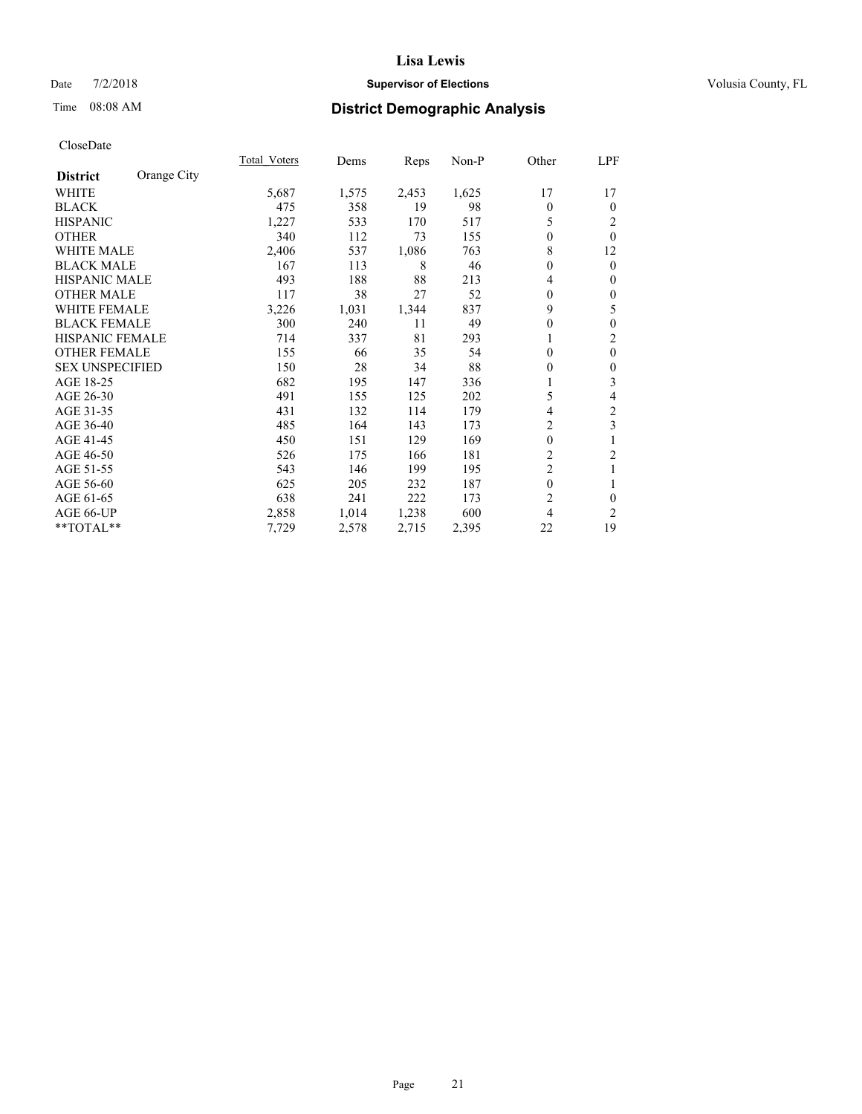### Date  $7/2/2018$  **Supervisor of Elections Supervisor of Elections** Volusia County, FL

# Time 08:08 AM **District Demographic Analysis**

|                        |             | Total Voters | Dems  | Reps  | Non-P | Other          | LPF              |
|------------------------|-------------|--------------|-------|-------|-------|----------------|------------------|
| <b>District</b>        | Orange City |              |       |       |       |                |                  |
| WHITE                  |             | 5,687        | 1,575 | 2,453 | 1,625 | 17             | 17               |
| <b>BLACK</b>           |             | 475          | 358   | 19    | 98    | $\Omega$       | $\Omega$         |
| <b>HISPANIC</b>        |             | 1,227        | 533   | 170   | 517   | 5              | 2                |
| <b>OTHER</b>           |             | 340          | 112   | 73    | 155   | 0              | $\theta$         |
| WHITE MALE             |             | 2,406        | 537   | 1,086 | 763   | 8              | 12               |
| <b>BLACK MALE</b>      |             | 167          | 113   | 8     | 46    | 0              | $\mathbf{0}$     |
| <b>HISPANIC MALE</b>   |             | 493          | 188   | 88    | 213   | 4              | $\mathbf{0}$     |
| <b>OTHER MALE</b>      |             | 117          | 38    | 27    | 52    | $\theta$       | $\mathbf{0}$     |
| <b>WHITE FEMALE</b>    |             | 3,226        | 1,031 | 1,344 | 837   | 9              | 5                |
| <b>BLACK FEMALE</b>    |             | 300          | 240   | 11    | 49    | 0              | $\mathbf{0}$     |
| <b>HISPANIC FEMALE</b> |             | 714          | 337   | 81    | 293   |                | $\overline{2}$   |
| <b>OTHER FEMALE</b>    |             | 155          | 66    | 35    | 54    | 0              | $\mathbf{0}$     |
| <b>SEX UNSPECIFIED</b> |             | 150          | 28    | 34    | 88    | 0              | $\boldsymbol{0}$ |
| AGE 18-25              |             | 682          | 195   | 147   | 336   |                | 3                |
| AGE 26-30              |             | 491          | 155   | 125   | 202   | 5              | 4                |
| AGE 31-35              |             | 431          | 132   | 114   | 179   | 4              | $\overline{c}$   |
| AGE 36-40              |             | 485          | 164   | 143   | 173   | 2              | 3                |
| AGE 41-45              |             | 450          | 151   | 129   | 169   | $\mathbf{0}$   | 1                |
| AGE 46-50              |             | 526          | 175   | 166   | 181   | $\overline{c}$ | $\overline{c}$   |
| AGE 51-55              |             | 543          | 146   | 199   | 195   | $\overline{2}$ | 1                |
| AGE 56-60              |             | 625          | 205   | 232   | 187   | 0              | 1                |
| AGE 61-65              |             | 638          | 241   | 222   | 173   | $\overline{c}$ | $\mathbf{0}$     |
| AGE 66-UP              |             | 2,858        | 1,014 | 1,238 | 600   | 4              | 2                |
| **TOTAL**              |             | 7,729        | 2,578 | 2,715 | 2,395 | 22             | 19               |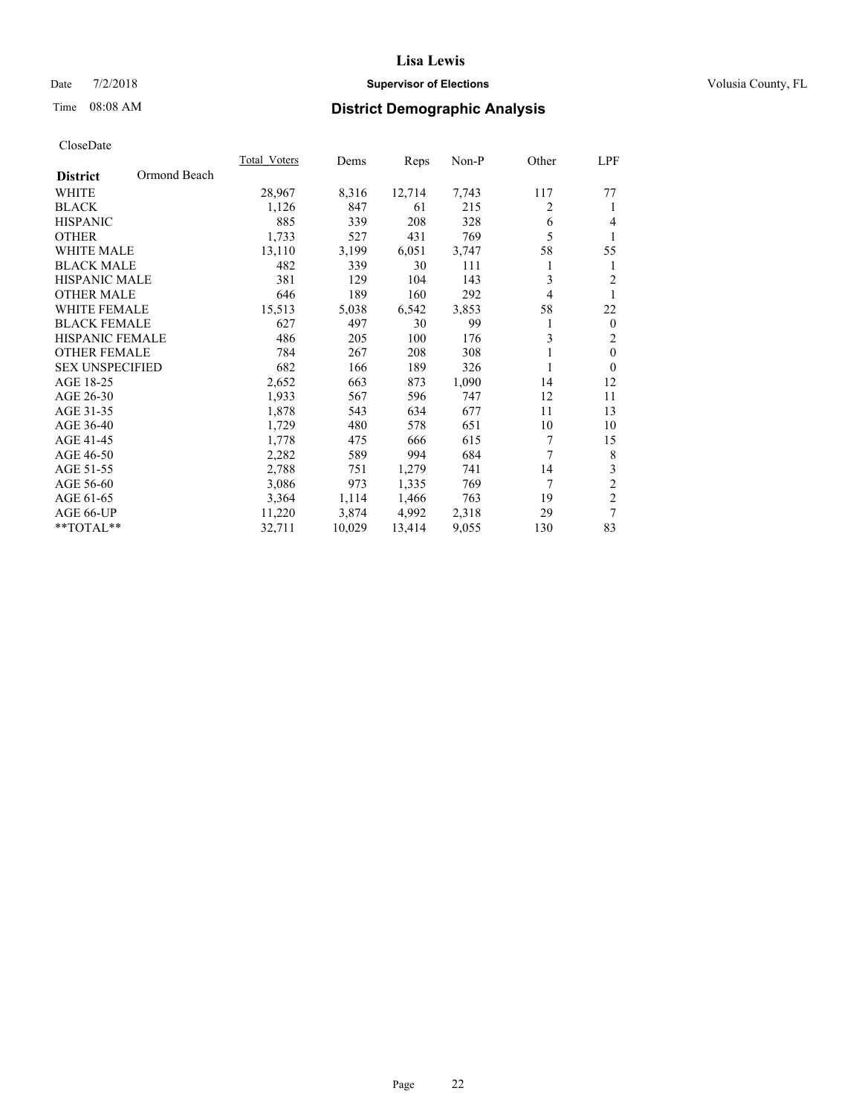### Date  $7/2/2018$  **Supervisor of Elections Supervisor of Elections** Volusia County, FL

# Time 08:08 AM **District Demographic Analysis**

|                                 | Total Voters | Dems   | Reps   | Non-P | Other | LPF              |
|---------------------------------|--------------|--------|--------|-------|-------|------------------|
| Ormond Beach<br><b>District</b> |              |        |        |       |       |                  |
| <b>WHITE</b>                    | 28,967       | 8,316  | 12,714 | 7,743 | 117   | 77               |
| <b>BLACK</b>                    | 1,126        | 847    | 61     | 215   | 2     | 1                |
| <b>HISPANIC</b>                 | 885          | 339    | 208    | 328   | 6     | 4                |
| <b>OTHER</b>                    | 1,733        | 527    | 431    | 769   | 5     | 1                |
| <b>WHITE MALE</b>               | 13,110       | 3,199  | 6,051  | 3,747 | 58    | 55               |
| <b>BLACK MALE</b>               | 482          | 339    | 30     | 111   | 1     | 1                |
| <b>HISPANIC MALE</b>            | 381          | 129    | 104    | 143   | 3     | $\overline{2}$   |
| <b>OTHER MALE</b>               | 646          | 189    | 160    | 292   | 4     | 1                |
| WHITE FEMALE                    | 15,513       | 5,038  | 6,542  | 3,853 | 58    | 22               |
| <b>BLACK FEMALE</b>             | 627          | 497    | 30     | 99    | 1     | $\boldsymbol{0}$ |
| <b>HISPANIC FEMALE</b>          | 486          | 205    | 100    | 176   | 3     | $\overline{c}$   |
| <b>OTHER FEMALE</b>             | 784          | 267    | 208    | 308   |       | $\mathbf{0}$     |
| <b>SEX UNSPECIFIED</b>          | 682          | 166    | 189    | 326   | 1     | $\Omega$         |
| AGE 18-25                       | 2,652        | 663    | 873    | 1,090 | 14    | 12               |
| AGE 26-30                       | 1,933        | 567    | 596    | 747   | 12    | 11               |
| AGE 31-35                       | 1,878        | 543    | 634    | 677   | 11    | 13               |
| AGE 36-40                       | 1,729        | 480    | 578    | 651   | 10    | 10               |
| AGE 41-45                       | 1,778        | 475    | 666    | 615   | 7     | 15               |
| AGE 46-50                       | 2,282        | 589    | 994    | 684   | 7     | 8                |
| AGE 51-55                       | 2,788        | 751    | 1,279  | 741   | 14    | $\mathfrak{Z}$   |
| AGE 56-60                       | 3,086        | 973    | 1,335  | 769   | 7     | $\overline{c}$   |
| AGE 61-65                       | 3,364        | 1,114  | 1,466  | 763   | 19    | $\overline{c}$   |
| AGE 66-UP                       | 11,220       | 3,874  | 4,992  | 2,318 | 29    | $\overline{7}$   |
| **TOTAL**                       | 32,711       | 10,029 | 13,414 | 9,055 | 130   | 83               |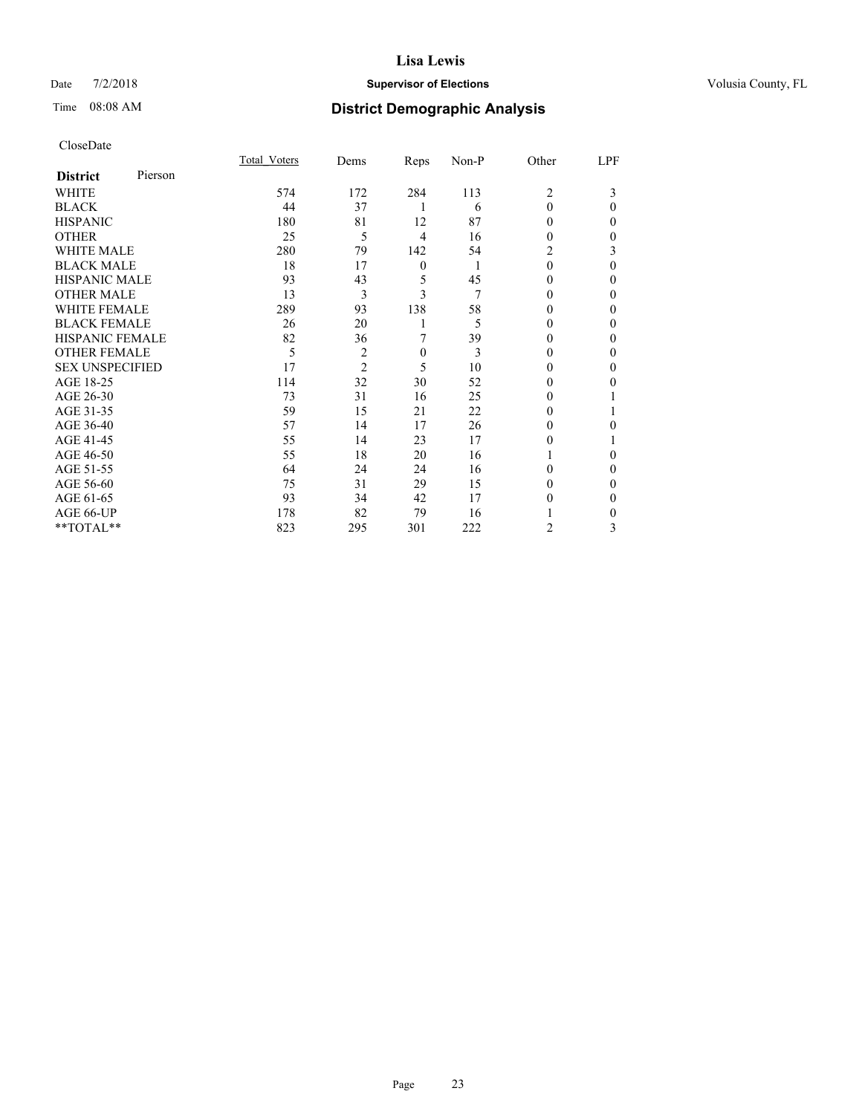### Date  $7/2/2018$  **Supervisor of Elections Supervisor of Elections** Volusia County, FL

| CloseDate |
|-----------|
|-----------|

|                        |         | Total Voters | Dems           | Reps             | Non-P | Other    | LPF      |
|------------------------|---------|--------------|----------------|------------------|-------|----------|----------|
| <b>District</b>        | Pierson |              |                |                  |       |          |          |
| WHITE                  |         | 574          | 172            | 284              | 113   | 2        | 3        |
| <b>BLACK</b>           |         | 44           | 37             | 1                | 6     | $\Omega$ | $\Omega$ |
| <b>HISPANIC</b>        |         | 180          | 81             | 12               | 87    | 0        | 0        |
| <b>OTHER</b>           |         | 25           | 5              | 4                | 16    | 0        | 0        |
| <b>WHITE MALE</b>      |         | 280          | 79             | 142              | 54    | 2        | 3        |
| <b>BLACK MALE</b>      |         | 18           | 17             | $\boldsymbol{0}$ | 1     | $\theta$ | $\Omega$ |
| <b>HISPANIC MALE</b>   |         | 93           | 43             | 5                | 45    | $\theta$ | 0        |
| <b>OTHER MALE</b>      |         | 13           | 3              | 3                | 7     | 0        | 0        |
| <b>WHITE FEMALE</b>    |         | 289          | 93             | 138              | 58    |          | 0        |
| <b>BLACK FEMALE</b>    |         | 26           | 20             |                  | 5     | 0        | 0        |
| <b>HISPANIC FEMALE</b> |         | 82           | 36             | 7                | 39    | $\theta$ | 0        |
| <b>OTHER FEMALE</b>    |         | 5            | $\overline{c}$ | $\mathbf{0}$     | 3     | 0        | 0        |
| <b>SEX UNSPECIFIED</b> |         | 17           | $\overline{2}$ | 5                | 10    | 0        | 0        |
| AGE 18-25              |         | 114          | 32             | 30               | 52    | 0        | 0        |
| AGE 26-30              |         | 73           | 31             | 16               | 25    | $_{0}$   |          |
| AGE 31-35              |         | 59           | 15             | 21               | 22    | $_{0}$   |          |
| AGE 36-40              |         | 57           | 14             | 17               | 26    | 0        | 0        |
| AGE 41-45              |         | 55           | 14             | 23               | 17    | 0        |          |
| AGE 46-50              |         | 55           | 18             | 20               | 16    |          | $\Omega$ |
| AGE 51-55              |         | 64           | 24             | 24               | 16    | 0        | $\Omega$ |
| AGE 56-60              |         | 75           | 31             | 29               | 15    | $\theta$ | 0        |
| AGE 61-65              |         | 93           | 34             | 42               | 17    | 0        | 0        |
| AGE 66-UP              |         | 178          | 82             | 79               | 16    |          | 0        |
| **TOTAL**              |         | 823          | 295            | 301              | 222   | 2        | 3        |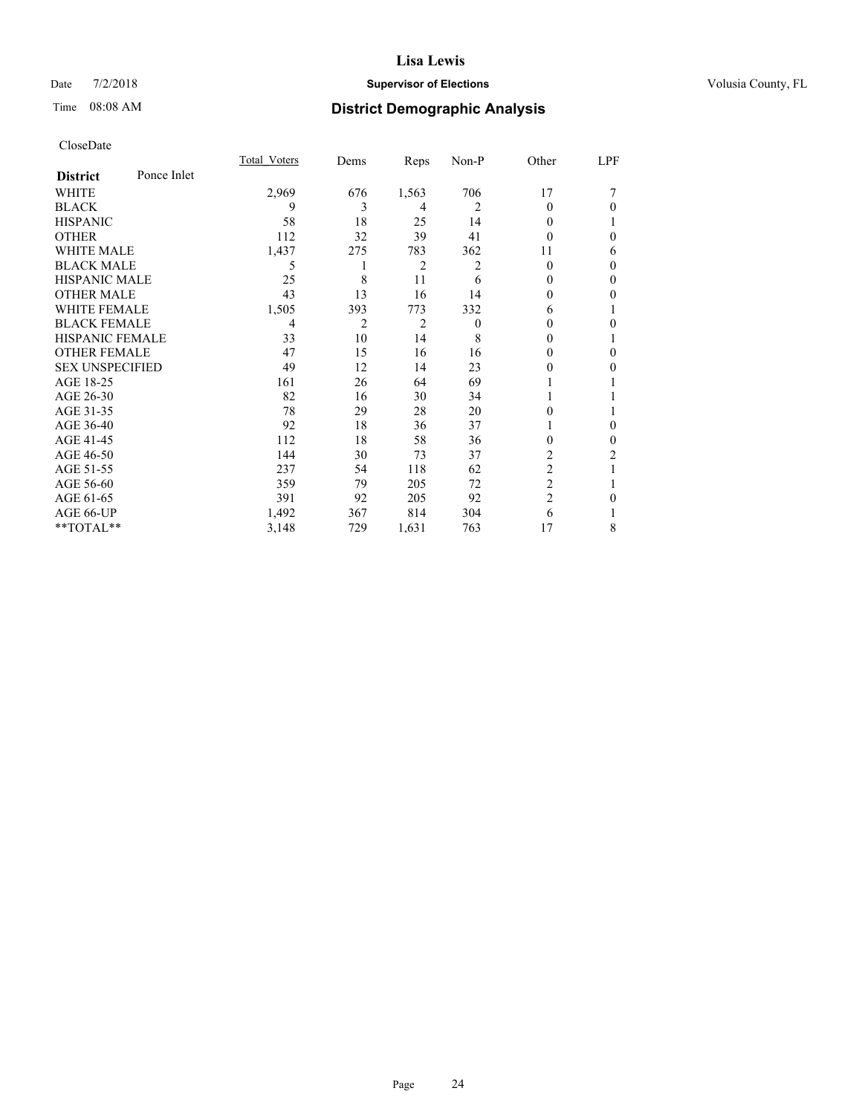### Date  $7/2/2018$  **Supervisor of Elections Supervisor of Elections** Volusia County, FL

# Time 08:08 AM **District Demographic Analysis**

|                        |             | Total Voters | Dems           | Reps  | Non-P    | Other          | LPF            |
|------------------------|-------------|--------------|----------------|-------|----------|----------------|----------------|
| <b>District</b>        | Ponce Inlet |              |                |       |          |                |                |
| WHITE                  |             | 2,969        | 676            | 1,563 | 706      | 17             |                |
| <b>BLACK</b>           |             | 9            | 3              | 4     | 2        | 0              | $\theta$       |
| <b>HISPANIC</b>        |             | 58           | 18             | 25    | 14       | 0              |                |
| <b>OTHER</b>           |             | 112          | 32             | 39    | 41       | 0              | $\theta$       |
| <b>WHITE MALE</b>      |             | 1,437        | 275            | 783   | 362      | 11             | 6              |
| <b>BLACK MALE</b>      |             | 5            |                | 2     | 2        | 0              | $\mathbf{0}$   |
| <b>HISPANIC MALE</b>   |             | 25           | 8              | 11    | 6        | $\theta$       | $\mathbf{0}$   |
| <b>OTHER MALE</b>      |             | 43           | 13             | 16    | 14       | 0              | $\theta$       |
| <b>WHITE FEMALE</b>    |             | 1,505        | 393            | 773   | 332      | 6              |                |
| <b>BLACK FEMALE</b>    |             | 4            | $\overline{c}$ | 2     | $\theta$ | 0              | $\theta$       |
| HISPANIC FEMALE        |             | 33           | 10             | 14    | 8        | 0              | 1              |
| <b>OTHER FEMALE</b>    |             | 47           | 15             | 16    | 16       | 0              | $\theta$       |
| <b>SEX UNSPECIFIED</b> |             | 49           | 12             | 14    | 23       | 0              | $\theta$       |
| AGE 18-25              |             | 161          | 26             | 64    | 69       |                |                |
| AGE 26-30              |             | 82           | 16             | 30    | 34       |                |                |
| AGE 31-35              |             | 78           | 29             | 28    | 20       | 0              |                |
| AGE 36-40              |             | 92           | 18             | 36    | 37       |                | $\mathbf{0}$   |
| AGE 41-45              |             | 112          | 18             | 58    | 36       | 0              | $\overline{0}$ |
| AGE 46-50              |             | 144          | 30             | 73    | 37       | 2              | 2              |
| AGE 51-55              |             | 237          | 54             | 118   | 62       | $\overline{c}$ |                |
| AGE 56-60              |             | 359          | 79             | 205   | 72       | $\overline{2}$ |                |
| AGE 61-65              |             | 391          | 92             | 205   | 92       | 2              | $\theta$       |
| AGE 66-UP              |             | 1,492        | 367            | 814   | 304      | 6              |                |
| **TOTAL**              |             | 3,148        | 729            | 1,631 | 763      | 17             | 8              |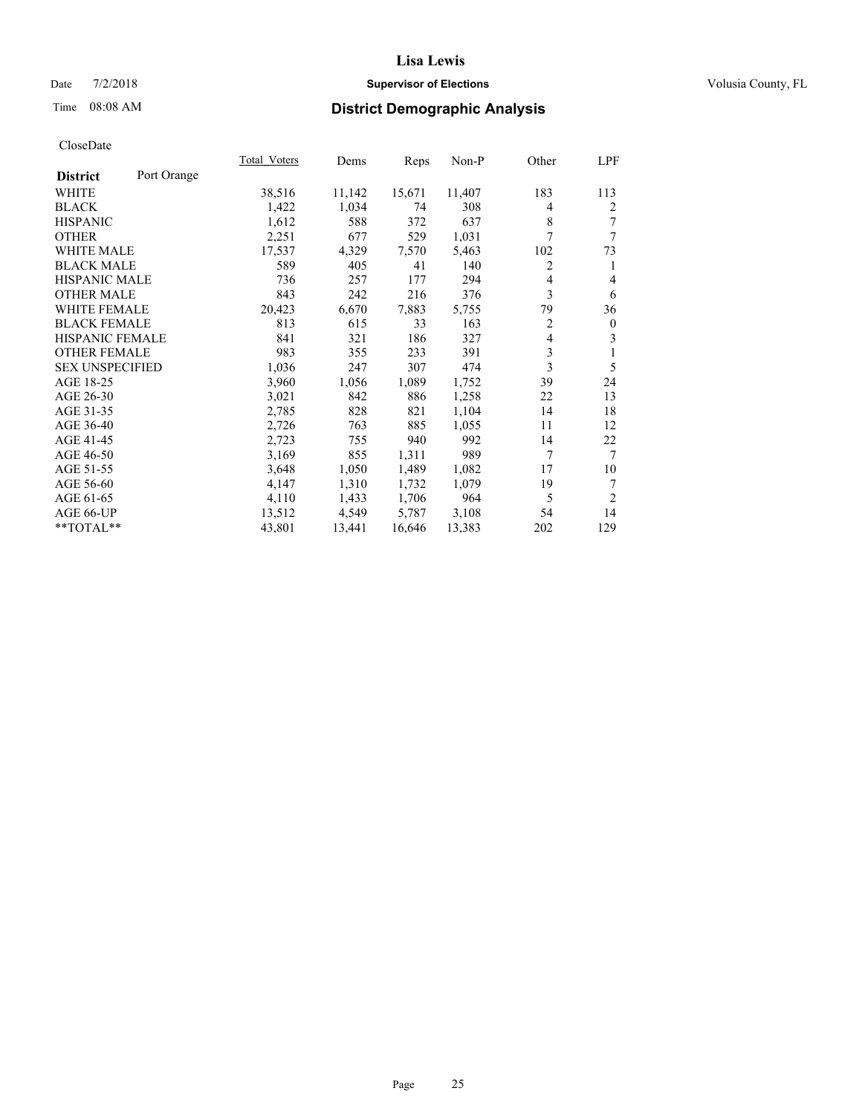### Date  $7/2/2018$  **Supervisor of Elections Supervisor of Elections** Volusia County, FL

# Time 08:08 AM **District Demographic Analysis**

|                        |             | Total Voters | Dems   | Reps   | Non-P  | Other          | LPF            |
|------------------------|-------------|--------------|--------|--------|--------|----------------|----------------|
| <b>District</b>        | Port Orange |              |        |        |        |                |                |
| WHITE                  |             | 38,516       | 11,142 | 15,671 | 11,407 | 183            | 113            |
| <b>BLACK</b>           |             | 1,422        | 1,034  | 74     | 308    | 4              | 2              |
| <b>HISPANIC</b>        |             | 1,612        | 588    | 372    | 637    | 8              | 7              |
| <b>OTHER</b>           |             | 2,251        | 677    | 529    | 1,031  | 7              | 7              |
| <b>WHITE MALE</b>      |             | 17,537       | 4,329  | 7,570  | 5,463  | 102            | 73             |
| <b>BLACK MALE</b>      |             | 589          | 405    | 41     | 140    | $\overline{2}$ | 1              |
| <b>HISPANIC MALE</b>   |             | 736          | 257    | 177    | 294    | 4              | 4              |
| <b>OTHER MALE</b>      |             | 843          | 242    | 216    | 376    | 3              | 6              |
| <b>WHITE FEMALE</b>    |             | 20,423       | 6,670  | 7,883  | 5,755  | 79             | 36             |
| <b>BLACK FEMALE</b>    |             | 813          | 615    | 33     | 163    | $\overline{c}$ | $\mathbf{0}$   |
| <b>HISPANIC FEMALE</b> |             | 841          | 321    | 186    | 327    | $\overline{4}$ | 3              |
| <b>OTHER FEMALE</b>    |             | 983          | 355    | 233    | 391    | 3              | 1              |
| <b>SEX UNSPECIFIED</b> |             | 1,036        | 247    | 307    | 474    | 3              | 5              |
| AGE 18-25              |             | 3,960        | 1,056  | 1,089  | 1,752  | 39             | 24             |
| AGE 26-30              |             | 3,021        | 842    | 886    | 1,258  | 22             | 13             |
| AGE 31-35              |             | 2,785        | 828    | 821    | 1,104  | 14             | 18             |
| AGE 36-40              |             | 2,726        | 763    | 885    | 1,055  | 11             | 12             |
| AGE 41-45              |             | 2,723        | 755    | 940    | 992    | 14             | 22             |
| AGE 46-50              |             | 3,169        | 855    | 1,311  | 989    | 7              | $\tau$         |
| AGE 51-55              |             | 3,648        | 1,050  | 1,489  | 1,082  | 17             | 10             |
| AGE 56-60              |             | 4,147        | 1,310  | 1,732  | 1,079  | 19             | 7              |
| AGE 61-65              |             | 4,110        | 1,433  | 1,706  | 964    | 5              | $\overline{2}$ |
| AGE 66-UP              |             | 13,512       | 4,549  | 5,787  | 3,108  | 54             | 14             |
| $*$ TOTAL $*$          |             | 43,801       | 13,441 | 16,646 | 13,383 | 202            | 129            |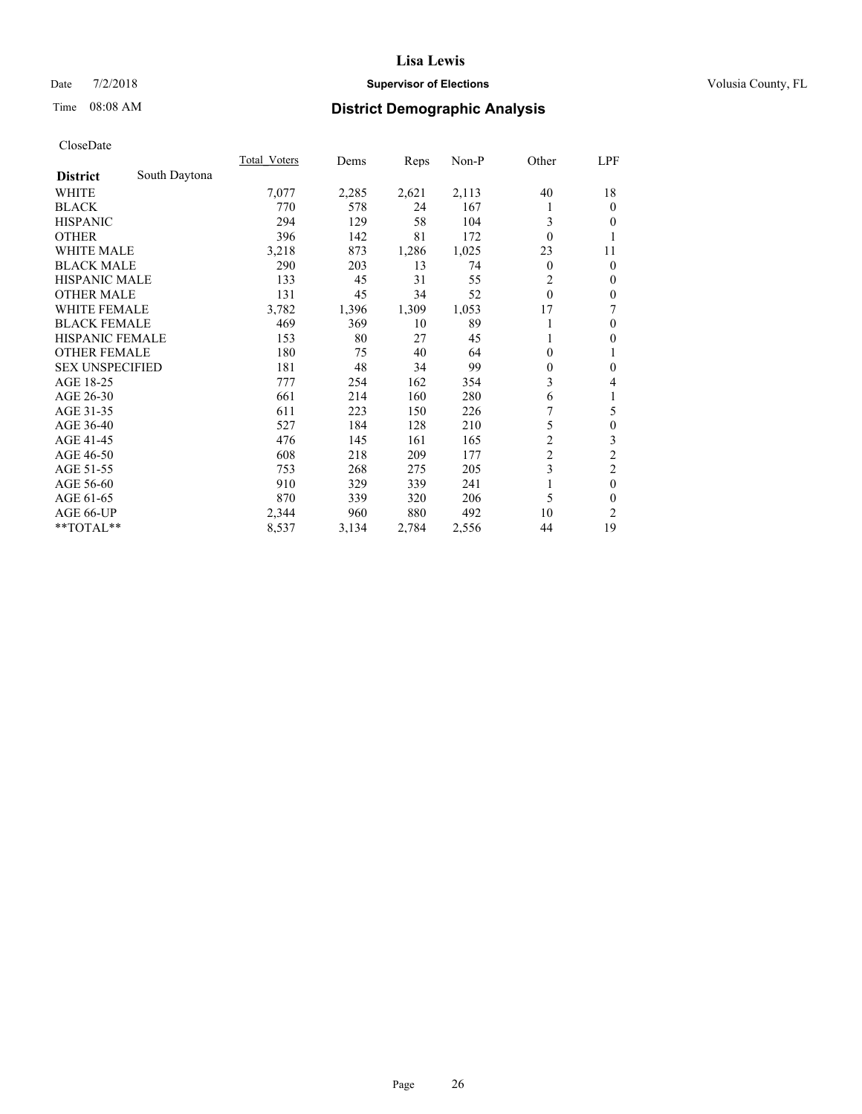### Date  $7/2/2018$  **Supervisor of Elections Supervisor of Elections** Volusia County, FL

### Time 08:08 AM **District Demographic Analysis**

|                        |               | Total Voters | Dems  | Reps  | Non-P | Other          | LPF              |
|------------------------|---------------|--------------|-------|-------|-------|----------------|------------------|
| <b>District</b>        | South Daytona |              |       |       |       |                |                  |
| WHITE                  |               | 7,077        | 2,285 | 2,621 | 2,113 | 40             | 18               |
| <b>BLACK</b>           |               | 770          | 578   | 24    | 167   |                | $\mathbf{0}$     |
| <b>HISPANIC</b>        |               | 294          | 129   | 58    | 104   | 3              | $\theta$         |
| <b>OTHER</b>           |               | 396          | 142   | 81    | 172   | $\theta$       | 1                |
| WHITE MALE             |               | 3,218        | 873   | 1,286 | 1,025 | 23             | 11               |
| <b>BLACK MALE</b>      |               | 290          | 203   | 13    | 74    | $\overline{0}$ | $\mathbf{0}$     |
| <b>HISPANIC MALE</b>   |               | 133          | 45    | 31    | 55    | 2              | $\mathbf{0}$     |
| <b>OTHER MALE</b>      |               | 131          | 45    | 34    | 52    | $\theta$       | $\mathbf{0}$     |
| <b>WHITE FEMALE</b>    |               | 3,782        | 1,396 | 1,309 | 1,053 | 17             | 7                |
| <b>BLACK FEMALE</b>    |               | 469          | 369   | 10    | 89    |                | $\mathbf{0}$     |
| HISPANIC FEMALE        |               | 153          | 80    | 27    | 45    |                | $\mathbf{0}$     |
| <b>OTHER FEMALE</b>    |               | 180          | 75    | 40    | 64    | 0              | 1                |
| <b>SEX UNSPECIFIED</b> |               | 181          | 48    | 34    | 99    | $\theta$       | $\mathbf{0}$     |
| AGE 18-25              |               | 777          | 254   | 162   | 354   | 3              | 4                |
| AGE 26-30              |               | 661          | 214   | 160   | 280   | 6              | 1                |
| AGE 31-35              |               | 611          | 223   | 150   | 226   | 7              | 5                |
| AGE 36-40              |               | 527          | 184   | 128   | 210   | 5              | $\boldsymbol{0}$ |
| AGE 41-45              |               | 476          | 145   | 161   | 165   | $\overline{c}$ | 3                |
| AGE 46-50              |               | 608          | 218   | 209   | 177   | $\overline{c}$ | $\overline{c}$   |
| AGE 51-55              |               | 753          | 268   | 275   | 205   | 3              | $\mathfrak{2}$   |
| AGE 56-60              |               | 910          | 329   | 339   | 241   |                | $\mathbf{0}$     |
| AGE 61-65              |               | 870          | 339   | 320   | 206   | 5              | $\mathbf{0}$     |
| AGE 66-UP              |               | 2,344        | 960   | 880   | 492   | 10             | 2                |
| **TOTAL**              |               | 8,537        | 3,134 | 2,784 | 2,556 | 44             | 19               |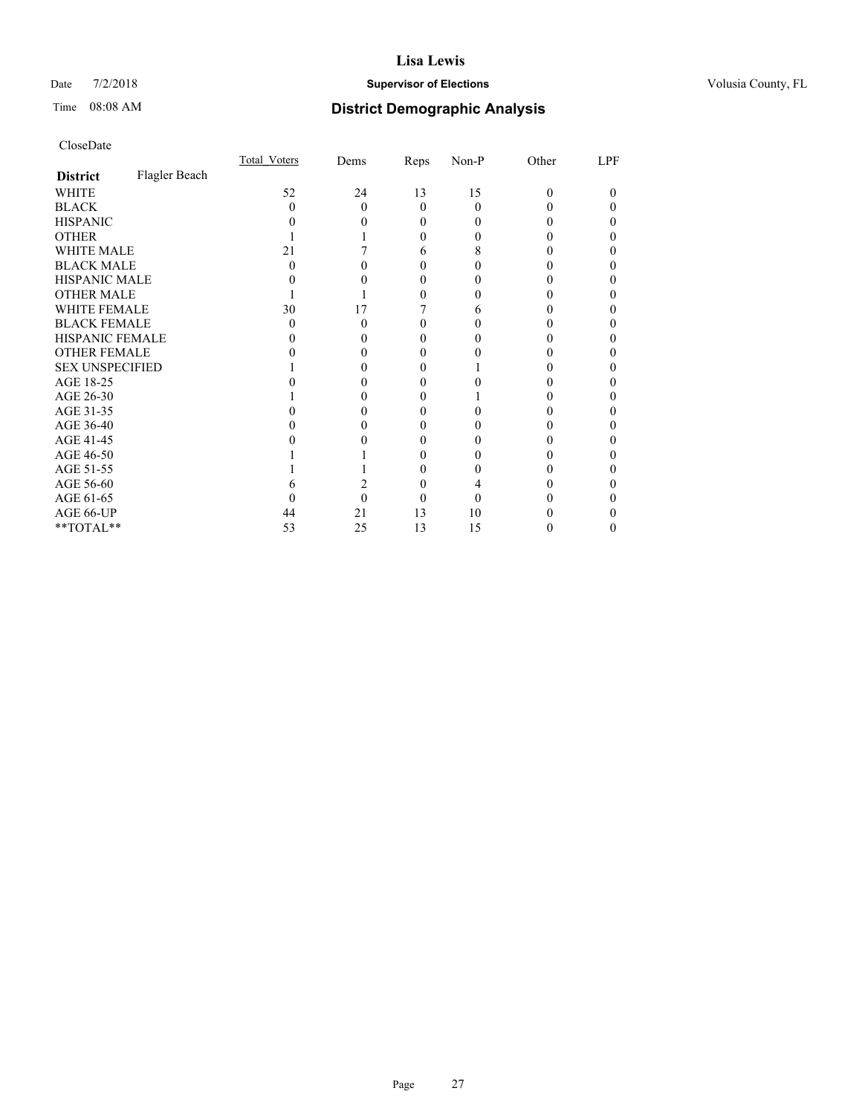### Date  $7/2/2018$  **Supervisor of Elections Supervisor of Elections** Volusia County, FL

# Time 08:08 AM **District Demographic Analysis**

|                        |               | Total Voters | Dems | Reps     | Non-P    | Other | LPF |
|------------------------|---------------|--------------|------|----------|----------|-------|-----|
| <b>District</b>        | Flagler Beach |              |      |          |          |       |     |
| WHITE                  |               | 52           | 24   | 13       | 15       | 0     | 0   |
| <b>BLACK</b>           |               | 0            | 0    | $\Omega$ | $\Omega$ |       |     |
| <b>HISPANIC</b>        |               |              |      | $\theta$ | 0        |       | 0   |
| <b>OTHER</b>           |               |              |      | 0        |          |       |     |
| WHITE MALE             |               | 21           |      | 6        | 8        |       |     |
| <b>BLACK MALE</b>      |               | 0            |      | 0        |          |       |     |
| <b>HISPANIC MALE</b>   |               |              |      | 0        |          |       |     |
| <b>OTHER MALE</b>      |               |              |      | 0        |          |       | 0   |
| WHITE FEMALE           |               | 30           | 17   |          | 6        |       |     |
| <b>BLACK FEMALE</b>    |               | $\theta$     | 0    | 0        | 0        |       | 0   |
| <b>HISPANIC FEMALE</b> |               |              |      | 0        |          |       |     |
| <b>OTHER FEMALE</b>    |               |              |      | 0        |          |       | 0   |
| <b>SEX UNSPECIFIED</b> |               |              |      |          |          |       |     |
| AGE 18-25              |               |              |      | 0        |          |       |     |
| AGE 26-30              |               |              |      | $_{0}$   |          |       | 0   |
| AGE 31-35              |               |              |      |          |          |       |     |
| AGE 36-40              |               |              |      | 0        |          |       | 0   |
| AGE 41-45              |               |              |      | 0        |          |       |     |
| AGE 46-50              |               |              |      | 0        | 0        |       | 0   |
| AGE 51-55              |               |              |      |          |          |       |     |
| AGE 56-60              |               |              |      | 0        |          |       |     |
| AGE 61-65              |               |              |      |          | 0        |       |     |
| AGE 66-UP              |               | 44           | 21   | 13       | 10       |       |     |
| **TOTAL**              |               | 53           | 25   | 13       | 15       |       | 0   |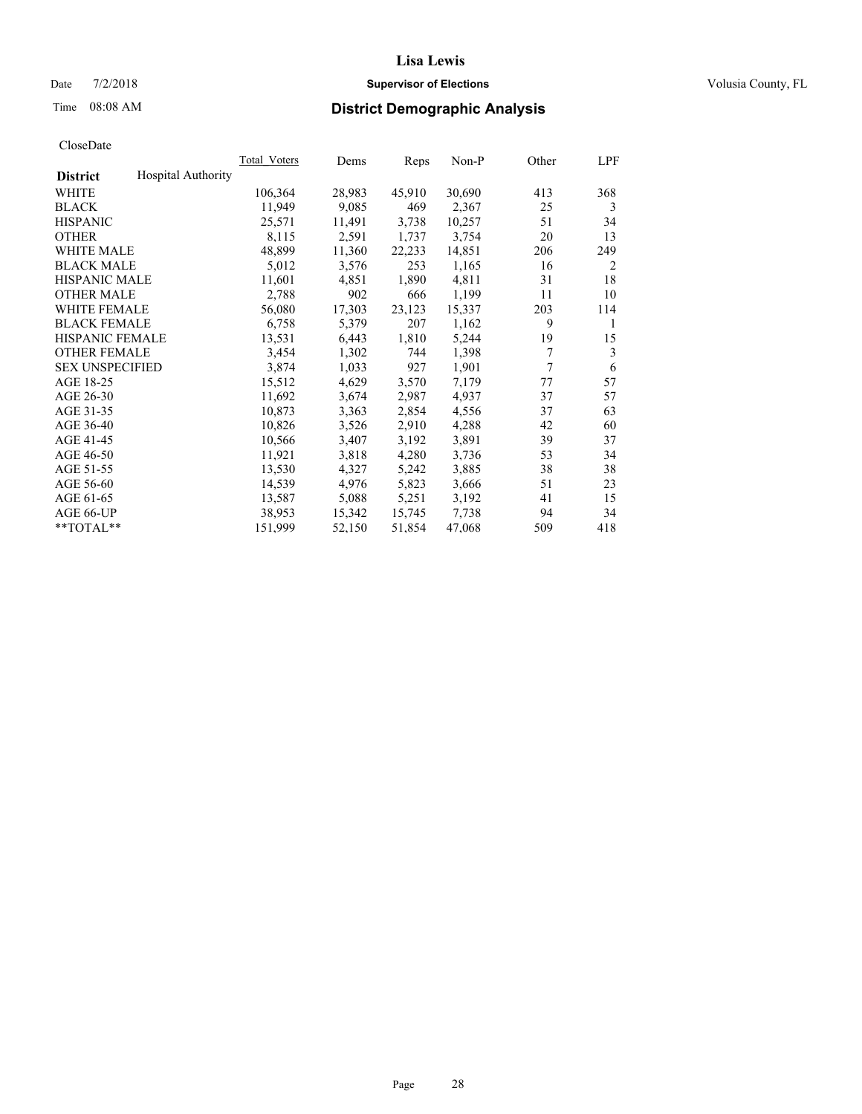#### Date  $7/2/2018$  **Supervisor of Elections Supervisor of Elections** Volusia County, FL

# Time 08:08 AM **District Demographic Analysis**

|                        |                           | Total Voters | Dems   | Reps   | Non-P  | Other | LPF |
|------------------------|---------------------------|--------------|--------|--------|--------|-------|-----|
| <b>District</b>        | <b>Hospital Authority</b> |              |        |        |        |       |     |
| WHITE                  |                           | 106,364      | 28,983 | 45,910 | 30,690 | 413   | 368 |
| <b>BLACK</b>           |                           | 11,949       | 9,085  | 469    | 2,367  | 25    | 3   |
| <b>HISPANIC</b>        |                           | 25,571       | 11,491 | 3,738  | 10,257 | 51    | 34  |
| <b>OTHER</b>           |                           | 8,115        | 2,591  | 1,737  | 3,754  | 20    | 13  |
| WHITE MALE             |                           | 48,899       | 11,360 | 22,233 | 14,851 | 206   | 249 |
| <b>BLACK MALE</b>      |                           | 5,012        | 3,576  | 253    | 1,165  | 16    | 2   |
| <b>HISPANIC MALE</b>   |                           | 11,601       | 4,851  | 1,890  | 4,811  | 31    | 18  |
| <b>OTHER MALE</b>      |                           | 2,788        | 902    | 666    | 1,199  | 11    | 10  |
| <b>WHITE FEMALE</b>    |                           | 56,080       | 17,303 | 23,123 | 15,337 | 203   | 114 |
| <b>BLACK FEMALE</b>    |                           | 6,758        | 5,379  | 207    | 1,162  | 9     | 1   |
| <b>HISPANIC FEMALE</b> |                           | 13,531       | 6,443  | 1,810  | 5,244  | 19    | 15  |
| <b>OTHER FEMALE</b>    |                           | 3,454        | 1,302  | 744    | 1,398  | 7     | 3   |
| <b>SEX UNSPECIFIED</b> |                           | 3,874        | 1,033  | 927    | 1,901  | 7     | 6   |
| AGE 18-25              |                           | 15,512       | 4,629  | 3,570  | 7,179  | 77    | 57  |
| AGE 26-30              |                           | 11,692       | 3,674  | 2,987  | 4,937  | 37    | 57  |
| AGE 31-35              |                           | 10,873       | 3,363  | 2,854  | 4,556  | 37    | 63  |
| AGE 36-40              |                           | 10,826       | 3,526  | 2,910  | 4,288  | 42    | 60  |
| AGE 41-45              |                           | 10,566       | 3,407  | 3,192  | 3,891  | 39    | 37  |
| AGE 46-50              |                           | 11,921       | 3,818  | 4,280  | 3,736  | 53    | 34  |
| AGE 51-55              |                           | 13,530       | 4,327  | 5,242  | 3,885  | 38    | 38  |
| AGE 56-60              |                           | 14,539       | 4,976  | 5,823  | 3,666  | 51    | 23  |
| AGE 61-65              |                           | 13,587       | 5,088  | 5,251  | 3,192  | 41    | 15  |
| AGE 66-UP              |                           | 38,953       | 15,342 | 15,745 | 7,738  | 94    | 34  |
| $*$ TOTAL $*$          |                           | 151,999      | 52,150 | 51,854 | 47,068 | 509   | 418 |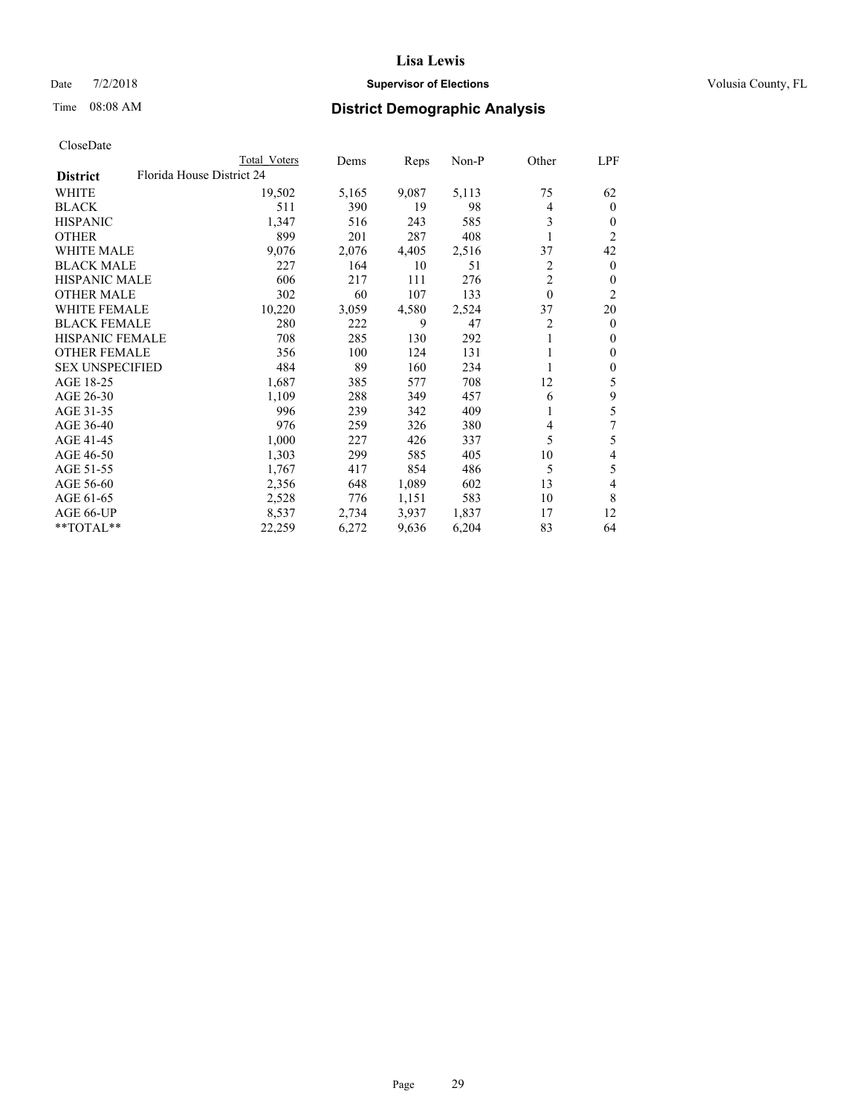### Date  $7/2/2018$  **Supervisor of Elections Supervisor of Elections** Volusia County, FL

| CloseDate |
|-----------|
|-----------|

| Total Voters | Dems                      | Reps  | Non-P | Other          | LPF            |
|--------------|---------------------------|-------|-------|----------------|----------------|
|              |                           |       |       |                |                |
| 19,502       | 5,165                     | 9,087 | 5,113 | 75             | 62             |
| 511          | 390                       | 19    | 98    | 4              | $\overline{0}$ |
| 1,347        | 516                       | 243   | 585   | 3              | $\theta$       |
| 899          | 201                       | 287   | 408   |                | 2              |
| 9,076        | 2,076                     | 4,405 | 2,516 | 37             | 42             |
| 227          | 164                       | 10    | 51    | 2              | $\overline{0}$ |
| 606          | 217                       | 111   | 276   | $\overline{2}$ | 0              |
| 302          | 60                        | 107   | 133   | $\theta$       | 2              |
| 10,220       | 3,059                     | 4,580 | 2,524 | 37             | 20             |
| 280          | 222                       | 9     | 47    | 2              | $\overline{0}$ |
| 708          | 285                       | 130   | 292   | 1              | 0              |
| 356          | 100                       | 124   | 131   |                | 0              |
| 484          | 89                        | 160   | 234   |                | 0              |
| 1,687        | 385                       | 577   | 708   | 12             | 5              |
| 1,109        | 288                       | 349   | 457   | 6              | 9              |
| 996          | 239                       | 342   | 409   |                | 5              |
| 976          | 259                       | 326   | 380   | 4              | 7              |
| 1,000        | 227                       | 426   | 337   | 5              | 5              |
| 1,303        | 299                       | 585   | 405   | 10             | 4              |
| 1,767        | 417                       | 854   | 486   | 5              | 5              |
| 2,356        | 648                       | 1,089 | 602   | 13             | 4              |
| 2,528        | 776                       | 1,151 | 583   | 10             | 8              |
| 8,537        | 2,734                     | 3,937 | 1,837 | 17             | 12             |
| 22,259       | 6,272                     | 9,636 | 6,204 | 83             | 64             |
|              | Florida House District 24 |       |       |                |                |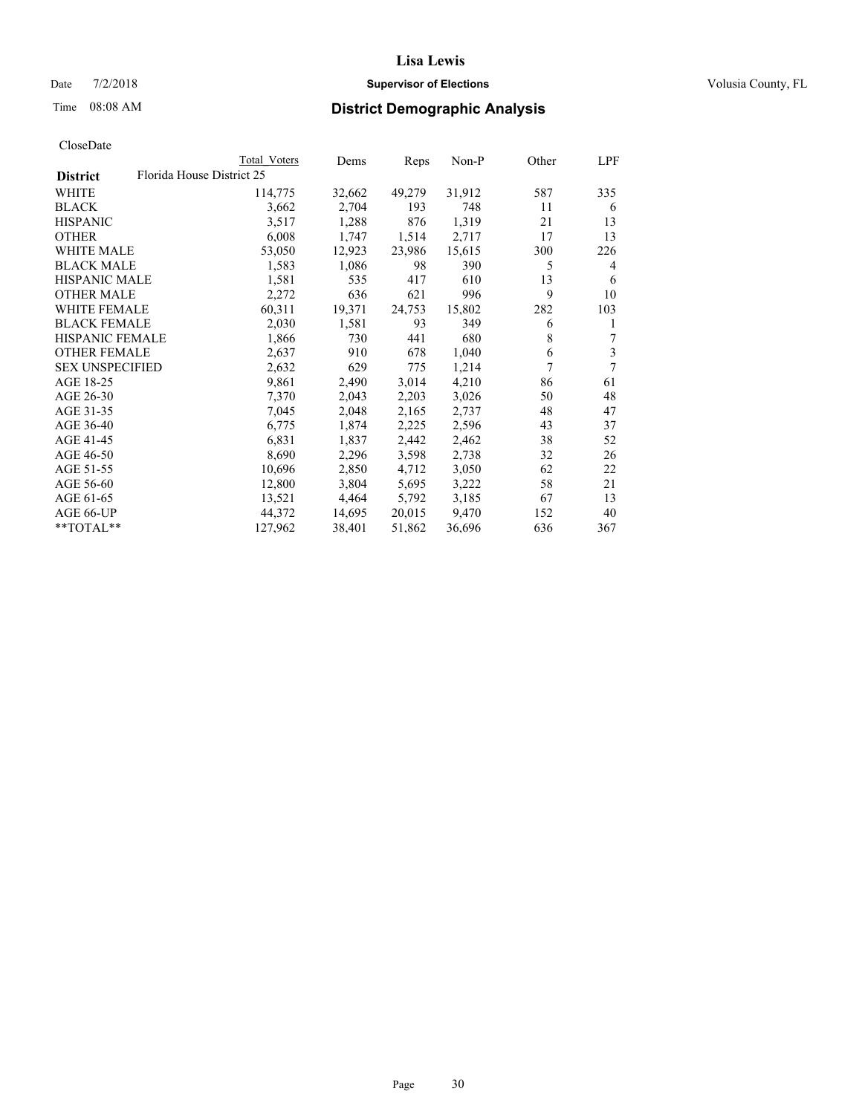#### Date  $7/2/2018$  **Supervisor of Elections Supervisor of Elections** Volusia County, FL

# Time 08:08 AM **District Demographic Analysis**

|                        | Total Voters              | Dems   | Reps   | $Non-P$ | Other | LPF |
|------------------------|---------------------------|--------|--------|---------|-------|-----|
| <b>District</b>        | Florida House District 25 |        |        |         |       |     |
| WHITE                  | 114,775                   | 32,662 | 49,279 | 31,912  | 587   | 335 |
| <b>BLACK</b>           | 3,662                     | 2,704  | 193    | 748     | 11    | 6   |
| <b>HISPANIC</b>        | 3,517                     | 1,288  | 876    | 1,319   | 21    | 13  |
| <b>OTHER</b>           | 6,008                     | 1,747  | 1,514  | 2,717   | 17    | 13  |
| WHITE MALE             | 53,050                    | 12,923 | 23,986 | 15,615  | 300   | 226 |
| <b>BLACK MALE</b>      | 1,583                     | 1,086  | 98     | 390     | 5     | 4   |
| <b>HISPANIC MALE</b>   | 1,581                     | 535    | 417    | 610     | 13    | 6   |
| <b>OTHER MALE</b>      | 2,272                     | 636    | 621    | 996     | 9     | 10  |
| <b>WHITE FEMALE</b>    | 60,311                    | 19,371 | 24,753 | 15,802  | 282   | 103 |
| <b>BLACK FEMALE</b>    | 2,030                     | 1,581  | 93     | 349     | 6     | 1   |
| <b>HISPANIC FEMALE</b> | 1,866                     | 730    | 441    | 680     | 8     | 7   |
| <b>OTHER FEMALE</b>    | 2,637                     | 910    | 678    | 1,040   | 6     | 3   |
| <b>SEX UNSPECIFIED</b> | 2,632                     | 629    | 775    | 1,214   | 7     | 7   |
| AGE 18-25              | 9,861                     | 2,490  | 3,014  | 4,210   | 86    | 61  |
| AGE 26-30              | 7,370                     | 2,043  | 2,203  | 3,026   | 50    | 48  |
| AGE 31-35              | 7,045                     | 2,048  | 2,165  | 2,737   | 48    | 47  |
| AGE 36-40              | 6,775                     | 1,874  | 2,225  | 2,596   | 43    | 37  |
| AGE 41-45              | 6,831                     | 1,837  | 2,442  | 2,462   | 38    | 52  |
| AGE 46-50              | 8,690                     | 2,296  | 3,598  | 2,738   | 32    | 26  |
| AGE 51-55              | 10,696                    | 2,850  | 4,712  | 3,050   | 62    | 22  |
| AGE 56-60              | 12,800                    | 3,804  | 5,695  | 3,222   | 58    | 21  |
| AGE 61-65              | 13,521                    | 4,464  | 5,792  | 3,185   | 67    | 13  |
| AGE 66-UP              | 44,372                    | 14,695 | 20,015 | 9,470   | 152   | 40  |
| $*$ $TOTAL**$          | 127,962                   | 38,401 | 51,862 | 36,696  | 636   | 367 |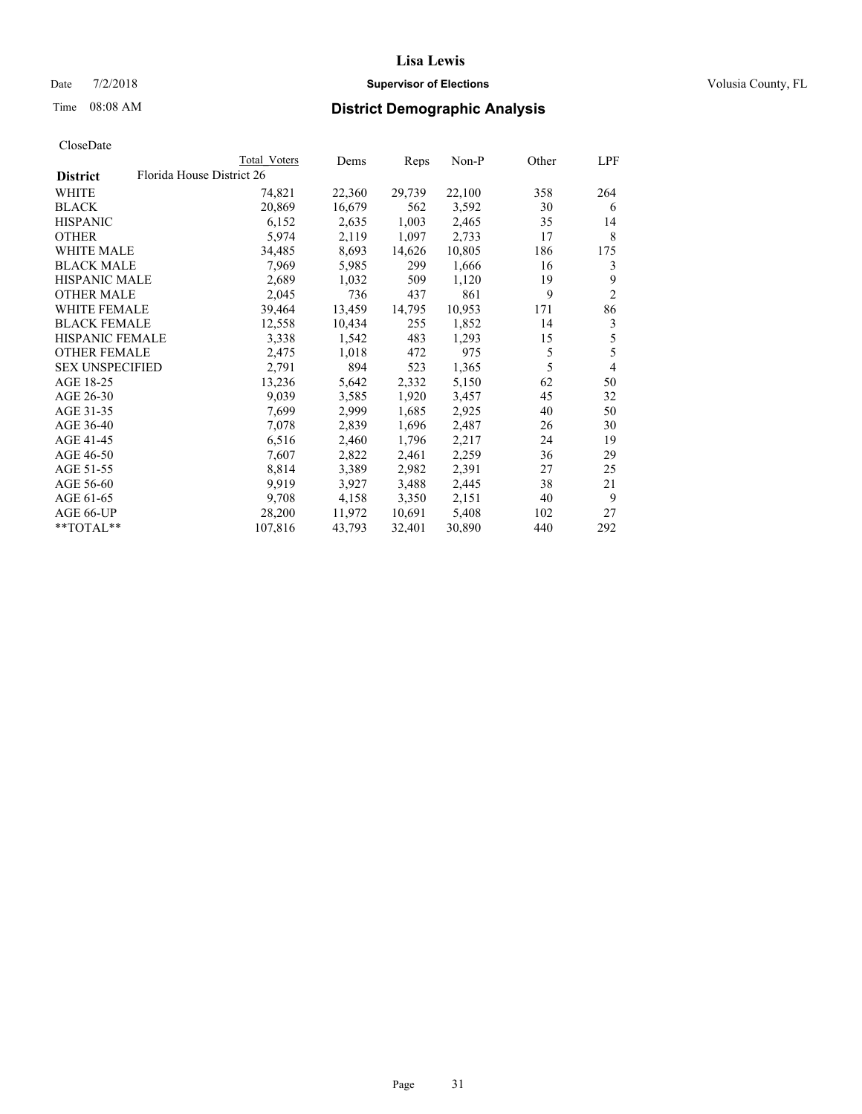### Date  $7/2/2018$  **Supervisor of Elections Supervisor of Elections** Volusia County, FL

|                 |                           | Total Voters | Dems   | Reps   | Non-P  | Other | LPF            |
|-----------------|---------------------------|--------------|--------|--------|--------|-------|----------------|
| <b>District</b> | Florida House District 26 |              |        |        |        |       |                |
| WHITE           |                           | 74,821       | 22,360 | 29,739 | 22,100 | 358   | 264            |
| BLACK           |                           | 20,869       | 16,679 | 562    | 3,592  | 30    | 6              |
| HISPANIC        |                           | 6,152        | 2,635  | 1,003  | 2,465  | 35    | 14             |
| OTHER           |                           | 5,974        | 2,119  | 1,097  | 2,733  | 17    | 8              |
| WHITE MALE      |                           | 34,485       | 8,693  | 14,626 | 10,805 | 186   | 175            |
| BLACK MALE      |                           | 7,969        | 5,985  | 299    | 1,666  | 16    | 3              |
| HISPANIC MALE   |                           | 2,689        | 1,032  | 509    | 1,120  | 19    | 9              |
| OTHER MALE      |                           | 2,045        | 736    | 437    | 861    | 9     | $\overline{2}$ |
| WHITE FEMALE    |                           | 39,464       | 13,459 | 14,795 | 10,953 | 171   | 86             |
| BLACK FEMALE    |                           | 12,558       | 10,434 | 255    | 1,852  | 14    | 3              |
| HISPANIC FEMALE |                           | 3,338        | 1,542  | 483    | 1,293  | 15    | 5              |
| OTHER FEMALE    |                           | 2,475        | 1,018  | 472    | 975    | 5     | 5              |
| SEX UNSPECIFIED |                           | 2,791        | 894    | 523    | 1,365  | 5     | $\overline{4}$ |
| AGE 18-25       |                           | 13,236       | 5,642  | 2,332  | 5,150  | 62    | 50             |
| AGE 26-30       |                           | 9,039        | 3,585  | 1,920  | 3,457  | 45    | 32             |
| AGE 31-35       |                           | 7,699        | 2,999  | 1,685  | 2,925  | 40    | 50             |
| AGE 36-40       |                           | 7,078        | 2,839  | 1,696  | 2,487  | 26    | 30             |
| AGE 41-45       |                           | 6,516        | 2,460  | 1,796  | 2,217  | 24    | 19             |
| AGE 46-50       |                           | 7,607        | 2,822  | 2,461  | 2,259  | 36    | 29             |
| AGE 51-55       |                           | 8,814        | 3,389  | 2,982  | 2,391  | 27    | 25             |
| AGE 56-60       |                           | 9,919        | 3,927  | 3,488  | 2,445  | 38    | 21             |
| AGE 61-65       |                           | 9,708        | 4,158  | 3,350  | 2,151  | 40    | 9              |
| AGE 66-UP       |                           | 28,200       | 11,972 | 10,691 | 5,408  | 102   | 27             |
| **TOTAL**       |                           | 107,816      | 43,793 | 32,401 | 30,890 | 440   | 292            |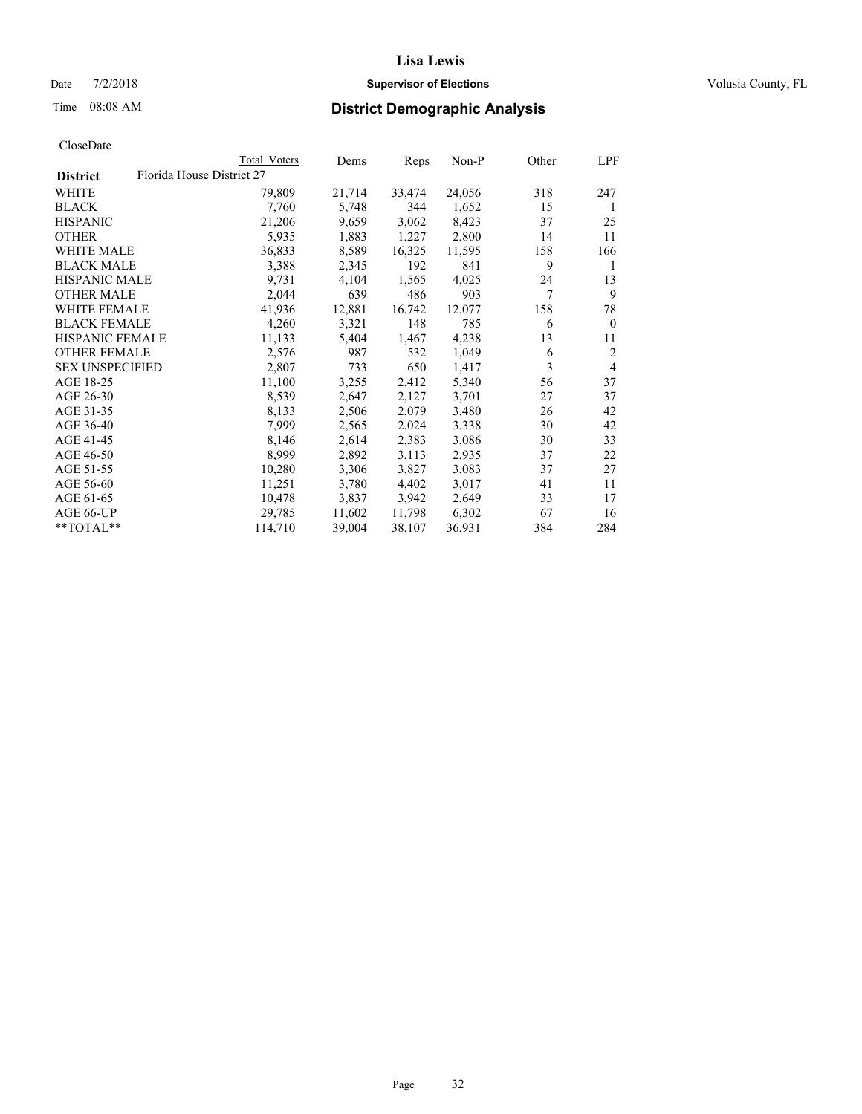### Date  $7/2/2018$  **Supervisor of Elections Supervisor of Elections** Volusia County, FL

|                        |                           | Total Voters | Dems   | Reps   | Non-P  | Other | LPF            |
|------------------------|---------------------------|--------------|--------|--------|--------|-------|----------------|
| <b>District</b>        | Florida House District 27 |              |        |        |        |       |                |
| <b>WHITE</b>           |                           | 79,809       | 21,714 | 33,474 | 24,056 | 318   | 247            |
| <b>BLACK</b>           |                           | 7,760        | 5,748  | 344    | 1,652  | 15    | 1              |
| <b>HISPANIC</b>        |                           | 21,206       | 9,659  | 3,062  | 8,423  | 37    | 25             |
| <b>OTHER</b>           |                           | 5,935        | 1,883  | 1,227  | 2,800  | 14    | 11             |
| <b>WHITE MALE</b>      |                           | 36,833       | 8,589  | 16,325 | 11,595 | 158   | 166            |
| <b>BLACK MALE</b>      |                           | 3,388        | 2,345  | 192    | 841    | 9     | 1              |
| <b>HISPANIC MALE</b>   |                           | 9,731        | 4,104  | 1,565  | 4,025  | 24    | 13             |
| <b>OTHER MALE</b>      |                           | 2,044        | 639    | 486    | 903    | 7     | 9              |
| <b>WHITE FEMALE</b>    |                           | 41,936       | 12,881 | 16,742 | 12,077 | 158   | 78             |
| <b>BLACK FEMALE</b>    |                           | 4,260        | 3,321  | 148    | 785    | 6     | $\theta$       |
| HISPANIC FEMALE        |                           | 11,133       | 5,404  | 1,467  | 4,238  | 13    | 11             |
| <b>OTHER FEMALE</b>    |                           | 2,576        | 987    | 532    | 1,049  | 6     | $\overline{2}$ |
| <b>SEX UNSPECIFIED</b> |                           | 2,807        | 733    | 650    | 1,417  | 3     | $\overline{4}$ |
| AGE 18-25              |                           | 11,100       | 3,255  | 2,412  | 5,340  | 56    | 37             |
| AGE 26-30              |                           | 8,539        | 2,647  | 2,127  | 3,701  | 27    | 37             |
| AGE 31-35              |                           | 8,133        | 2,506  | 2,079  | 3,480  | 26    | 42             |
| AGE 36-40              |                           | 7,999        | 2,565  | 2,024  | 3,338  | 30    | 42             |
| AGE 41-45              |                           | 8,146        | 2,614  | 2,383  | 3,086  | 30    | 33             |
| AGE 46-50              |                           | 8,999        | 2,892  | 3,113  | 2,935  | 37    | 22             |
| AGE 51-55              |                           | 10,280       | 3,306  | 3,827  | 3,083  | 37    | 27             |
| AGE 56-60              |                           | 11,251       | 3,780  | 4,402  | 3,017  | 41    | 11             |
| AGE 61-65              |                           | 10,478       | 3,837  | 3,942  | 2,649  | 33    | 17             |
| AGE 66-UP              |                           | 29,785       | 11,602 | 11,798 | 6,302  | 67    | 16             |
| $*$ TOTAL $*$          |                           | 114,710      | 39,004 | 38,107 | 36,931 | 384   | 284            |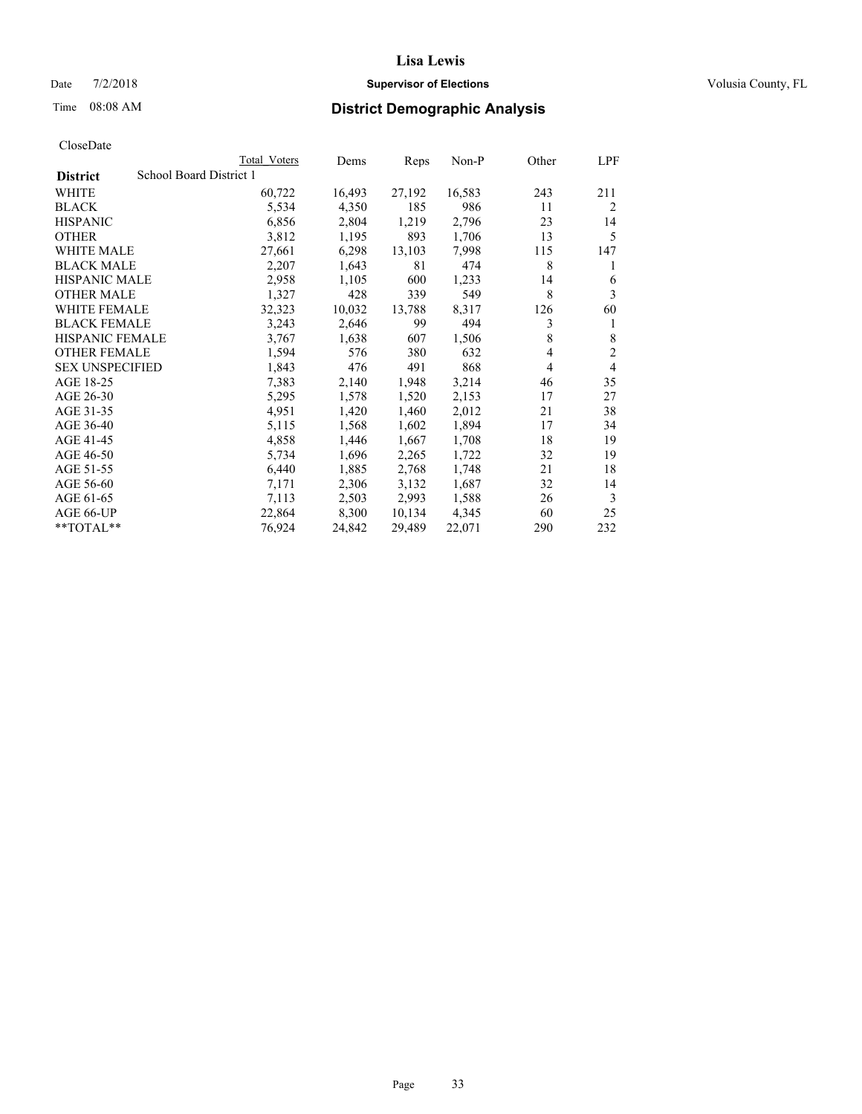#### Date  $7/2/2018$  **Supervisor of Elections Supervisor of Elections** Volusia County, FL

# Time 08:08 AM **District Demographic Analysis**

|                        | Total Voters            | Dems   | Reps   | Non-P  | Other | LPF            |
|------------------------|-------------------------|--------|--------|--------|-------|----------------|
| <b>District</b>        | School Board District 1 |        |        |        |       |                |
| WHITE                  | 60,722                  | 16,493 | 27,192 | 16,583 | 243   | 211            |
| <b>BLACK</b>           | 5,534                   | 4,350  | 185    | 986    | 11    | $\overline{2}$ |
| <b>HISPANIC</b>        | 6,856                   | 2,804  | 1,219  | 2,796  | 23    | 14             |
| <b>OTHER</b>           | 3,812                   | 1,195  | 893    | 1,706  | 13    | 5              |
| WHITE MALE             | 27,661                  | 6,298  | 13,103 | 7,998  | 115   | 147            |
| <b>BLACK MALE</b>      | 2,207                   | 1,643  | 81     | 474    | 8     | 1              |
| <b>HISPANIC MALE</b>   | 2,958                   | 1,105  | 600    | 1,233  | 14    | 6              |
| <b>OTHER MALE</b>      | 1,327                   | 428    | 339    | 549    | 8     | 3              |
| <b>WHITE FEMALE</b>    | 32,323                  | 10,032 | 13,788 | 8,317  | 126   | 60             |
| <b>BLACK FEMALE</b>    | 3,243                   | 2,646  | 99     | 494    | 3     | 1              |
| <b>HISPANIC FEMALE</b> | 3,767                   | 1,638  | 607    | 1,506  | 8     | 8              |
| <b>OTHER FEMALE</b>    | 1,594                   | 576    | 380    | 632    | 4     | $\mathfrak{2}$ |
| <b>SEX UNSPECIFIED</b> | 1,843                   | 476    | 491    | 868    | 4     | 4              |
| AGE 18-25              | 7,383                   | 2,140  | 1,948  | 3,214  | 46    | 35             |
| AGE 26-30              | 5,295                   | 1,578  | 1,520  | 2,153  | 17    | 27             |
| AGE 31-35              | 4,951                   | 1,420  | 1,460  | 2,012  | 21    | 38             |
| AGE 36-40              | 5,115                   | 1,568  | 1,602  | 1,894  | 17    | 34             |
| AGE 41-45              | 4,858                   | 1,446  | 1,667  | 1,708  | 18    | 19             |
| AGE 46-50              | 5,734                   | 1,696  | 2,265  | 1,722  | 32    | 19             |
| AGE 51-55              | 6,440                   | 1,885  | 2,768  | 1,748  | 21    | 18             |
| AGE 56-60              | 7,171                   | 2,306  | 3,132  | 1,687  | 32    | 14             |
| AGE 61-65              | 7,113                   | 2,503  | 2,993  | 1,588  | 26    | 3              |
| AGE 66-UP              | 22,864                  | 8,300  | 10,134 | 4,345  | 60    | 25             |
| $*$ $TOTAL**$          | 76,924                  | 24,842 | 29,489 | 22,071 | 290   | 232            |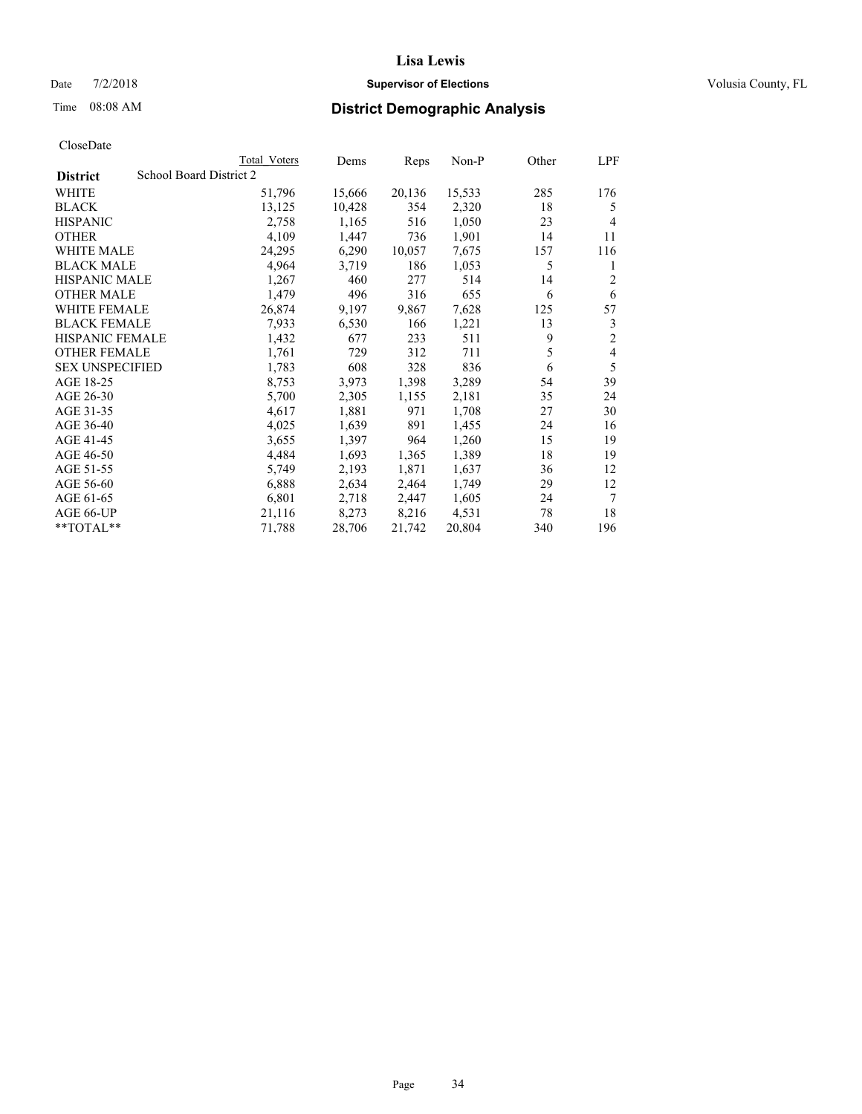### Date  $7/2/2018$  **Supervisor of Elections Supervisor of Elections** Volusia County, FL

### Time 08:08 AM **District Demographic Analysis**

|                        | Total Voters            | Dems   | Reps   | Non-P  | Other | LPF            |
|------------------------|-------------------------|--------|--------|--------|-------|----------------|
| <b>District</b>        | School Board District 2 |        |        |        |       |                |
| WHITE                  | 51,796                  | 15,666 | 20,136 | 15,533 | 285   | 176            |
| <b>BLACK</b>           | 13,125                  | 10,428 | 354    | 2,320  | 18    | 5              |
| <b>HISPANIC</b>        | 2,758                   | 1,165  | 516    | 1,050  | 23    | $\overline{4}$ |
| <b>OTHER</b>           | 4,109                   | 1,447  | 736    | 1,901  | 14    | 11             |
| WHITE MALE             | 24,295                  | 6,290  | 10,057 | 7,675  | 157   | 116            |
| <b>BLACK MALE</b>      | 4,964                   | 3,719  | 186    | 1,053  | 5     | 1              |
| <b>HISPANIC MALE</b>   | 1,267                   | 460    | 277    | 514    | 14    | 2              |
| <b>OTHER MALE</b>      | 1,479                   | 496    | 316    | 655    | 6     | 6              |
| WHITE FEMALE           | 26,874                  | 9,197  | 9,867  | 7,628  | 125   | 57             |
| <b>BLACK FEMALE</b>    | 7,933                   | 6,530  | 166    | 1,221  | 13    | 3              |
| <b>HISPANIC FEMALE</b> | 1,432                   | 677    | 233    | 511    | 9     | $\overline{2}$ |
| <b>OTHER FEMALE</b>    | 1,761                   | 729    | 312    | 711    | 5     | 4              |
| <b>SEX UNSPECIFIED</b> | 1,783                   | 608    | 328    | 836    | 6     | 5              |
| AGE 18-25              | 8,753                   | 3,973  | 1,398  | 3,289  | 54    | 39             |
| AGE 26-30              | 5,700                   | 2,305  | 1,155  | 2,181  | 35    | 24             |
| AGE 31-35              | 4,617                   | 1,881  | 971    | 1,708  | 27    | 30             |
| AGE 36-40              | 4,025                   | 1,639  | 891    | 1,455  | 24    | 16             |
| AGE 41-45              | 3,655                   | 1,397  | 964    | 1,260  | 15    | 19             |
| AGE 46-50              | 4,484                   | 1,693  | 1,365  | 1,389  | 18    | 19             |
| AGE 51-55              | 5,749                   | 2,193  | 1,871  | 1,637  | 36    | 12             |
| AGE 56-60              | 6,888                   | 2,634  | 2,464  | 1,749  | 29    | 12             |
| AGE 61-65              | 6,801                   | 2,718  | 2,447  | 1,605  | 24    | 7              |
| AGE 66-UP              | 21,116                  | 8,273  | 8,216  | 4,531  | 78    | 18             |
| $*$ $TOTAL**$          | 71,788                  | 28,706 | 21,742 | 20,804 | 340   | 196            |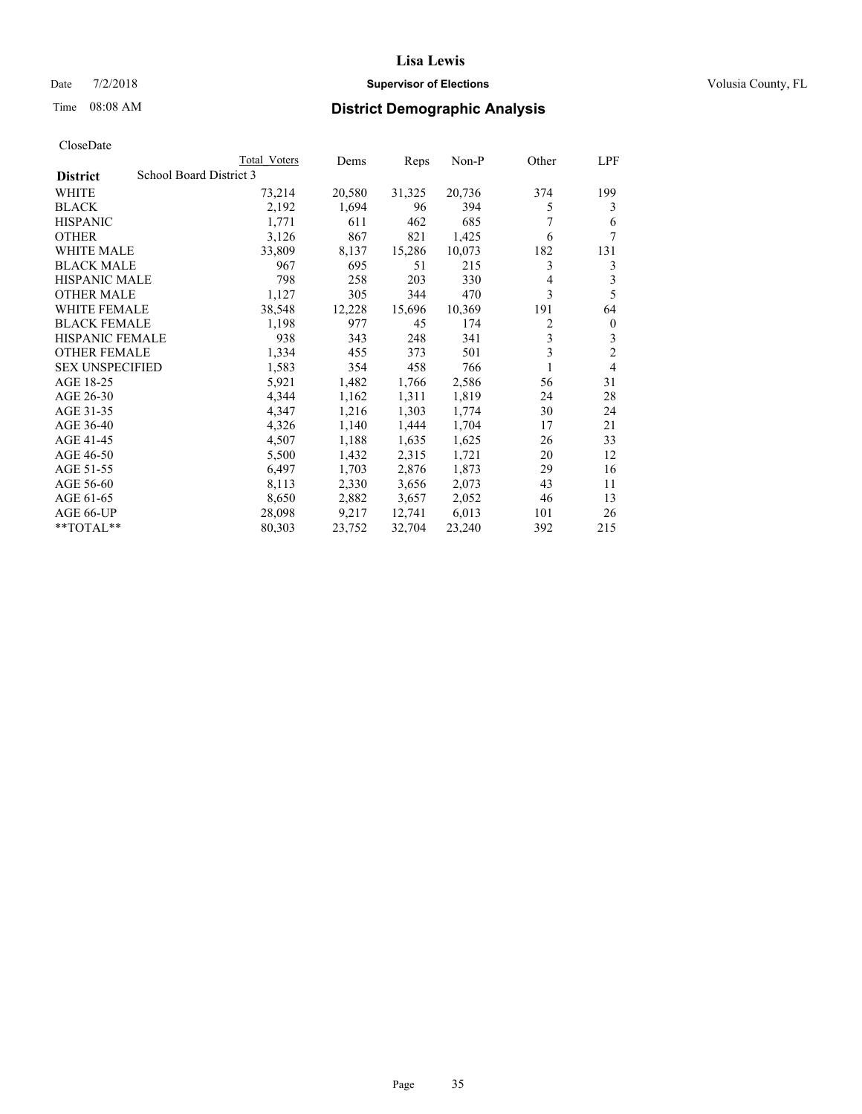### Date  $7/2/2018$  **Supervisor of Elections Supervisor of Elections** Volusia County, FL

# Time 08:08 AM **District Demographic Analysis**

|                        | Total Voters            | Dems   | Reps   | Non-P  | Other | LPF            |
|------------------------|-------------------------|--------|--------|--------|-------|----------------|
| <b>District</b>        | School Board District 3 |        |        |        |       |                |
| WHITE                  | 73,214                  | 20,580 | 31,325 | 20,736 | 374   | 199            |
| <b>BLACK</b>           | 2,192                   | 1,694  | 96     | 394    | 5     | 3              |
| <b>HISPANIC</b>        | 1,771                   | 611    | 462    | 685    |       | 6              |
| <b>OTHER</b>           | 3,126                   | 867    | 821    | 1,425  | 6     | 7              |
| WHITE MALE             | 33,809                  | 8,137  | 15,286 | 10,073 | 182   | 131            |
| <b>BLACK MALE</b>      | 967                     | 695    | 51     | 215    | 3     | 3              |
| <b>HISPANIC MALE</b>   | 798                     | 258    | 203    | 330    | 4     | 3              |
| <b>OTHER MALE</b>      | 1,127                   | 305    | 344    | 470    | 3     | 5              |
| <b>WHITE FEMALE</b>    | 38,548                  | 12,228 | 15,696 | 10,369 | 191   | 64             |
| <b>BLACK FEMALE</b>    | 1,198                   | 977    | 45     | 174    | 2     | $\mathbf{0}$   |
| <b>HISPANIC FEMALE</b> | 938                     | 343    | 248    | 341    | 3     | 3              |
| <b>OTHER FEMALE</b>    | 1,334                   | 455    | 373    | 501    | 3     | $\overline{c}$ |
| <b>SEX UNSPECIFIED</b> | 1,583                   | 354    | 458    | 766    | 1     | 4              |
| AGE 18-25              | 5,921                   | 1,482  | 1,766  | 2,586  | 56    | 31             |
| AGE 26-30              | 4,344                   | 1,162  | 1,311  | 1,819  | 24    | 28             |
| AGE 31-35              | 4,347                   | 1,216  | 1,303  | 1,774  | 30    | 24             |
| AGE 36-40              | 4,326                   | 1,140  | 1,444  | 1,704  | 17    | 21             |
| AGE 41-45              | 4,507                   | 1,188  | 1,635  | 1,625  | 26    | 33             |
| AGE 46-50              | 5,500                   | 1,432  | 2,315  | 1,721  | 20    | 12             |
| AGE 51-55              | 6,497                   | 1,703  | 2,876  | 1,873  | 29    | 16             |
| AGE 56-60              | 8,113                   | 2,330  | 3,656  | 2,073  | 43    | 11             |
| AGE 61-65              | 8,650                   | 2,882  | 3,657  | 2,052  | 46    | 13             |
| AGE 66-UP              | 28,098                  | 9,217  | 12,741 | 6,013  | 101   | 26             |
| $*$ TOTAL $*$          | 80,303                  | 23,752 | 32,704 | 23,240 | 392   | 215            |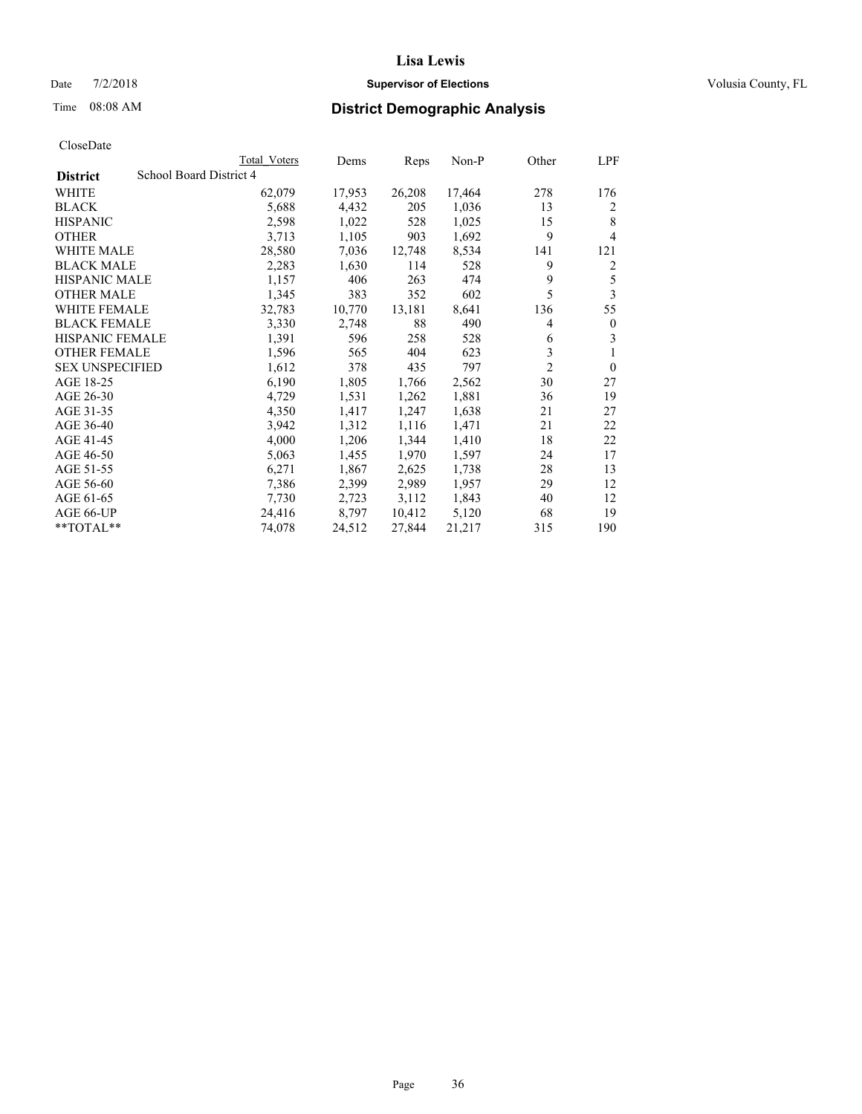### Date  $7/2/2018$  **Supervisor of Elections Supervisor of Elections** Volusia County, FL

|                        |                         | Total Voters | Dems   | Reps   | Non-P  | Other          | LPF          |
|------------------------|-------------------------|--------------|--------|--------|--------|----------------|--------------|
| <b>District</b>        | School Board District 4 |              |        |        |        |                |              |
| WHITE                  |                         | 62,079       | 17,953 | 26,208 | 17,464 | 278            | 176          |
| <b>BLACK</b>           |                         | 5,688        | 4,432  | 205    | 1,036  | 13             | 2            |
| <b>HISPANIC</b>        |                         | 2,598        | 1,022  | 528    | 1,025  | 15             | 8            |
| <b>OTHER</b>           |                         | 3,713        | 1,105  | 903    | 1,692  | 9              | 4            |
| <b>WHITE MALE</b>      |                         | 28,580       | 7,036  | 12,748 | 8,534  | 141            | 121          |
| <b>BLACK MALE</b>      |                         | 2,283        | 1,630  | 114    | 528    | 9              | 2            |
| <b>HISPANIC MALE</b>   |                         | 1,157        | 406    | 263    | 474    | 9              | 5            |
| <b>OTHER MALE</b>      |                         | 1,345        | 383    | 352    | 602    | 5              | 3            |
| <b>WHITE FEMALE</b>    |                         | 32,783       | 10,770 | 13,181 | 8,641  | 136            | 55           |
| <b>BLACK FEMALE</b>    |                         | 3,330        | 2,748  | 88     | 490    | 4              | $\mathbf{0}$ |
| <b>HISPANIC FEMALE</b> |                         | 1,391        | 596    | 258    | 528    | 6              | 3            |
| <b>OTHER FEMALE</b>    |                         | 1,596        | 565    | 404    | 623    | 3              | 1            |
| <b>SEX UNSPECIFIED</b> |                         | 1,612        | 378    | 435    | 797    | $\overline{2}$ | $\theta$     |
| AGE 18-25              |                         | 6,190        | 1,805  | 1,766  | 2,562  | 30             | 27           |
| AGE 26-30              |                         | 4,729        | 1,531  | 1,262  | 1,881  | 36             | 19           |
| AGE 31-35              |                         | 4,350        | 1,417  | 1,247  | 1,638  | 21             | 27           |
| AGE 36-40              |                         | 3,942        | 1,312  | 1,116  | 1,471  | 21             | 22           |
| AGE 41-45              |                         | 4,000        | 1,206  | 1,344  | 1,410  | 18             | 22           |
| AGE 46-50              |                         | 5,063        | 1,455  | 1,970  | 1,597  | 24             | 17           |
| AGE 51-55              |                         | 6,271        | 1,867  | 2,625  | 1,738  | 28             | 13           |
| AGE 56-60              |                         | 7,386        | 2,399  | 2,989  | 1,957  | 29             | 12           |
| AGE 61-65              |                         | 7,730        | 2,723  | 3,112  | 1,843  | 40             | 12           |
| AGE 66-UP              |                         | 24,416       | 8,797  | 10,412 | 5,120  | 68             | 19           |
| **TOTAL**              |                         | 74,078       | 24,512 | 27,844 | 21,217 | 315            | 190          |
|                        |                         |              |        |        |        |                |              |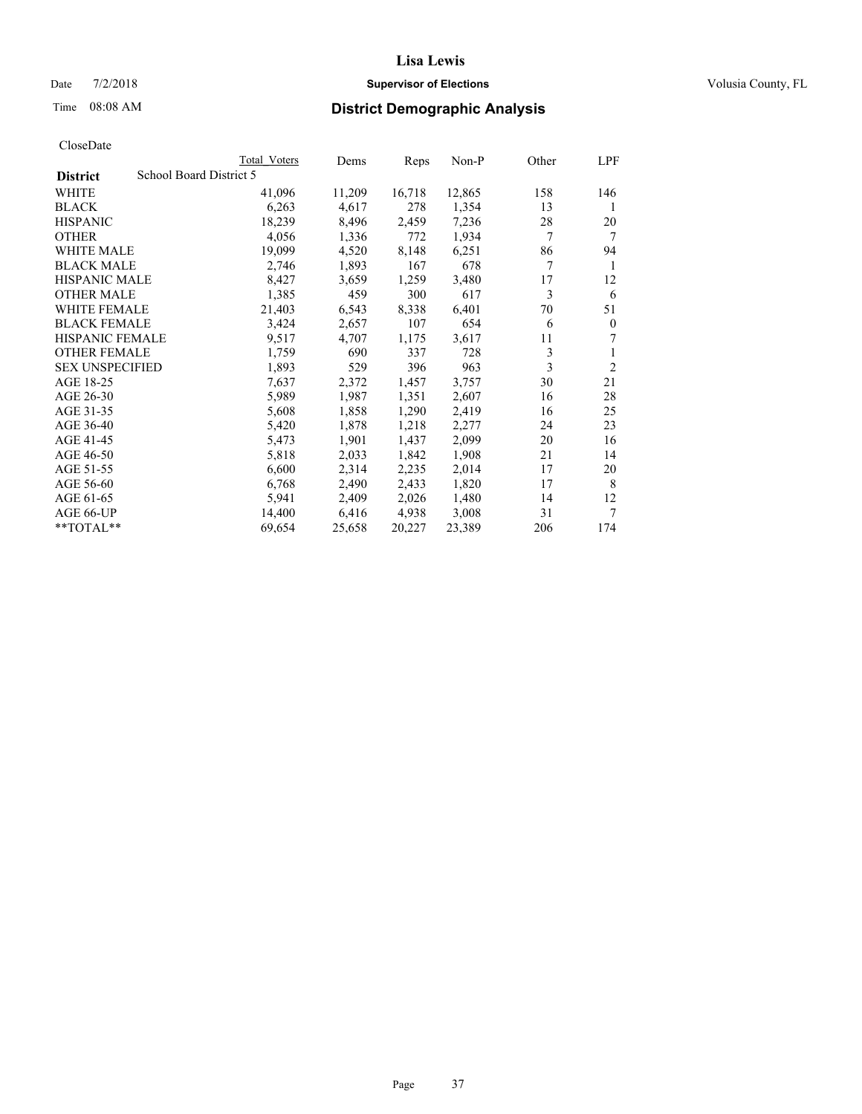## Date  $7/2/2018$  **Supervisor of Elections Supervisor of Elections** Volusia County, FL

| CloseDate |
|-----------|
|-----------|

|                        |                         | Total Voters | Dems   | Reps   | Non-P  | Other | LPF            |
|------------------------|-------------------------|--------------|--------|--------|--------|-------|----------------|
| <b>District</b>        | School Board District 5 |              |        |        |        |       |                |
| WHITE                  |                         | 41,096       | 11,209 | 16,718 | 12,865 | 158   | 146            |
| BLACK                  |                         | 6,263        | 4,617  | 278    | 1,354  | 13    | 1              |
| <b>HISPANIC</b>        |                         | 18,239       | 8,496  | 2,459  | 7,236  | 28    | 20             |
| OTHER                  |                         | 4,056        | 1,336  | 772    | 1,934  | 7     | 7              |
| <b>WHITE MALE</b>      |                         | 19,099       | 4,520  | 8,148  | 6,251  | 86    | 94             |
| <b>BLACK MALE</b>      |                         | 2,746        | 1,893  | 167    | 678    | 7     | 1              |
| <b>HISPANIC MALE</b>   |                         | 8,427        | 3,659  | 1,259  | 3,480  | 17    | 12             |
| OTHER MALE             |                         | 1,385        | 459    | 300    | 617    | 3     | 6              |
| WHITE FEMALE           |                         | 21,403       | 6,543  | 8,338  | 6,401  | 70    | 51             |
| <b>BLACK FEMALE</b>    |                         | 3,424        | 2,657  | 107    | 654    | 6     | $\mathbf{0}$   |
| <b>HISPANIC FEMALE</b> |                         | 9,517        | 4,707  | 1,175  | 3,617  | 11    | 7              |
| <b>OTHER FEMALE</b>    |                         | 1,759        | 690    | 337    | 728    | 3     | 1              |
| <b>SEX UNSPECIFIED</b> |                         | 1,893        | 529    | 396    | 963    | 3     | $\overline{2}$ |
| AGE 18-25              |                         | 7,637        | 2,372  | 1,457  | 3,757  | 30    | 21             |
| AGE 26-30              |                         | 5,989        | 1,987  | 1,351  | 2,607  | 16    | 28             |
| AGE 31-35              |                         | 5,608        | 1,858  | 1,290  | 2,419  | 16    | 25             |
| AGE 36-40              |                         | 5,420        | 1,878  | 1,218  | 2,277  | 24    | 23             |
| AGE 41-45              |                         | 5,473        | 1,901  | 1,437  | 2,099  | 20    | 16             |
| AGE 46-50              |                         | 5,818        | 2,033  | 1,842  | 1,908  | 21    | 14             |
| AGE 51-55              |                         | 6,600        | 2,314  | 2,235  | 2,014  | 17    | 20             |
| AGE 56-60              |                         | 6,768        | 2,490  | 2,433  | 1,820  | 17    | 8              |
| AGE 61-65              |                         | 5,941        | 2,409  | 2,026  | 1,480  | 14    | 12             |
| AGE 66-UP              |                         | 14,400       | 6,416  | 4,938  | 3,008  | 31    | 7              |
| $*$ $TOTAL**$          |                         | 69,654       | 25,658 | 20,227 | 23,389 | 206   | 174            |
|                        |                         |              |        |        |        |       |                |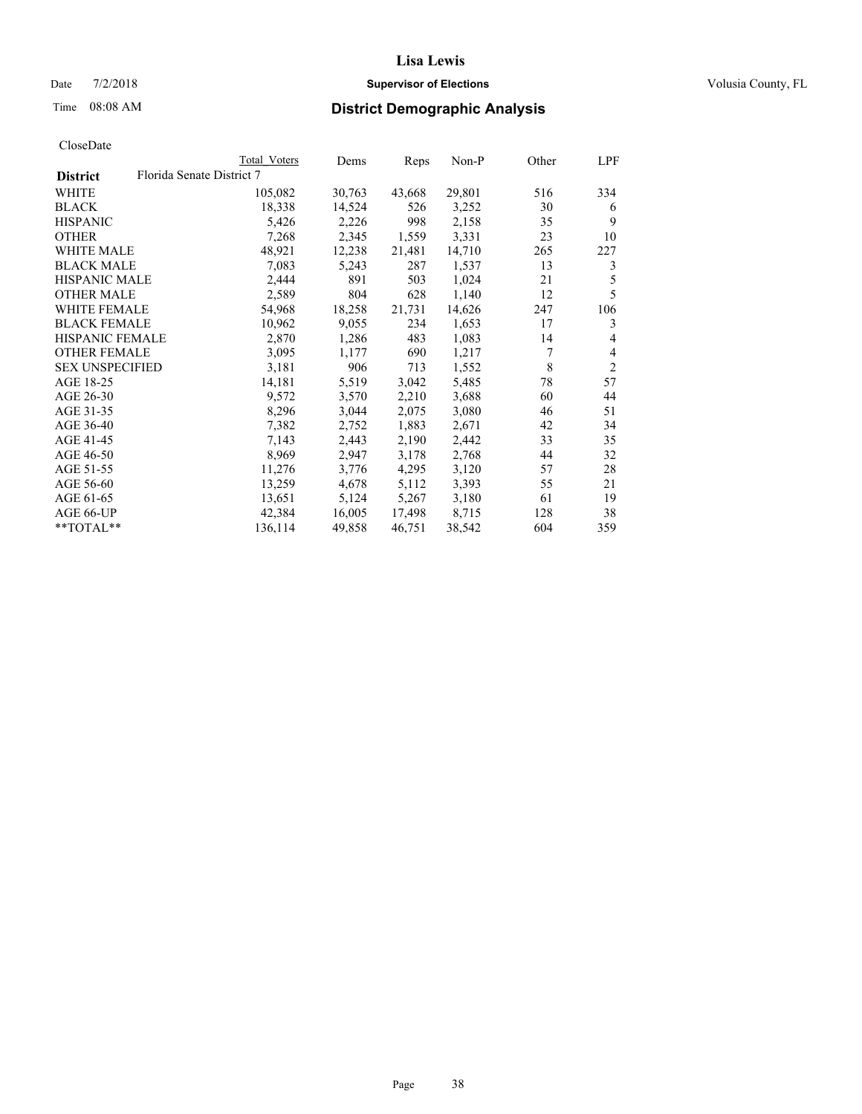## Date  $7/2/2018$  **Supervisor of Elections Supervisor of Elections** Volusia County, FL

# Time 08:08 AM **District Demographic Analysis**

|                        | Total Voters              | Dems   | Reps   | Non-P  | Other | LPF            |
|------------------------|---------------------------|--------|--------|--------|-------|----------------|
| <b>District</b>        | Florida Senate District 7 |        |        |        |       |                |
| WHITE                  | 105,082                   | 30,763 | 43,668 | 29,801 | 516   | 334            |
| <b>BLACK</b>           | 18,338                    | 14,524 | 526    | 3,252  | 30    | 6              |
| <b>HISPANIC</b>        | 5,426                     | 2,226  | 998    | 2,158  | 35    | 9              |
| <b>OTHER</b>           | 7,268                     | 2,345  | 1,559  | 3,331  | 23    | 10             |
| WHITE MALE             | 48,921                    | 12,238 | 21,481 | 14,710 | 265   | 227            |
| <b>BLACK MALE</b>      | 7,083                     | 5,243  | 287    | 1,537  | 13    | 3              |
| <b>HISPANIC MALE</b>   | 2,444                     | 891    | 503    | 1,024  | 21    | 5              |
| <b>OTHER MALE</b>      | 2,589                     | 804    | 628    | 1,140  | 12    | 5              |
| <b>WHITE FEMALE</b>    | 54,968                    | 18,258 | 21,731 | 14,626 | 247   | 106            |
| <b>BLACK FEMALE</b>    | 10,962                    | 9,055  | 234    | 1,653  | 17    | 3              |
| <b>HISPANIC FEMALE</b> | 2,870                     | 1,286  | 483    | 1,083  | 14    | 4              |
| <b>OTHER FEMALE</b>    | 3,095                     | 1,177  | 690    | 1,217  | 7     | 4              |
| <b>SEX UNSPECIFIED</b> | 3,181                     | 906    | 713    | 1,552  | 8     | $\overline{2}$ |
| AGE 18-25              | 14,181                    | 5,519  | 3,042  | 5,485  | 78    | 57             |
| AGE 26-30              | 9,572                     | 3,570  | 2,210  | 3,688  | 60    | 44             |
| AGE 31-35              | 8,296                     | 3,044  | 2,075  | 3,080  | 46    | 51             |
| AGE 36-40              | 7,382                     | 2,752  | 1,883  | 2,671  | 42    | 34             |
| AGE 41-45              | 7,143                     | 2,443  | 2,190  | 2,442  | 33    | 35             |
| AGE 46-50              | 8,969                     | 2,947  | 3,178  | 2,768  | 44    | 32             |
| AGE 51-55              | 11,276                    | 3,776  | 4,295  | 3,120  | 57    | 28             |
| AGE 56-60              | 13,259                    | 4,678  | 5,112  | 3,393  | 55    | 21             |
| AGE 61-65              | 13,651                    | 5,124  | 5,267  | 3,180  | 61    | 19             |
| AGE 66-UP              | 42,384                    | 16,005 | 17,498 | 8,715  | 128   | 38             |
| $*$ TOTAL $*$          | 136,114                   | 49,858 | 46,751 | 38,542 | 604   | 359            |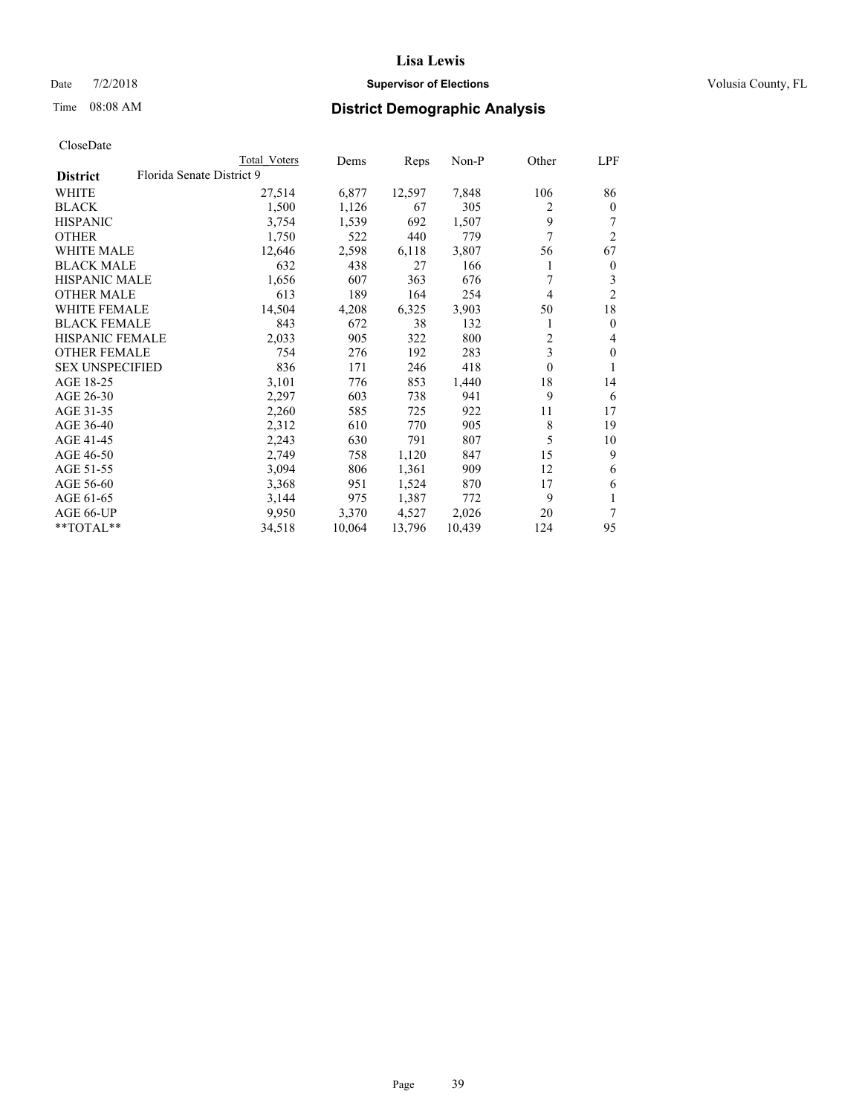## Date  $7/2/2018$  **Supervisor of Elections Supervisor of Elections** Volusia County, FL

# Time 08:08 AM **District Demographic Analysis**

|                                              | Total Voters | Dems   | Reps   | Non-P  | Other          | LPF            |
|----------------------------------------------|--------------|--------|--------|--------|----------------|----------------|
| Florida Senate District 9<br><b>District</b> |              |        |        |        |                |                |
| WHITE                                        | 27,514       | 6,877  | 12,597 | 7,848  | 106            | 86             |
| <b>BLACK</b>                                 | 1,500        | 1,126  | 67     | 305    | 2              | $\mathbf{0}$   |
| <b>HISPANIC</b>                              | 3,754        | 1,539  | 692    | 1,507  | 9              |                |
| <b>OTHER</b>                                 | 1,750        | 522    | 440    | 779    | 7              | $\overline{2}$ |
| WHITE MALE                                   | 12,646       | 2,598  | 6,118  | 3,807  | 56             | 67             |
| <b>BLACK MALE</b>                            | 632          | 438    | 27     | 166    |                | $\bf{0}$       |
| <b>HISPANIC MALE</b>                         | 1,656        | 607    | 363    | 676    | 7              | 3              |
| <b>OTHER MALE</b>                            | 613          | 189    | 164    | 254    | $\overline{4}$ | $\overline{2}$ |
| WHITE FEMALE                                 | 14,504       | 4,208  | 6,325  | 3,903  | 50             | 18             |
| <b>BLACK FEMALE</b>                          | 843          | 672    | 38     | 132    |                | $\theta$       |
| <b>HISPANIC FEMALE</b>                       | 2,033        | 905    | 322    | 800    | $\overline{c}$ | 4              |
| <b>OTHER FEMALE</b>                          | 754          | 276    | 192    | 283    | 3              | $\mathbf{0}$   |
| <b>SEX UNSPECIFIED</b>                       | 836          | 171    | 246    | 418    | $\mathbf{0}$   | 1              |
| AGE 18-25                                    | 3,101        | 776    | 853    | 1,440  | 18             | 14             |
| AGE 26-30                                    | 2,297        | 603    | 738    | 941    | 9              | 6              |
| AGE 31-35                                    | 2,260        | 585    | 725    | 922    | 11             | 17             |
| AGE 36-40                                    | 2,312        | 610    | 770    | 905    | 8              | 19             |
| AGE 41-45                                    | 2,243        | 630    | 791    | 807    | 5              | 10             |
| AGE 46-50                                    | 2,749        | 758    | 1,120  | 847    | 15             | 9              |
| AGE 51-55                                    | 3,094        | 806    | 1,361  | 909    | 12             | 6              |
| AGE 56-60                                    | 3,368        | 951    | 1,524  | 870    | 17             | 6              |
| AGE 61-65                                    | 3,144        | 975    | 1,387  | 772    | 9              | 1              |
| AGE 66-UP                                    | 9,950        | 3,370  | 4,527  | 2,026  | 20             | 7              |
| **TOTAL**                                    | 34,518       | 10,064 | 13,796 | 10,439 | 124            | 95             |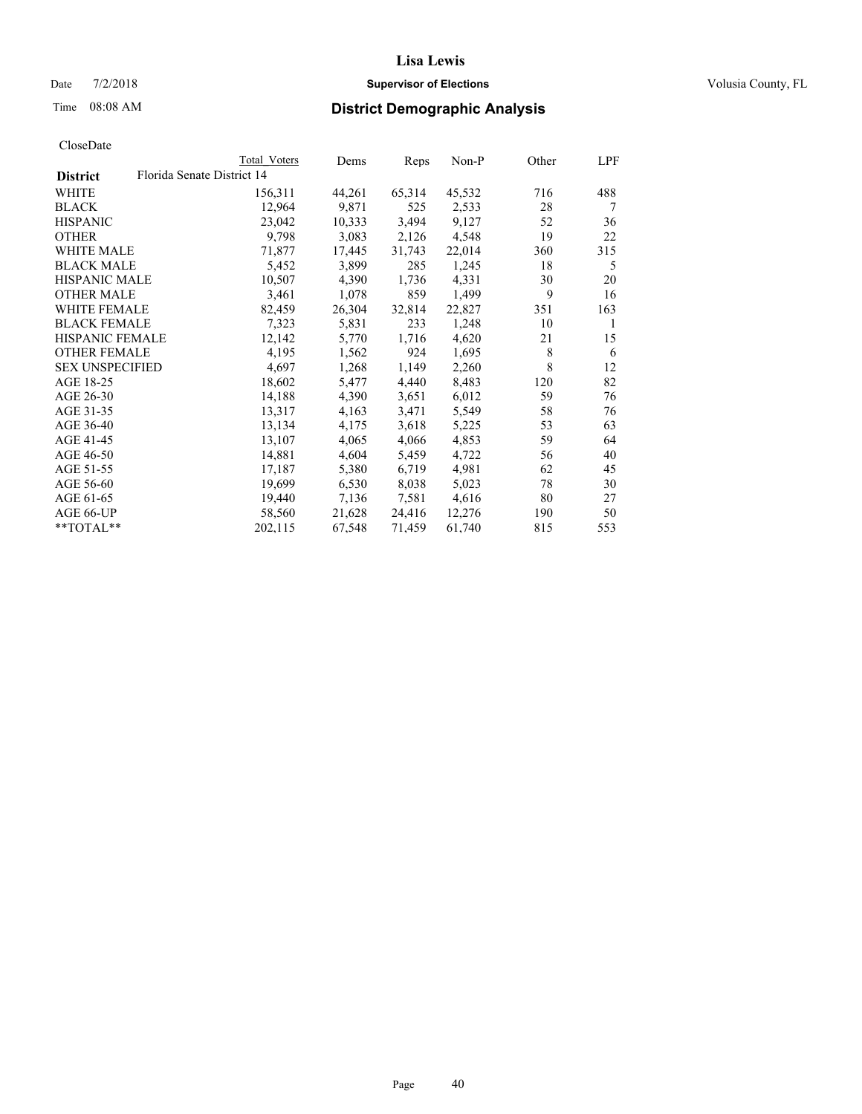## Date  $7/2/2018$  **Supervisor of Elections Supervisor of Elections** Volusia County, FL

|                        | Total Voters               | Dems   | Reps   | Non-P  | Other | LPF |
|------------------------|----------------------------|--------|--------|--------|-------|-----|
| <b>District</b>        | Florida Senate District 14 |        |        |        |       |     |
| WHITE                  | 156,311                    | 44,261 | 65,314 | 45,532 | 716   | 488 |
| BLACK                  | 12,964                     | 9,871  | 525    | 2,533  | 28    | 7   |
| <b>HISPANIC</b>        | 23,042                     | 10,333 | 3,494  | 9,127  | 52    | 36  |
| OTHER                  | 9,798                      | 3,083  | 2,126  | 4,548  | 19    | 22  |
| WHITE MALE             | 71,877                     | 17,445 | 31,743 | 22,014 | 360   | 315 |
| <b>BLACK MALE</b>      | 5,452                      | 3,899  | 285    | 1,245  | 18    | 5   |
| HISPANIC MALE          | 10,507                     | 4,390  | 1,736  | 4,331  | 30    | 20  |
| <b>OTHER MALE</b>      | 3,461                      | 1,078  | 859    | 1,499  | 9     | 16  |
| <b>WHITE FEMALE</b>    | 82,459                     | 26,304 | 32,814 | 22,827 | 351   | 163 |
| <b>BLACK FEMALE</b>    | 7,323                      | 5,831  | 233    | 1,248  | 10    | 1   |
| HISPANIC FEMALE        | 12,142                     | 5,770  | 1,716  | 4,620  | 21    | 15  |
| <b>OTHER FEMALE</b>    | 4,195                      | 1,562  | 924    | 1,695  | 8     | 6   |
| <b>SEX UNSPECIFIED</b> | 4,697                      | 1,268  | 1,149  | 2,260  | 8     | 12  |
| AGE 18-25              | 18,602                     | 5,477  | 4,440  | 8,483  | 120   | 82  |
| AGE 26-30              | 14,188                     | 4,390  | 3,651  | 6,012  | 59    | 76  |
| AGE 31-35              | 13,317                     | 4,163  | 3,471  | 5,549  | 58    | 76  |
| AGE 36-40              | 13,134                     | 4,175  | 3,618  | 5,225  | 53    | 63  |
| AGE 41-45              | 13,107                     | 4,065  | 4,066  | 4,853  | 59    | 64  |
| AGE 46-50              | 14,881                     | 4,604  | 5,459  | 4,722  | 56    | 40  |
| AGE 51-55              | 17,187                     | 5,380  | 6,719  | 4,981  | 62    | 45  |
| AGE 56-60              | 19,699                     | 6,530  | 8,038  | 5,023  | 78    | 30  |
| AGE 61-65              | 19,440                     | 7,136  | 7,581  | 4,616  | 80    | 27  |
| AGE 66-UP              | 58,560                     | 21,628 | 24,416 | 12,276 | 190   | 50  |
| **TOTAL**              | 202,115                    | 67,548 | 71,459 | 61,740 | 815   | 553 |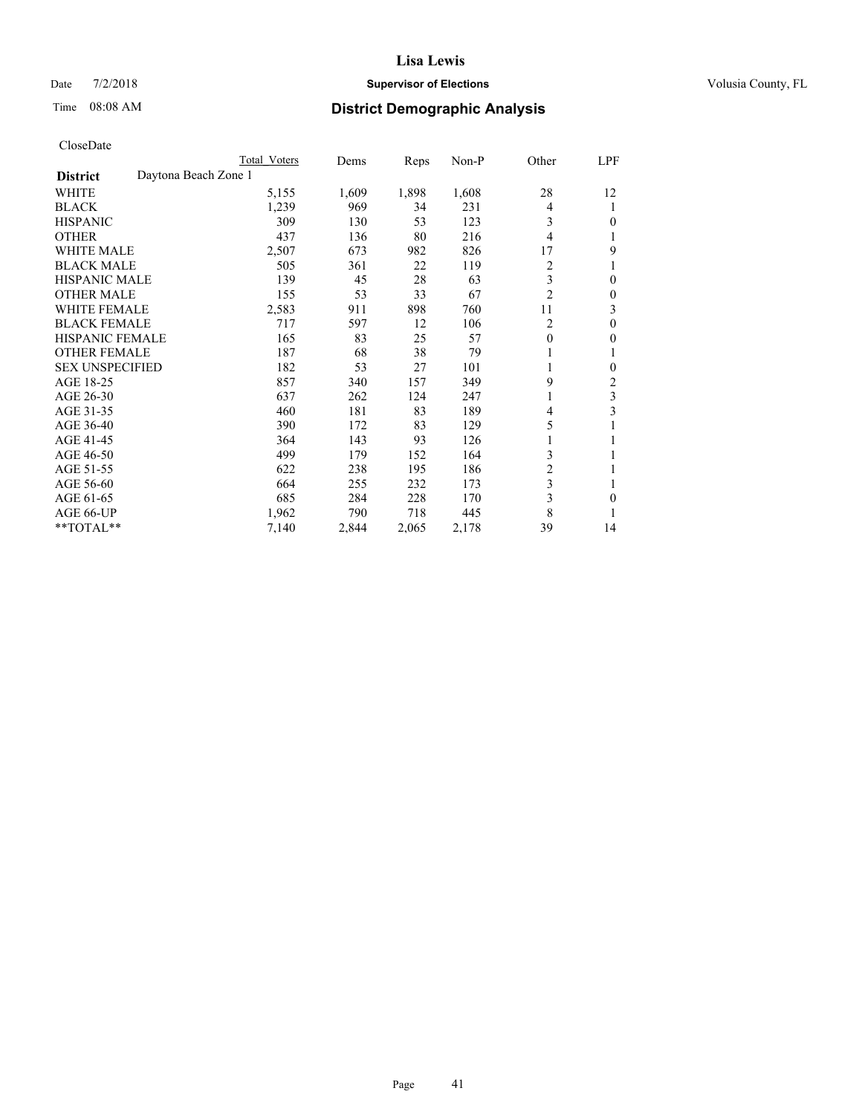## Date  $7/2/2018$  **Supervisor of Elections Supervisor of Elections** Volusia County, FL

# Time 08:08 AM **District Demographic Analysis**

|                                         | Total Voters | Dems  | Reps  | $Non-P$ | Other          | LPF      |
|-----------------------------------------|--------------|-------|-------|---------|----------------|----------|
| Daytona Beach Zone 1<br><b>District</b> |              |       |       |         |                |          |
| WHITE                                   | 5,155        | 1,609 | 1,898 | 1,608   | 28             | 12       |
| <b>BLACK</b>                            | 1,239        | 969   | 34    | 231     | 4              | 1        |
| <b>HISPANIC</b>                         | 309          | 130   | 53    | 123     | 3              | 0        |
| <b>OTHER</b>                            | 437          | 136   | 80    | 216     | 4              | 1        |
| <b>WHITE MALE</b>                       | 2,507        | 673   | 982   | 826     | 17             | 9        |
| <b>BLACK MALE</b>                       | 505          | 361   | 22    | 119     | 2              |          |
| <b>HISPANIC MALE</b>                    | 139          | 45    | 28    | 63      | 3              | $\theta$ |
| <b>OTHER MALE</b>                       | 155          | 53    | 33    | 67      | $\overline{2}$ | $\theta$ |
| <b>WHITE FEMALE</b>                     | 2,583        | 911   | 898   | 760     | 11             | 3        |
| <b>BLACK FEMALE</b>                     | 717          | 597   | 12    | 106     | 2              | $\theta$ |
| <b>HISPANIC FEMALE</b>                  | 165          | 83    | 25    | 57      | $\theta$       | $\theta$ |
| <b>OTHER FEMALE</b>                     | 187          | 68    | 38    | 79      | 1              | 1        |
| <b>SEX UNSPECIFIED</b>                  | 182          | 53    | 27    | 101     | 1              | 0        |
| AGE 18-25                               | 857          | 340   | 157   | 349     | 9              | 2        |
| AGE 26-30                               | 637          | 262   | 124   | 247     | 1              | 3        |
| AGE 31-35                               | 460          | 181   | 83    | 189     | 4              | 3        |
| AGE 36-40                               | 390          | 172   | 83    | 129     | 5              |          |
| AGE 41-45                               | 364          | 143   | 93    | 126     | 1              | 1        |
| AGE 46-50                               | 499          | 179   | 152   | 164     | 3              |          |
| AGE 51-55                               | 622          | 238   | 195   | 186     | 2              | 1        |
| AGE 56-60                               | 664          | 255   | 232   | 173     | 3              | 1        |
| AGE 61-65                               | 685          | 284   | 228   | 170     | 3              | 0        |
| AGE 66-UP                               | 1,962        | 790   | 718   | 445     | 8              | 1        |
| **TOTAL**                               | 7,140        | 2,844 | 2,065 | 2,178   | 39             | 14       |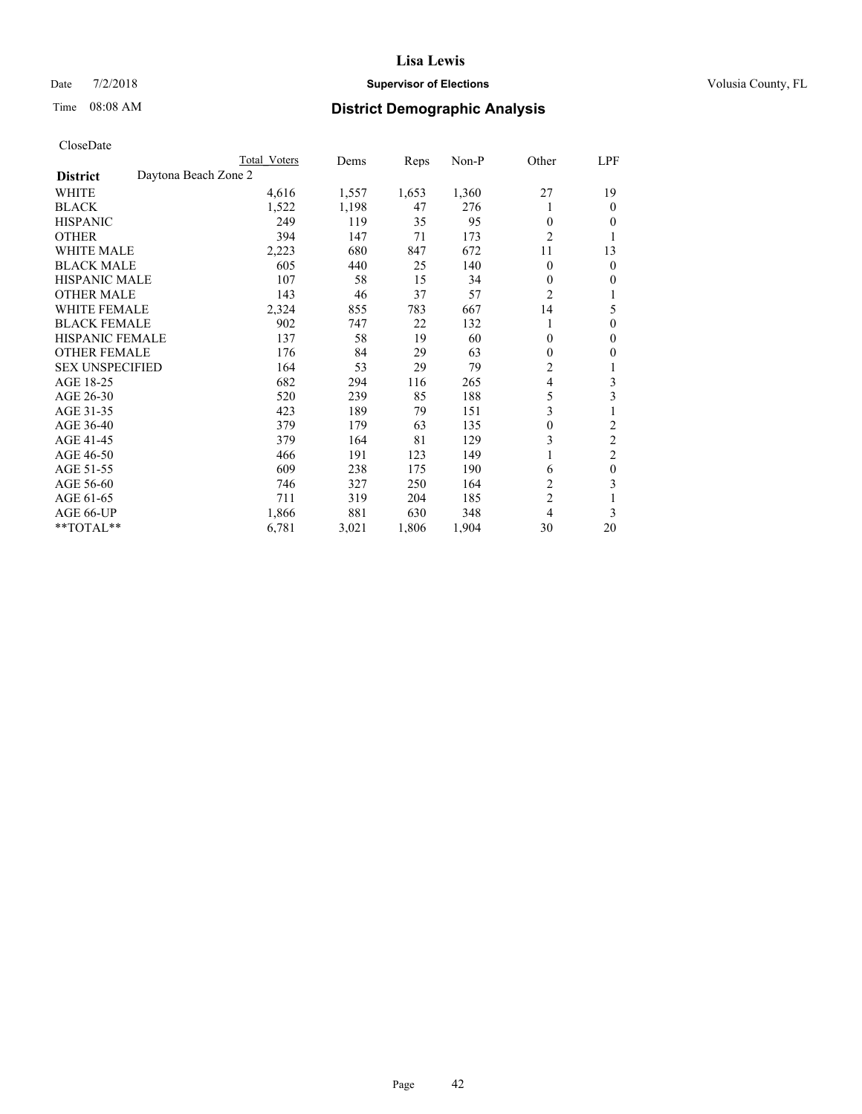## Date  $7/2/2018$  **Supervisor of Elections Supervisor of Elections** Volusia County, FL

# Time 08:08 AM **District Demographic Analysis**

|                                         | Total Voters | Dems  | Reps  | $Non-P$ | Other          | LPF              |
|-----------------------------------------|--------------|-------|-------|---------|----------------|------------------|
| Daytona Beach Zone 2<br><b>District</b> |              |       |       |         |                |                  |
| WHITE                                   | 4,616        | 1,557 | 1,653 | 1,360   | 27             | 19               |
| <b>BLACK</b>                            | 1,522        | 1,198 | 47    | 276     |                | 0                |
| <b>HISPANIC</b>                         | 249          | 119   | 35    | 95      | $\theta$       | 0                |
| <b>OTHER</b>                            | 394          | 147   | 71    | 173     | $\overline{c}$ |                  |
| <b>WHITE MALE</b>                       | 2,223        | 680   | 847   | 672     | 11             | 13               |
| <b>BLACK MALE</b>                       | 605          | 440   | 25    | 140     | $\theta$       | 0                |
| <b>HISPANIC MALE</b>                    | 107          | 58    | 15    | 34      | $\theta$       | 0                |
| <b>OTHER MALE</b>                       | 143          | 46    | 37    | 57      | $\overline{c}$ |                  |
| <b>WHITE FEMALE</b>                     | 2,324        | 855   | 783   | 667     | 14             | 5                |
| <b>BLACK FEMALE</b>                     | 902          | 747   | 22    | 132     | 1              | 0                |
| <b>HISPANIC FEMALE</b>                  | 137          | 58    | 19    | 60      | $\theta$       | 0                |
| <b>OTHER FEMALE</b>                     | 176          | 84    | 29    | 63      | $\theta$       | 0                |
| <b>SEX UNSPECIFIED</b>                  | 164          | 53    | 29    | 79      | $\overline{c}$ | 1                |
| AGE 18-25                               | 682          | 294   | 116   | 265     | $\overline{4}$ | 3                |
| AGE 26-30                               | 520          | 239   | 85    | 188     | 5              | 3                |
| AGE 31-35                               | 423          | 189   | 79    | 151     | 3              | 1                |
| AGE 36-40                               | 379          | 179   | 63    | 135     | $\mathbf{0}$   | 2                |
| AGE 41-45                               | 379          | 164   | 81    | 129     | 3              | 2                |
| AGE 46-50                               | 466          | 191   | 123   | 149     |                | $\overline{c}$   |
| AGE 51-55                               | 609          | 238   | 175   | 190     | 6              | $\boldsymbol{0}$ |
| AGE 56-60                               | 746          | 327   | 250   | 164     | $\overline{2}$ | 3                |
| AGE 61-65                               | 711          | 319   | 204   | 185     | $\overline{c}$ |                  |
| AGE 66-UP                               | 1,866        | 881   | 630   | 348     | $\overline{4}$ | 3                |
| **TOTAL**                               | 6,781        | 3,021 | 1,806 | 1,904   | 30             | 20               |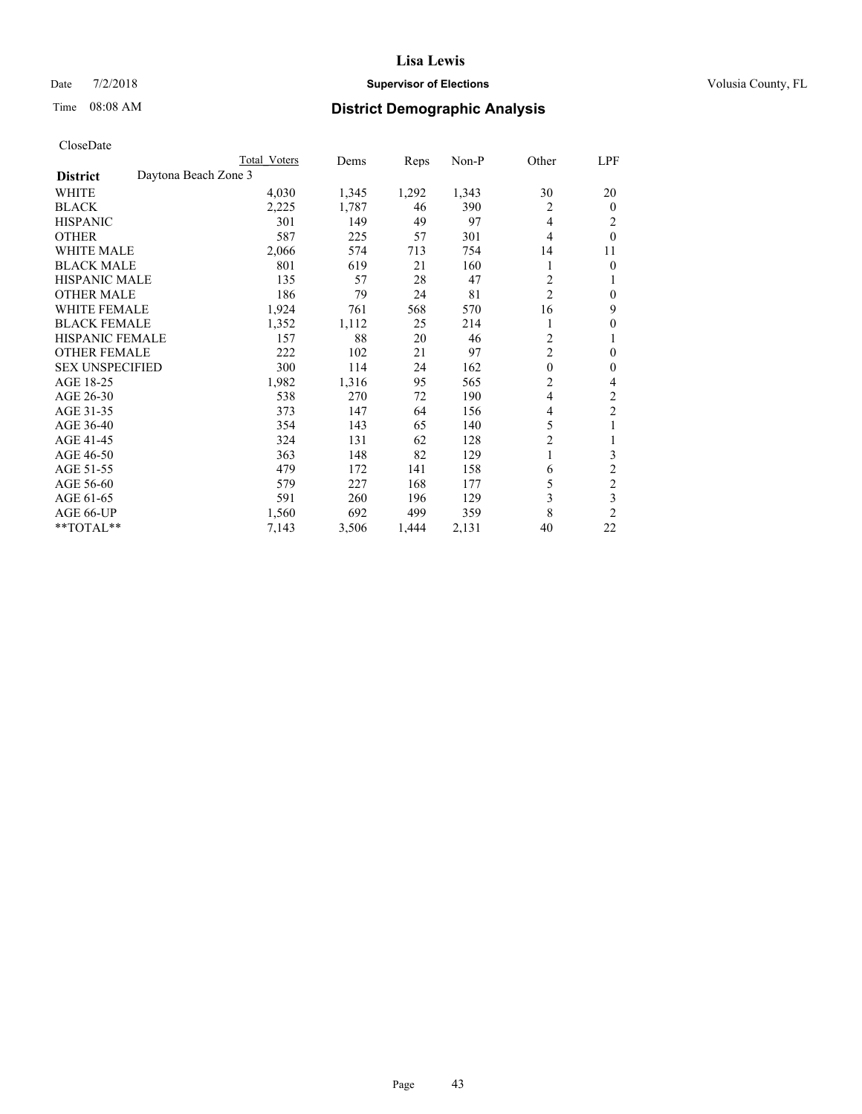## Date  $7/2/2018$  **Supervisor of Elections Supervisor of Elections** Volusia County, FL

# Time 08:08 AM **District Demographic Analysis**

|                        |                      | Total Voters | Dems  | Reps  | Non-P | Other          | LPF            |
|------------------------|----------------------|--------------|-------|-------|-------|----------------|----------------|
| <b>District</b>        | Daytona Beach Zone 3 |              |       |       |       |                |                |
| WHITE                  |                      | 4,030        | 1,345 | 1,292 | 1,343 | 30             | 20             |
| <b>BLACK</b>           |                      | 2,225        | 1,787 | 46    | 390   | 2              | $\mathbf{0}$   |
| <b>HISPANIC</b>        |                      | 301          | 149   | 49    | 97    | 4              | 2              |
| <b>OTHER</b>           |                      | 587          | 225   | 57    | 301   | 4              | $\theta$       |
| <b>WHITE MALE</b>      |                      | 2,066        | 574   | 713   | 754   | 14             | 11             |
| <b>BLACK MALE</b>      |                      | 801          | 619   | 21    | 160   |                | $\mathbf{0}$   |
| <b>HISPANIC MALE</b>   |                      | 135          | 57    | 28    | 47    | $\overline{2}$ | 1              |
| <b>OTHER MALE</b>      |                      | 186          | 79    | 24    | 81    | $\overline{c}$ | $\mathbf{0}$   |
| <b>WHITE FEMALE</b>    |                      | 1,924        | 761   | 568   | 570   | 16             | 9              |
| <b>BLACK FEMALE</b>    |                      | 1,352        | 1,112 | 25    | 214   |                | $\theta$       |
| <b>HISPANIC FEMALE</b> |                      | 157          | 88    | 20    | 46    | $\overline{2}$ | 1              |
| <b>OTHER FEMALE</b>    |                      | 222          | 102   | 21    | 97    | $\overline{2}$ | $\theta$       |
| <b>SEX UNSPECIFIED</b> |                      | 300          | 114   | 24    | 162   | $\theta$       | $\theta$       |
| AGE 18-25              |                      | 1,982        | 1,316 | 95    | 565   | $\overline{2}$ | 4              |
| AGE 26-30              |                      | 538          | 270   | 72    | 190   | 4              | $\overline{2}$ |
| AGE 31-35              |                      | 373          | 147   | 64    | 156   | 4              | $\overline{c}$ |
| AGE 36-40              |                      | 354          | 143   | 65    | 140   | 5              | 1              |
| AGE 41-45              |                      | 324          | 131   | 62    | 128   | $\overline{c}$ | 1              |
| AGE 46-50              |                      | 363          | 148   | 82    | 129   | 1              | 3              |
| AGE 51-55              |                      | 479          | 172   | 141   | 158   | 6              | $\overline{c}$ |
| AGE 56-60              |                      | 579          | 227   | 168   | 177   | 5              | $\overline{c}$ |
| AGE 61-65              |                      | 591          | 260   | 196   | 129   | 3              | 3              |
| AGE 66-UP              |                      | 1,560        | 692   | 499   | 359   | 8              | $\overline{2}$ |
| **TOTAL**              |                      | 7,143        | 3,506 | 1,444 | 2,131 | 40             | 22             |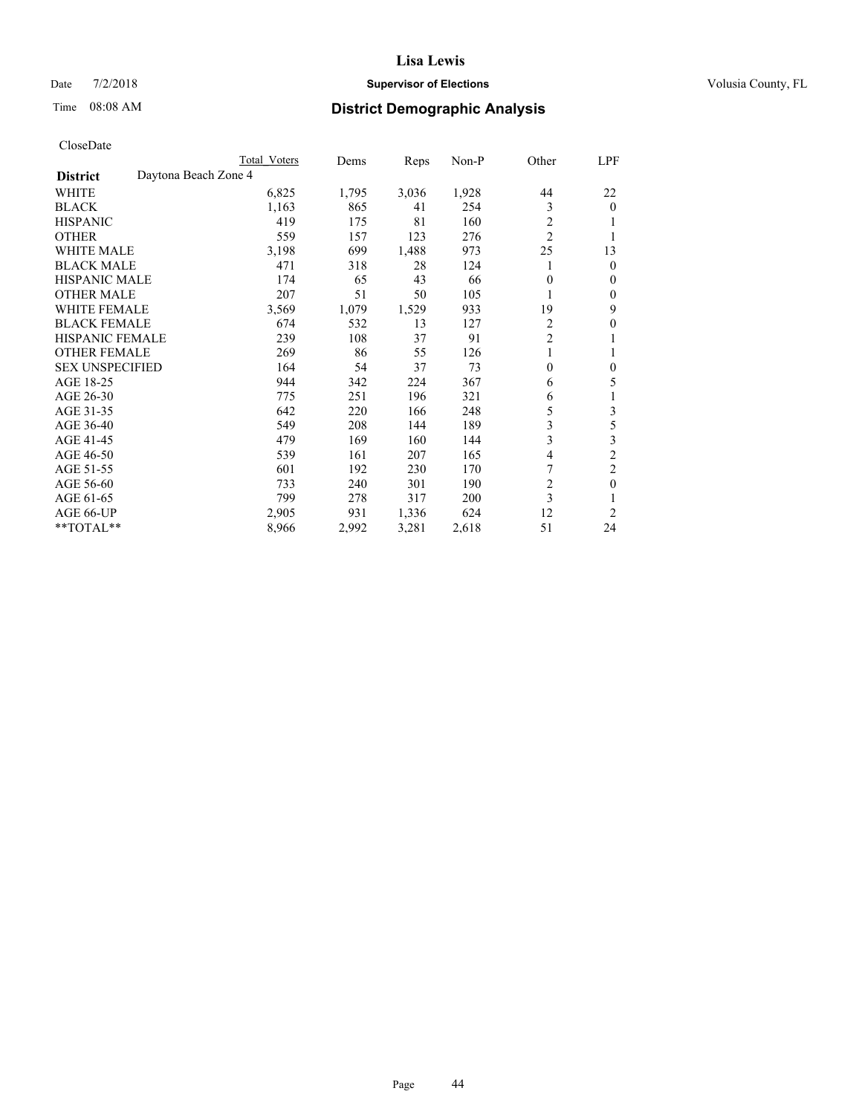## Date  $7/2/2018$  **Supervisor of Elections Supervisor of Elections** Volusia County, FL

# Time 08:08 AM **District Demographic Analysis**

|                        |                      | Total Voters | Dems  | Reps  | Non-P | Other          | LPF            |
|------------------------|----------------------|--------------|-------|-------|-------|----------------|----------------|
| <b>District</b>        | Daytona Beach Zone 4 |              |       |       |       |                |                |
| WHITE                  |                      | 6,825        | 1,795 | 3,036 | 1,928 | 44             | 22             |
| <b>BLACK</b>           |                      | 1,163        | 865   | 41    | 254   | 3              | $\mathbf{0}$   |
| <b>HISPANIC</b>        |                      | 419          | 175   | 81    | 160   | 2              | 1              |
| <b>OTHER</b>           |                      | 559          | 157   | 123   | 276   | $\overline{2}$ |                |
| <b>WHITE MALE</b>      |                      | 3,198        | 699   | 1,488 | 973   | 25             | 13             |
| <b>BLACK MALE</b>      |                      | 471          | 318   | 28    | 124   |                | $\mathbf{0}$   |
| <b>HISPANIC MALE</b>   |                      | 174          | 65    | 43    | 66    | $\theta$       | $\mathbf{0}$   |
| <b>OTHER MALE</b>      |                      | 207          | 51    | 50    | 105   | 1              | $\mathbf{0}$   |
| <b>WHITE FEMALE</b>    |                      | 3,569        | 1,079 | 1,529 | 933   | 19             | 9              |
| <b>BLACK FEMALE</b>    |                      | 674          | 532   | 13    | 127   | $\overline{c}$ | $\theta$       |
| <b>HISPANIC FEMALE</b> |                      | 239          | 108   | 37    | 91    | $\overline{2}$ | 1              |
| <b>OTHER FEMALE</b>    |                      | 269          | 86    | 55    | 126   | 1              | 1              |
| <b>SEX UNSPECIFIED</b> |                      | 164          | 54    | 37    | 73    | $\theta$       | $\theta$       |
| AGE 18-25              |                      | 944          | 342   | 224   | 367   | 6              | 5              |
| AGE 26-30              |                      | 775          | 251   | 196   | 321   | 6              | 1              |
| AGE 31-35              |                      | 642          | 220   | 166   | 248   | 5              | 3              |
| AGE 36-40              |                      | 549          | 208   | 144   | 189   | 3              | 5              |
| AGE 41-45              |                      | 479          | 169   | 160   | 144   | 3              | 3              |
| AGE 46-50              |                      | 539          | 161   | 207   | 165   | 4              | $\overline{2}$ |
| AGE 51-55              |                      | 601          | 192   | 230   | 170   | 7              | $\overline{c}$ |
| AGE 56-60              |                      | 733          | 240   | 301   | 190   | $\overline{c}$ | $\theta$       |
| AGE 61-65              |                      | 799          | 278   | 317   | 200   | 3              | 1              |
| AGE 66-UP              |                      | 2,905        | 931   | 1,336 | 624   | 12             | $\overline{2}$ |
| **TOTAL**              |                      | 8,966        | 2,992 | 3,281 | 2,618 | 51             | 24             |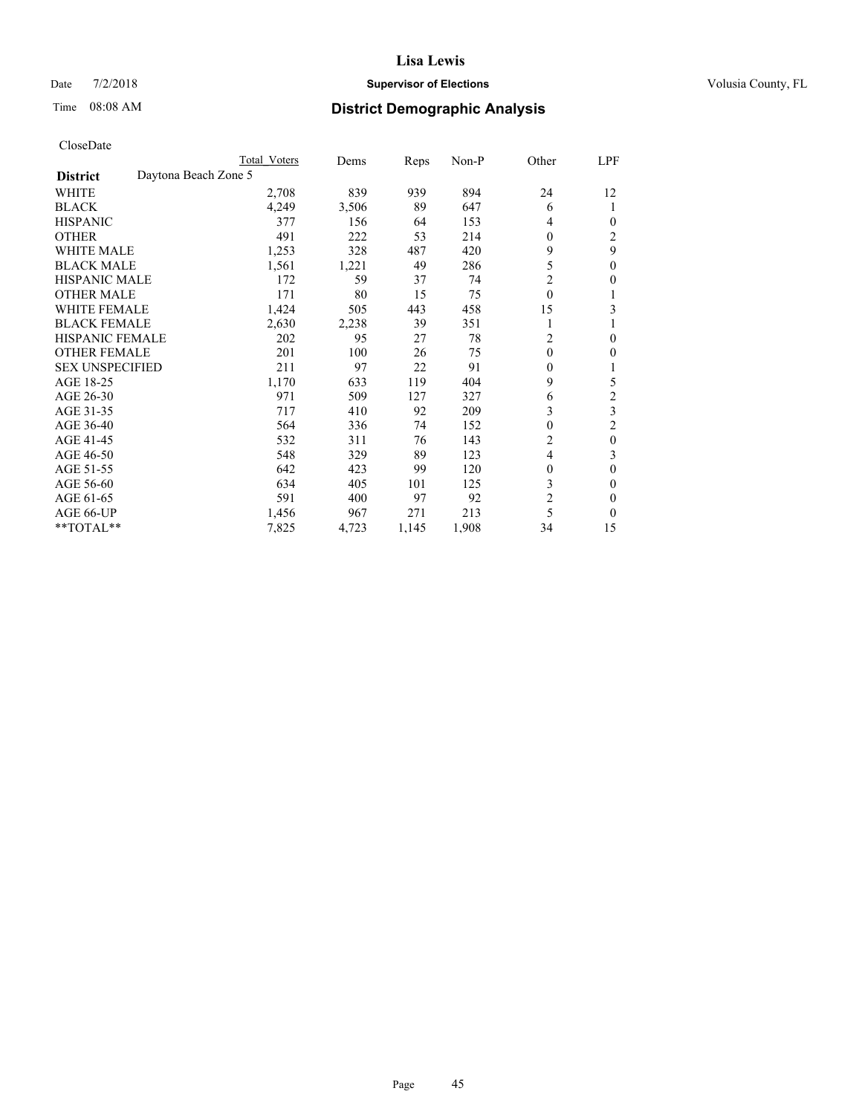## Date  $7/2/2018$  **Supervisor of Elections Supervisor of Elections** Volusia County, FL

# Time 08:08 AM **District Demographic Analysis**

| Total Voters         | Dems  | Reps  | $Non-P$ | Other          | <u>LPF</u>       |
|----------------------|-------|-------|---------|----------------|------------------|
| Daytona Beach Zone 5 |       |       |         |                |                  |
| 2,708                | 839   | 939   | 894     | 24             | 12               |
| 4,249                | 3,506 | 89    | 647     | 6              | 1                |
| 377                  | 156   | 64    | 153     | 4              | 0                |
| 491                  | 222   | 53    | 214     | $\theta$       | $\overline{2}$   |
| 1,253                | 328   | 487   | 420     | 9              | 9                |
| 1,561                | 1,221 | 49    | 286     | 5              | $\mathbf{0}$     |
| 172                  | 59    | 37    | 74      | $\overline{2}$ | 0                |
| 171                  | 80    | 15    | 75      | $\theta$       |                  |
| 1,424                | 505   | 443   | 458     | 15             | 3                |
| 2,630                | 2,238 | 39    | 351     | 1              |                  |
| 202                  | 95    | 27    | 78      | $\overline{c}$ | $\Omega$         |
| 201                  | 100   | 26    | 75      | $\Omega$       | 0                |
| 211                  | 97    | 22    | 91      | $\mathbf{0}$   |                  |
| 1,170                | 633   | 119   | 404     | 9              | 5                |
| 971                  | 509   | 127   | 327     | 6              | $\overline{c}$   |
| 717                  | 410   | 92    | 209     | 3              | 3                |
| 564                  | 336   | 74    | 152     | $\mathbf{0}$   | $\overline{2}$   |
| 532                  | 311   | 76    | 143     | $\overline{2}$ | $\boldsymbol{0}$ |
| 548                  | 329   | 89    | 123     | 4              | 3                |
| 642                  | 423   | 99    | 120     | $\mathbf{0}$   | $\theta$         |
| 634                  | 405   | 101   | 125     | 3              | 0                |
| 591                  | 400   | 97    | 92      | $\overline{2}$ | 0                |
| 1,456                | 967   | 271   | 213     | 5              | 0                |
| 7,825                | 4,723 | 1,145 | 1,908   | 34             | 15               |
|                      |       |       |         |                |                  |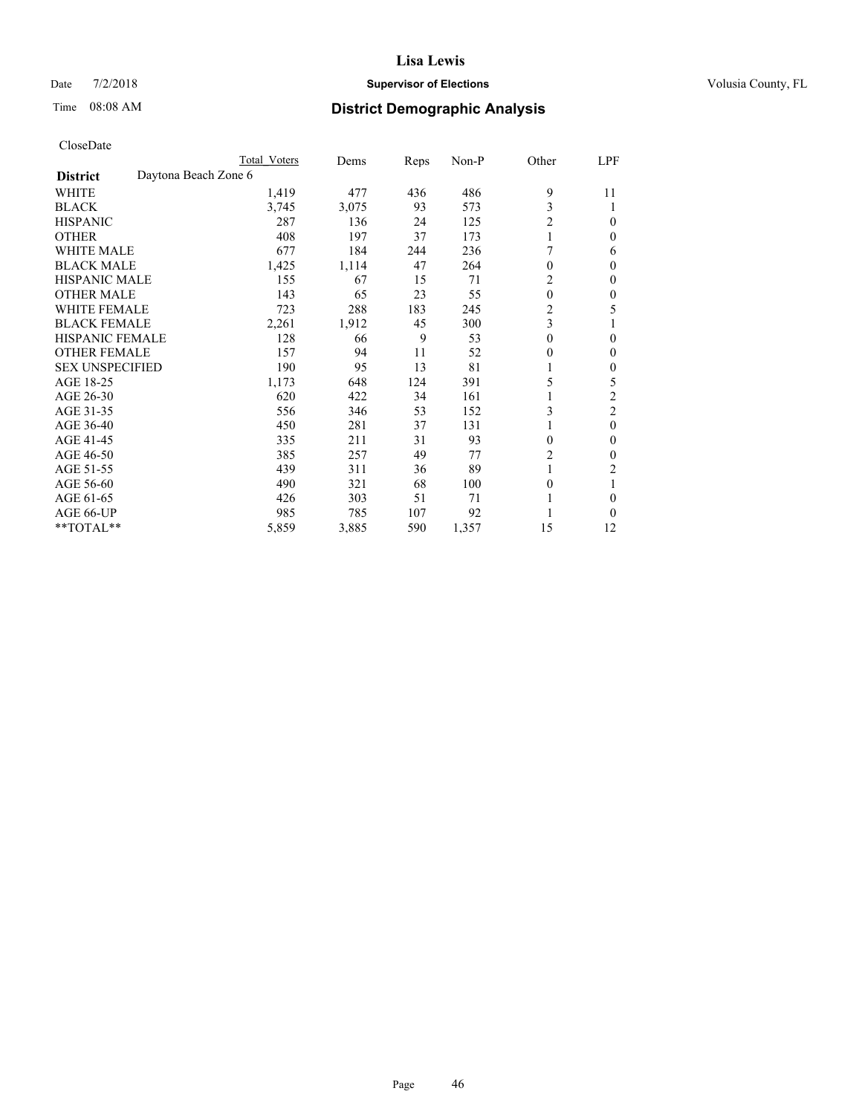## Date  $7/2/2018$  **Supervisor of Elections Supervisor of Elections** Volusia County, FL

# Time 08:08 AM **District Demographic Analysis**

|                        |                      | Total Voters | Dems  | Reps | Non-P | Other        | LPF            |
|------------------------|----------------------|--------------|-------|------|-------|--------------|----------------|
| <b>District</b>        | Daytona Beach Zone 6 |              |       |      |       |              |                |
| WHITE                  |                      | 1,419        | 477   | 436  | 486   | 9            | 11             |
| <b>BLACK</b>           |                      | 3,745        | 3,075 | 93   | 573   | 3            |                |
| <b>HISPANIC</b>        |                      | 287          | 136   | 24   | 125   | 2            | $\Omega$       |
| <b>OTHER</b>           |                      | 408          | 197   | 37   | 173   | $\mathbf{1}$ | 0              |
| WHITE MALE             |                      | 677          | 184   | 244  | 236   |              | 6              |
| <b>BLACK MALE</b>      |                      | 1,425        | 1,114 | 47   | 264   | $\theta$     | $\Omega$       |
| <b>HISPANIC MALE</b>   |                      | 155          | 67    | 15   | 71    | 2            | $\mathbf{0}$   |
| <b>OTHER MALE</b>      |                      | 143          | 65    | 23   | 55    | $\theta$     | 0              |
| <b>WHITE FEMALE</b>    |                      | 723          | 288   | 183  | 245   | 2            | 5              |
| <b>BLACK FEMALE</b>    |                      | 2,261        | 1,912 | 45   | 300   | 3            |                |
| <b>HISPANIC FEMALE</b> |                      | 128          | 66    | 9    | 53    | $\theta$     | 0              |
| <b>OTHER FEMALE</b>    |                      | 157          | 94    | 11   | 52    | $\theta$     | 0              |
| <b>SEX UNSPECIFIED</b> |                      | 190          | 95    | 13   | 81    |              | $\mathbf{0}$   |
| AGE 18-25              |                      | 1,173        | 648   | 124  | 391   | 5            | 5              |
| AGE 26-30              |                      | 620          | 422   | 34   | 161   | 1            | 2              |
| AGE 31-35              |                      | 556          | 346   | 53   | 152   | 3            | $\overline{c}$ |
| AGE 36-40              |                      | 450          | 281   | 37   | 131   | 1            | $\theta$       |
| AGE 41-45              |                      | 335          | 211   | 31   | 93    | $\theta$     | 0              |
| AGE 46-50              |                      | 385          | 257   | 49   | 77    | 2            | 0              |
| AGE 51-55              |                      | 439          | 311   | 36   | 89    | 1            | 2              |
| AGE 56-60              |                      | 490          | 321   | 68   | 100   | $\theta$     |                |
| AGE 61-65              |                      | 426          | 303   | 51   | 71    |              | 0              |
| AGE 66-UP              |                      | 985          | 785   | 107  | 92    |              | 0              |
| **TOTAL**              |                      | 5,859        | 3,885 | 590  | 1,357 | 15           | 12             |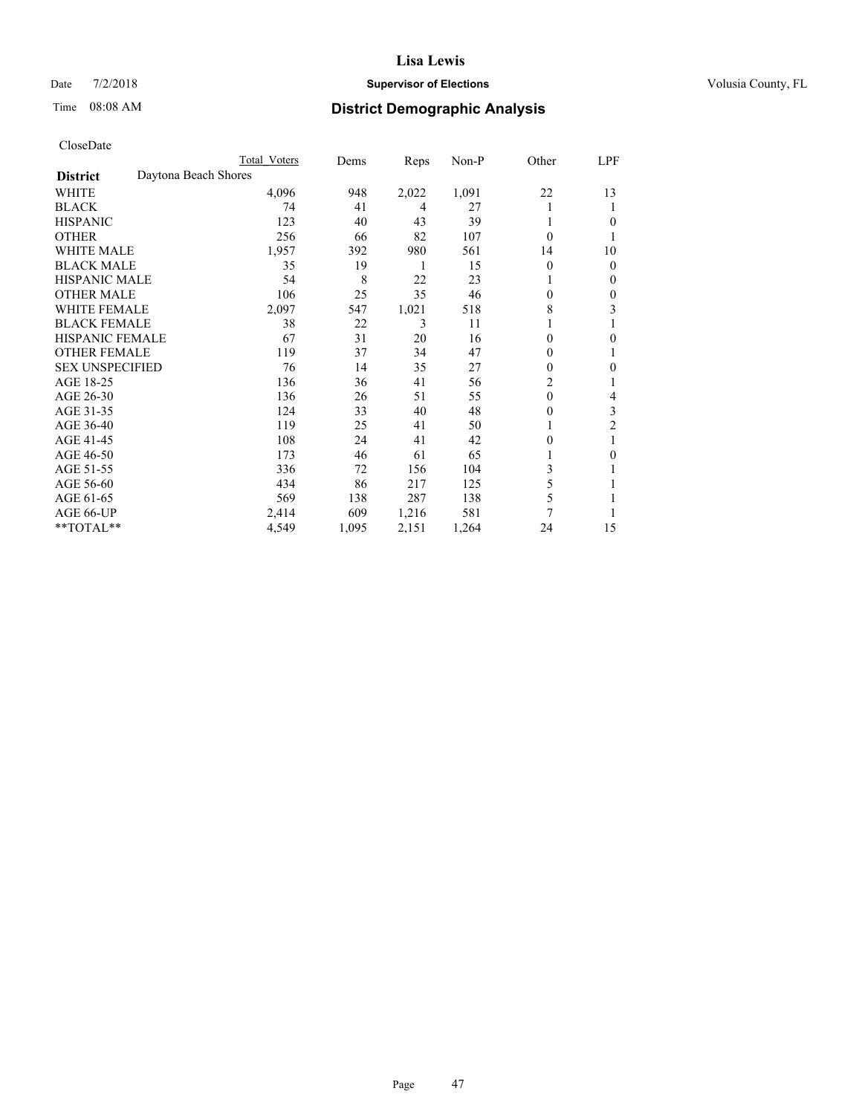## Date  $7/2/2018$  **Supervisor of Elections Supervisor of Elections** Volusia County, FL

# Time 08:08 AM **District Demographic Analysis**

|                        | Total Voters         | Dems  | Reps  | Non-P | Other          | LPF            |
|------------------------|----------------------|-------|-------|-------|----------------|----------------|
| <b>District</b>        | Daytona Beach Shores |       |       |       |                |                |
| WHITE                  | 4,096                | 948   | 2,022 | 1,091 | 22             | 13             |
| <b>BLACK</b>           | 74                   | 41    | 4     | 27    |                | 1              |
| <b>HISPANIC</b>        | 123                  | 40    | 43    | 39    |                | $\theta$       |
| <b>OTHER</b>           | 256                  | 66    | 82    | 107   | $\theta$       |                |
| <b>WHITE MALE</b>      | 1,957                | 392   | 980   | 561   | 14             | 10             |
| <b>BLACK MALE</b>      | 35                   | 19    | 1     | 15    | $\theta$       | $\mathbf{0}$   |
| <b>HISPANIC MALE</b>   | 54                   | 8     | 22    | 23    |                | $\mathbf{0}$   |
| <b>OTHER MALE</b>      | 106                  | 25    | 35    | 46    | 0              | 0              |
| <b>WHITE FEMALE</b>    | 2,097                | 547   | 1,021 | 518   | 8              | 3              |
| <b>BLACK FEMALE</b>    | 38                   | 22    | 3     | 11    |                |                |
| <b>HISPANIC FEMALE</b> | 67                   | 31    | 20    | 16    | 0              | $\theta$       |
| <b>OTHER FEMALE</b>    | 119                  | 37    | 34    | 47    | 0              | 1              |
| <b>SEX UNSPECIFIED</b> | 76                   | 14    | 35    | 27    | 0              | $\theta$       |
| AGE 18-25              | 136                  | 36    | 41    | 56    | $\overline{c}$ |                |
| AGE 26-30              | 136                  | 26    | 51    | 55    | $\theta$       | 4              |
| AGE 31-35              | 124                  | 33    | 40    | 48    | 0              | 3              |
| AGE 36-40              | 119                  | 25    | 41    | 50    |                | $\overline{c}$ |
| AGE 41-45              | 108                  | 24    | 41    | 42    | 0              |                |
| AGE 46-50              | 173                  | 46    | 61    | 65    |                | $\theta$       |
| AGE 51-55              | 336                  | 72    | 156   | 104   | 3              | 1              |
| AGE 56-60              | 434                  | 86    | 217   | 125   | 5              |                |
| AGE 61-65              | 569                  | 138   | 287   | 138   | 5              |                |
| AGE 66-UP              | 2,414                | 609   | 1,216 | 581   | 7              |                |
| **TOTAL**              | 4,549                | 1,095 | 2,151 | 1,264 | 24             | 15             |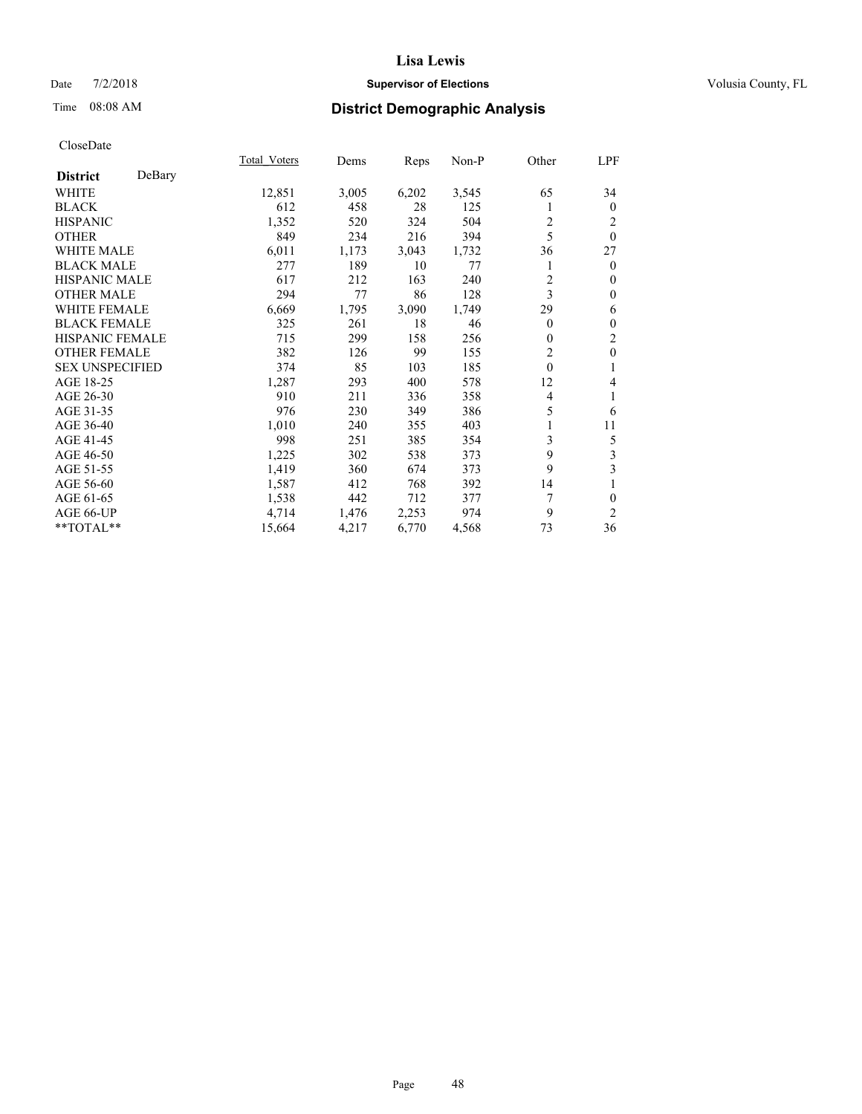## Date  $7/2/2018$  **Supervisor of Elections Supervisor of Elections** Volusia County, FL

## Time 08:08 AM **District Demographic Analysis**

|                        |        | Total Voters | Dems  | Reps  | Non-P | Other    | LPF            |
|------------------------|--------|--------------|-------|-------|-------|----------|----------------|
| <b>District</b>        | DeBary |              |       |       |       |          |                |
| <b>WHITE</b>           |        | 12,851       | 3,005 | 6,202 | 3,545 | 65       | 34             |
| <b>BLACK</b>           |        | 612          | 458   | 28    | 125   | 1        | $\mathbf{0}$   |
| <b>HISPANIC</b>        |        | 1,352        | 520   | 324   | 504   | 2        | 2              |
| <b>OTHER</b>           |        | 849          | 234   | 216   | 394   | 5        | $\theta$       |
| WHITE MALE             |        | 6,011        | 1,173 | 3,043 | 1,732 | 36       | 27             |
| <b>BLACK MALE</b>      |        | 277          | 189   | 10    | 77    |          | $\theta$       |
| <b>HISPANIC MALE</b>   |        | 617          | 212   | 163   | 240   | 2        | $\theta$       |
| <b>OTHER MALE</b>      |        | 294          | 77    | 86    | 128   | 3        | $\theta$       |
| WHITE FEMALE           |        | 6,669        | 1,795 | 3,090 | 1,749 | 29       | 6              |
| <b>BLACK FEMALE</b>    |        | 325          | 261   | 18    | 46    | 0        | $\theta$       |
| <b>HISPANIC FEMALE</b> |        | 715          | 299   | 158   | 256   | 0        | $\overline{c}$ |
| <b>OTHER FEMALE</b>    |        | 382          | 126   | 99    | 155   | 2        | $\mathbf{0}$   |
| <b>SEX UNSPECIFIED</b> |        | 374          | 85    | 103   | 185   | $\theta$ | 1              |
| AGE 18-25              |        | 1,287        | 293   | 400   | 578   | 12       | 4              |
| AGE 26-30              |        | 910          | 211   | 336   | 358   | 4        | 1              |
| AGE 31-35              |        | 976          | 230   | 349   | 386   | 5        | 6              |
| AGE 36-40              |        | 1,010        | 240   | 355   | 403   | 1        | 11             |
| AGE 41-45              |        | 998          | 251   | 385   | 354   | 3        | 5              |
| AGE 46-50              |        | 1,225        | 302   | 538   | 373   | 9        | 3              |
| AGE 51-55              |        | 1,419        | 360   | 674   | 373   | 9        | 3              |
| AGE 56-60              |        | 1,587        | 412   | 768   | 392   | 14       |                |
| AGE 61-65              |        | 1,538        | 442   | 712   | 377   | 7        | 0              |
| AGE 66-UP              |        | 4,714        | 1,476 | 2,253 | 974   | 9        | $\overline{2}$ |
| **TOTAL**              |        | 15,664       | 4,217 | 6,770 | 4,568 | 73       | 36             |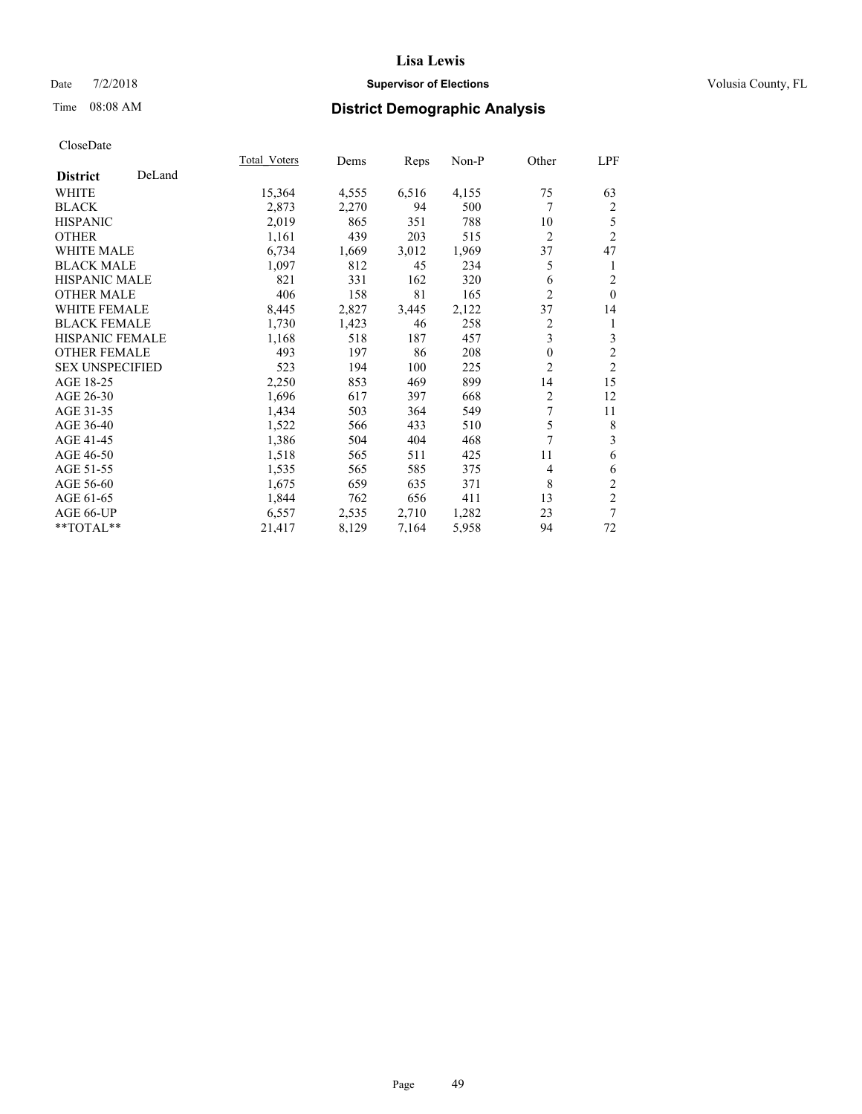## Date  $7/2/2018$  **Supervisor of Elections Supervisor of Elections** Volusia County, FL

# Time 08:08 AM **District Demographic Analysis**

| Total Voters | Dems  | Reps  | Non-P | Other          | LPF            |
|--------------|-------|-------|-------|----------------|----------------|
|              |       |       |       |                |                |
| 15,364       | 4,555 | 6,516 | 4,155 | 75             | 63             |
| 2,873        | 2,270 | 94    | 500   | 7              | 2              |
| 2,019        | 865   | 351   | 788   | 10             | 5              |
| 1,161        | 439   | 203   | 515   | $\overline{2}$ | $\overline{c}$ |
| 6,734        | 1,669 | 3,012 | 1,969 | 37             | 47             |
| 1,097        | 812   | 45    | 234   | 5              | 1              |
| 821          | 331   | 162   | 320   | 6              | $\overline{c}$ |
| 406          | 158   | 81    | 165   | $\overline{2}$ | $\theta$       |
| 8,445        | 2,827 | 3,445 | 2,122 | 37             | 14             |
| 1,730        | 1,423 | 46    | 258   | $\overline{c}$ | 1              |
| 1,168        | 518   | 187   | 457   |                | 3              |
| 493          | 197   | 86    | 208   | $\theta$       | $\overline{2}$ |
| 523          | 194   | 100   | 225   | $\overline{2}$ | $\overline{2}$ |
| 2,250        | 853   | 469   | 899   | 14             | 15             |
| 1,696        | 617   | 397   | 668   | $\overline{2}$ | 12             |
| 1,434        | 503   | 364   | 549   | 7              | 11             |
| 1,522        | 566   | 433   | 510   | 5              | 8              |
| 1,386        | 504   | 404   | 468   | 7              | 3              |
| 1,518        | 565   | 511   | 425   | 11             | 6              |
| 1,535        | 565   | 585   | 375   | $\overline{4}$ | 6              |
| 1,675        | 659   | 635   | 371   | 8              | $\overline{c}$ |
| 1,844        | 762   | 656   | 411   | 13             | $\overline{2}$ |
| 6,557        | 2,535 | 2,710 | 1,282 | 23             | 7              |
| 21,417       | 8,129 | 7,164 | 5,958 | 94             | 72             |
|              |       |       |       |                | 3              |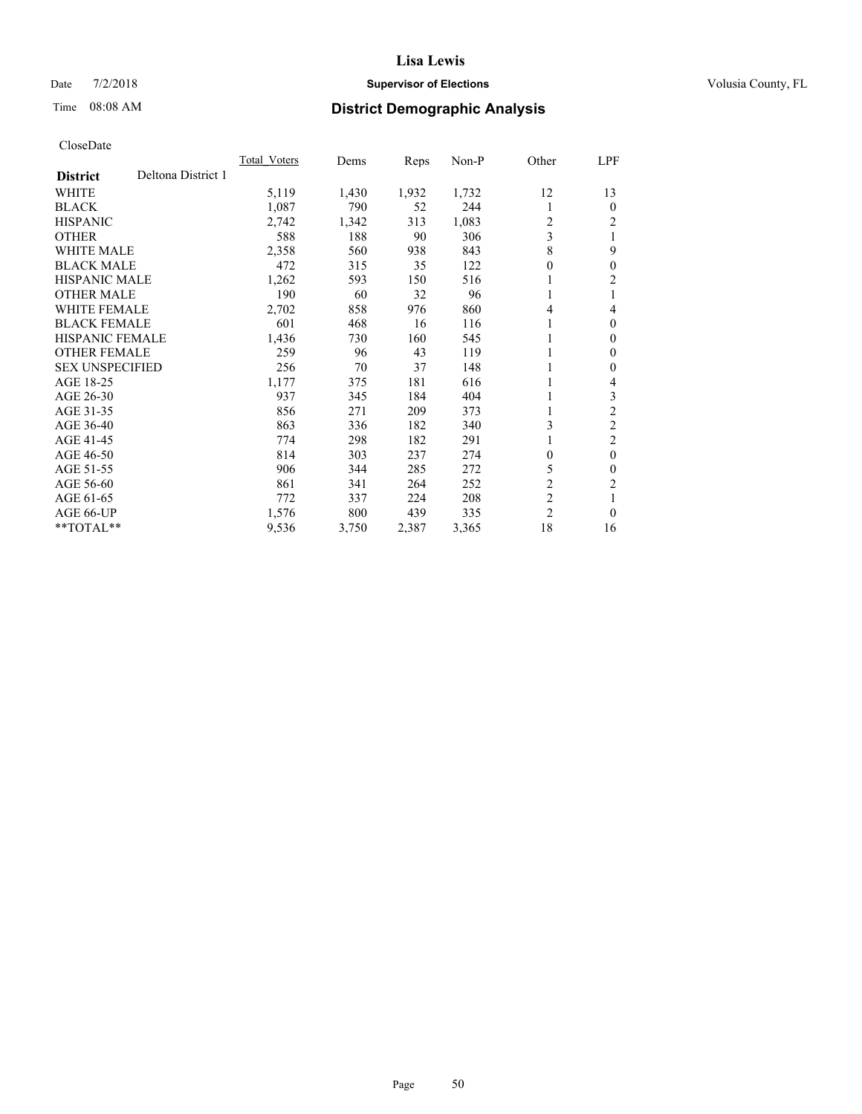## Date  $7/2/2018$  **Supervisor of Elections Supervisor of Elections** Volusia County, FL

# Time 08:08 AM **District Demographic Analysis**

|                                       | Total Voters | Dems  | Reps  | Non-P | Other            | <u>LPF</u>     |
|---------------------------------------|--------------|-------|-------|-------|------------------|----------------|
| Deltona District 1<br><b>District</b> |              |       |       |       |                  |                |
| WHITE                                 | 5,119        | 1,430 | 1,932 | 1,732 | 12               | 13             |
| <b>BLACK</b>                          | 1,087        | 790   | 52    | 244   | 1                | $\theta$       |
| <b>HISPANIC</b>                       | 2,742        | 1,342 | 313   | 1,083 | 2                | 2              |
| <b>OTHER</b>                          | 588          | 188   | 90    | 306   | 3                |                |
| <b>WHITE MALE</b>                     | 2,358        | 560   | 938   | 843   | 8                | 9              |
| <b>BLACK MALE</b>                     | 472          | 315   | 35    | 122   | $\boldsymbol{0}$ | $\theta$       |
| <b>HISPANIC MALE</b>                  | 1,262        | 593   | 150   | 516   | 1                | 2              |
| <b>OTHER MALE</b>                     | 190          | 60    | 32    | 96    | 1                |                |
| WHITE FEMALE                          | 2,702        | 858   | 976   | 860   | 4                | 4              |
| <b>BLACK FEMALE</b>                   | 601          | 468   | 16    | 116   | 1                | $\theta$       |
| <b>HISPANIC FEMALE</b>                | 1,436        | 730   | 160   | 545   | 1                | $\Omega$       |
| <b>OTHER FEMALE</b>                   | 259          | 96    | 43    | 119   |                  | 0              |
| <b>SEX UNSPECIFIED</b>                | 256          | 70    | 37    | 148   | 1                | 0              |
| AGE 18-25                             | 1,177        | 375   | 181   | 616   | 1                | 4              |
| AGE 26-30                             | 937          | 345   | 184   | 404   | 1                | 3              |
| AGE 31-35                             | 856          | 271   | 209   | 373   | 1                | $\overline{2}$ |
| AGE 36-40                             | 863          | 336   | 182   | 340   | 3                | $\overline{2}$ |
| AGE 41-45                             | 774          | 298   | 182   | 291   | 1                | 2              |
| AGE 46-50                             | 814          | 303   | 237   | 274   | 0                | $\theta$       |
| AGE 51-55                             | 906          | 344   | 285   | 272   | 5                | 0              |
| AGE 56-60                             | 861          | 341   | 264   | 252   | $\overline{c}$   | $\overline{c}$ |
| AGE 61-65                             | 772          | 337   | 224   | 208   | $\overline{c}$   |                |
| AGE 66-UP                             | 1,576        | 800   | 439   | 335   | $\overline{2}$   | $\theta$       |
| $*$ $*$ TOTAL $*$ $*$                 | 9,536        | 3,750 | 2,387 | 3,365 | 18               | 16             |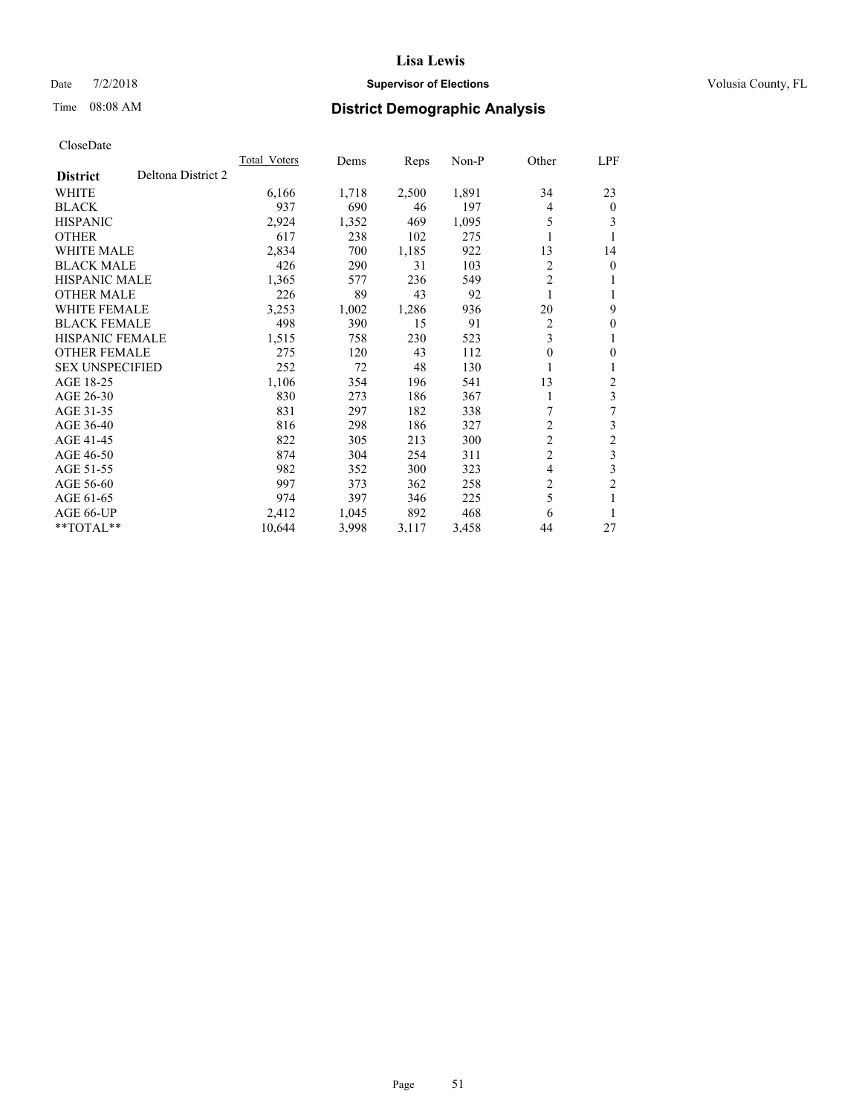## Date  $7/2/2018$  **Supervisor of Elections Supervisor of Elections** Volusia County, FL

# Time 08:08 AM **District Demographic Analysis**

|                        |                    | Total Voters | Dems  | Reps  | $Non-P$ | Other          | <u>LPF</u>     |
|------------------------|--------------------|--------------|-------|-------|---------|----------------|----------------|
| <b>District</b>        | Deltona District 2 |              |       |       |         |                |                |
| WHITE                  |                    | 6,166        | 1,718 | 2,500 | 1,891   | 34             | 23             |
| <b>BLACK</b>           |                    | 937          | 690   | 46    | 197     | 4              | $\theta$       |
| <b>HISPANIC</b>        |                    | 2,924        | 1,352 | 469   | 1,095   | 5              | 3              |
| <b>OTHER</b>           |                    | 617          | 238   | 102   | 275     |                | 1              |
| <b>WHITE MALE</b>      |                    | 2,834        | 700   | 1,185 | 922     | 13             | 14             |
| <b>BLACK MALE</b>      |                    | 426          | 290   | 31    | 103     | 2              | $\mathbf{0}$   |
| HISPANIC MALE          |                    | 1,365        | 577   | 236   | 549     | $\overline{2}$ | 1              |
| <b>OTHER MALE</b>      |                    | 226          | 89    | 43    | 92      | 1              | 1              |
| <b>WHITE FEMALE</b>    |                    | 3,253        | 1,002 | 1,286 | 936     | 20             | 9              |
| <b>BLACK FEMALE</b>    |                    | 498          | 390   | 15    | 91      | 2              | $\mathbf{0}$   |
| <b>HISPANIC FEMALE</b> |                    | 1,515        | 758   | 230   | 523     | 3              | 1              |
| <b>OTHER FEMALE</b>    |                    | 275          | 120   | 43    | 112     | 0              | $\theta$       |
| <b>SEX UNSPECIFIED</b> |                    | 252          | 72    | 48    | 130     |                | 1              |
| AGE 18-25              |                    | 1,106        | 354   | 196   | 541     | 13             | 2              |
| AGE 26-30              |                    | 830          | 273   | 186   | 367     | 1              | 3              |
| AGE 31-35              |                    | 831          | 297   | 182   | 338     | 7              | 7              |
| AGE 36-40              |                    | 816          | 298   | 186   | 327     | $\overline{2}$ | 3              |
| AGE 41-45              |                    | 822          | 305   | 213   | 300     | $\overline{c}$ | $\overline{c}$ |
| AGE 46-50              |                    | 874          | 304   | 254   | 311     | $\overline{c}$ | 3              |
| AGE 51-55              |                    | 982          | 352   | 300   | 323     | 4              | $\mathfrak{Z}$ |
| AGE 56-60              |                    | 997          | 373   | 362   | 258     | 2              | $\overline{2}$ |
| AGE 61-65              |                    | 974          | 397   | 346   | 225     | 5              | 1              |
| AGE 66-UP              |                    | 2,412        | 1,045 | 892   | 468     | 6              | 1              |
| $*$ TOTAL $*$          |                    | 10,644       | 3,998 | 3,117 | 3,458   | 44             | 27             |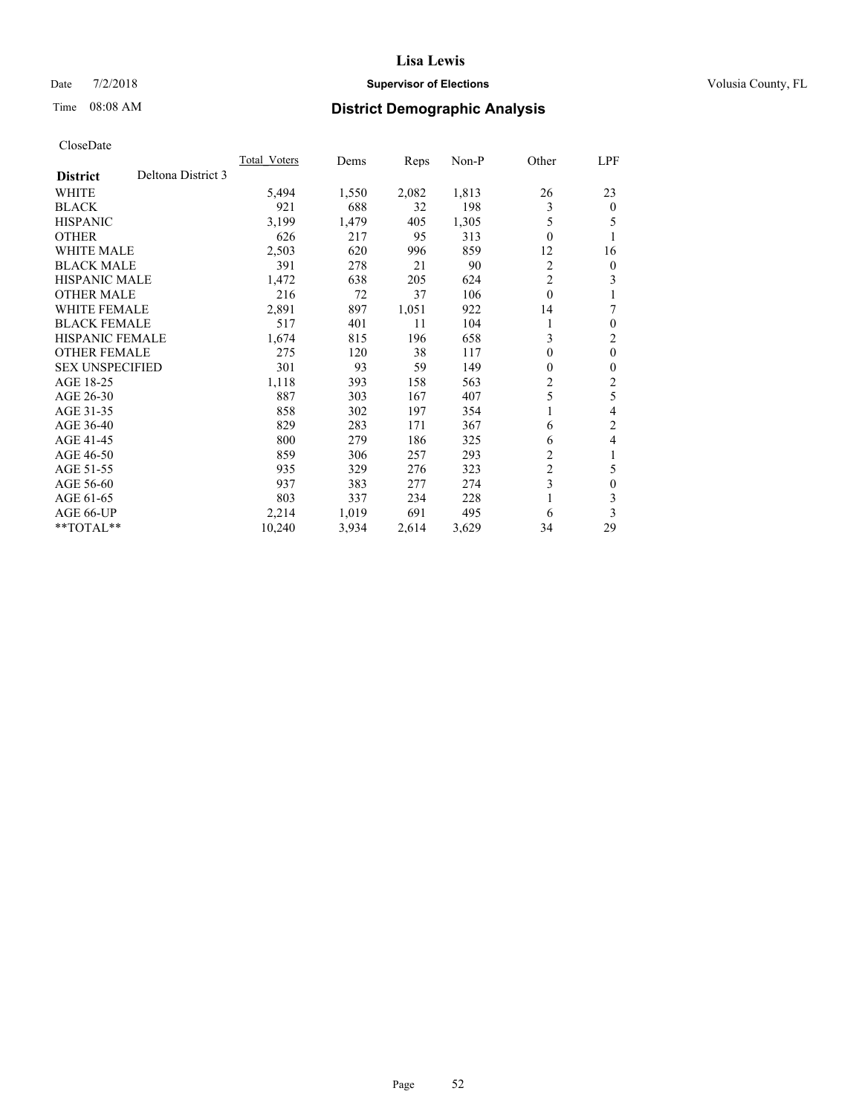## Date  $7/2/2018$  **Supervisor of Elections Supervisor of Elections** Volusia County, FL

# Time 08:08 AM **District Demographic Analysis**

|                                       | <b>Total Voters</b> | Dems  | Reps  | $Non-P$ | Other          | LPF            |
|---------------------------------------|---------------------|-------|-------|---------|----------------|----------------|
| Deltona District 3<br><b>District</b> |                     |       |       |         |                |                |
| <b>WHITE</b>                          | 5,494               | 1,550 | 2,082 | 1,813   | 26             | 23             |
| <b>BLACK</b>                          | 921                 | 688   | 32    | 198     | 3              | $\mathbf{0}$   |
| <b>HISPANIC</b>                       | 3,199               | 1,479 | 405   | 1,305   | 5              | 5              |
| <b>OTHER</b>                          | 626                 | 217   | 95    | 313     | $\theta$       | -1             |
| <b>WHITE MALE</b>                     | 2,503               | 620   | 996   | 859     | 12             | 16             |
| <b>BLACK MALE</b>                     | 391                 | 278   | 21    | 90      | 2              | $\overline{0}$ |
| HISPANIC MALE                         | 1,472               | 638   | 205   | 624     | $\overline{c}$ | 3              |
| <b>OTHER MALE</b>                     | 216                 | 72    | 37    | 106     | $\theta$       |                |
| <b>WHITE FEMALE</b>                   | 2,891               | 897   | 1,051 | 922     | 14             | 7              |
| <b>BLACK FEMALE</b>                   | 517                 | 401   | 11    | 104     |                | $\theta$       |
| <b>HISPANIC FEMALE</b>                | 1,674               | 815   | 196   | 658     | 3              | $\overline{2}$ |
| <b>OTHER FEMALE</b>                   | 275                 | 120   | 38    | 117     | $\mathbf{0}$   | $\theta$       |
| <b>SEX UNSPECIFIED</b>                | 301                 | 93    | 59    | 149     | 0              | $\theta$       |
| AGE 18-25                             | 1,118               | 393   | 158   | 563     | 2              | 2              |
| AGE 26-30                             | 887                 | 303   | 167   | 407     | 5              | 5              |
| AGE 31-35                             | 858                 | 302   | 197   | 354     | 1              | 4              |
| AGE 36-40                             | 829                 | 283   | 171   | 367     | 6              | $\overline{2}$ |
| AGE 41-45                             | 800                 | 279   | 186   | 325     | 6              | 4              |
| AGE 46-50                             | 859                 | 306   | 257   | 293     | 2              | 1              |
| AGE 51-55                             | 935                 | 329   | 276   | 323     | 2              | 5              |
| AGE 56-60                             | 937                 | 383   | 277   | 274     | 3              | $\theta$       |
| AGE 61-65                             | 803                 | 337   | 234   | 228     |                | 3              |
| AGE 66-UP                             | 2,214               | 1,019 | 691   | 495     | 6              | 3              |
| $*$ TOTAL $*$                         | 10,240              | 3,934 | 2,614 | 3,629   | 34             | 29             |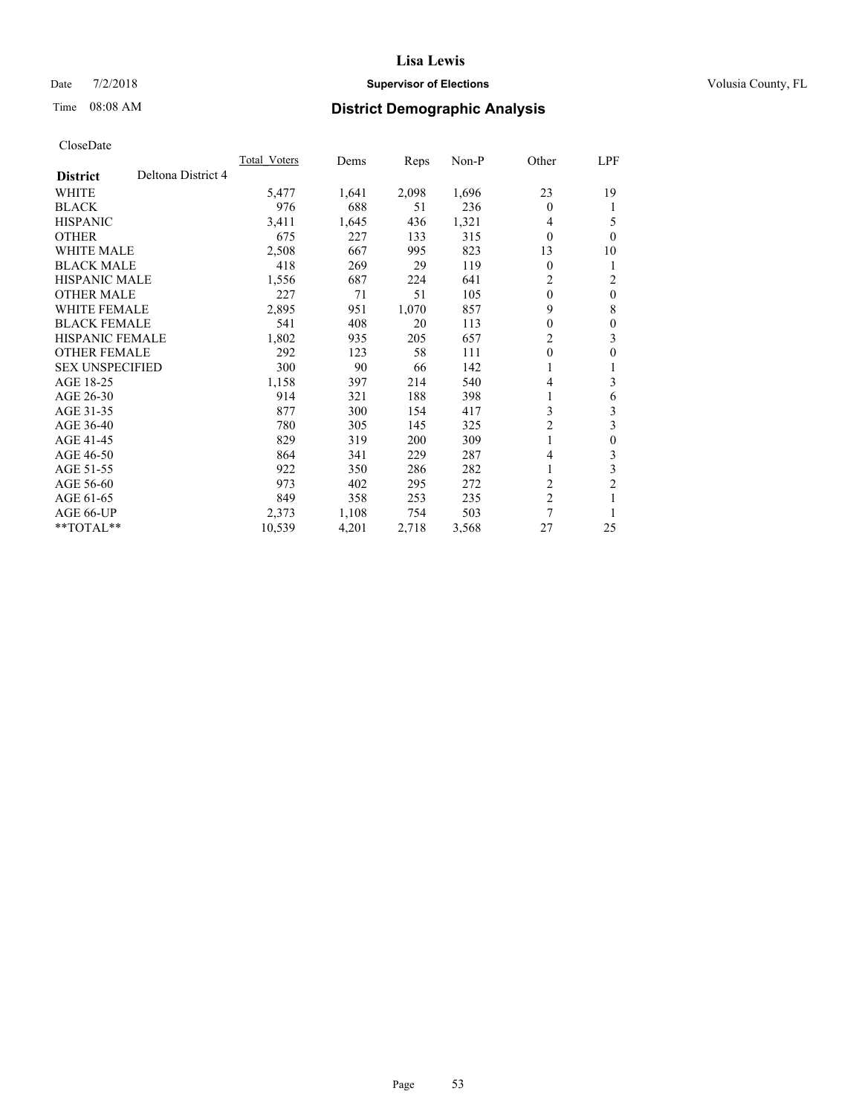## Date  $7/2/2018$  **Supervisor of Elections Supervisor of Elections** Volusia County, FL

# Time 08:08 AM **District Demographic Analysis**

|                        |                    | Total Voters | Dems  | Reps  | Non-P | Other                   | LPF            |
|------------------------|--------------------|--------------|-------|-------|-------|-------------------------|----------------|
| <b>District</b>        | Deltona District 4 |              |       |       |       |                         |                |
| WHITE                  |                    | 5,477        | 1,641 | 2,098 | 1,696 | 23                      | 19             |
| <b>BLACK</b>           |                    | 976          | 688   | 51    | 236   | $\Omega$                | 1              |
| <b>HISPANIC</b>        |                    | 3,411        | 1,645 | 436   | 1,321 | 4                       | 5              |
| <b>OTHER</b>           |                    | 675          | 227   | 133   | 315   | $\theta$                | $\theta$       |
| WHITE MALE             |                    | 2,508        | 667   | 995   | 823   | 13                      | 10             |
| <b>BLACK MALE</b>      |                    | 418          | 269   | 29    | 119   | 0                       | 1              |
| <b>HISPANIC MALE</b>   |                    | 1,556        | 687   | 224   | 641   | 2                       | 2              |
| <b>OTHER MALE</b>      |                    | 227          | 71    | 51    | 105   | $\mathbf{0}$            | $\theta$       |
| WHITE FEMALE           |                    | 2,895        | 951   | 1,070 | 857   | 9                       | 8              |
| <b>BLACK FEMALE</b>    |                    | 541          | 408   | 20    | 113   | 0                       | $\theta$       |
| <b>HISPANIC FEMALE</b> |                    | 1,802        | 935   | 205   | 657   | 2                       | 3              |
| <b>OTHER FEMALE</b>    |                    | 292          | 123   | 58    | 111   | $\theta$                | $\theta$       |
| <b>SEX UNSPECIFIED</b> |                    | 300          | 90    | 66    | 142   | 1                       | 1              |
| AGE 18-25              |                    | 1,158        | 397   | 214   | 540   | 4                       | 3              |
| AGE 26-30              |                    | 914          | 321   | 188   | 398   | 1                       | 6              |
| AGE 31-35              |                    | 877          | 300   | 154   | 417   | 3                       | 3              |
| AGE 36-40              |                    | 780          | 305   | 145   | 325   | 2                       | 3              |
| AGE 41-45              |                    | 829          | 319   | 200   | 309   | 1                       | $\theta$       |
| AGE 46-50              |                    | 864          | 341   | 229   | 287   | 4                       | 3              |
| AGE 51-55              |                    | 922          | 350   | 286   | 282   | 1                       | 3              |
| AGE 56-60              |                    | 973          | 402   | 295   | 272   | 2                       | $\overline{2}$ |
| AGE 61-65              |                    | 849          | 358   | 253   | 235   | $\overline{\mathbf{c}}$ |                |
| AGE 66-UP              |                    | 2,373        | 1,108 | 754   | 503   | 7                       |                |
| **TOTAL**              |                    | 10,539       | 4,201 | 2,718 | 3,568 | 27                      | 25             |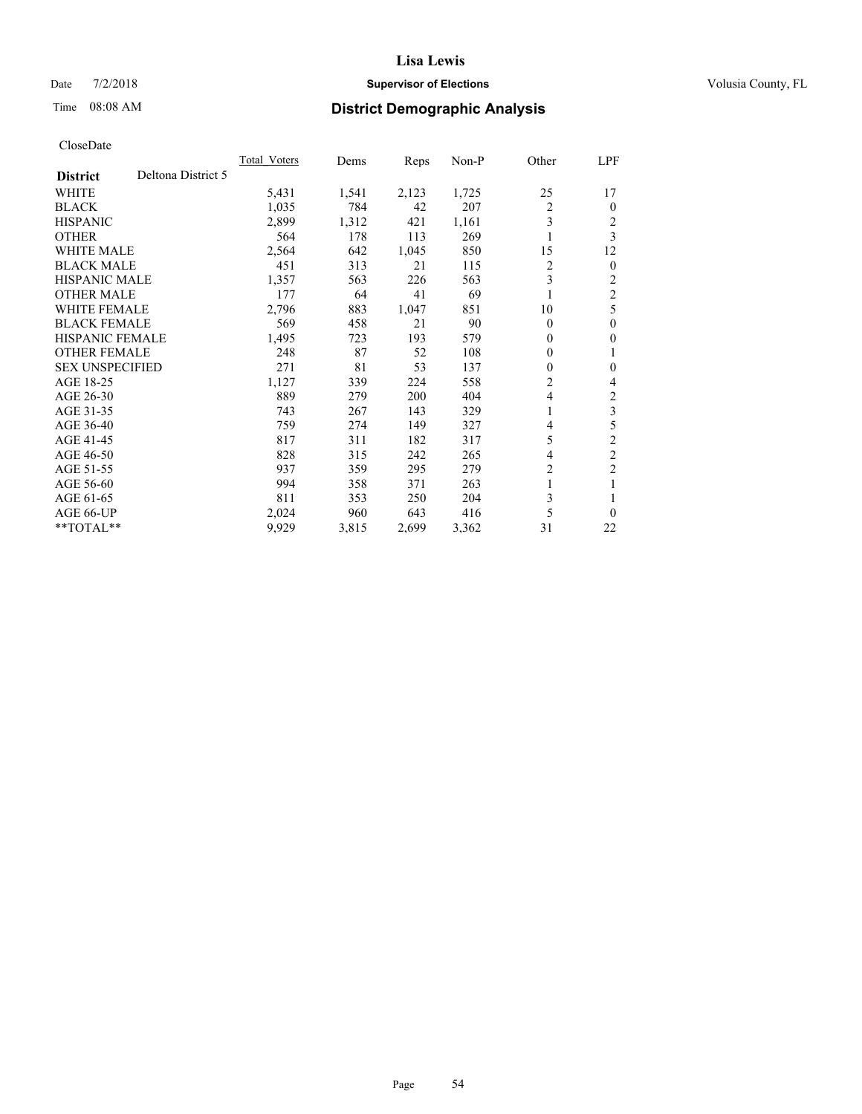## Date  $7/2/2018$  **Supervisor of Elections Supervisor of Elections** Volusia County, FL

# Time 08:08 AM **District Demographic Analysis**

|                                       | Total Voters | Dems  | Reps  | Non-P | Other    | LPF            |
|---------------------------------------|--------------|-------|-------|-------|----------|----------------|
| Deltona District 5<br><b>District</b> |              |       |       |       |          |                |
| WHITE                                 | 5,431        | 1,541 | 2,123 | 1,725 | 25       | 17             |
| <b>BLACK</b>                          | 1,035        | 784   | 42    | 207   | 2        | $\Omega$       |
| <b>HISPANIC</b>                       | 2,899        | 1,312 | 421   | 1,161 | 3        | 2              |
| <b>OTHER</b>                          | 564          | 178   | 113   | 269   | 1        | 3              |
| <b>WHITE MALE</b>                     | 2,564        | 642   | 1,045 | 850   | 15       | 12             |
| <b>BLACK MALE</b>                     | 451          | 313   | 21    | 115   | 2        | $\overline{0}$ |
| HISPANIC MALE                         | 1,357        | 563   | 226   | 563   | 3        | 2              |
| <b>OTHER MALE</b>                     | 177          | 64    | 41    | 69    | 1        | $\overline{2}$ |
| <b>WHITE FEMALE</b>                   | 2,796        | 883   | 1,047 | 851   | 10       | 5              |
| <b>BLACK FEMALE</b>                   | 569          | 458   | 21    | 90    | $\theta$ | $\theta$       |
| <b>HISPANIC FEMALE</b>                | 1,495        | 723   | 193   | 579   | $\Omega$ | 0              |
| <b>OTHER FEMALE</b>                   | 248          | 87    | 52    | 108   | 0        | 1              |
| <b>SEX UNSPECIFIED</b>                | 271          | 81    | 53    | 137   | 0        | 0              |
| AGE 18-25                             | 1,127        | 339   | 224   | 558   | 2        | 4              |
| AGE 26-30                             | 889          | 279   | 200   | 404   | 4        | 2              |
| AGE 31-35                             | 743          | 267   | 143   | 329   | 1        | 3              |
| AGE 36-40                             | 759          | 274   | 149   | 327   | 4        | 5              |
| AGE 41-45                             | 817          | 311   | 182   | 317   | 5        | $\overline{c}$ |
| AGE 46-50                             | 828          | 315   | 242   | 265   | 4        | $\overline{c}$ |
| AGE 51-55                             | 937          | 359   | 295   | 279   | 2        | $\overline{c}$ |
| AGE 56-60                             | 994          | 358   | 371   | 263   | 1        | 1              |
| AGE 61-65                             | 811          | 353   | 250   | 204   | 3        |                |
| AGE 66-UP                             | 2,024        | 960   | 643   | 416   | 5        | 0              |
| $*$ $*$ TOTAL $*$ $*$                 | 9,929        | 3,815 | 2,699 | 3,362 | 31       | 22             |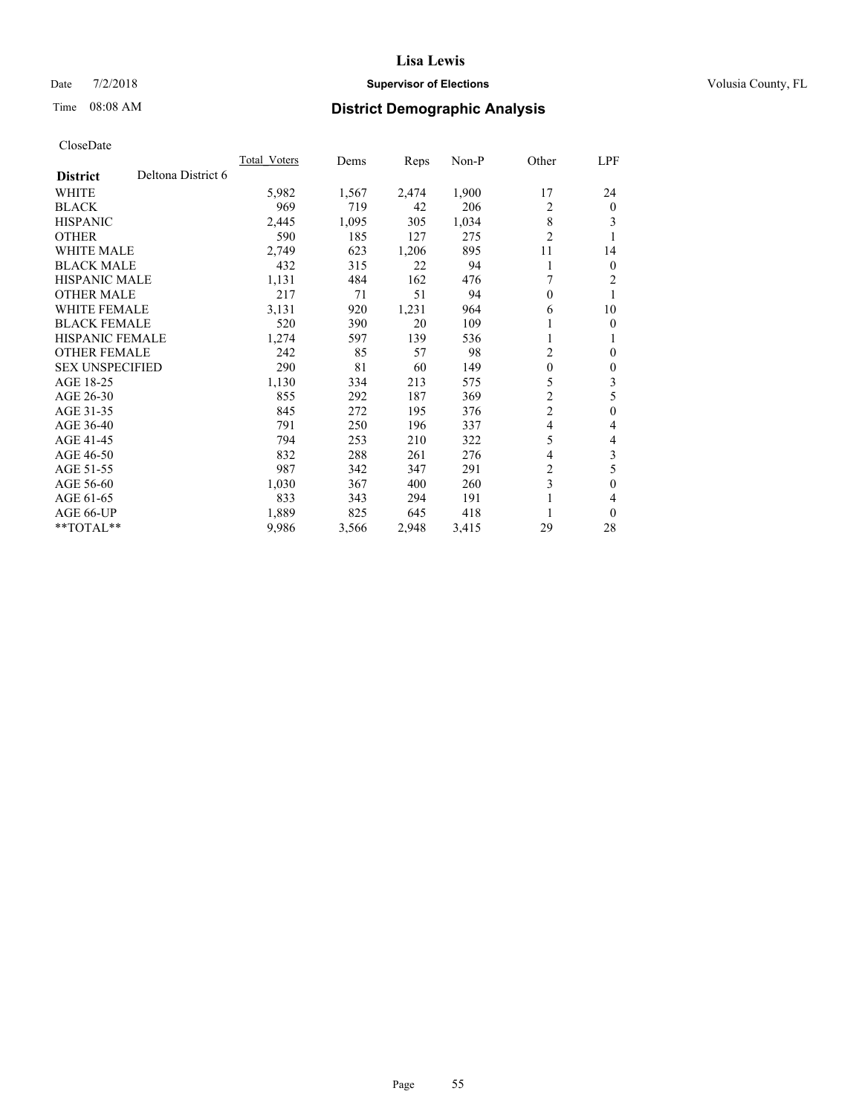## Date  $7/2/2018$  **Supervisor of Elections Supervisor of Elections** Volusia County, FL

# Time 08:08 AM **District Demographic Analysis**

|                        |                    | Total Voters | Dems  | Reps  | $Non-P$ | Other          | LPF            |
|------------------------|--------------------|--------------|-------|-------|---------|----------------|----------------|
| <b>District</b>        | Deltona District 6 |              |       |       |         |                |                |
| WHITE                  |                    | 5,982        | 1,567 | 2,474 | 1,900   | 17             | 24             |
| <b>BLACK</b>           |                    | 969          | 719   | 42    | 206     | 2              | $\theta$       |
| <b>HISPANIC</b>        |                    | 2,445        | 1,095 | 305   | 1,034   | 8              | 3              |
| <b>OTHER</b>           |                    | 590          | 185   | 127   | 275     | $\overline{2}$ |                |
| <b>WHITE MALE</b>      |                    | 2,749        | 623   | 1,206 | 895     | 11             | 14             |
| <b>BLACK MALE</b>      |                    | 432          | 315   | 22    | 94      | 1              | $\overline{0}$ |
| HISPANIC MALE          |                    | 1,131        | 484   | 162   | 476     | 7              | 2              |
| <b>OTHER MALE</b>      |                    | 217          | 71    | 51    | 94      | $\theta$       | 1              |
| WHITE FEMALE           |                    | 3,131        | 920   | 1,231 | 964     | 6              | 10             |
| <b>BLACK FEMALE</b>    |                    | 520          | 390   | 20    | 109     |                | $\theta$       |
| <b>HISPANIC FEMALE</b> |                    | 1,274        | 597   | 139   | 536     | 1              | 1              |
| <b>OTHER FEMALE</b>    |                    | 242          | 85    | 57    | 98      | 2              | $\Omega$       |
| <b>SEX UNSPECIFIED</b> |                    | 290          | 81    | 60    | 149     | $\mathbf{0}$   | $\theta$       |
| AGE 18-25              |                    | 1,130        | 334   | 213   | 575     | 5              | 3              |
| AGE 26-30              |                    | 855          | 292   | 187   | 369     | 2              | 5              |
| AGE 31-35              |                    | 845          | 272   | 195   | 376     | $\overline{2}$ | $\mathbf{0}$   |
| AGE 36-40              |                    | 791          | 250   | 196   | 337     | 4              | 4              |
| AGE 41-45              |                    | 794          | 253   | 210   | 322     | 5              | 4              |
| AGE 46-50              |                    | 832          | 288   | 261   | 276     | 4              | 3              |
| AGE 51-55              |                    | 987          | 342   | 347   | 291     | 2              | 5              |
| AGE 56-60              |                    | 1,030        | 367   | 400   | 260     | 3              | 0              |
| AGE 61-65              |                    | 833          | 343   | 294   | 191     |                | 4              |
| AGE 66-UP              |                    | 1,889        | 825   | 645   | 418     |                | $\theta$       |
| **TOTAL**              |                    | 9,986        | 3,566 | 2,948 | 3,415   | 29             | 28             |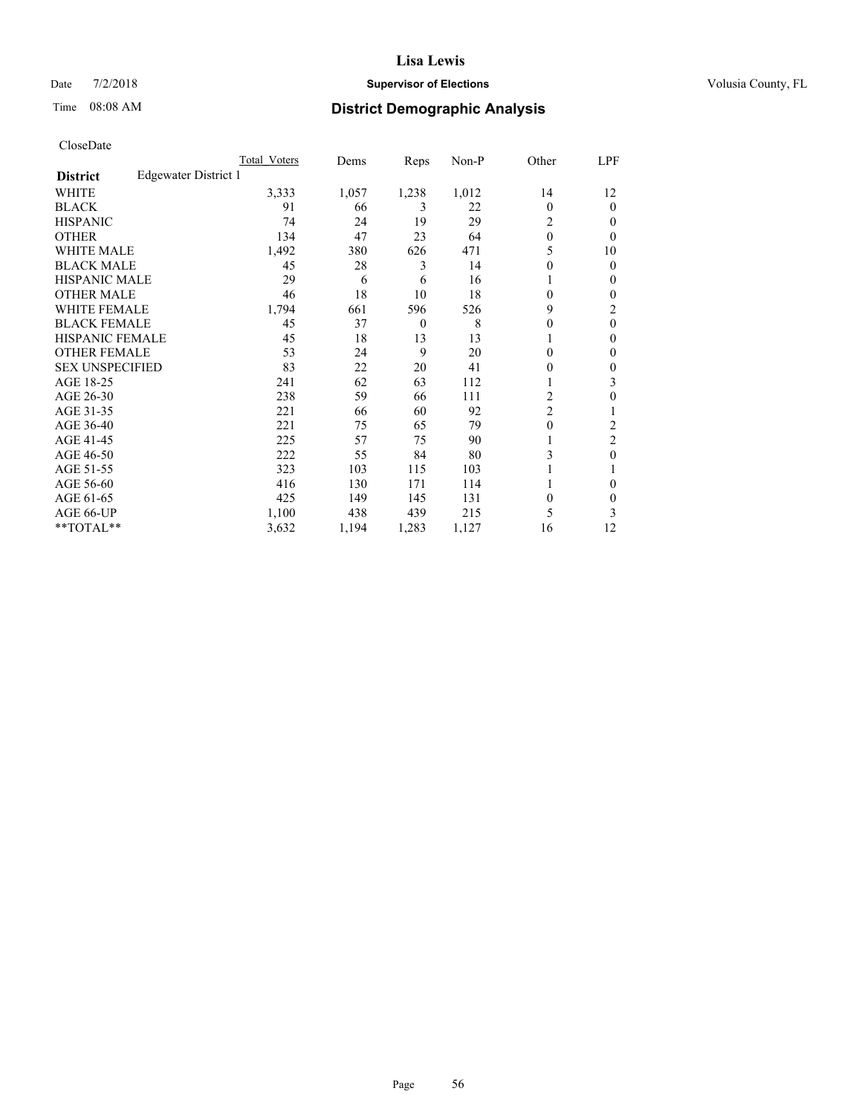## Date  $7/2/2018$  **Supervisor of Elections Supervisor of Elections** Volusia County, FL

# Time 08:08 AM **District Demographic Analysis**

|                        |                      | Total Voters | Dems  | Reps     | Non-P | Other          | LPF            |
|------------------------|----------------------|--------------|-------|----------|-------|----------------|----------------|
| <b>District</b>        | Edgewater District 1 |              |       |          |       |                |                |
| WHITE                  |                      | 3,333        | 1,057 | 1,238    | 1,012 | 14             | 12             |
| <b>BLACK</b>           |                      | 91           | 66    | 3        | 22    | $\Omega$       | 0              |
| <b>HISPANIC</b>        |                      | 74           | 24    | 19       | 29    | 2              | $_{0}$         |
| <b>OTHER</b>           |                      | 134          | 47    | 23       | 64    | $\theta$       | 0              |
| WHITE MALE             |                      | 1,492        | 380   | 626      | 471   | 5              | 10             |
| <b>BLACK MALE</b>      |                      | 45           | 28    | 3        | 14    | $\theta$       | 0              |
| <b>HISPANIC MALE</b>   |                      | 29           | 6     | 6        | 16    |                | 0              |
| <b>OTHER MALE</b>      |                      | 46           | 18    | 10       | 18    | $\theta$       | 0              |
| <b>WHITE FEMALE</b>    |                      | 1,794        | 661   | 596      | 526   | 9              | 2              |
| <b>BLACK FEMALE</b>    |                      | 45           | 37    | $\theta$ | 8     | 0              | 0              |
| <b>HISPANIC FEMALE</b> |                      | 45           | 18    | 13       | 13    |                | 0              |
| <b>OTHER FEMALE</b>    |                      | 53           | 24    | 9        | 20    | $\Omega$       | 0              |
| <b>SEX UNSPECIFIED</b> |                      | 83           | 22    | 20       | 41    | 0              | 0              |
| AGE 18-25              |                      | 241          | 62    | 63       | 112   |                | 3              |
| AGE 26-30              |                      | 238          | 59    | 66       | 111   | 2              | 0              |
| AGE 31-35              |                      | 221          | 66    | 60       | 92    | $\overline{c}$ |                |
| AGE 36-40              |                      | 221          | 75    | 65       | 79    | 0              | 2              |
| AGE 41-45              |                      | 225          | 57    | 75       | 90    |                | $\overline{2}$ |
| AGE 46-50              |                      | 222          | 55    | 84       | 80    | 3              | 0              |
| AGE 51-55              |                      | 323          | 103   | 115      | 103   |                |                |
| AGE 56-60              |                      | 416          | 130   | 171      | 114   |                | 0              |
| AGE 61-65              |                      | 425          | 149   | 145      | 131   | $\theta$       | 0              |
| AGE 66-UP              |                      | 1,100        | 438   | 439      | 215   | 5              | 3              |
| **TOTAL**              |                      | 3,632        | 1,194 | 1,283    | 1,127 | 16             | 12             |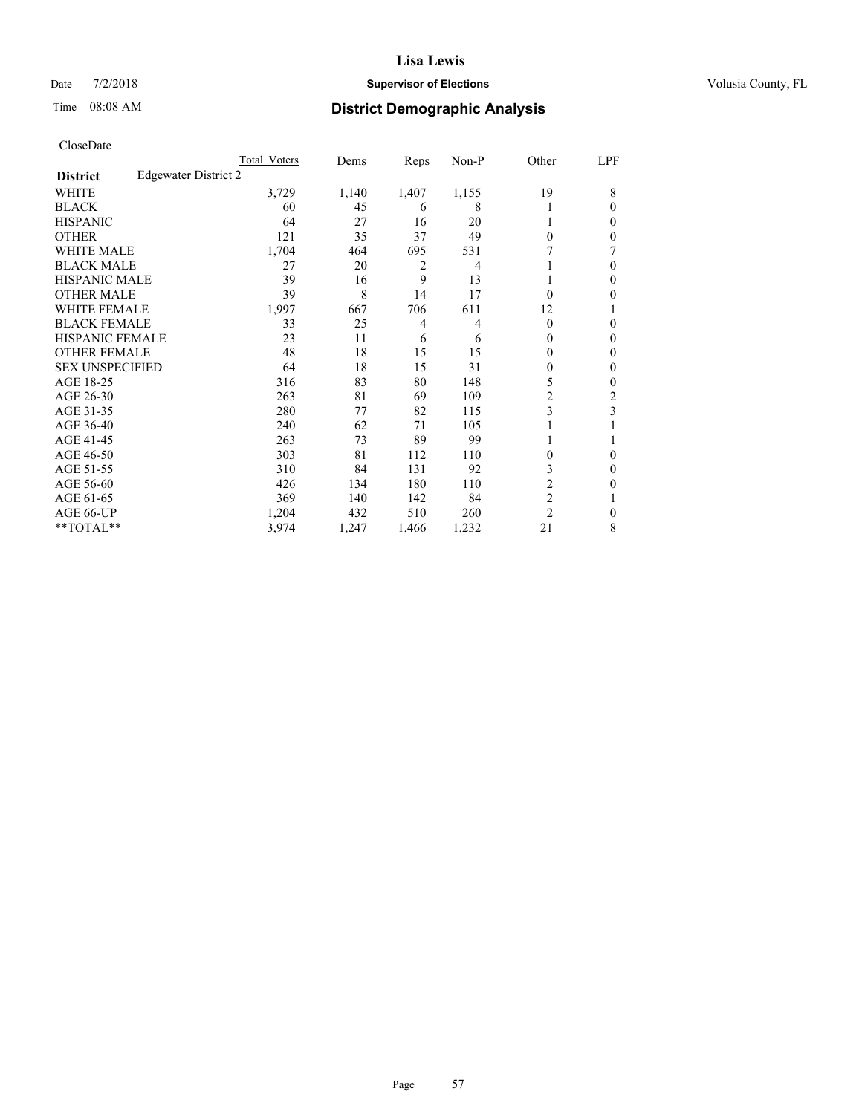## Date  $7/2/2018$  **Supervisor of Elections Supervisor of Elections** Volusia County, FL

# Time 08:08 AM **District Demographic Analysis**

|                        |                      | Total Voters | Dems  | Reps  | Non-P          | Other          | LPF    |
|------------------------|----------------------|--------------|-------|-------|----------------|----------------|--------|
| <b>District</b>        | Edgewater District 2 |              |       |       |                |                |        |
| WHITE                  |                      | 3,729        | 1,140 | 1,407 | 1,155          | 19             | 8      |
| <b>BLACK</b>           |                      | 60           | 45    | 6     | 8              |                | 0      |
| <b>HISPANIC</b>        |                      | 64           | 27    | 16    | 20             |                | $_{0}$ |
| <b>OTHER</b>           |                      | 121          | 35    | 37    | 49             | $\Omega$       | 0      |
| <b>WHITE MALE</b>      |                      | 1,704        | 464   | 695   | 531            |                |        |
| <b>BLACK MALE</b>      |                      | 27           | 20    | 2     | $\overline{4}$ |                | 0      |
| <b>HISPANIC MALE</b>   |                      | 39           | 16    | 9     | 13             |                | 0      |
| <b>OTHER MALE</b>      |                      | 39           | 8     | 14    | 17             | 0              | 0      |
| <b>WHITE FEMALE</b>    |                      | 1,997        | 667   | 706   | 611            | 12             |        |
| <b>BLACK FEMALE</b>    |                      | 33           | 25    | 4     | $\overline{4}$ | $\Omega$       | 0      |
| <b>HISPANIC FEMALE</b> |                      | 23           | 11    | 6     | 6              | 0              | 0      |
| <b>OTHER FEMALE</b>    |                      | 48           | 18    | 15    | 15             | 0              | 0      |
| <b>SEX UNSPECIFIED</b> |                      | 64           | 18    | 15    | 31             | 0              | 0      |
| AGE 18-25              |                      | 316          | 83    | 80    | 148            | 5              | 0      |
| AGE 26-30              |                      | 263          | 81    | 69    | 109            | 2              | 2      |
| AGE 31-35              |                      | 280          | 77    | 82    | 115            | 3              | 3      |
| AGE 36-40              |                      | 240          | 62    | 71    | 105            |                |        |
| AGE 41-45              |                      | 263          | 73    | 89    | 99             |                |        |
| AGE 46-50              |                      | 303          | 81    | 112   | 110            | $\Omega$       | 0      |
| AGE 51-55              |                      | 310          | 84    | 131   | 92             | 3              | 0      |
| AGE 56-60              |                      | 426          | 134   | 180   | 110            | $\overline{c}$ | 0      |
| AGE 61-65              |                      | 369          | 140   | 142   | 84             | $\overline{2}$ |        |
| AGE 66-UP              |                      | 1,204        | 432   | 510   | 260            | $\overline{2}$ | 0      |
| **TOTAL**              |                      | 3,974        | 1,247 | 1,466 | 1,232          | 21             | 8      |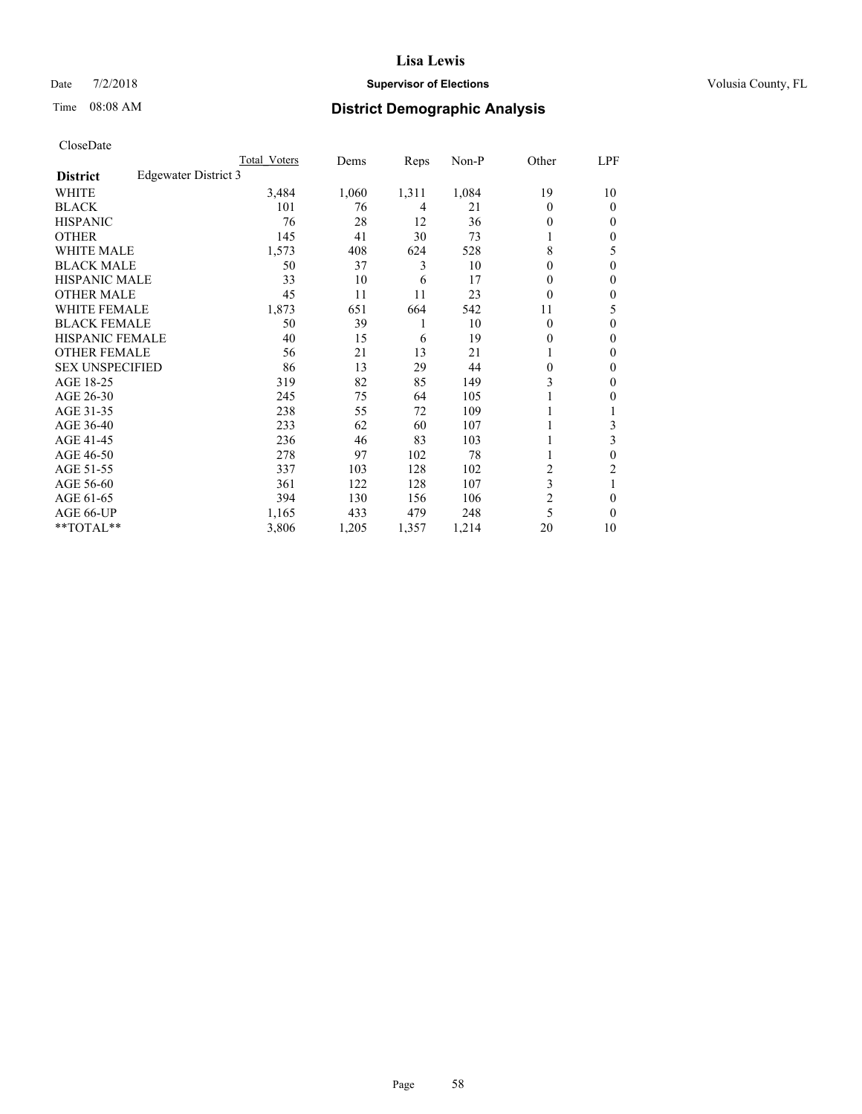## Date  $7/2/2018$  **Supervisor of Elections Supervisor of Elections** Volusia County, FL

# Time 08:08 AM **District Demographic Analysis**

|                                         | Total Voters | Dems  | Reps  | Non-P | Other          | LPF          |
|-----------------------------------------|--------------|-------|-------|-------|----------------|--------------|
| Edgewater District 3<br><b>District</b> |              |       |       |       |                |              |
| WHITE                                   | 3,484        | 1,060 | 1,311 | 1,084 | 19             | 10           |
| <b>BLACK</b>                            | 101          | 76    | 4     | 21    | $\Omega$       | $\Omega$     |
| <b>HISPANIC</b>                         | 76           | 28    | 12    | 36    | 0              | $\Omega$     |
| <b>OTHER</b>                            | 145          | 41    | 30    | 73    | 1              | $\mathbf{0}$ |
| <b>WHITE MALE</b>                       | 1,573        | 408   | 624   | 528   | 8              | 5            |
| <b>BLACK MALE</b>                       | 50           | 37    | 3     | 10    | 0              | $\theta$     |
| <b>HISPANIC MALE</b>                    | 33           | 10    | 6     | 17    | $\Omega$       | $\mathbf{0}$ |
| <b>OTHER MALE</b>                       | 45           | 11    | 11    | 23    | $\theta$       | $\mathbf{0}$ |
| WHITE FEMALE                            | 1,873        | 651   | 664   | 542   | 11             | 5            |
| <b>BLACK FEMALE</b>                     | 50           | 39    | 1     | 10    | $\theta$       | $\theta$     |
| <b>HISPANIC FEMALE</b>                  | 40           | 15    | 6     | 19    | $\Omega$       | $\mathbf{0}$ |
| <b>OTHER FEMALE</b>                     | 56           | 21    | 13    | 21    |                | $\Omega$     |
| <b>SEX UNSPECIFIED</b>                  | 86           | 13    | 29    | 44    | $\theta$       | $\theta$     |
| AGE 18-25                               | 319          | 82    | 85    | 149   | 3              | $\mathbf{0}$ |
| AGE 26-30                               | 245          | 75    | 64    | 105   | 1              | 0            |
| AGE 31-35                               | 238          | 55    | 72    | 109   |                |              |
| AGE 36-40                               | 233          | 62    | 60    | 107   |                | 3            |
| AGE 41-45                               | 236          | 46    | 83    | 103   | 1              | 3            |
| AGE 46-50                               | 278          | 97    | 102   | 78    |                | $\theta$     |
| AGE 51-55                               | 337          | 103   | 128   | 102   | 2              | 2            |
| AGE 56-60                               | 361          | 122   | 128   | 107   | 3              | 1            |
| AGE 61-65                               | 394          | 130   | 156   | 106   | $\overline{c}$ | $\theta$     |
| AGE 66-UP                               | 1,165        | 433   | 479   | 248   | 5              | $\theta$     |
| $*$ TOTAL $*$                           | 3,806        | 1,205 | 1,357 | 1,214 | 20             | 10           |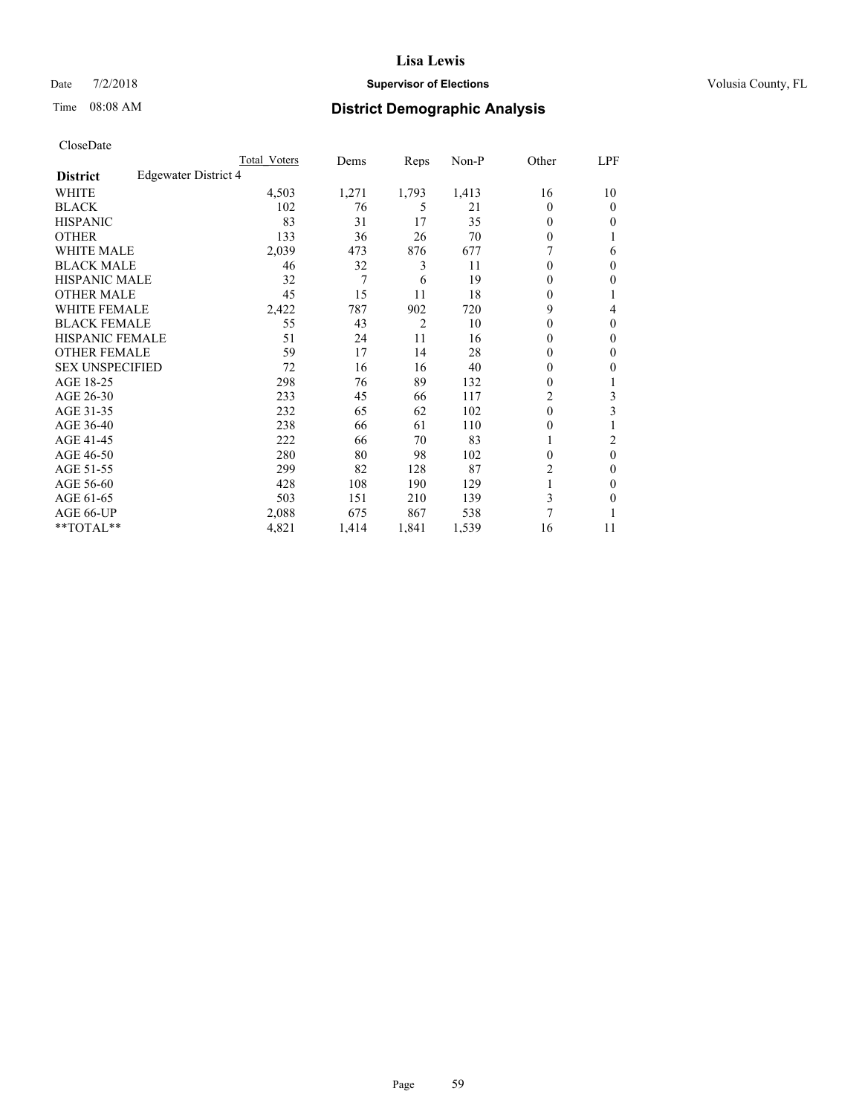## Date  $7/2/2018$  **Supervisor of Elections Supervisor of Elections** Volusia County, FL

# Time 08:08 AM **District Demographic Analysis**

|                        |                      | Total Voters | Dems  | Reps           | Non-P | Other          | LPF      |
|------------------------|----------------------|--------------|-------|----------------|-------|----------------|----------|
| <b>District</b>        | Edgewater District 4 |              |       |                |       |                |          |
| WHITE                  |                      | 4,503        | 1,271 | 1,793          | 1,413 | 16             | 10       |
| <b>BLACK</b>           |                      | 102          | 76    | 5              | 21    | $\Omega$       | $\theta$ |
| <b>HISPANIC</b>        |                      | 83           | 31    | 17             | 35    | $\Omega$       | 0        |
| <b>OTHER</b>           |                      | 133          | 36    | 26             | 70    | $\Omega$       |          |
| WHITE MALE             |                      | 2,039        | 473   | 876            | 677   |                | 6        |
| <b>BLACK MALE</b>      |                      | 46           | 32    | 3              | 11    | $\Omega$       | $\Omega$ |
| <b>HISPANIC MALE</b>   |                      | 32           | 7     | 6              | 19    | $\theta$       | 0        |
| <b>OTHER MALE</b>      |                      | 45           | 15    | 11             | 18    | $\Omega$       | 1        |
| WHITE FEMALE           |                      | 2,422        | 787   | 902            | 720   | 9              | 4        |
| <b>BLACK FEMALE</b>    |                      | 55           | 43    | $\overline{2}$ | 10    | $\Omega$       | $\Omega$ |
| <b>HISPANIC FEMALE</b> |                      | 51           | 24    | 11             | 16    | $\Omega$       | 0        |
| <b>OTHER FEMALE</b>    |                      | 59           | 17    | 14             | 28    | $\Omega$       | 0        |
| <b>SEX UNSPECIFIED</b> |                      | 72           | 16    | 16             | 40    | $\theta$       | 0        |
| AGE 18-25              |                      | 298          | 76    | 89             | 132   | $\Omega$       |          |
| AGE 26-30              |                      | 233          | 45    | 66             | 117   | $\overline{c}$ | 3        |
| AGE 31-35              |                      | 232          | 65    | 62             | 102   | $\theta$       | 3        |
| AGE 36-40              |                      | 238          | 66    | 61             | 110   | $\theta$       |          |
| AGE 41-45              |                      | 222          | 66    | 70             | 83    |                | 2        |
| AGE 46-50              |                      | 280          | 80    | 98             | 102   | $\Omega$       | $\theta$ |
| AGE 51-55              |                      | 299          | 82    | 128            | 87    | 2              | 0        |
| AGE 56-60              |                      | 428          | 108   | 190            | 129   |                | 0        |
| AGE 61-65              |                      | 503          | 151   | 210            | 139   | 3              | 0        |
| AGE 66-UP              |                      | 2,088        | 675   | 867            | 538   | 7              |          |
| **TOTAL**              |                      | 4,821        | 1,414 | 1,841          | 1,539 | 16             | 11       |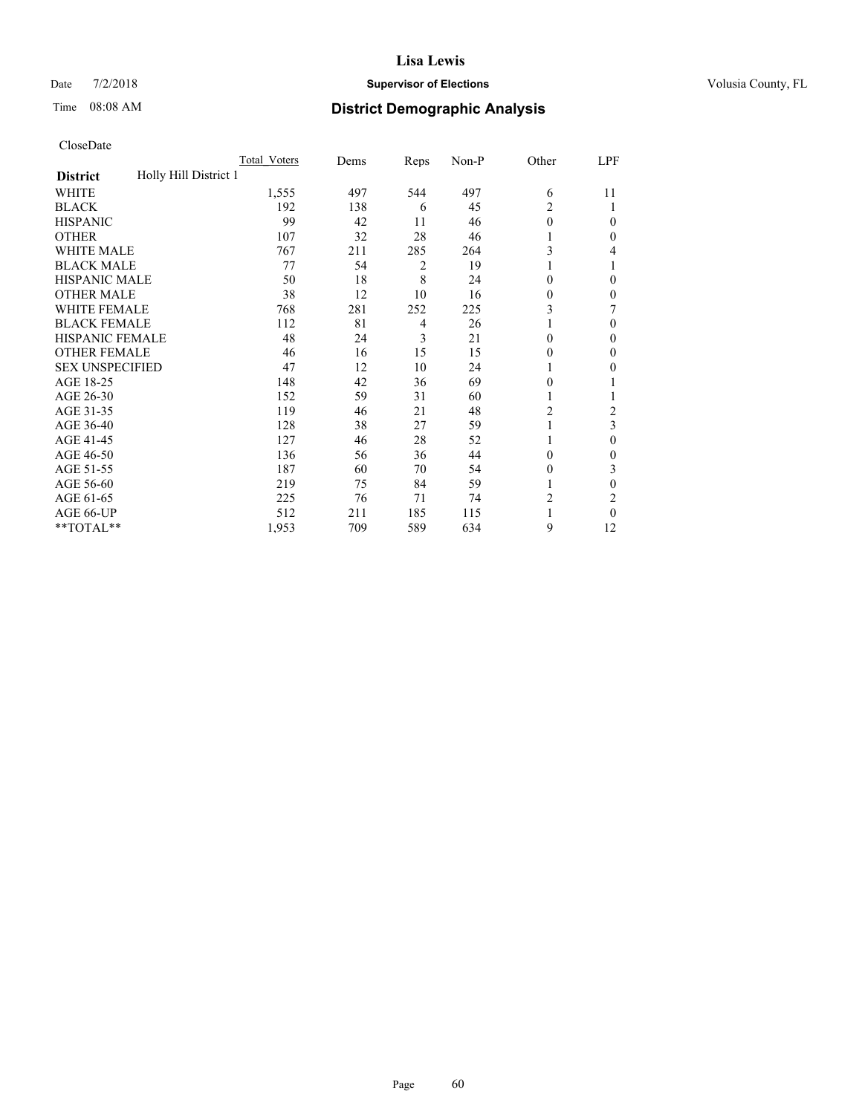## Date  $7/2/2018$  **Supervisor of Elections Supervisor of Elections** Volusia County, FL

# Time 08:08 AM **District Demographic Analysis**

|                                          | Total Voters | Dems | Reps | Non-P | Other          | LPF            |
|------------------------------------------|--------------|------|------|-------|----------------|----------------|
| Holly Hill District 1<br><b>District</b> |              |      |      |       |                |                |
| WHITE                                    | 1,555        | 497  | 544  | 497   | 6              | 11             |
| <b>BLACK</b>                             | 192          | 138  | 6    | 45    | 2              |                |
| <b>HISPANIC</b>                          | 99           | 42   | 11   | 46    | $\theta$       | $\Omega$       |
| <b>OTHER</b>                             | 107          | 32   | 28   | 46    | 1              | 0              |
| <b>WHITE MALE</b>                        | 767          | 211  | 285  | 264   | 3              | 4              |
| <b>BLACK MALE</b>                        | 77           | 54   | 2    | 19    | 1              |                |
| <b>HISPANIC MALE</b>                     | 50           | 18   | 8    | 24    | $\theta$       | 0              |
| <b>OTHER MALE</b>                        | 38           | 12   | 10   | 16    | $\mathbf{0}$   | $\mathbf{0}$   |
| WHITE FEMALE                             | 768          | 281  | 252  | 225   | 3              |                |
| <b>BLACK FEMALE</b>                      | 112          | 81   | 4    | 26    | 1              | $\Omega$       |
| <b>HISPANIC FEMALE</b>                   | 48           | 24   | 3    | 21    | $\Omega$       | 0              |
| <b>OTHER FEMALE</b>                      | 46           | 16   | 15   | 15    | $\theta$       | $\Omega$       |
| <b>SEX UNSPECIFIED</b>                   | 47           | 12   | 10   | 24    | 1              | 0              |
| AGE 18-25                                | 148          | 42   | 36   | 69    | $\theta$       |                |
| AGE 26-30                                | 152          | 59   | 31   | 60    | 1              |                |
| AGE 31-35                                | 119          | 46   | 21   | 48    | $\overline{c}$ | $\overline{c}$ |
| AGE 36-40                                | 128          | 38   | 27   | 59    | 1              | 3              |
| AGE 41-45                                | 127          | 46   | 28   | 52    |                | 0              |
| AGE 46-50                                | 136          | 56   | 36   | 44    | $\theta$       | 0              |
| AGE 51-55                                | 187          | 60   | 70   | 54    | $\Omega$       | 3              |
| AGE 56-60                                | 219          | 75   | 84   | 59    |                | 0              |
| AGE 61-65                                | 225          | 76   | 71   | 74    | $\overline{c}$ | 2              |
| AGE 66-UP                                | 512          | 211  | 185  | 115   |                | 0              |
| **TOTAL**                                | 1,953        | 709  | 589  | 634   | 9              | 12             |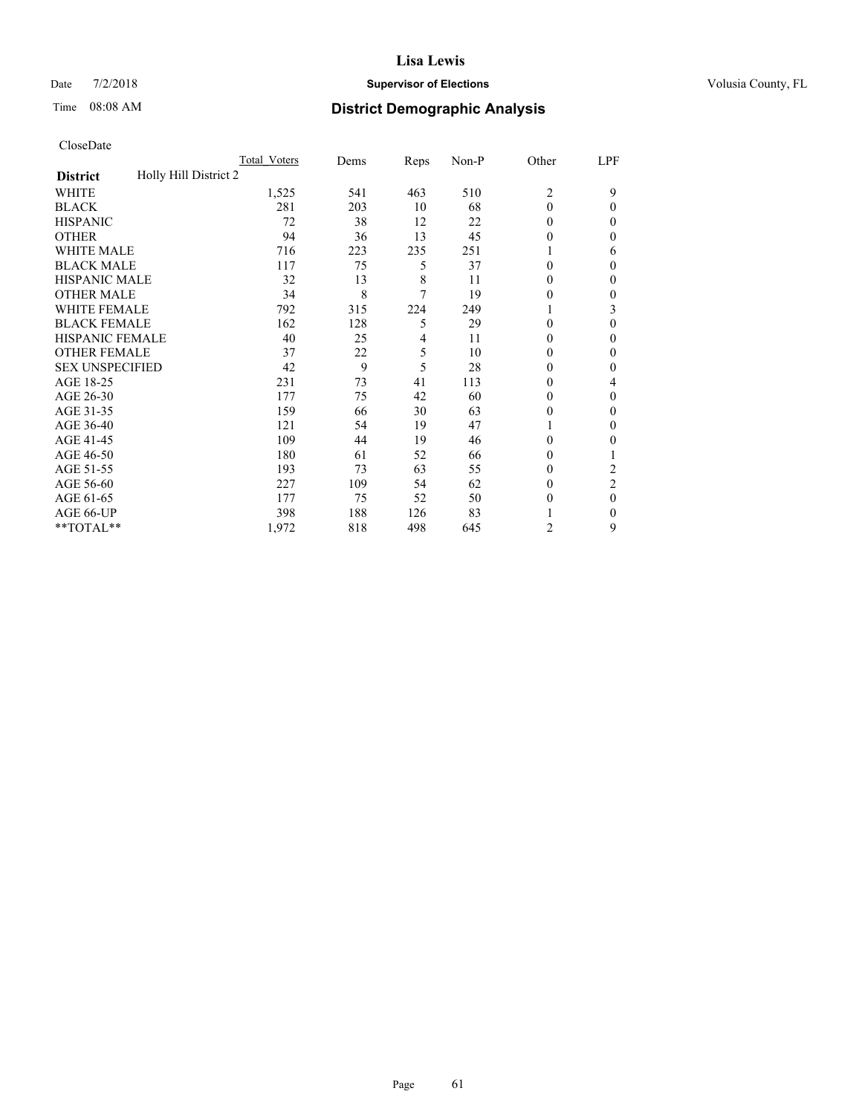## Date  $7/2/2018$  **Supervisor of Elections Supervisor of Elections** Volusia County, FL

# Time 08:08 AM **District Demographic Analysis**

|                                          | Total Voters | Dems | Reps | Non-P | Other          | LPF            |
|------------------------------------------|--------------|------|------|-------|----------------|----------------|
| Holly Hill District 2<br><b>District</b> |              |      |      |       |                |                |
| WHITE                                    | 1,525        | 541  | 463  | 510   | $\overline{2}$ | 9              |
| <b>BLACK</b>                             | 281          | 203  | 10   | 68    | $\theta$       | 0              |
| <b>HISPANIC</b>                          | 72           | 38   | 12   | 22    | $\Omega$       | $_{0}$         |
| <b>OTHER</b>                             | 94           | 36   | 13   | 45    | 0              | 0              |
| WHITE MALE                               | 716          | 223  | 235  | 251   |                | 6              |
| <b>BLACK MALE</b>                        | 117          | 75   | 5    | 37    | $\theta$       | 0              |
| <b>HISPANIC MALE</b>                     | 32           | 13   | 8    | 11    | 0              | 0              |
| <b>OTHER MALE</b>                        | 34           | 8    | 7    | 19    | 0              | 0              |
| <b>WHITE FEMALE</b>                      | 792          | 315  | 224  | 249   |                | 3              |
| <b>BLACK FEMALE</b>                      | 162          | 128  | 5    | 29    | $\theta$       | 0              |
| <b>HISPANIC FEMALE</b>                   | 40           | 25   | 4    | 11    | 0              | 0              |
| <b>OTHER FEMALE</b>                      | 37           | 22   | 5    | 10    | $\Omega$       | 0              |
| <b>SEX UNSPECIFIED</b>                   | 42           | 9    | 5    | 28    | 0              | 0              |
| AGE 18-25                                | 231          | 73   | 41   | 113   | 0              | 4              |
| AGE 26-30                                | 177          | 75   | 42   | 60    | $\theta$       | 0              |
| AGE 31-35                                | 159          | 66   | 30   | 63    | 0              | 0              |
| AGE 36-40                                | 121          | 54   | 19   | 47    |                | 0              |
| AGE 41-45                                | 109          | 44   | 19   | 46    | 0              | 0              |
| AGE 46-50                                | 180          | 61   | 52   | 66    | $\Omega$       |                |
| AGE 51-55                                | 193          | 73   | 63   | 55    | $\theta$       | $\overline{c}$ |
| AGE 56-60                                | 227          | 109  | 54   | 62    | $\theta$       | $\overline{2}$ |
| AGE 61-65                                | 177          | 75   | 52   | 50    | $\theta$       | $\theta$       |
| AGE 66-UP                                | 398          | 188  | 126  | 83    |                | 0              |
| **TOTAL**                                | 1,972        | 818  | 498  | 645   | 2              | 9              |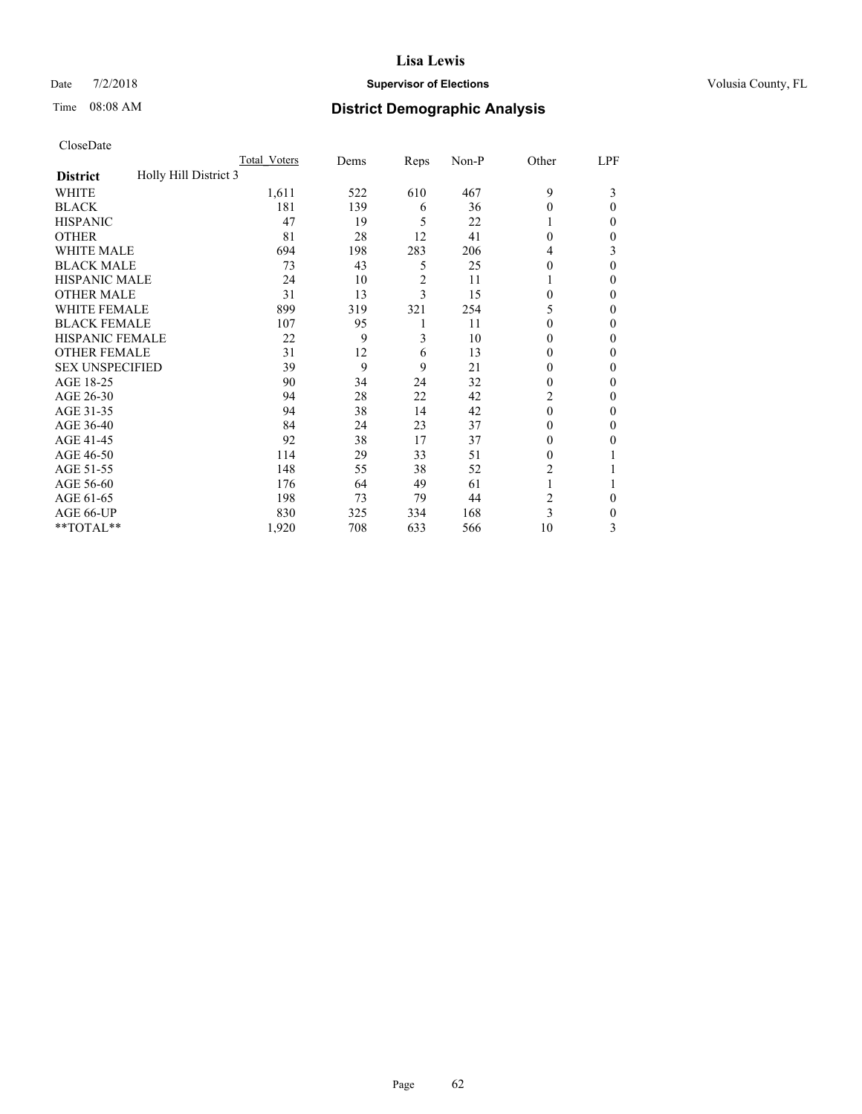## Date  $7/2/2018$  **Supervisor of Elections Supervisor of Elections** Volusia County, FL

# Time 08:08 AM **District Demographic Analysis**

|                                          | Total Voters | Dems | Reps           | Non-P | Other  | LPF |
|------------------------------------------|--------------|------|----------------|-------|--------|-----|
| Holly Hill District 3<br><b>District</b> |              |      |                |       |        |     |
| WHITE                                    | 1,611        | 522  | 610            | 467   | 9      | 3   |
| <b>BLACK</b>                             | 181          | 139  | 6              | 36    | 0      | 0   |
| <b>HISPANIC</b>                          | 47           | 19   | 5              | 22    |        | 0   |
| <b>OTHER</b>                             | 81           | 28   | 12             | 41    | 0      | 0   |
| WHITE MALE                               | 694          | 198  | 283            | 206   | 4      | 3   |
| <b>BLACK MALE</b>                        | 73           | 43   | 5              | 25    | 0      | 0   |
| <b>HISPANIC MALE</b>                     | 24           | 10   | $\overline{c}$ | 11    |        | 0   |
| <b>OTHER MALE</b>                        | 31           | 13   | 3              | 15    | 0      | 0   |
| WHITE FEMALE                             | 899          | 319  | 321            | 254   | 5      | 0   |
| <b>BLACK FEMALE</b>                      | 107          | 95   | 1              | 11    | 0      | 0   |
| <b>HISPANIC FEMALE</b>                   | 22           | 9    | 3              | 10    | 0      | 0   |
| <b>OTHER FEMALE</b>                      | 31           | 12   | 6              | 13    | $_{0}$ | 0   |
| <b>SEX UNSPECIFIED</b>                   | 39           | 9    | 9              | 21    | 0      | 0   |
| AGE 18-25                                | 90           | 34   | 24             | 32    | 0      | 0   |
| AGE 26-30                                | 94           | 28   | 22             | 42    | 2      | 0   |
| AGE 31-35                                | 94           | 38   | 14             | 42    | 0      | 0   |
| AGE 36-40                                | 84           | 24   | 23             | 37    | 0      | 0   |
| AGE 41-45                                | 92           | 38   | 17             | 37    | $_{0}$ | 0   |
| AGE 46-50                                | 114          | 29   | 33             | 51    | 0      |     |
| AGE 51-55                                | 148          | 55   | 38             | 52    | 2      |     |
| AGE 56-60                                | 176          | 64   | 49             | 61    |        |     |
| AGE 61-65                                | 198          | 73   | 79             | 44    | 2      | 0   |
| AGE 66-UP                                | 830          | 325  | 334            | 168   | 3      | 0   |
| **TOTAL**                                | 1,920        | 708  | 633            | 566   | 10     | 3   |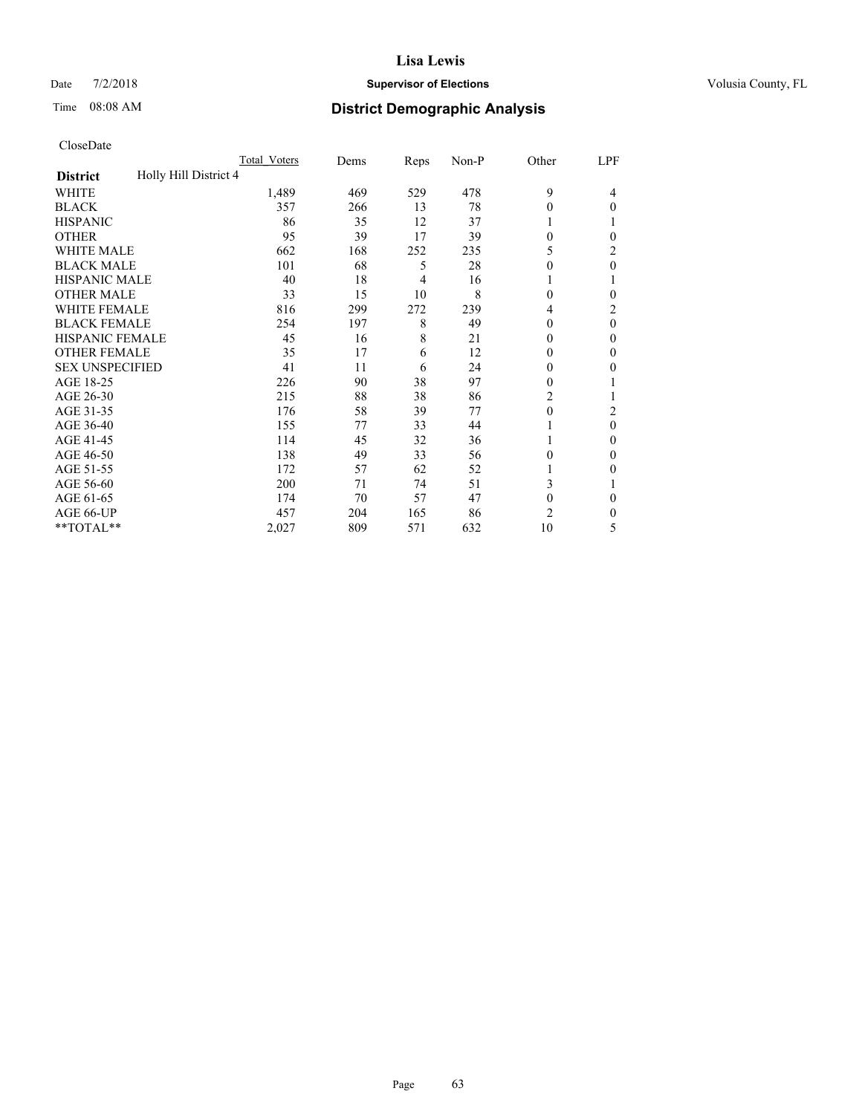## Date  $7/2/2018$  **Supervisor of Elections Supervisor of Elections** Volusia County, FL

# Time 08:08 AM **District Demographic Analysis**

|                                          | Total Voters | Dems | Reps | Non-P | Other          | LPF      |
|------------------------------------------|--------------|------|------|-------|----------------|----------|
| Holly Hill District 4<br><b>District</b> |              |      |      |       |                |          |
| WHITE                                    | 1,489        | 469  | 529  | 478   | 9              | 4        |
| <b>BLACK</b>                             | 357          | 266  | 13   | 78    | $\theta$       | $\Omega$ |
| <b>HISPANIC</b>                          | 86           | 35   | 12   | 37    | 1              |          |
| <b>OTHER</b>                             | 95           | 39   | 17   | 39    | $\theta$       | 0        |
| <b>WHITE MALE</b>                        | 662          | 168  | 252  | 235   | 5              | 2        |
| <b>BLACK MALE</b>                        | 101          | 68   | 5    | 28    | $\theta$       | $\theta$ |
| <b>HISPANIC MALE</b>                     | 40           | 18   | 4    | 16    | 1              |          |
| <b>OTHER MALE</b>                        | 33           | 15   | 10   | 8     | $\theta$       | 0        |
| <b>WHITE FEMALE</b>                      | 816          | 299  | 272  | 239   | 4              | 2        |
| <b>BLACK FEMALE</b>                      | 254          | 197  | 8    | 49    | $\theta$       | $\theta$ |
| <b>HISPANIC FEMALE</b>                   | 45           | 16   | 8    | 21    | $\theta$       | 0        |
| <b>OTHER FEMALE</b>                      | 35           | 17   | 6    | 12    | $\theta$       | $\Omega$ |
| <b>SEX UNSPECIFIED</b>                   | 41           | 11   | 6    | 24    | $\theta$       | 0        |
| AGE 18-25                                | 226          | 90   | 38   | 97    | $\theta$       |          |
| AGE 26-30                                | 215          | 88   | 38   | 86    | $\overline{c}$ |          |
| AGE 31-35                                | 176          | 58   | 39   | 77    | $\mathbf{0}$   | 2        |
| AGE 36-40                                | 155          | 77   | 33   | 44    | 1              | $\theta$ |
| AGE 41-45                                | 114          | 45   | 32   | 36    |                | 0        |
| AGE 46-50                                | 138          | 49   | 33   | 56    | $\theta$       | $\Omega$ |
| AGE 51-55                                | 172          | 57   | 62   | 52    |                | 0        |
| AGE 56-60                                | 200          | 71   | 74   | 51    | 3              |          |
| AGE 61-65                                | 174          | 70   | 57   | 47    | $\mathbf{0}$   | $\theta$ |
| AGE 66-UP                                | 457          | 204  | 165  | 86    | $\overline{c}$ | 0        |
| **TOTAL**                                | 2,027        | 809  | 571  | 632   | 10             | 5        |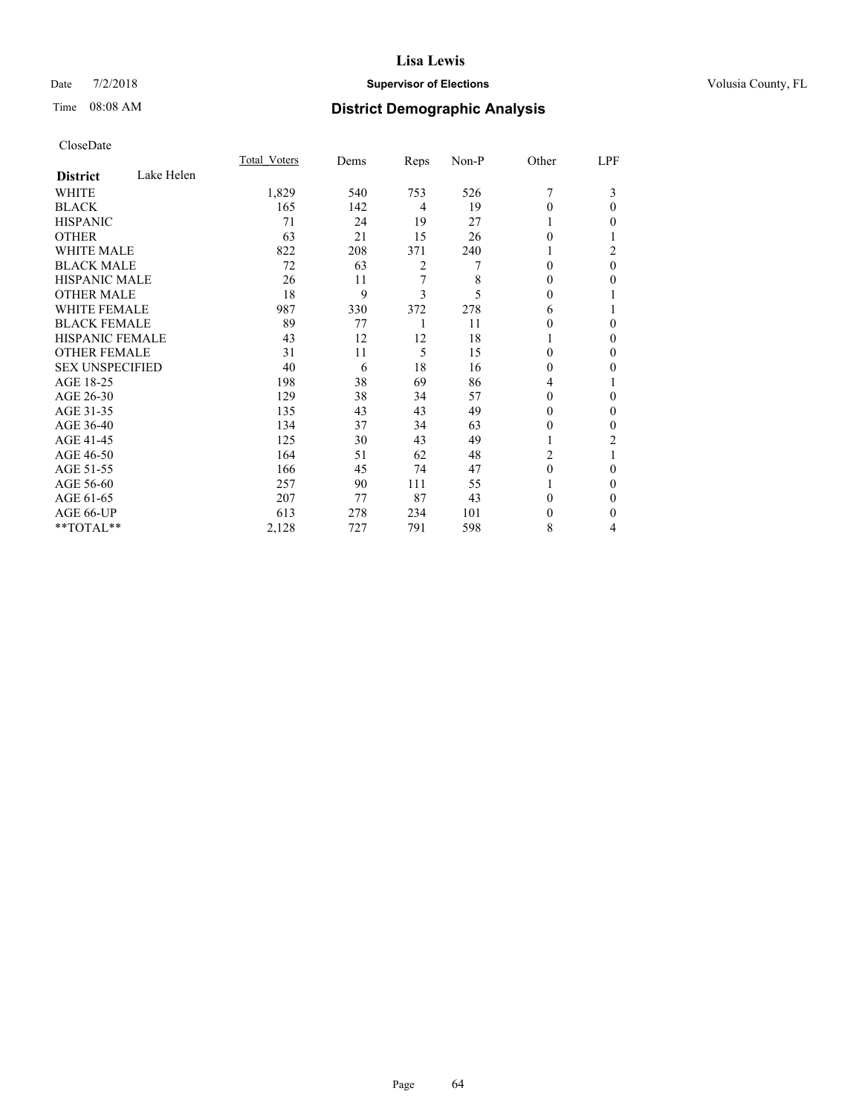## Date  $7/2/2018$  **Supervisor of Elections Supervisor of Elections** Volusia County, FL

# Time 08:08 AM **District Demographic Analysis**

|                        |            | Total Voters | Dems | Reps | Non-P | Other    | LPF |
|------------------------|------------|--------------|------|------|-------|----------|-----|
| <b>District</b>        | Lake Helen |              |      |      |       |          |     |
| WHITE                  |            | 1,829        | 540  | 753  | 526   | 7        | 3   |
| <b>BLACK</b>           |            | 165          | 142  | 4    | 19    | 0        | 0   |
| <b>HISPANIC</b>        |            | 71           | 24   | 19   | 27    |          | 0   |
| <b>OTHER</b>           |            | 63           | 21   | 15   | 26    | 0        |     |
| <b>WHITE MALE</b>      |            | 822          | 208  | 371  | 240   | 1        | 2   |
| <b>BLACK MALE</b>      |            | 72           | 63   | 2    | 7     | $\Omega$ | 0   |
| <b>HISPANIC MALE</b>   |            | 26           | 11   | 7    | 8     | 0        | 0   |
| <b>OTHER MALE</b>      |            | 18           | 9    | 3    | 5     | 0        |     |
| <b>WHITE FEMALE</b>    |            | 987          | 330  | 372  | 278   | 6        |     |
| <b>BLACK FEMALE</b>    |            | 89           | 77   | 1    | 11    | 0        | 0   |
| <b>HISPANIC FEMALE</b> |            | 43           | 12   | 12   | 18    |          | 0   |
| <b>OTHER FEMALE</b>    |            | 31           | 11   | 5    | 15    | $\Omega$ | 0   |
| <b>SEX UNSPECIFIED</b> |            | 40           | 6    | 18   | 16    | $\Omega$ | 0   |
| AGE 18-25              |            | 198          | 38   | 69   | 86    | 4        |     |
| AGE 26-30              |            | 129          | 38   | 34   | 57    | 0        | 0   |
| AGE 31-35              |            | 135          | 43   | 43   | 49    | 0        | 0   |
| AGE 36-40              |            | 134          | 37   | 34   | 63    | 0        | 0   |
| AGE 41-45              |            | 125          | 30   | 43   | 49    | 1        | 2   |
| AGE 46-50              |            | 164          | 51   | 62   | 48    | 2        |     |
| AGE 51-55              |            | 166          | 45   | 74   | 47    | $\theta$ | 0   |
| AGE 56-60              |            | 257          | 90   | 111  | 55    |          | 0   |
| AGE 61-65              |            | 207          | 77   | 87   | 43    | 0        | 0   |
| AGE 66-UP              |            | 613          | 278  | 234  | 101   | 0        | 0   |
| **TOTAL**              |            | 2,128        | 727  | 791  | 598   | 8        | 4   |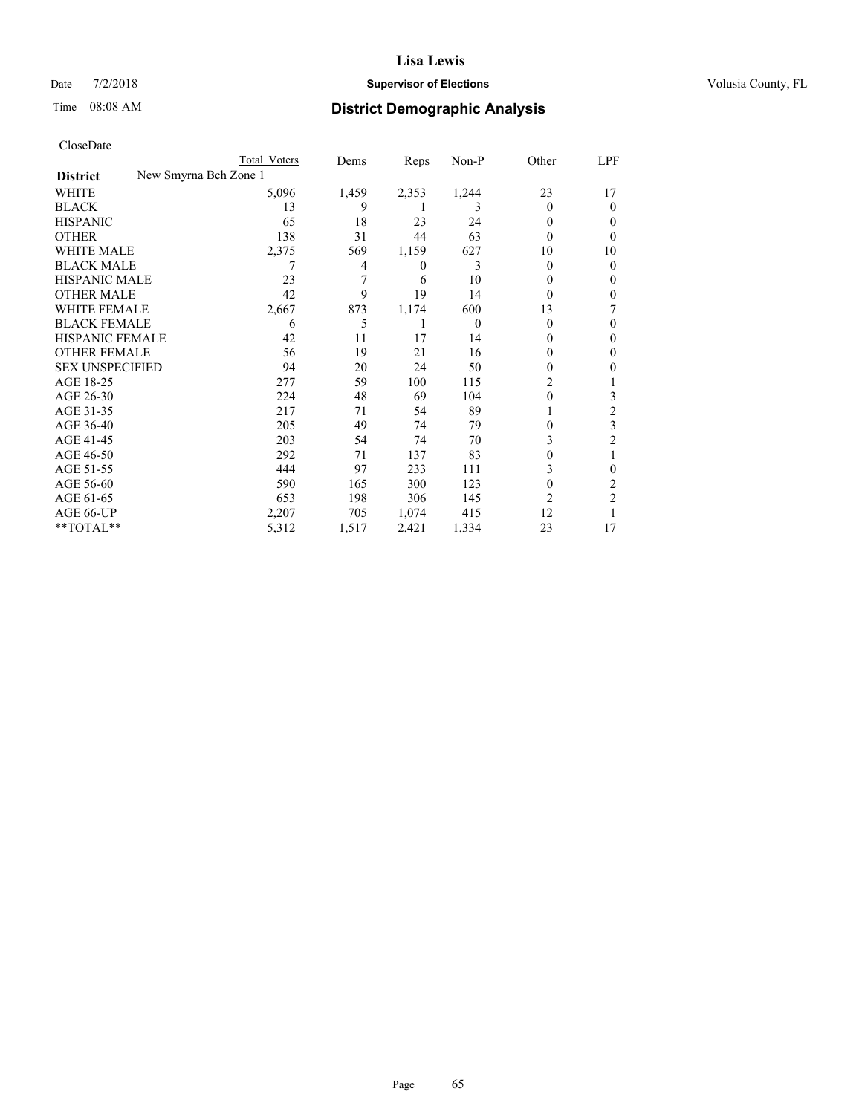## Date  $7/2/2018$  **Supervisor of Elections Supervisor of Elections** Volusia County, FL

| CloseDate |
|-----------|
|-----------|

|                        |                       | Total Voters | Dems  | Reps  | $Non-P$  | Other          | <u>LPF</u>     |
|------------------------|-----------------------|--------------|-------|-------|----------|----------------|----------------|
| <b>District</b>        | New Smyrna Bch Zone 1 |              |       |       |          |                |                |
| WHITE                  |                       | 5,096        | 1,459 | 2,353 | 1,244    | 23             | 17             |
| <b>BLACK</b>           |                       | 13           | 9     |       | 3        | $\Omega$       | $\Omega$       |
| <b>HISPANIC</b>        |                       | 65           | 18    | 23    | 24       | $\theta$       | 0              |
| <b>OTHER</b>           |                       | 138          | 31    | 44    | 63       | $\Omega$       | 0              |
| <b>WHITE MALE</b>      |                       | 2,375        | 569   | 1,159 | 627      | 10             | 10             |
| <b>BLACK MALE</b>      |                       | 7            | 4     | 0     | 3        | $\Omega$       | 0              |
| <b>HISPANIC MALE</b>   |                       | 23           | 7     | 6     | 10       | 0              | 0              |
| <b>OTHER MALE</b>      |                       | 42           | 9     | 19    | 14       | $\Omega$       | 0              |
| <b>WHITE FEMALE</b>    |                       | 2,667        | 873   | 1,174 | 600      | 13             |                |
| <b>BLACK FEMALE</b>    |                       | 6            | 5     | 1     | $\theta$ | $\Omega$       | 0              |
| HISPANIC FEMALE        |                       | 42           | 11    | 17    | 14       | $\Omega$       | 0              |
| <b>OTHER FEMALE</b>    |                       | 56           | 19    | 21    | 16       | 0              | 0              |
| <b>SEX UNSPECIFIED</b> |                       | 94           | 20    | 24    | 50       | $\Omega$       | 0              |
| AGE 18-25              |                       | 277          | 59    | 100   | 115      | 2              |                |
| AGE 26-30              |                       | 224          | 48    | 69    | 104      | $\theta$       | 3              |
| AGE 31-35              |                       | 217          | 71    | 54    | 89       |                | $\overline{2}$ |
| AGE 36-40              |                       | 205          | 49    | 74    | 79       | 0              | 3              |
| AGE 41-45              |                       | 203          | 54    | 74    | 70       | 3              | 2              |
| AGE 46-50              |                       | 292          | 71    | 137   | 83       | 0              |                |
| AGE 51-55              |                       | 444          | 97    | 233   | 111      | 3              | 0              |
| AGE 56-60              |                       | 590          | 165   | 300   | 123      | $\Omega$       | 2              |
| AGE 61-65              |                       | 653          | 198   | 306   | 145      | $\overline{c}$ | $\overline{2}$ |
| AGE 66-UP              |                       | 2,207        | 705   | 1,074 | 415      | 12             |                |
| **TOTAL**              |                       | 5,312        | 1,517 | 2,421 | 1,334    | 23             | 17             |
|                        |                       |              |       |       |          |                |                |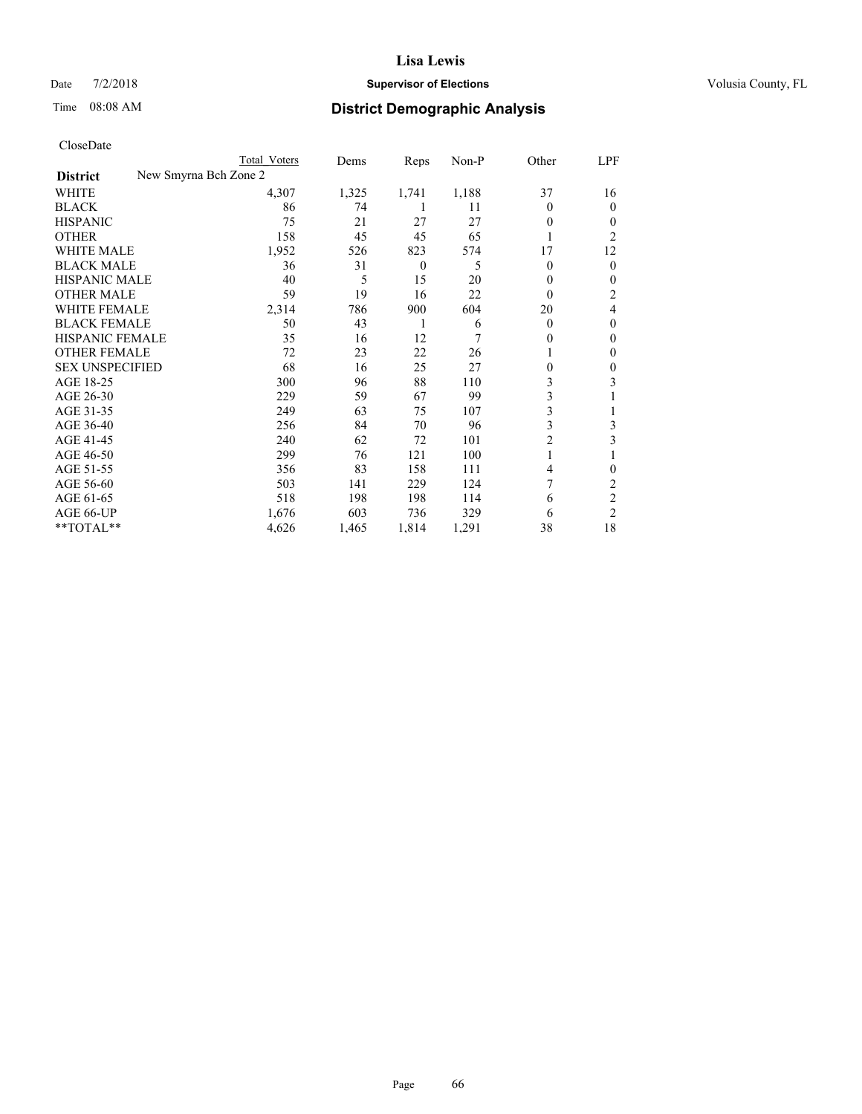## Date  $7/2/2018$  **Supervisor of Elections Supervisor of Elections** Volusia County, FL

| CloseDate |
|-----------|
|-----------|

|                                          | Total Voters | Dems  | Reps         | Non-P | Other          | LPF            |
|------------------------------------------|--------------|-------|--------------|-------|----------------|----------------|
| New Smyrna Bch Zone 2<br><b>District</b> |              |       |              |       |                |                |
| WHITE                                    | 4,307        | 1,325 | 1,741        | 1,188 | 37             | 16             |
| <b>BLACK</b>                             | 86           | 74    | 1            | 11    | $\Omega$       | $\theta$       |
| <b>HISPANIC</b>                          | 75           | 21    | 27           | 27    | $\theta$       | 0              |
| <b>OTHER</b>                             | 158          | 45    | 45           | 65    |                | 2              |
| <b>WHITE MALE</b>                        | 1,952        | 526   | 823          | 574   | 17             | 12             |
| <b>BLACK MALE</b>                        | 36           | 31    | $\mathbf{0}$ | 5     | $\theta$       | 0              |
| <b>HISPANIC MALE</b>                     | 40           | 5     | 15           | 20    | $\theta$       | 0              |
| <b>OTHER MALE</b>                        | 59           | 19    | 16           | 22    | $\theta$       | 2              |
| <b>WHITE FEMALE</b>                      | 2,314        | 786   | 900          | 604   | 20             | 4              |
| <b>BLACK FEMALE</b>                      | 50           | 43    | 1            | 6     | $\theta$       | 0              |
| <b>HISPANIC FEMALE</b>                   | 35           | 16    | 12           | 7     | $\theta$       | 0              |
| <b>OTHER FEMALE</b>                      | 72           | 23    | 22           | 26    |                | 0              |
| <b>SEX UNSPECIFIED</b>                   | 68           | 16    | 25           | 27    | $\theta$       | 0              |
| AGE 18-25                                | 300          | 96    | 88           | 110   | 3              | 3              |
| AGE 26-30                                | 229          | 59    | 67           | 99    | 3              |                |
| AGE 31-35                                | 249          | 63    | 75           | 107   | 3              |                |
| AGE 36-40                                | 256          | 84    | 70           | 96    | 3              | 3              |
| AGE 41-45                                | 240          | 62    | 72           | 101   | $\overline{c}$ | 3              |
| AGE 46-50                                | 299          | 76    | 121          | 100   | 1              |                |
| AGE 51-55                                | 356          | 83    | 158          | 111   | 4              | 0              |
| AGE 56-60                                | 503          | 141   | 229          | 124   | 7              | 2              |
| AGE 61-65                                | 518          | 198   | 198          | 114   | 6              | 2              |
| AGE 66-UP                                | 1,676        | 603   | 736          | 329   | 6              | $\overline{2}$ |
| **TOTAL**                                | 4,626        | 1,465 | 1,814        | 1,291 | 38             | 18             |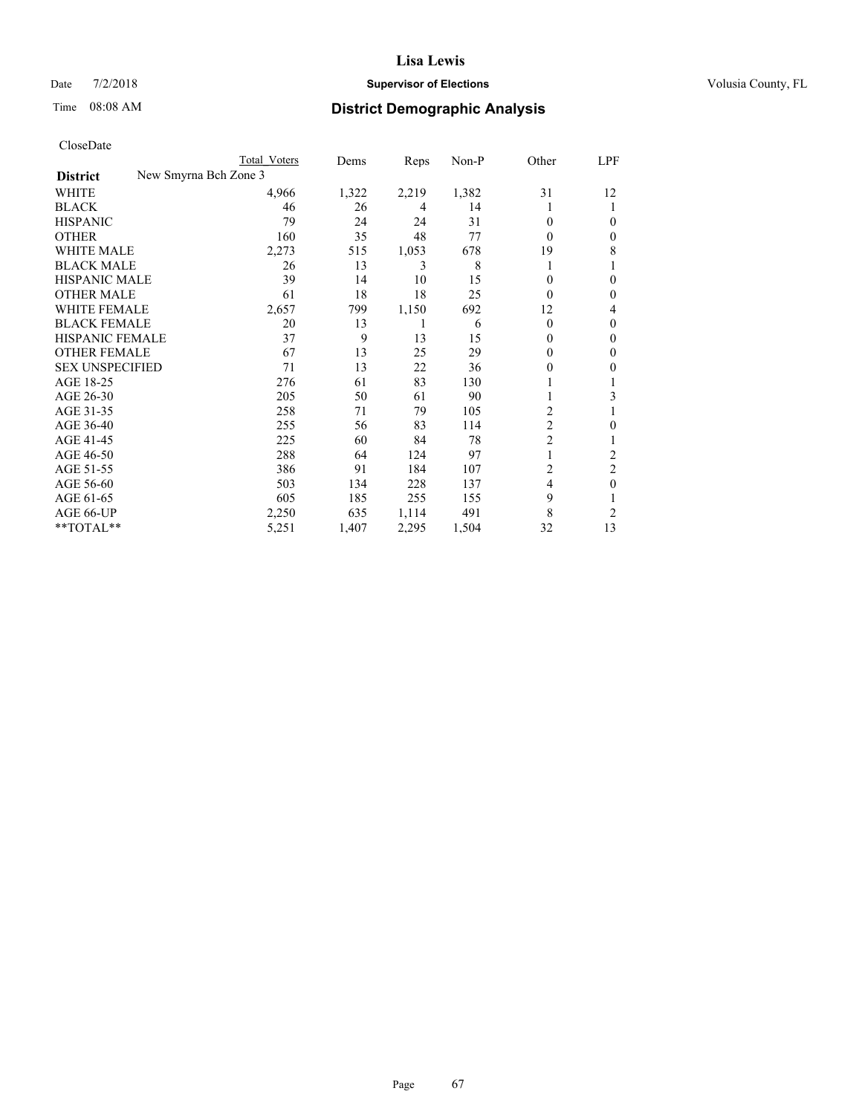## Date  $7/2/2018$  **Supervisor of Elections Supervisor of Elections** Volusia County, FL

| CloseDate |
|-----------|
|-----------|

|                                          | Total Voters | Dems  | Reps  | Non-P | Other          | LPF    |
|------------------------------------------|--------------|-------|-------|-------|----------------|--------|
| New Smyrna Bch Zone 3<br><b>District</b> |              |       |       |       |                |        |
| WHITE                                    | 4,966        | 1,322 | 2,219 | 1,382 | 31             | 12     |
| <b>BLACK</b>                             | 46           | 26    | 4     | 14    | 1              | 1      |
| <b>HISPANIC</b>                          | 79           | 24    | 24    | 31    | $\Omega$       | 0      |
| <b>OTHER</b>                             | 160          | 35    | 48    | 77    | $\Omega$       | 0      |
| <b>WHITE MALE</b>                        | 2,273        | 515   | 1,053 | 678   | 19             | 8      |
| <b>BLACK MALE</b>                        | 26           | 13    | 3     | 8     | 1              |        |
| HISPANIC MALE                            | 39           | 14    | 10    | 15    | 0              | 0      |
| <b>OTHER MALE</b>                        | 61           | 18    | 18    | 25    | $\Omega$       | 0      |
| <b>WHITE FEMALE</b>                      | 2,657        | 799   | 1,150 | 692   | 12             | 4      |
| <b>BLACK FEMALE</b>                      | 20           | 13    |       | 6     | $\theta$       | 0      |
| <b>HISPANIC FEMALE</b>                   | 37           | 9     | 13    | 15    | $\Omega$       | 0      |
| <b>OTHER FEMALE</b>                      | 67           | 13    | 25    | 29    | 0              | $_{0}$ |
| <b>SEX UNSPECIFIED</b>                   | 71           | 13    | 22    | 36    | 0              | 0      |
| AGE 18-25                                | 276          | 61    | 83    | 130   |                |        |
| AGE 26-30                                | 205          | 50    | 61    | 90    |                | 3      |
| AGE 31-35                                | 258          | 71    | 79    | 105   | 2              |        |
| AGE 36-40                                | 255          | 56    | 83    | 114   | 2              | 0      |
| AGE 41-45                                | 225          | 60    | 84    | 78    | $\mathfrak{2}$ |        |
| AGE 46-50                                | 288          | 64    | 124   | 97    |                | 2      |
| AGE 51-55                                | 386          | 91    | 184   | 107   | 2              | 2      |
| AGE 56-60                                | 503          | 134   | 228   | 137   | 4              | 0      |
| AGE 61-65                                | 605          | 185   | 255   | 155   | 9              |        |
| AGE 66-UP                                | 2,250        | 635   | 1,114 | 491   | 8              | 2      |
| **TOTAL**                                | 5,251        | 1,407 | 2,295 | 1,504 | 32             | 13     |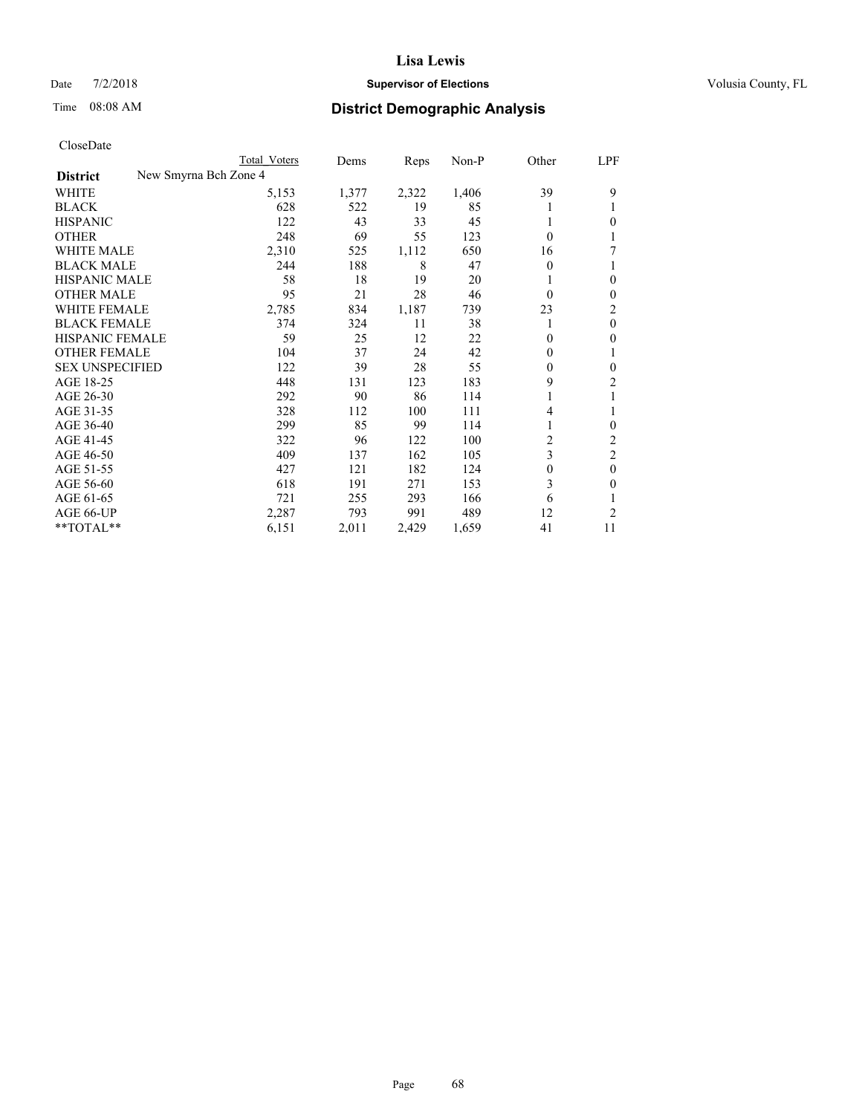## Date  $7/2/2018$  **Supervisor of Elections Supervisor of Elections** Volusia County, FL

| CloseDate |
|-----------|
|-----------|

|                        |                       | Total Voters | Dems  | Reps  | Non-P | Other    | LPF            |
|------------------------|-----------------------|--------------|-------|-------|-------|----------|----------------|
| <b>District</b>        | New Smyrna Bch Zone 4 |              |       |       |       |          |                |
| WHITE                  |                       | 5,153        | 1,377 | 2,322 | 1,406 | 39       | 9              |
| <b>BLACK</b>           |                       | 628          | 522   | 19    | 85    |          | 1              |
| <b>HISPANIC</b>        |                       | 122          | 43    | 33    | 45    |          | $\theta$       |
| <b>OTHER</b>           |                       | 248          | 69    | 55    | 123   | $\theta$ | 1              |
| <b>WHITE MALE</b>      |                       | 2,310        | 525   | 1,112 | 650   | 16       | 7              |
| <b>BLACK MALE</b>      |                       | 244          | 188   | 8     | 47    | 0        | 1              |
| <b>HISPANIC MALE</b>   |                       | 58           | 18    | 19    | 20    |          | $\mathbf{0}$   |
| <b>OTHER MALE</b>      |                       | 95           | 21    | 28    | 46    | $\theta$ | $\mathbf{0}$   |
| <b>WHITE FEMALE</b>    |                       | 2,785        | 834   | 1,187 | 739   | 23       | 2              |
| <b>BLACK FEMALE</b>    |                       | 374          | 324   | 11    | 38    |          | $\mathbf{0}$   |
| <b>HISPANIC FEMALE</b> |                       | 59           | 25    | 12    | 22    | $\Omega$ | $\mathbf{0}$   |
| <b>OTHER FEMALE</b>    |                       | 104          | 37    | 24    | 42    | 0        | 1              |
| <b>SEX UNSPECIFIED</b> |                       | 122          | 39    | 28    | 55    | $\theta$ | $\mathbf{0}$   |
| AGE 18-25              |                       | 448          | 131   | 123   | 183   | 9        | 2              |
| AGE 26-30              |                       | 292          | 90    | 86    | 114   |          | 1              |
| AGE 31-35              |                       | 328          | 112   | 100   | 111   | 4        | 1              |
| AGE 36-40              |                       | 299          | 85    | 99    | 114   |          | $\mathbf{0}$   |
| AGE 41-45              |                       | 322          | 96    | 122   | 100   | 2        | 2              |
| AGE 46-50              |                       | 409          | 137   | 162   | 105   | 3        | $\overline{2}$ |
| AGE 51-55              |                       | 427          | 121   | 182   | 124   | $\theta$ | $\mathbf{0}$   |
| AGE 56-60              |                       | 618          | 191   | 271   | 153   | 3        | $\theta$       |
| AGE 61-65              |                       | 721          | 255   | 293   | 166   | 6        | 1              |
| AGE 66-UP              |                       | 2,287        | 793   | 991   | 489   | 12       | 2              |
| **TOTAL**              |                       | 6,151        | 2,011 | 2,429 | 1,659 | 41       | 11             |
|                        |                       |              |       |       |       |          |                |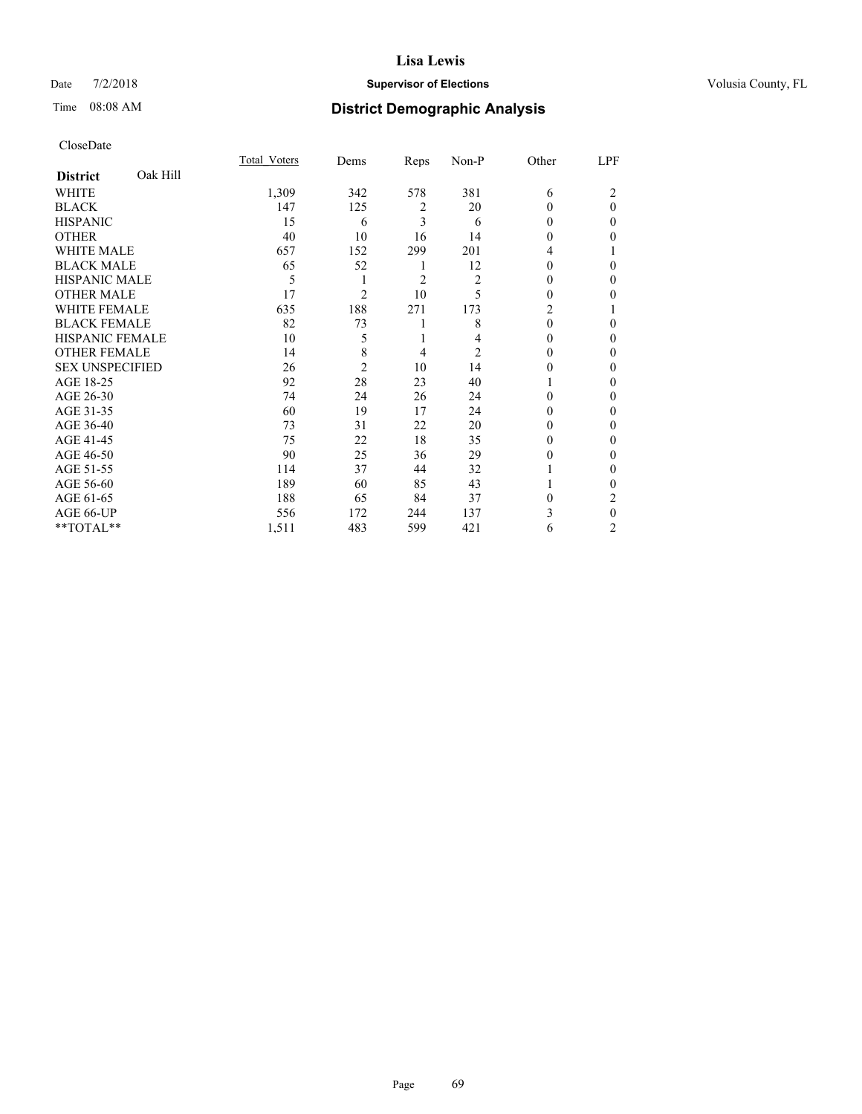## Date  $7/2/2018$  **Supervisor of Elections Supervisor of Elections** Volusia County, FL

# Time 08:08 AM **District Demographic Analysis**

|                             | Total Voters | Dems           | Reps           | Non-P          | Other          | LPF          |
|-----------------------------|--------------|----------------|----------------|----------------|----------------|--------------|
| Oak Hill<br><b>District</b> |              |                |                |                |                |              |
| WHITE                       | 1,309        | 342            | 578            | 381            | 6              | 2            |
| <b>BLACK</b>                | 147          | 125            | 2              | 20             | 0              | $\theta$     |
| <b>HISPANIC</b>             | 15           | 6              | 3              | 6              | 0              | $\Omega$     |
| <b>OTHER</b>                | 40           | 10             | 16             | 14             | 0              | 0            |
| WHITE MALE                  | 657          | 152            | 299            | 201            | 4              |              |
| <b>BLACK MALE</b>           | 65           | 52             | 1              | 12             | 0              | 0            |
| <b>HISPANIC MALE</b>        | 5            | 1              | $\overline{2}$ | $\overline{2}$ | 0              | 0            |
| <b>OTHER MALE</b>           | 17           | 2              | 10             | 5              | 0              | 0            |
| <b>WHITE FEMALE</b>         | 635          | 188            | 271            | 173            | $\overline{c}$ |              |
| <b>BLACK FEMALE</b>         | 82           | 73             | 1              | 8              | $\theta$       | 0            |
| <b>HISPANIC FEMALE</b>      | 10           | 5              | 1              | 4              | 0              | 0            |
| <b>OTHER FEMALE</b>         | 14           | 8              | 4              | $\overline{2}$ | 0              | 0            |
| <b>SEX UNSPECIFIED</b>      | 26           | $\overline{2}$ | 10             | 14             | 0              | 0            |
| AGE 18-25                   | 92           | 28             | 23             | 40             |                | 0            |
| AGE 26-30                   | 74           | 24             | 26             | 24             | 0              | 0            |
| AGE 31-35                   | 60           | 19             | 17             | 24             | 0              | 0            |
| AGE 36-40                   | 73           | 31             | 22             | 20             | 0              | 0            |
| AGE 41-45                   | 75           | 22             | 18             | 35             | 0              | 0            |
| AGE 46-50                   | 90           | 25             | 36             | 29             | 0              | 0            |
| AGE 51-55                   | 114          | 37             | 44             | 32             |                | $\mathbf{0}$ |
| AGE 56-60                   | 189          | 60             | 85             | 43             |                | 0            |
| AGE 61-65                   | 188          | 65             | 84             | 37             | 0              | 2            |
| AGE 66-UP                   | 556          | 172            | 244            | 137            | 3              | $\theta$     |
| **TOTAL**                   | 1,511        | 483            | 599            | 421            | 6              | 2            |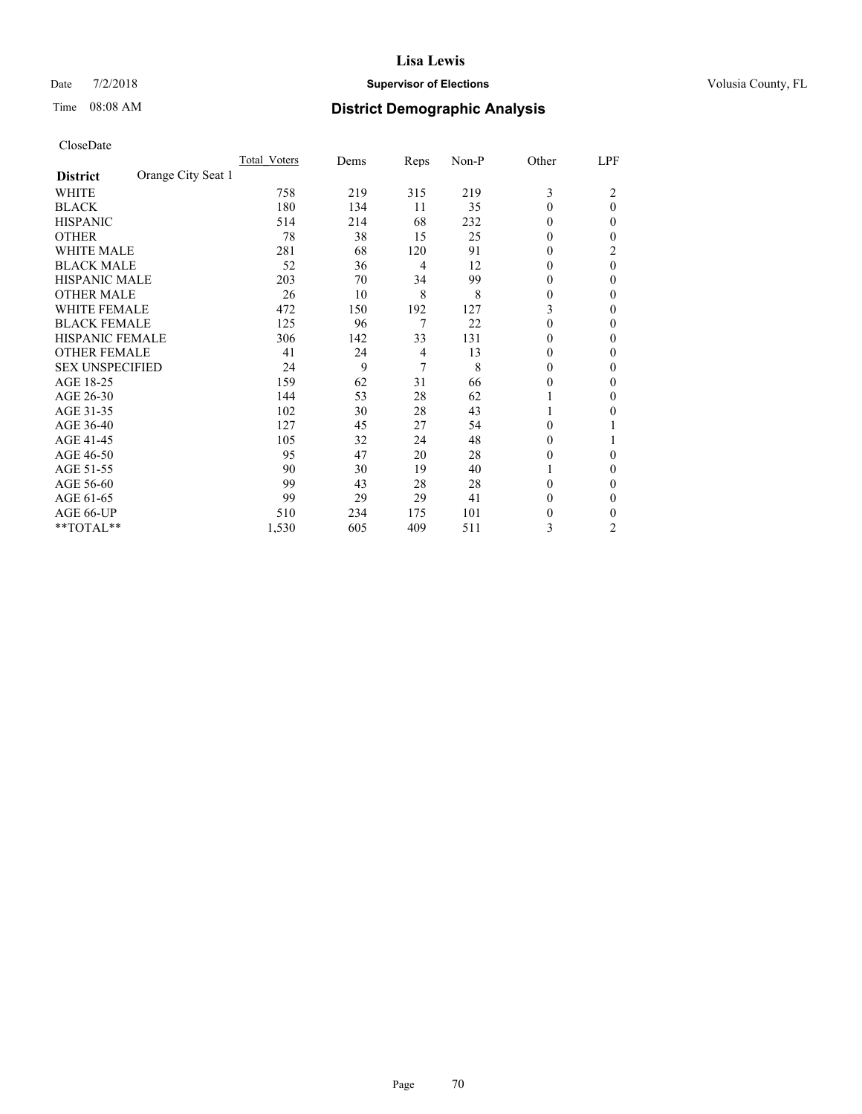## Date  $7/2/2018$  **Supervisor of Elections Supervisor of Elections** Volusia County, FL

# Time 08:08 AM **District Demographic Analysis**

|                                       | Total Voters | Dems | Reps | Non-P | Other          | LPF      |
|---------------------------------------|--------------|------|------|-------|----------------|----------|
| Orange City Seat 1<br><b>District</b> |              |      |      |       |                |          |
| WHITE                                 | 758          | 219  | 315  | 219   | 3              | 2        |
| <b>BLACK</b>                          | 180          | 134  | 11   | 35    | $\Omega$       | $\theta$ |
| <b>HISPANIC</b>                       | 514          | 214  | 68   | 232   | $\Omega$       | 0        |
| <b>OTHER</b>                          | 78           | 38   | 15   | 25    | $\theta$       | 0        |
| <b>WHITE MALE</b>                     | 281          | 68   | 120  | 91    | $\Omega$       | 2        |
| <b>BLACK MALE</b>                     | 52           | 36   | 4    | 12    | 0              | 0        |
| <b>HISPANIC MALE</b>                  | 203          | 70   | 34   | 99    | 0              | 0        |
| <b>OTHER MALE</b>                     | 26           | 10   | 8    | 8     | 0              | 0        |
| <b>WHITE FEMALE</b>                   | 472          | 150  | 192  | 127   | 3              | 0        |
| <b>BLACK FEMALE</b>                   | 125          | 96   | 7    | 22    | $\Omega$       | 0        |
| <b>HISPANIC FEMALE</b>                | 306          | 142  | 33   | 131   | $\Omega$       | 0        |
| <b>OTHER FEMALE</b>                   | 41           | 24   | 4    | 13    | $\Omega$       | 0        |
| <b>SEX UNSPECIFIED</b>                | 24           | 9    | 7    | 8     | $\overline{0}$ | 0        |
| AGE 18-25                             | 159          | 62   | 31   | 66    | 0              | 0        |
| AGE 26-30                             | 144          | 53   | 28   | 62    | 1              | 0        |
| AGE 31-35                             | 102          | 30   | 28   | 43    | 1              | 0        |
| AGE 36-40                             | 127          | 45   | 27   | 54    | $\Omega$       |          |
| AGE 41-45                             | 105          | 32   | 24   | 48    | $\Omega$       |          |
| AGE 46-50                             | 95           | 47   | 20   | 28    | $\Omega$       | 0        |
| AGE 51-55                             | 90           | 30   | 19   | 40    | 1              | 0        |
| AGE 56-60                             | 99           | 43   | 28   | 28    | 0              | 0        |
| AGE 61-65                             | 99           | 29   | 29   | 41    | 0              | 0        |
| AGE 66-UP                             | 510          | 234  | 175  | 101   | 0              | 0        |
| **TOTAL**                             | 1,530        | 605  | 409  | 511   | 3              | 2        |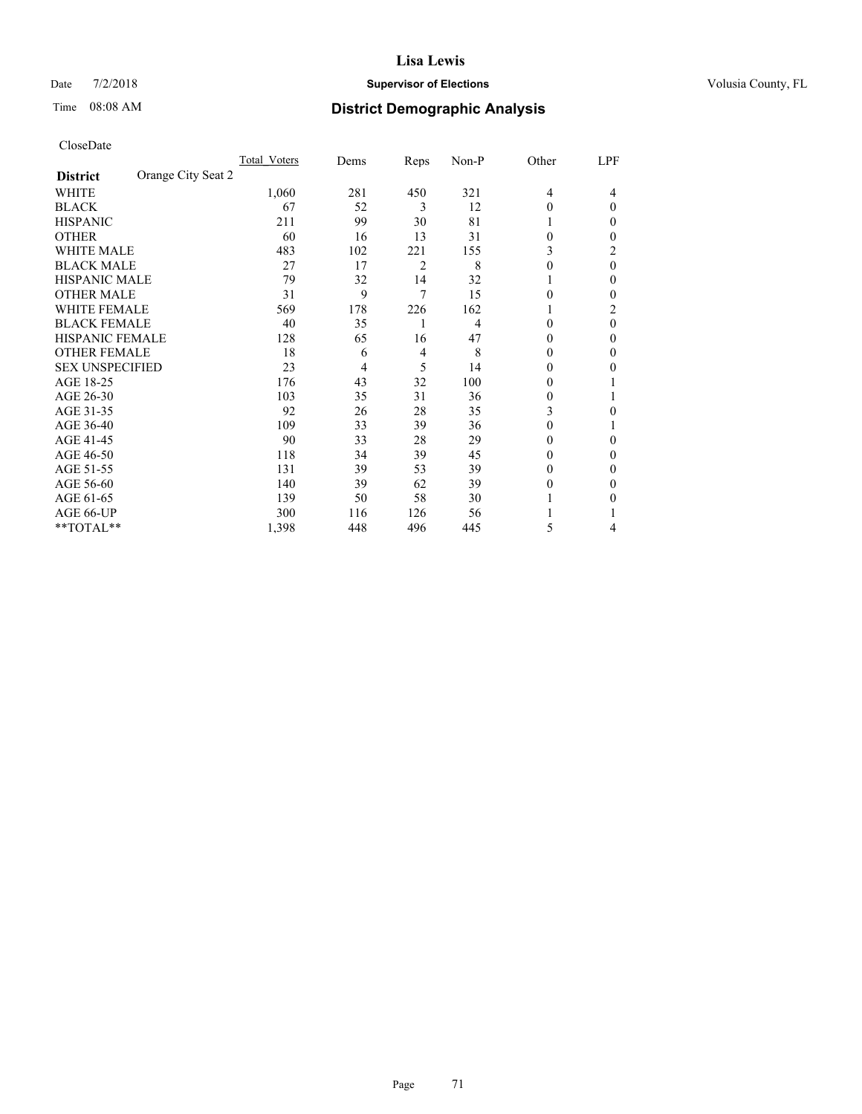## Date  $7/2/2018$  **Supervisor of Elections Supervisor of Elections** Volusia County, FL

|                                       | Total Voters | Dems | Reps           | Non-P | Other        | LPF      |
|---------------------------------------|--------------|------|----------------|-------|--------------|----------|
| Orange City Seat 2<br><b>District</b> |              |      |                |       |              |          |
| WHITE                                 | 1,060        | 281  | 450            | 321   | 4            | 4        |
| <b>BLACK</b>                          | 67           | 52   | 3              | 12    | 0            | $\theta$ |
| <b>HISPANIC</b>                       | 211          | 99   | 30             | 81    |              | $_{0}$   |
| <b>OTHER</b>                          | 60           | 16   | 13             | 31    | 0            | 0        |
| WHITE MALE                            | 483          | 102  | 221            | 155   | 3            | 2        |
| <b>BLACK MALE</b>                     | 27           | 17   | $\overline{2}$ | 8     | 0            | $\theta$ |
| <b>HISPANIC MALE</b>                  | 79           | 32   | 14             | 32    |              | 0        |
| <b>OTHER MALE</b>                     | 31           | 9    | 7              | 15    | 0            | $\theta$ |
| <b>WHITE FEMALE</b>                   | 569          | 178  | 226            | 162   |              | 2        |
| <b>BLACK FEMALE</b>                   | 40           | 35   |                | 4     | 0            | $\Omega$ |
| HISPANIC FEMALE                       | 128          | 65   | 16             | 47    | 0            | $\Omega$ |
| <b>OTHER FEMALE</b>                   | 18           | 6    | 4              | 8     | 0            | 0        |
| <b>SEX UNSPECIFIED</b>                | 23           | 4    | 5              | 14    | 0            | 0        |
| AGE 18-25                             | 176          | 43   | 32             | 100   | 0            |          |
| AGE 26-30                             | 103          | 35   | 31             | 36    | $\mathbf{0}$ |          |
| AGE 31-35                             | 92           | 26   | 28             | 35    | 3            | 0        |
| AGE 36-40                             | 109          | 33   | 39             | 36    | 0            |          |
| AGE 41-45                             | 90           | 33   | 28             | 29    | 0            | 0        |
| AGE 46-50                             | 118          | 34   | 39             | 45    | 0            | $\Omega$ |
| AGE 51-55                             | 131          | 39   | 53             | 39    | 0            | 0        |
| AGE 56-60                             | 140          | 39   | 62             | 39    | 0            | 0        |
| AGE 61-65                             | 139          | 50   | 58             | 30    |              | 0        |
| AGE 66-UP                             | 300          | 116  | 126            | 56    |              |          |
| **TOTAL**                             | 1,398        | 448  | 496            | 445   | 5            | 4        |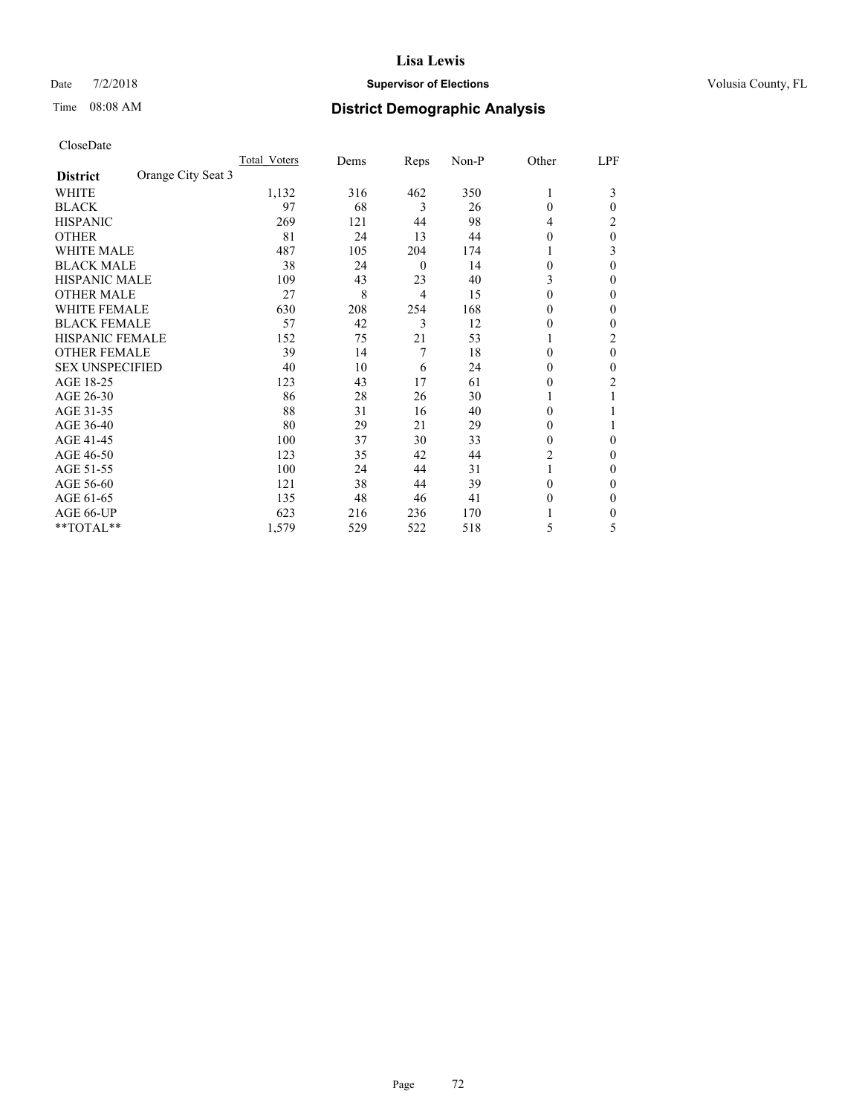## Date  $7/2/2018$  **Supervisor of Elections Supervisor of Elections** Volusia County, FL

# Time 08:08 AM **District Demographic Analysis**

|                        | Total Voters       | Dems | Reps           | Non-P | Other    | LPF            |
|------------------------|--------------------|------|----------------|-------|----------|----------------|
| <b>District</b>        | Orange City Seat 3 |      |                |       |          |                |
| WHITE                  | 1,132              | 316  | 462            | 350   | 1        | 3              |
| <b>BLACK</b>           | 97                 | 68   | 3              | 26    | $\theta$ | 0              |
| <b>HISPANIC</b>        | 269                | 121  | 44             | 98    | 4        | 2              |
| <b>OTHER</b>           | 81                 | 24   | 13             | 44    | $\theta$ | 0              |
| <b>WHITE MALE</b>      | 487                | 105  | 204            | 174   |          | 3              |
| <b>BLACK MALE</b>      | 38                 | 24   | $\overline{0}$ | 14    | $\theta$ | 0              |
| <b>HISPANIC MALE</b>   | 109                | 43   | 23             | 40    | 3        | 0              |
| <b>OTHER MALE</b>      | 27                 | 8    | 4              | 15    | $\theta$ | 0              |
| <b>WHITE FEMALE</b>    | 630                | 208  | 254            | 168   | 0        | 0              |
| <b>BLACK FEMALE</b>    | 57                 | 42   | 3              | 12    | $\theta$ | 0              |
| <b>HISPANIC FEMALE</b> | 152                | 75   | 21             | 53    |          | $\overline{c}$ |
| <b>OTHER FEMALE</b>    | 39                 | 14   | 7              | 18    | $\Omega$ | 0              |
| <b>SEX UNSPECIFIED</b> | 40                 | 10   | 6              | 24    | $\Omega$ | 0              |
| AGE 18-25              | 123                | 43   | 17             | 61    | $\theta$ | 2              |
| AGE 26-30              | 86                 | 28   | 26             | 30    |          |                |
| AGE 31-35              | 88                 | 31   | 16             | 40    | 0        |                |
| AGE 36-40              | 80                 | 29   | 21             | 29    | $\theta$ |                |
| AGE 41-45              | 100                | 37   | 30             | 33    | $\theta$ | 0              |
| AGE 46-50              | 123                | 35   | 42             | 44    | 2        | 0              |
| AGE 51-55              | 100                | 24   | 44             | 31    |          | 0              |
| AGE 56-60              | 121                | 38   | 44             | 39    | $\theta$ | 0              |
| AGE 61-65              | 135                | 48   | 46             | 41    | $\theta$ | 0              |
| AGE 66-UP              | 623                | 216  | 236            | 170   |          | 0              |
| **TOTAL**              | 1,579              | 529  | 522            | 518   | 5        | 5              |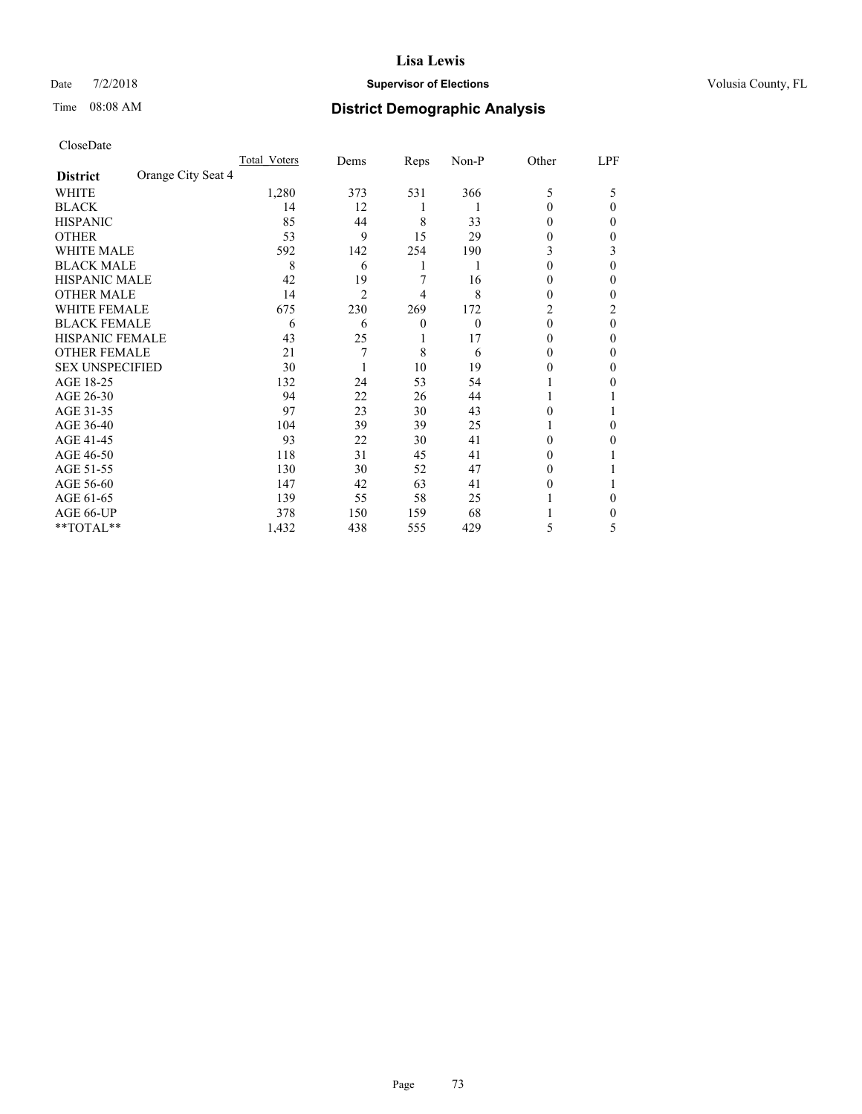#### Date  $7/2/2018$  **Supervisor of Elections Supervisor of Elections** Volusia County, FL

# Time 08:08 AM **District Demographic Analysis**

|                                       | Total Voters | Dems           | Reps             | Non-P    | Other    | LPF |
|---------------------------------------|--------------|----------------|------------------|----------|----------|-----|
| Orange City Seat 4<br><b>District</b> |              |                |                  |          |          |     |
| WHITE                                 | 1,280        | 373            | 531              | 366      | 5        | 5   |
| <b>BLACK</b>                          | 14           | 12             | 1                |          | 0        | 0   |
| <b>HISPANIC</b>                       | 85           | 44             | 8                | 33       | $\theta$ | 0   |
| <b>OTHER</b>                          | 53           | 9              | 15               | 29       | 0        | 0   |
| <b>WHITE MALE</b>                     | 592          | 142            | 254              | 190      | 3        | 3   |
| <b>BLACK MALE</b>                     | 8            | 6              | 1                |          | 0        | 0   |
| <b>HISPANIC MALE</b>                  | 42           | 19             | 7                | 16       | 0        | 0   |
| <b>OTHER MALE</b>                     | 14           | $\overline{2}$ | 4                | 8        | 0        | 0   |
| <b>WHITE FEMALE</b>                   | 675          | 230            | 269              | 172      | 2        | 2   |
| <b>BLACK FEMALE</b>                   | 6            | 6              | $\boldsymbol{0}$ | $\theta$ | $\theta$ | 0   |
| <b>HISPANIC FEMALE</b>                | 43           | 25             |                  | 17       | $_{0}$   | 0   |
| <b>OTHER FEMALE</b>                   | 21           | 7              | 8                | 6        | $_{0}$   | 0   |
| <b>SEX UNSPECIFIED</b>                | 30           |                | 10               | 19       | 0        | 0   |
| AGE 18-25                             | 132          | 24             | 53               | 54       |          | 0   |
| AGE 26-30                             | 94           | 22             | 26               | 44       |          |     |
| AGE 31-35                             | 97           | 23             | 30               | 43       | 0        |     |
| AGE 36-40                             | 104          | 39             | 39               | 25       |          | 0   |
| AGE 41-45                             | 93           | 22             | 30               | 41       | 0        | 0   |
| AGE 46-50                             | 118          | 31             | 45               | 41       | $\theta$ |     |
| AGE 51-55                             | 130          | 30             | 52               | 47       | $_{0}$   |     |
| AGE 56-60                             | 147          | 42             | 63               | 41       | $_{0}$   |     |
| AGE 61-65                             | 139          | 55             | 58               | 25       |          | 0   |
| AGE 66-UP                             | 378          | 150            | 159              | 68       |          | 0   |
| **TOTAL**                             | 1,432        | 438            | 555              | 429      | 5        | 5   |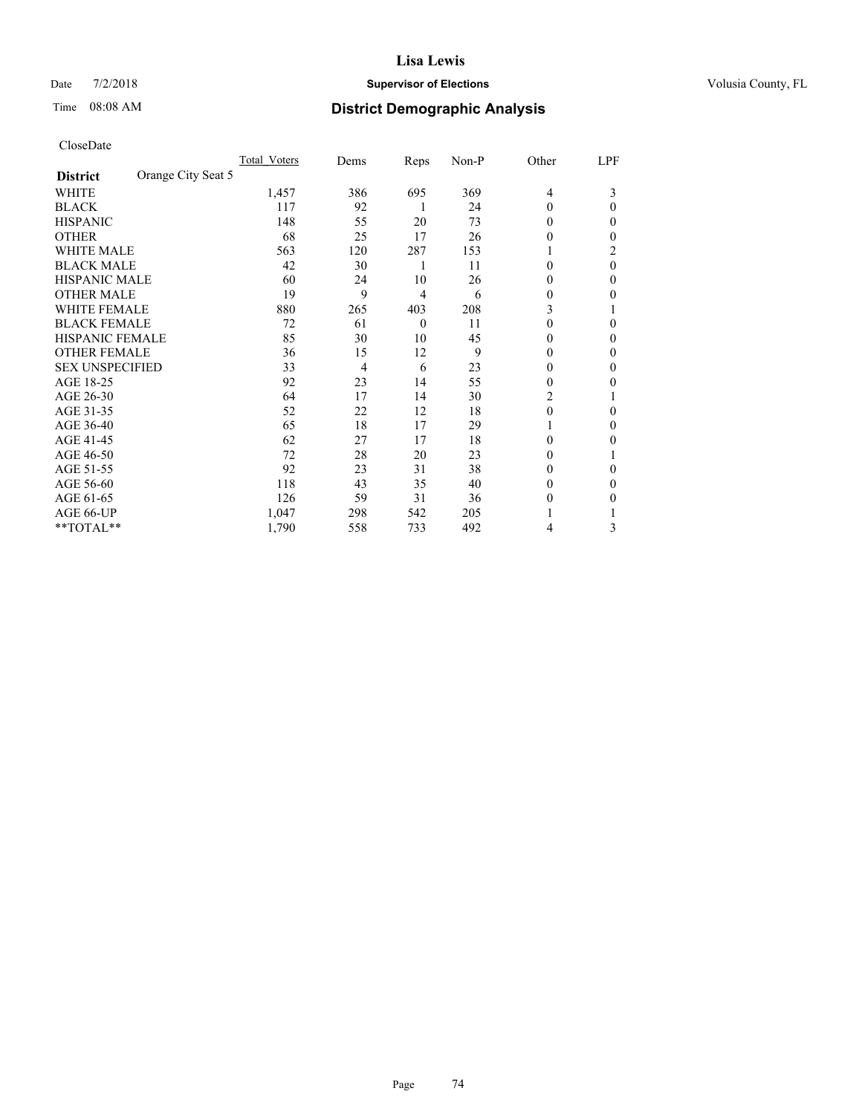### Date  $7/2/2018$  **Supervisor of Elections Supervisor of Elections** Volusia County, FL

# Time 08:08 AM **District Demographic Analysis**

|                        | Total Voters       | Dems | Reps     | Non-P | Other          | LPF      |
|------------------------|--------------------|------|----------|-------|----------------|----------|
| <b>District</b>        | Orange City Seat 5 |      |          |       |                |          |
| WHITE                  | 1,457              | 386  | 695      | 369   | $\overline{4}$ | 3        |
| <b>BLACK</b>           | 117                | 92   | 1        | 24    | $\theta$       | 0        |
| <b>HISPANIC</b>        | 148                | 55   | 20       | 73    | $\theta$       | 0        |
| <b>OTHER</b>           | 68                 | 25   | 17       | 26    | 0              | 0        |
| <b>WHITE MALE</b>      | 563                | 120  | 287      | 153   |                | 2        |
| <b>BLACK MALE</b>      | 42                 | 30   | 1        | 11    | $\theta$       | $\theta$ |
| HISPANIC MALE          | 60                 | 24   | 10       | 26    | 0              | 0        |
| <b>OTHER MALE</b>      | 19                 | 9    | 4        | 6     | $\theta$       | 0        |
| <b>WHITE FEMALE</b>    | 880                | 265  | 403      | 208   | 3              |          |
| <b>BLACK FEMALE</b>    | 72                 | 61   | $\theta$ | 11    | $\theta$       | 0        |
| <b>HISPANIC FEMALE</b> | 85                 | 30   | 10       | 45    | $\Omega$       | 0        |
| <b>OTHER FEMALE</b>    | 36                 | 15   | 12       | 9     | $\theta$       | 0        |
| <b>SEX UNSPECIFIED</b> | 33                 | 4    | 6        | 23    | $\theta$       | 0        |
| AGE 18-25              | 92                 | 23   | 14       | 55    | $\theta$       | 0        |
| AGE 26-30              | 64                 | 17   | 14       | 30    | 2              |          |
| AGE 31-35              | 52                 | 22   | 12       | 18    | $\theta$       | 0        |
| AGE 36-40              | 65                 | 18   | 17       | 29    | 1              | 0        |
| AGE 41-45              | 62                 | 27   | 17       | 18    | $\Omega$       | 0        |
| AGE 46-50              | 72                 | 28   | 20       | 23    | $\theta$       |          |
| AGE 51-55              | 92                 | 23   | 31       | 38    | $\Omega$       | 0        |
| AGE 56-60              | 118                | 43   | 35       | 40    | $\theta$       | 0        |
| AGE 61-65              | 126                | 59   | 31       | 36    | $\theta$       | 0        |
| AGE 66-UP              | 1,047              | 298  | 542      | 205   |                |          |
| **TOTAL**              | 1,790              | 558  | 733      | 492   | 4              | 3        |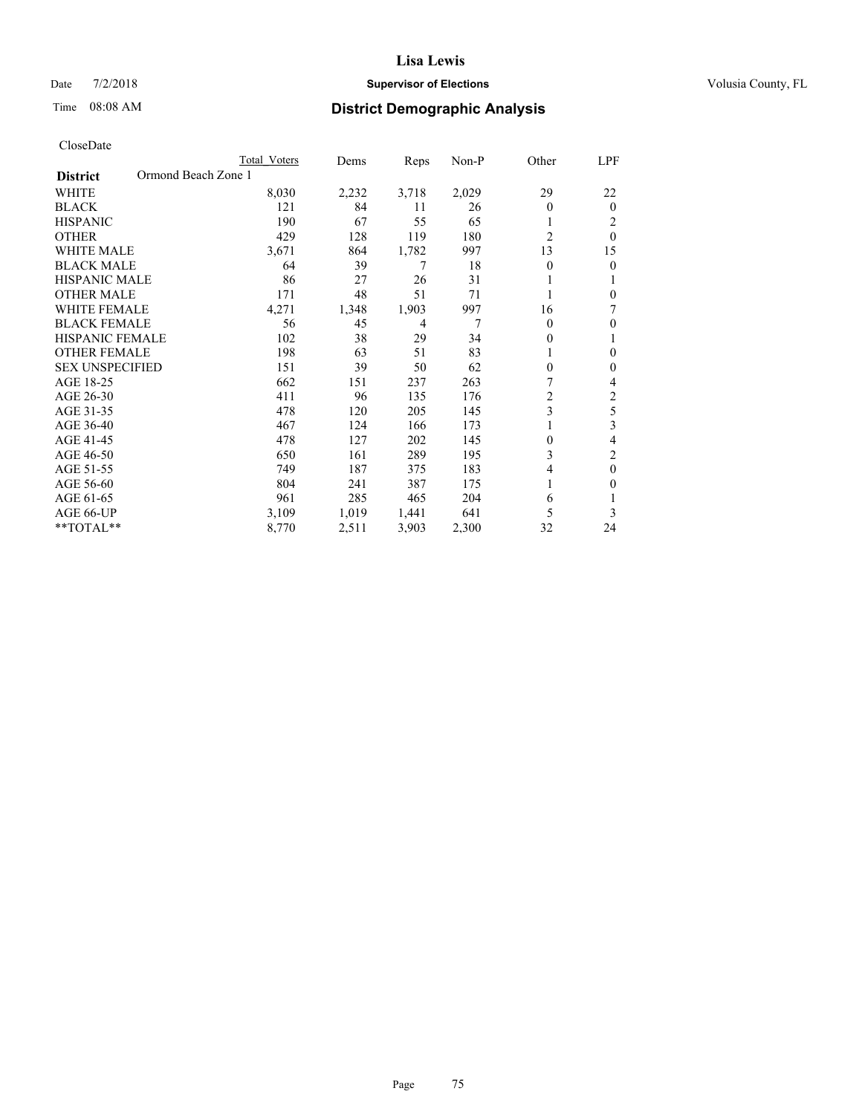#### Date  $7/2/2018$  **Supervisor of Elections Supervisor of Elections** Volusia County, FL

# Time 08:08 AM **District Demographic Analysis**

|                                        | Total Voters | Dems  | Reps  | Non-P | Other          | LPF            |
|----------------------------------------|--------------|-------|-------|-------|----------------|----------------|
| Ormond Beach Zone 1<br><b>District</b> |              |       |       |       |                |                |
| WHITE                                  | 8,030        | 2,232 | 3,718 | 2,029 | 29             | 22             |
| <b>BLACK</b>                           | 121          | 84    | 11    | 26    | $\theta$       | $\mathbf{0}$   |
| <b>HISPANIC</b>                        | 190          | 67    | 55    | 65    |                | 2              |
| <b>OTHER</b>                           | 429          | 128   | 119   | 180   | $\overline{2}$ | $\theta$       |
| <b>WHITE MALE</b>                      | 3,671        | 864   | 1,782 | 997   | 13             | 15             |
| <b>BLACK MALE</b>                      | 64           | 39    | 7     | 18    | $\theta$       | $\theta$       |
| <b>HISPANIC MALE</b>                   | 86           | 27    | 26    | 31    |                | 1              |
| <b>OTHER MALE</b>                      | 171          | 48    | 51    | 71    |                | $\theta$       |
| <b>WHITE FEMALE</b>                    | 4,271        | 1,348 | 1,903 | 997   | 16             | 7              |
| <b>BLACK FEMALE</b>                    | 56           | 45    | 4     | 7     | $\theta$       | $\mathbf{0}$   |
| <b>HISPANIC FEMALE</b>                 | 102          | 38    | 29    | 34    | 0              | 1              |
| <b>OTHER FEMALE</b>                    | 198          | 63    | 51    | 83    |                | $\theta$       |
| <b>SEX UNSPECIFIED</b>                 | 151          | 39    | 50    | 62    | 0              | $\theta$       |
| AGE 18-25                              | 662          | 151   | 237   | 263   | 7              | 4              |
| AGE 26-30                              | 411          | 96    | 135   | 176   | $\overline{c}$ | $\overline{c}$ |
| AGE 31-35                              | 478          | 120   | 205   | 145   | 3              | 5              |
| AGE 36-40                              | 467          | 124   | 166   | 173   |                | 3              |
| AGE 41-45                              | 478          | 127   | 202   | 145   | 0              | 4              |
| AGE 46-50                              | 650          | 161   | 289   | 195   | 3              | 2              |
| AGE 51-55                              | 749          | 187   | 375   | 183   | 4              | $\theta$       |
| AGE 56-60                              | 804          | 241   | 387   | 175   |                | $\theta$       |
| AGE 61-65                              | 961          | 285   | 465   | 204   | 6              | 1              |
| AGE 66-UP                              | 3,109        | 1,019 | 1,441 | 641   | 5              | 3              |
| **TOTAL**                              | 8,770        | 2,511 | 3,903 | 2,300 | 32             | 24             |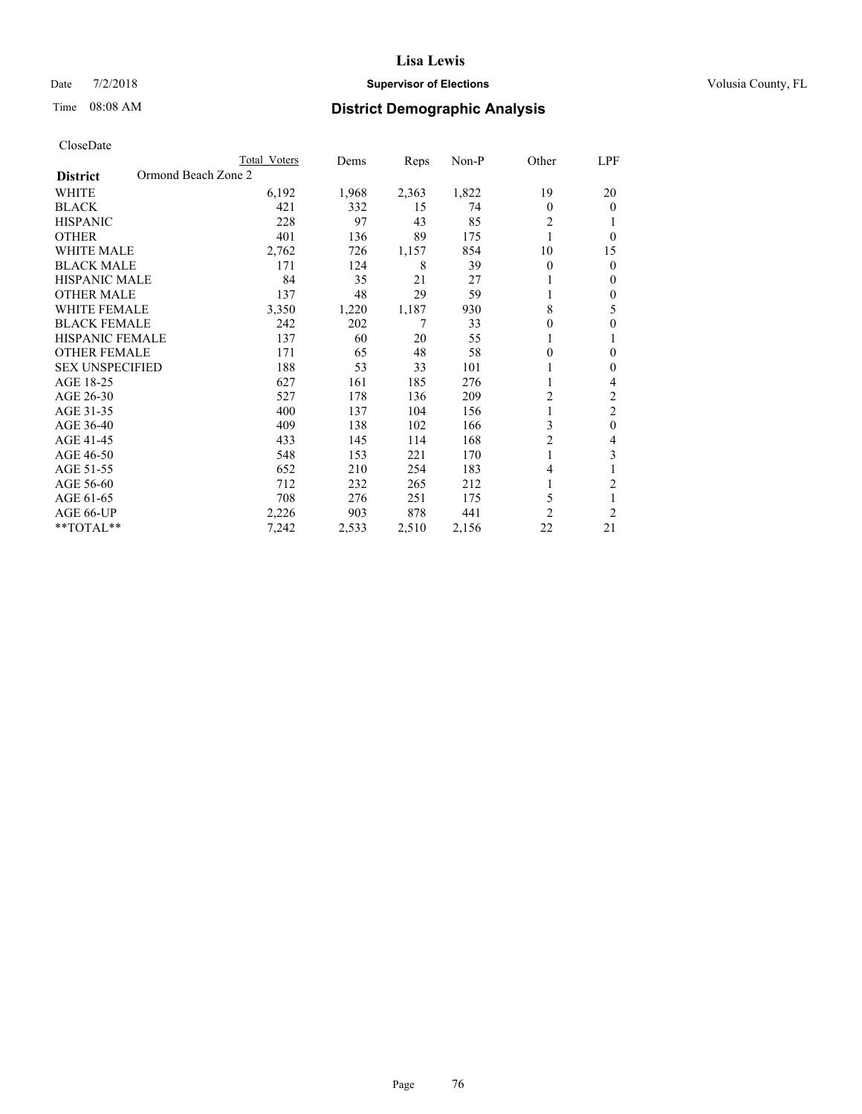### Date  $7/2/2018$  **Supervisor of Elections Supervisor of Elections** Volusia County, FL

# Time 08:08 AM **District Demographic Analysis**

|                                        | Total Voters | Dems  | Reps  | Non-P | Other          | LPF            |
|----------------------------------------|--------------|-------|-------|-------|----------------|----------------|
| Ormond Beach Zone 2<br><b>District</b> |              |       |       |       |                |                |
| WHITE                                  | 6,192        | 1,968 | 2,363 | 1,822 | 19             | 20             |
| <b>BLACK</b>                           | 421          | 332   | 15    | 74    | $\theta$       | $\mathbf{0}$   |
| <b>HISPANIC</b>                        | 228          | 97    | 43    | 85    | 2              | 1              |
| <b>OTHER</b>                           | 401          | 136   | 89    | 175   |                | $\theta$       |
| <b>WHITE MALE</b>                      | 2,762        | 726   | 1,157 | 854   | 10             | 15             |
| <b>BLACK MALE</b>                      | 171          | 124   | 8     | 39    | $\theta$       | $\theta$       |
| <b>HISPANIC MALE</b>                   | 84           | 35    | 21    | 27    |                | $\mathbf{0}$   |
| <b>OTHER MALE</b>                      | 137          | 48    | 29    | 59    |                | $\mathbf{0}$   |
| <b>WHITE FEMALE</b>                    | 3,350        | 1,220 | 1,187 | 930   | 8              | 5              |
| <b>BLACK FEMALE</b>                    | 242          | 202   | 7     | 33    | 0              | $\theta$       |
| <b>HISPANIC FEMALE</b>                 | 137          | 60    | 20    | 55    |                | 1              |
| <b>OTHER FEMALE</b>                    | 171          | 65    | 48    | 58    | 0              | $\theta$       |
| <b>SEX UNSPECIFIED</b>                 | 188          | 53    | 33    | 101   |                | $\theta$       |
| AGE 18-25                              | 627          | 161   | 185   | 276   |                | 4              |
| AGE 26-30                              | 527          | 178   | 136   | 209   | $\overline{c}$ | $\overline{2}$ |
| AGE 31-35                              | 400          | 137   | 104   | 156   |                | $\overline{c}$ |
| AGE 36-40                              | 409          | 138   | 102   | 166   | 3              | $\mathbf{0}$   |
| AGE 41-45                              | 433          | 145   | 114   | 168   | $\overline{c}$ | 4              |
| AGE 46-50                              | 548          | 153   | 221   | 170   |                | 3              |
| AGE 51-55                              | 652          | 210   | 254   | 183   | 4              | 1              |
| AGE 56-60                              | 712          | 232   | 265   | 212   |                | $\overline{2}$ |
| AGE 61-65                              | 708          | 276   | 251   | 175   | 5              | 1              |
| AGE 66-UP                              | 2,226        | 903   | 878   | 441   | $\overline{c}$ | $\overline{2}$ |
| **TOTAL**                              | 7,242        | 2,533 | 2,510 | 2,156 | 22             | 21             |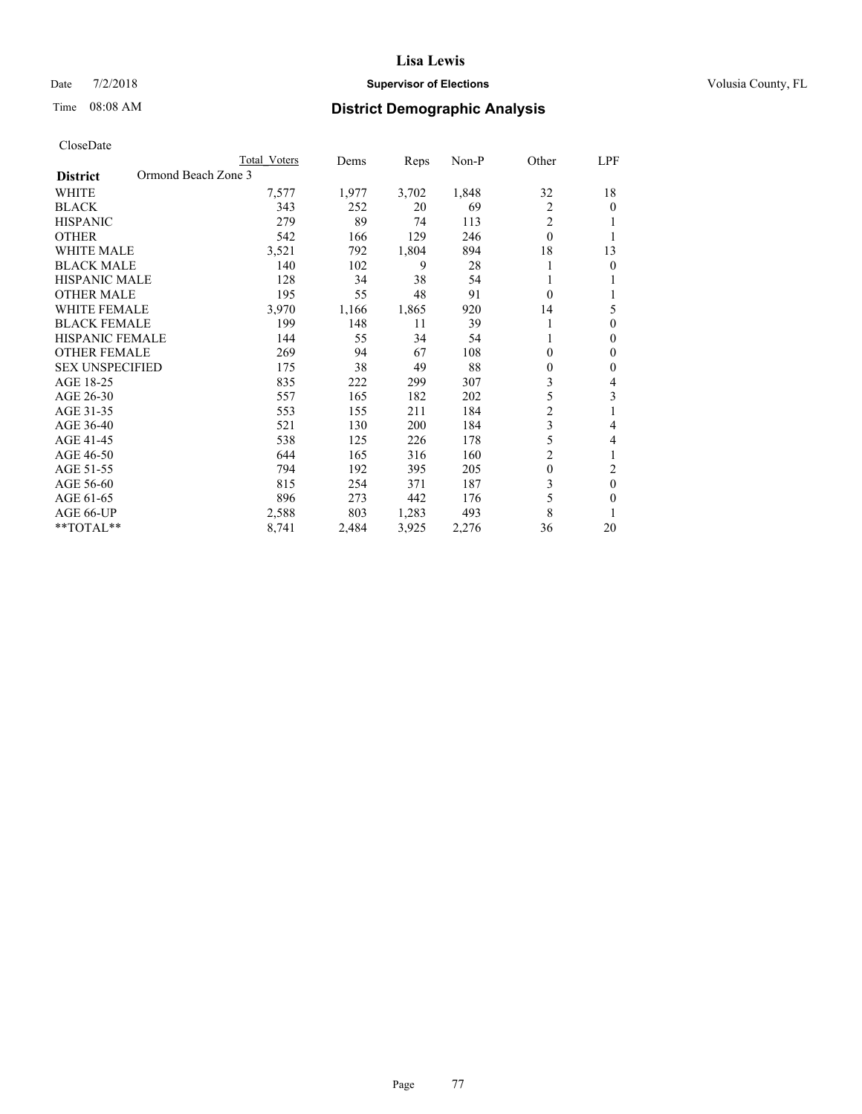#### Date  $7/2/2018$  **Supervisor of Elections Supervisor of Elections** Volusia County, FL

# Time 08:08 AM **District Demographic Analysis**

|                                        | Total Voters | Dems  | Reps  | Non-P | Other          | LPF      |
|----------------------------------------|--------------|-------|-------|-------|----------------|----------|
| Ormond Beach Zone 3<br><b>District</b> |              |       |       |       |                |          |
| WHITE                                  | 7,577        | 1,977 | 3,702 | 1,848 | 32             | 18       |
| <b>BLACK</b>                           | 343          | 252   | 20    | 69    | $\overline{2}$ | $\theta$ |
| <b>HISPANIC</b>                        | 279          | 89    | 74    | 113   | $\overline{2}$ | 1        |
| <b>OTHER</b>                           | 542          | 166   | 129   | 246   | $\theta$       |          |
| <b>WHITE MALE</b>                      | 3,521        | 792   | 1,804 | 894   | 18             | 13       |
| <b>BLACK MALE</b>                      | 140          | 102   | 9     | 28    |                | $\theta$ |
| <b>HISPANIC MALE</b>                   | 128          | 34    | 38    | 54    |                | 1        |
| <b>OTHER MALE</b>                      | 195          | 55    | 48    | 91    | $\theta$       | 1        |
| <b>WHITE FEMALE</b>                    | 3,970        | 1,166 | 1,865 | 920   | 14             | 5        |
| <b>BLACK FEMALE</b>                    | 199          | 148   | 11    | 39    |                | $\theta$ |
| <b>HISPANIC FEMALE</b>                 | 144          | 55    | 34    | 54    |                | $\Omega$ |
| <b>OTHER FEMALE</b>                    | 269          | 94    | 67    | 108   | 0              | $\theta$ |
| <b>SEX UNSPECIFIED</b>                 | 175          | 38    | 49    | 88    | 0              | $\theta$ |
| AGE 18-25                              | 835          | 222   | 299   | 307   | 3              | 4        |
| AGE 26-30                              | 557          | 165   | 182   | 202   | 5              | 3        |
| AGE 31-35                              | 553          | 155   | 211   | 184   | $\overline{c}$ | 1        |
| AGE 36-40                              | 521          | 130   | 200   | 184   | 3              | 4        |
| AGE 41-45                              | 538          | 125   | 226   | 178   | 5              | 4        |
| AGE 46-50                              | 644          | 165   | 316   | 160   | $\overline{2}$ | 1        |
| AGE 51-55                              | 794          | 192   | 395   | 205   | $\theta$       | 2        |
| AGE 56-60                              | 815          | 254   | 371   | 187   | 3              | $\theta$ |
| AGE 61-65                              | 896          | 273   | 442   | 176   | 5              | $\theta$ |
| AGE 66-UP                              | 2,588        | 803   | 1,283 | 493   | 8              |          |
| **TOTAL**                              | 8,741        | 2,484 | 3,925 | 2,276 | 36             | 20       |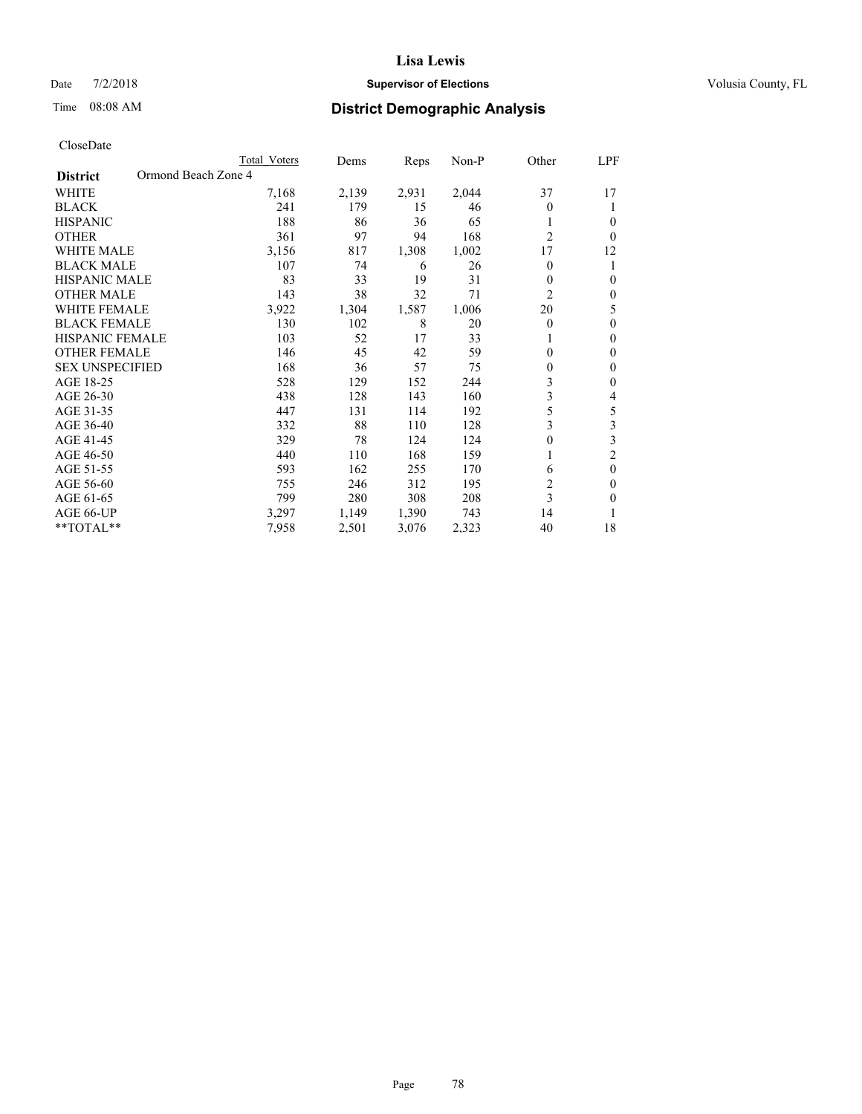#### Date  $7/2/2018$  **Supervisor of Elections Supervisor of Elections** Volusia County, FL

# Time 08:08 AM **District Demographic Analysis**

|                                        | Total Voters | Dems  | Reps  | Non-P | Other          | LPF            |
|----------------------------------------|--------------|-------|-------|-------|----------------|----------------|
| Ormond Beach Zone 4<br><b>District</b> |              |       |       |       |                |                |
| WHITE                                  | 7,168        | 2,139 | 2,931 | 2,044 | 37             | 17             |
| <b>BLACK</b>                           | 241          | 179   | 15    | 46    | $\theta$       |                |
| <b>HISPANIC</b>                        | 188          | 86    | 36    | 65    | 1              | $\Omega$       |
| <b>OTHER</b>                           | 361          | 97    | 94    | 168   | $\overline{2}$ | 0              |
| WHITE MALE                             | 3,156        | 817   | 1,308 | 1,002 | 17             | 12             |
| <b>BLACK MALE</b>                      | 107          | 74    | 6     | 26    | $\Omega$       |                |
| <b>HISPANIC MALE</b>                   | 83           | 33    | 19    | 31    | 0              | $\theta$       |
| <b>OTHER MALE</b>                      | 143          | 38    | 32    | 71    | 2              | $\mathbf{0}$   |
| WHITE FEMALE                           | 3,922        | 1,304 | 1,587 | 1,006 | 20             | 5              |
| <b>BLACK FEMALE</b>                    | 130          | 102   | 8     | 20    | $\Omega$       | $\theta$       |
| <b>HISPANIC FEMALE</b>                 | 103          | 52    | 17    | 33    |                | $\Omega$       |
| <b>OTHER FEMALE</b>                    | 146          | 45    | 42    | 59    | $\Omega$       | $\theta$       |
| <b>SEX UNSPECIFIED</b>                 | 168          | 36    | 57    | 75    | 0              | $\theta$       |
| AGE 18-25                              | 528          | 129   | 152   | 244   | 3              | $\theta$       |
| AGE 26-30                              | 438          | 128   | 143   | 160   | 3              | 4              |
| AGE 31-35                              | 447          | 131   | 114   | 192   | 5              | 5              |
| AGE 36-40                              | 332          | 88    | 110   | 128   | 3              | 3              |
| AGE 41-45                              | 329          | 78    | 124   | 124   | 0              | 3              |
| AGE 46-50                              | 440          | 110   | 168   | 159   | 1              | $\overline{2}$ |
| AGE 51-55                              | 593          | 162   | 255   | 170   | 6              | $\theta$       |
| AGE 56-60                              | 755          | 246   | 312   | 195   | $\overline{c}$ | $\theta$       |
| AGE 61-65                              | 799          | 280   | 308   | 208   | 3              | $\theta$       |
| AGE 66-UP                              | 3,297        | 1,149 | 1,390 | 743   | 14             |                |
| **TOTAL**                              | 7,958        | 2,501 | 3,076 | 2,323 | 40             | 18             |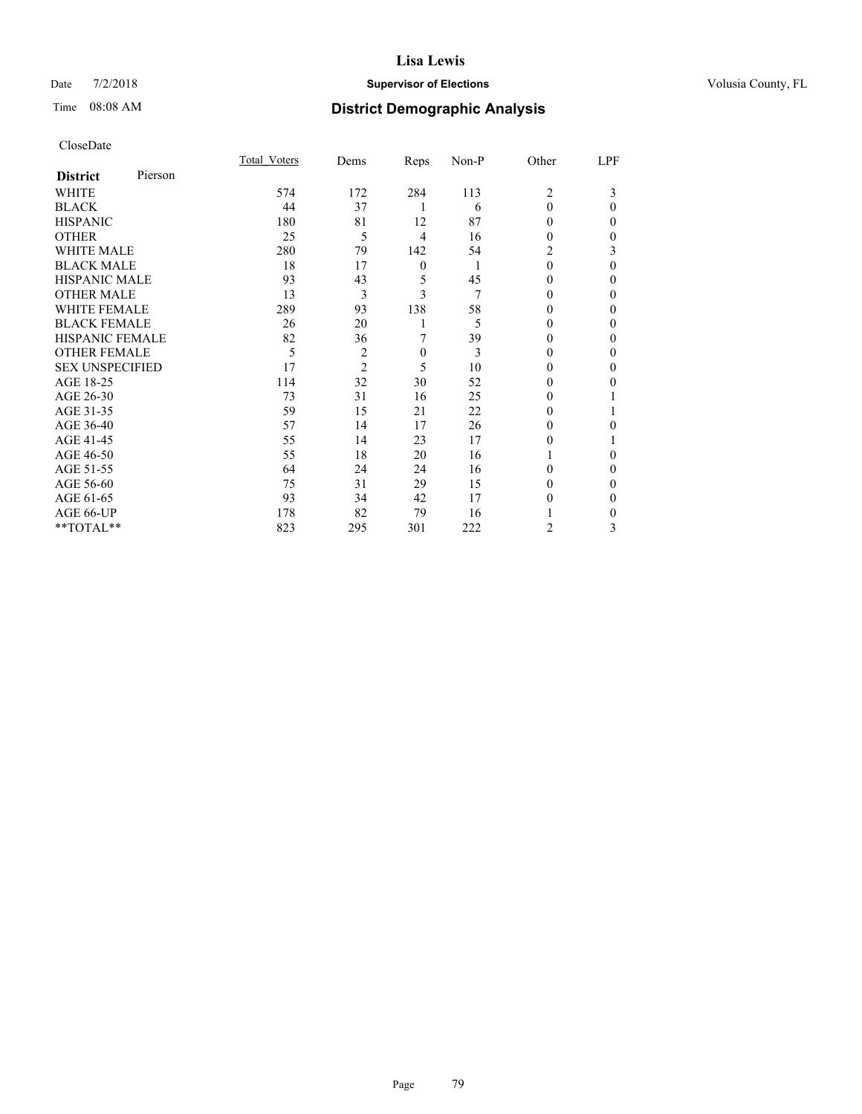### Date  $7/2/2018$  **Supervisor of Elections Supervisor of Elections** Volusia County, FL

# Time 08:08 AM **District Demographic Analysis**

| CloseDate |
|-----------|
|-----------|

|                        |         | Total Voters | Dems           | Reps             | Non-P | Other    | LPF      |
|------------------------|---------|--------------|----------------|------------------|-------|----------|----------|
| <b>District</b>        | Pierson |              |                |                  |       |          |          |
| WHITE                  |         | 574          | 172            | 284              | 113   | 2        | 3        |
| <b>BLACK</b>           |         | 44           | 37             | 1                | 6     | $\Omega$ | $\Omega$ |
| <b>HISPANIC</b>        |         | 180          | 81             | 12               | 87    | 0        | 0        |
| <b>OTHER</b>           |         | 25           | 5              | 4                | 16    | 0        | 0        |
| <b>WHITE MALE</b>      |         | 280          | 79             | 142              | 54    | 2        | 3        |
| <b>BLACK MALE</b>      |         | 18           | 17             | $\boldsymbol{0}$ | 1     | $\theta$ | $\Omega$ |
| <b>HISPANIC MALE</b>   |         | 93           | 43             | 5                | 45    | $\theta$ | 0        |
| <b>OTHER MALE</b>      |         | 13           | 3              | 3                | 7     | 0        | 0        |
| <b>WHITE FEMALE</b>    |         | 289          | 93             | 138              | 58    |          | 0        |
| <b>BLACK FEMALE</b>    |         | 26           | 20             |                  | 5     | 0        | 0        |
| <b>HISPANIC FEMALE</b> |         | 82           | 36             | 7                | 39    | $\theta$ | 0        |
| <b>OTHER FEMALE</b>    |         | 5            | $\overline{c}$ | $\mathbf{0}$     | 3     | 0        | 0        |
| <b>SEX UNSPECIFIED</b> |         | 17           | $\overline{2}$ | 5                | 10    | 0        | 0        |
| AGE 18-25              |         | 114          | 32             | 30               | 52    | 0        | 0        |
| AGE 26-30              |         | 73           | 31             | 16               | 25    | $_{0}$   |          |
| AGE 31-35              |         | 59           | 15             | 21               | 22    | $_{0}$   |          |
| AGE 36-40              |         | 57           | 14             | 17               | 26    | 0        | 0        |
| AGE 41-45              |         | 55           | 14             | 23               | 17    | 0        |          |
| AGE 46-50              |         | 55           | 18             | 20               | 16    |          | $\Omega$ |
| AGE 51-55              |         | 64           | 24             | 24               | 16    | 0        | $\Omega$ |
| AGE 56-60              |         | 75           | 31             | 29               | 15    | $\theta$ | 0        |
| AGE 61-65              |         | 93           | 34             | 42               | 17    | 0        | 0        |
| AGE 66-UP              |         | 178          | 82             | 79               | 16    |          | 0        |
| **TOTAL**              |         | 823          | 295            | 301              | 222   | 2        | 3        |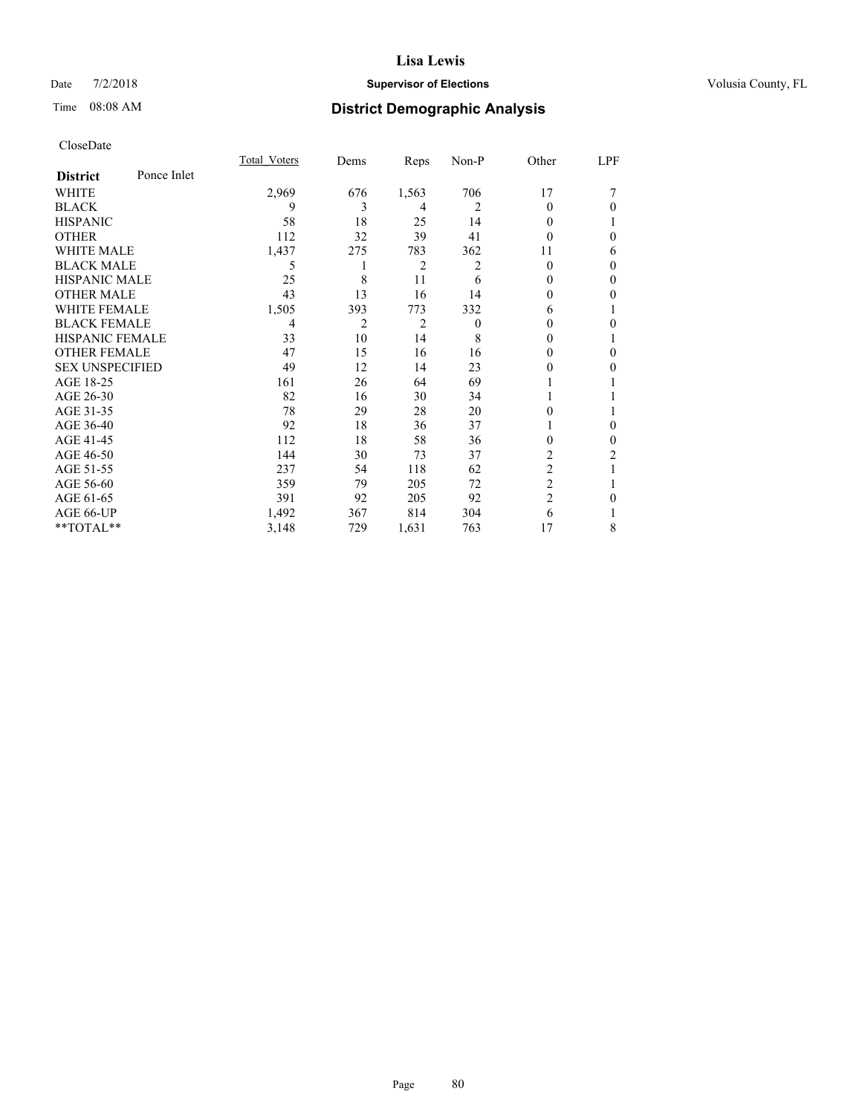#### Date  $7/2/2018$  **Supervisor of Elections Supervisor of Elections** Volusia County, FL

### Time 08:08 AM **District Demographic Analysis**

|                        |             | Total Voters | Dems           | Reps  | Non-P    | Other          | LPF            |
|------------------------|-------------|--------------|----------------|-------|----------|----------------|----------------|
| <b>District</b>        | Ponce Inlet |              |                |       |          |                |                |
| WHITE                  |             | 2,969        | 676            | 1,563 | 706      | 17             |                |
| <b>BLACK</b>           |             | 9            | 3              | 4     | 2        | 0              | $\theta$       |
| <b>HISPANIC</b>        |             | 58           | 18             | 25    | 14       | 0              |                |
| <b>OTHER</b>           |             | 112          | 32             | 39    | 41       | 0              | $\theta$       |
| <b>WHITE MALE</b>      |             | 1,437        | 275            | 783   | 362      | 11             | 6              |
| <b>BLACK MALE</b>      |             | 5            |                | 2     | 2        | 0              | $\mathbf{0}$   |
| <b>HISPANIC MALE</b>   |             | 25           | 8              | 11    | 6        | $\theta$       | $\mathbf{0}$   |
| <b>OTHER MALE</b>      |             | 43           | 13             | 16    | 14       | 0              | $\theta$       |
| <b>WHITE FEMALE</b>    |             | 1,505        | 393            | 773   | 332      | 6              |                |
| <b>BLACK FEMALE</b>    |             | 4            | $\overline{2}$ | 2     | $\theta$ | 0              | $\theta$       |
| HISPANIC FEMALE        |             | 33           | 10             | 14    | 8        | 0              | 1              |
| <b>OTHER FEMALE</b>    |             | 47           | 15             | 16    | 16       | 0              | $\theta$       |
| <b>SEX UNSPECIFIED</b> |             | 49           | 12             | 14    | 23       | 0              | $\theta$       |
| AGE 18-25              |             | 161          | 26             | 64    | 69       |                |                |
| AGE 26-30              |             | 82           | 16             | 30    | 34       |                |                |
| AGE 31-35              |             | 78           | 29             | 28    | 20       | 0              |                |
| AGE 36-40              |             | 92           | 18             | 36    | 37       |                | $\mathbf{0}$   |
| AGE 41-45              |             | 112          | 18             | 58    | 36       | 0              | $\overline{0}$ |
| AGE 46-50              |             | 144          | 30             | 73    | 37       | 2              | 2              |
| AGE 51-55              |             | 237          | 54             | 118   | 62       | $\overline{c}$ |                |
| AGE 56-60              |             | 359          | 79             | 205   | 72       | $\overline{2}$ |                |
| AGE 61-65              |             | 391          | 92             | 205   | 92       | 2              | $\theta$       |
| AGE 66-UP              |             | 1,492        | 367            | 814   | 304      | 6              |                |
| **TOTAL**              |             | 3,148        | 729            | 1,631 | 763      | 17             | 8              |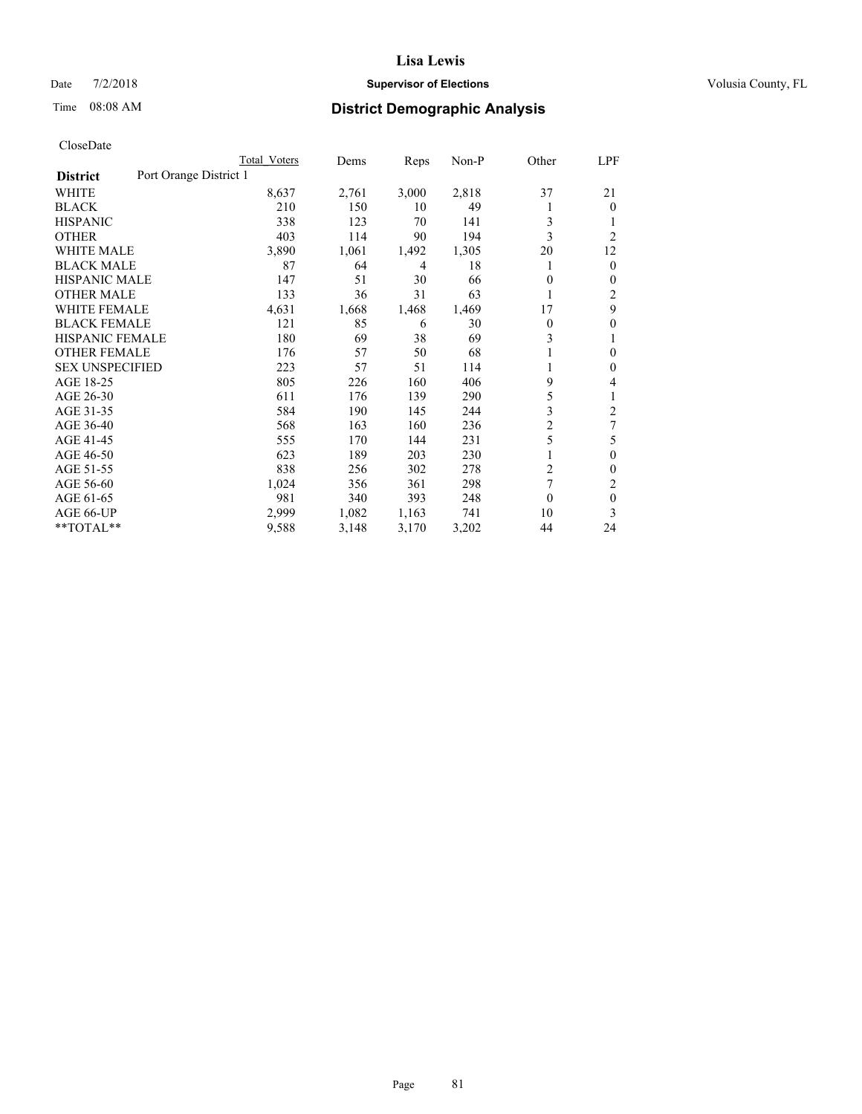#### Date  $7/2/2018$  **Supervisor of Elections Supervisor of Elections** Volusia County, FL

# Time 08:08 AM **District Demographic Analysis**

|                        |                        | Total Voters | Dems  | Reps  | Non-P | Other                   | LPF            |
|------------------------|------------------------|--------------|-------|-------|-------|-------------------------|----------------|
| <b>District</b>        | Port Orange District 1 |              |       |       |       |                         |                |
| WHITE                  |                        | 8,637        | 2,761 | 3,000 | 2,818 | 37                      | 21             |
| <b>BLACK</b>           |                        | 210          | 150   | 10    | 49    |                         | $\mathbf{0}$   |
| <b>HISPANIC</b>        |                        | 338          | 123   | 70    | 141   | 3                       | 1              |
| <b>OTHER</b>           |                        | 403          | 114   | 90    | 194   | 3                       | $\overline{2}$ |
| <b>WHITE MALE</b>      |                        | 3,890        | 1,061 | 1,492 | 1,305 | 20                      | 12             |
| <b>BLACK MALE</b>      |                        | 87           | 64    | 4     | 18    |                         | $\mathbf{0}$   |
| <b>HISPANIC MALE</b>   |                        | 147          | 51    | 30    | 66    | 0                       | $\mathbf{0}$   |
| <b>OTHER MALE</b>      |                        | 133          | 36    | 31    | 63    | 1                       | 2              |
| WHITE FEMALE           |                        | 4,631        | 1,668 | 1,468 | 1,469 | 17                      | 9              |
| <b>BLACK FEMALE</b>    |                        | 121          | 85    | 6     | 30    | 0                       | $\theta$       |
| <b>HISPANIC FEMALE</b> |                        | 180          | 69    | 38    | 69    | 3                       | 1              |
| <b>OTHER FEMALE</b>    |                        | 176          | 57    | 50    | 68    |                         | 0              |
| <b>SEX UNSPECIFIED</b> |                        | 223          | 57    | 51    | 114   |                         | $\theta$       |
| AGE 18-25              |                        | 805          | 226   | 160   | 406   | 9                       | 4              |
| AGE 26-30              |                        | 611          | 176   | 139   | 290   | 5                       | 1              |
| AGE 31-35              |                        | 584          | 190   | 145   | 244   | 3                       | $\overline{2}$ |
| AGE 36-40              |                        | 568          | 163   | 160   | 236   | $\overline{\mathbf{c}}$ | 7              |
| AGE 41-45              |                        | 555          | 170   | 144   | 231   | 5                       | 5              |
| AGE 46-50              |                        | 623          | 189   | 203   | 230   |                         | $\theta$       |
| AGE 51-55              |                        | 838          | 256   | 302   | 278   | 2                       | $\Omega$       |
| AGE 56-60              |                        | 1,024        | 356   | 361   | 298   | 7                       | 2              |
| AGE 61-65              |                        | 981          | 340   | 393   | 248   | 0                       | $\theta$       |
| AGE 66-UP              |                        | 2,999        | 1,082 | 1,163 | 741   | 10                      | 3              |
| $*$ TOTAL $*$          |                        | 9,588        | 3,148 | 3,170 | 3,202 | 44                      | 24             |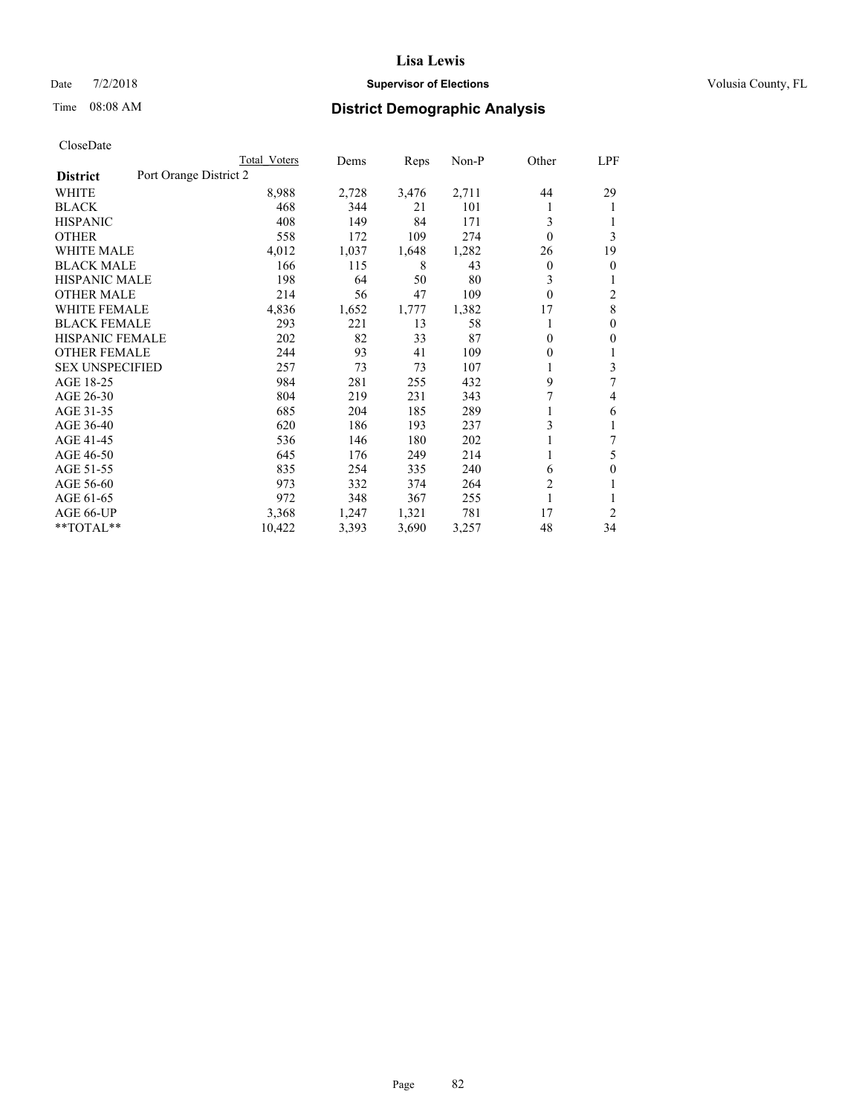#### Date  $7/2/2018$  **Supervisor of Elections Supervisor of Elections** Volusia County, FL

# Time 08:08 AM **District Demographic Analysis**

|                                           | Total Voters | Dems  | Reps  | Non-P | Other          | LPF            |
|-------------------------------------------|--------------|-------|-------|-------|----------------|----------------|
| Port Orange District 2<br><b>District</b> |              |       |       |       |                |                |
| WHITE                                     | 8,988        | 2,728 | 3,476 | 2,711 | 44             | 29             |
| <b>BLACK</b>                              | 468          | 344   | 21    | 101   |                | 1              |
| <b>HISPANIC</b>                           | 408          | 149   | 84    | 171   | 3              |                |
| <b>OTHER</b>                              | 558          | 172   | 109   | 274   | $\theta$       | 3              |
| <b>WHITE MALE</b>                         | 4,012        | 1,037 | 1,648 | 1,282 | 26             | 19             |
| <b>BLACK MALE</b>                         | 166          | 115   | 8     | 43    | 0              | $\theta$       |
| <b>HISPANIC MALE</b>                      | 198          | 64    | 50    | 80    | 3              | 1              |
| <b>OTHER MALE</b>                         | 214          | 56    | 47    | 109   | $\theta$       | 2              |
| <b>WHITE FEMALE</b>                       | 4,836        | 1,652 | 1,777 | 1,382 | 17             | $\,$ 8 $\,$    |
| <b>BLACK FEMALE</b>                       | 293          | 221   | 13    | 58    |                | $\mathbf{0}$   |
| <b>HISPANIC FEMALE</b>                    | 202          | 82    | 33    | 87    | 0              | $\theta$       |
| <b>OTHER FEMALE</b>                       | 244          | 93    | 41    | 109   | 0              | 1              |
| <b>SEX UNSPECIFIED</b>                    | 257          | 73    | 73    | 107   |                | 3              |
| AGE 18-25                                 | 984          | 281   | 255   | 432   | 9              | 7              |
| AGE 26-30                                 | 804          | 219   | 231   | 343   | 7              | 4              |
| AGE 31-35                                 | 685          | 204   | 185   | 289   |                | 6              |
| AGE 36-40                                 | 620          | 186   | 193   | 237   | 3              |                |
| AGE 41-45                                 | 536          | 146   | 180   | 202   |                | 7              |
| AGE 46-50                                 | 645          | 176   | 249   | 214   |                | 5              |
| AGE 51-55                                 | 835          | 254   | 335   | 240   | 6              | $\theta$       |
| AGE 56-60                                 | 973          | 332   | 374   | 264   | $\overline{2}$ |                |
| AGE 61-65                                 | 972          | 348   | 367   | 255   | 1              | 1              |
| AGE 66-UP                                 | 3,368        | 1,247 | 1,321 | 781   | 17             | $\overline{2}$ |
| **TOTAL**                                 | 10,422       | 3,393 | 3,690 | 3,257 | 48             | 34             |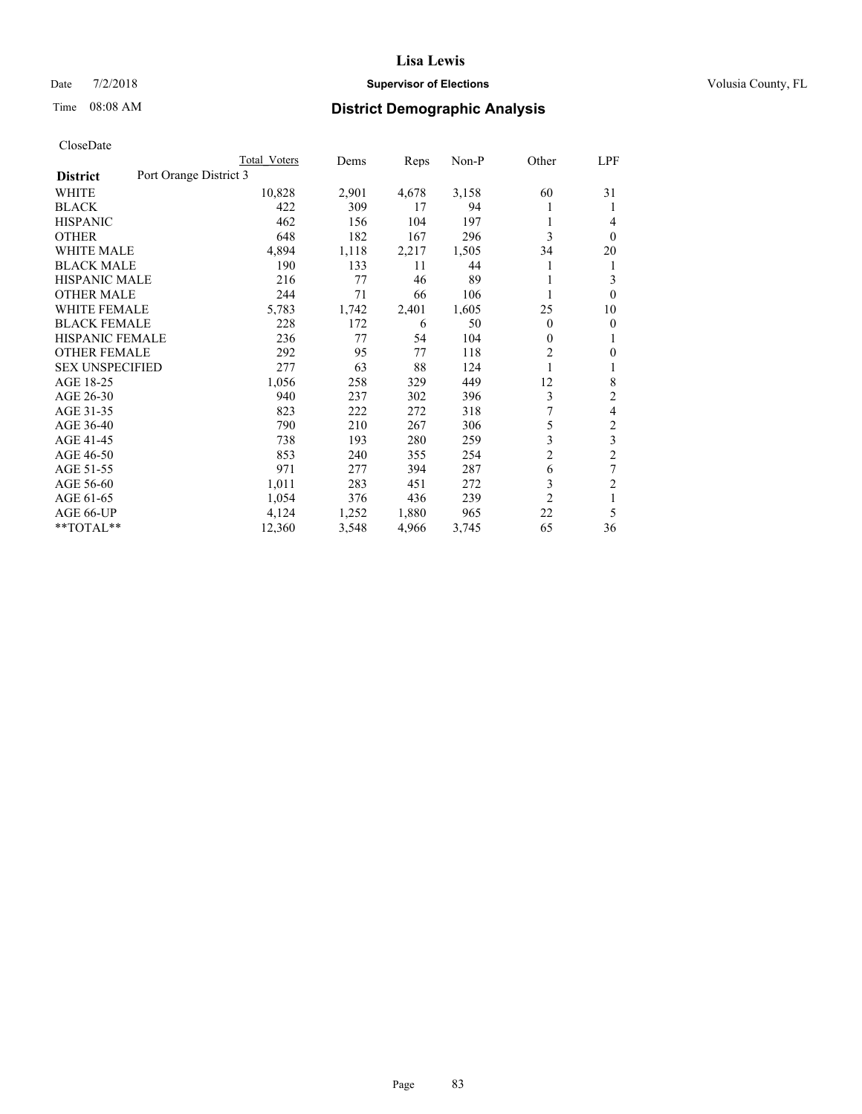### Date  $7/2/2018$  **Supervisor of Elections Supervisor of Elections** Volusia County, FL

# Time 08:08 AM **District Demographic Analysis**

|                                           | Total Voters | Dems  | Reps  | Non-P | Other          | <u>LPF</u>     |
|-------------------------------------------|--------------|-------|-------|-------|----------------|----------------|
| Port Orange District 3<br><b>District</b> |              |       |       |       |                |                |
| WHITE                                     | 10,828       | 2,901 | 4,678 | 3,158 | 60             | 31             |
| <b>BLACK</b>                              | 422          | 309   | 17    | 94    | 1              | 1              |
| <b>HISPANIC</b>                           | 462          | 156   | 104   | 197   |                | 4              |
| <b>OTHER</b>                              | 648          | 182   | 167   | 296   | 3              | $\theta$       |
| <b>WHITE MALE</b>                         | 4,894        | 1,118 | 2,217 | 1,505 | 34             | 20             |
| <b>BLACK MALE</b>                         | 190          | 133   | 11    | 44    | 1              | 1              |
| <b>HISPANIC MALE</b>                      | 216          | 77    | 46    | 89    |                | 3              |
| <b>OTHER MALE</b>                         | 244          | 71    | 66    | 106   | 1              | $\theta$       |
| <b>WHITE FEMALE</b>                       | 5,783        | 1,742 | 2,401 | 1,605 | 25             | 10             |
| <b>BLACK FEMALE</b>                       | 228          | 172   | 6     | 50    | 0              | $\theta$       |
| <b>HISPANIC FEMALE</b>                    | 236          | 77    | 54    | 104   | $\mathbf{0}$   | 1              |
| <b>OTHER FEMALE</b>                       | 292          | 95    | 77    | 118   | $\overline{c}$ | $\Omega$       |
| <b>SEX UNSPECIFIED</b>                    | 277          | 63    | 88    | 124   | 1              | 1              |
| AGE 18-25                                 | 1,056        | 258   | 329   | 449   | 12             | 8              |
| AGE 26-30                                 | 940          | 237   | 302   | 396   | 3              | $\overline{2}$ |
| AGE 31-35                                 | 823          | 222   | 272   | 318   | 7              | 4              |
| AGE 36-40                                 | 790          | 210   | 267   | 306   | 5              | $\overline{2}$ |
| AGE 41-45                                 | 738          | 193   | 280   | 259   | 3              | $\mathfrak{Z}$ |
| AGE 46-50                                 | 853          | 240   | 355   | 254   | $\overline{2}$ | $\overline{c}$ |
| AGE 51-55                                 | 971          | 277   | 394   | 287   | 6              | 7              |
| AGE 56-60                                 | 1,011        | 283   | 451   | 272   | 3              | $\overline{2}$ |
| AGE 61-65                                 | 1,054        | 376   | 436   | 239   | $\overline{2}$ | 1              |
| AGE 66-UP                                 | 4,124        | 1,252 | 1,880 | 965   | 22             | 5              |
| **TOTAL**                                 | 12,360       | 3,548 | 4,966 | 3,745 | 65             | 36             |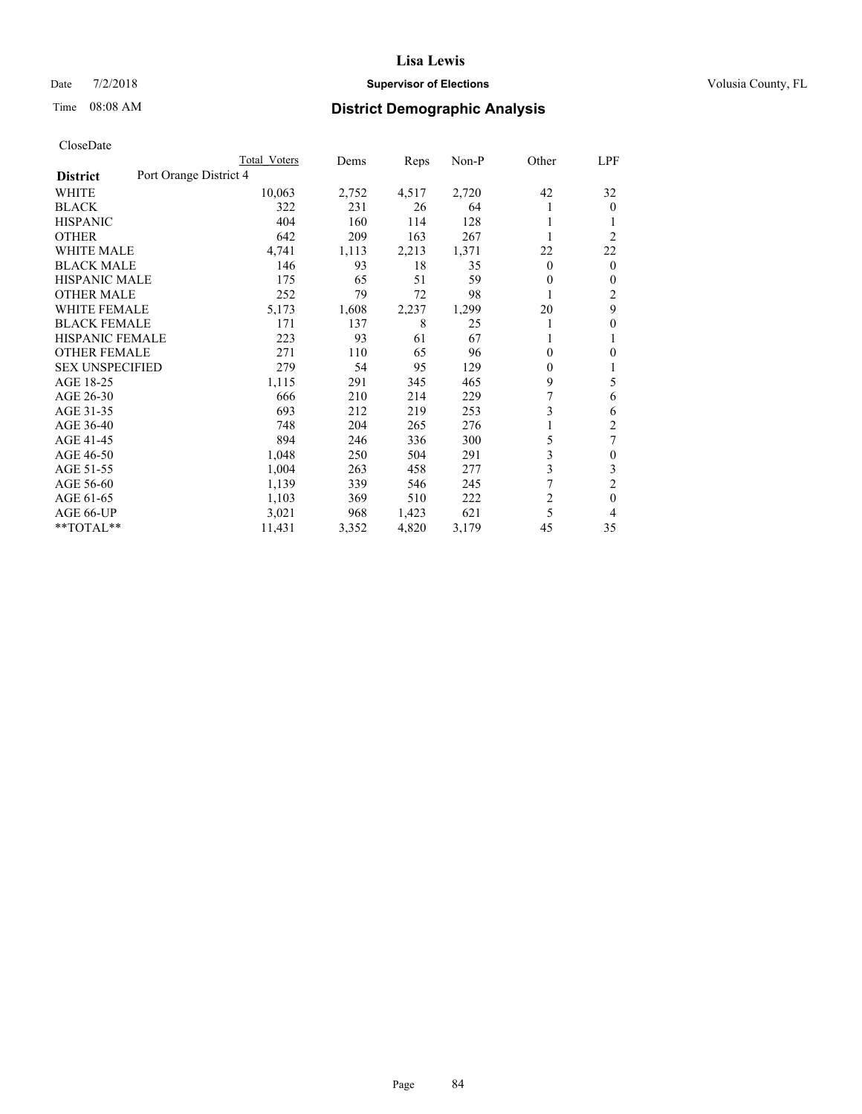### Date  $7/2/2018$  **Supervisor of Elections Supervisor of Elections** Volusia County, FL

# Time 08:08 AM **District Demographic Analysis**

|                        | Total Voters           | Dems  | Reps  | Non-P | Other          | LPF            |
|------------------------|------------------------|-------|-------|-------|----------------|----------------|
| <b>District</b>        | Port Orange District 4 |       |       |       |                |                |
| WHITE                  | 10,063                 | 2,752 | 4,517 | 2,720 | 42             | 32             |
| <b>BLACK</b>           | 322                    | 231   | 26    | 64    |                | $\mathbf{0}$   |
| <b>HISPANIC</b>        | 404                    | 160   | 114   | 128   |                |                |
| <b>OTHER</b>           | 642                    | 209   | 163   | 267   |                | $\overline{2}$ |
| <b>WHITE MALE</b>      | 4,741                  | 1,113 | 2,213 | 1,371 | 22             | 22             |
| <b>BLACK MALE</b>      | 146                    | 93    | 18    | 35    | $\mathbf{0}$   | $\mathbf{0}$   |
| <b>HISPANIC MALE</b>   | 175                    | 65    | 51    | 59    | 0              | $\mathbf{0}$   |
| <b>OTHER MALE</b>      | 252                    | 79    | 72    | 98    | 1              | 2              |
| WHITE FEMALE           | 5,173                  | 1,608 | 2,237 | 1,299 | 20             | 9              |
| <b>BLACK FEMALE</b>    | 171                    | 137   | 8     | 25    |                | 0              |
| <b>HISPANIC FEMALE</b> | 223                    | 93    | 61    | 67    |                | 1              |
| <b>OTHER FEMALE</b>    | 271                    | 110   | 65    | 96    | 0              | 0              |
| <b>SEX UNSPECIFIED</b> | 279                    | 54    | 95    | 129   | 0              | 1              |
| AGE 18-25              | 1,115                  | 291   | 345   | 465   | 9              | 5              |
| AGE 26-30              | 666                    | 210   | 214   | 229   | 7              | 6              |
| AGE 31-35              | 693                    | 212   | 219   | 253   | 3              | 6              |
| AGE 36-40              | 748                    | 204   | 265   | 276   |                | $\overline{c}$ |
| AGE 41-45              | 894                    | 246   | 336   | 300   | 5              | 7              |
| AGE 46-50              | 1,048                  | 250   | 504   | 291   | 3              | $\theta$       |
| AGE 51-55              | 1,004                  | 263   | 458   | 277   | 3              | 3              |
| AGE 56-60              | 1,139                  | 339   | 546   | 245   | 7              | $\overline{2}$ |
| AGE 61-65              | 1,103                  | 369   | 510   | 222   | $\overline{c}$ | $\theta$       |
| AGE 66-UP              | 3,021                  | 968   | 1,423 | 621   | 5              | 4              |
| $*$ TOTAL $*$          | 11,431                 | 3,352 | 4,820 | 3,179 | 45             | 35             |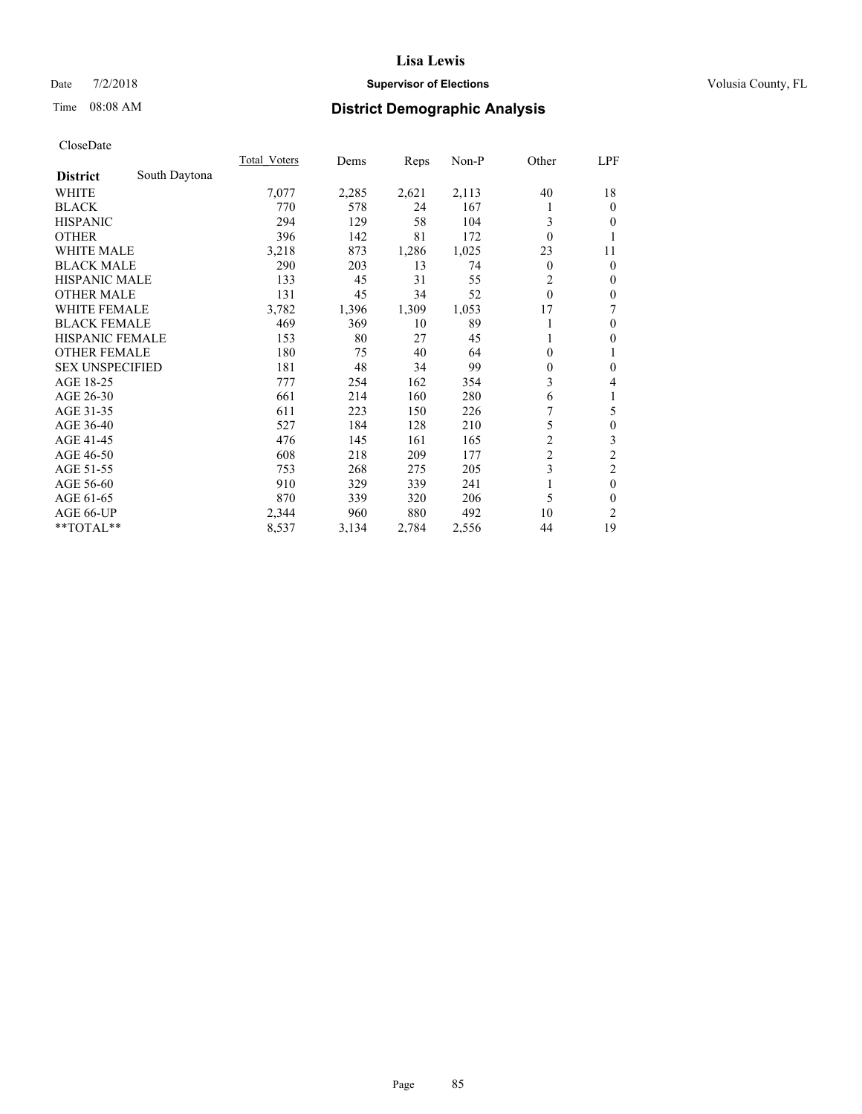### Date  $7/2/2018$  **Supervisor of Elections Supervisor of Elections** Volusia County, FL

### Time 08:08 AM **District Demographic Analysis**

|                        |               | Total Voters | Dems  | Reps  | Non-P | Other          | LPF              |
|------------------------|---------------|--------------|-------|-------|-------|----------------|------------------|
| <b>District</b>        | South Daytona |              |       |       |       |                |                  |
| WHITE                  |               | 7,077        | 2,285 | 2,621 | 2,113 | 40             | 18               |
| <b>BLACK</b>           |               | 770          | 578   | 24    | 167   |                | $\theta$         |
| <b>HISPANIC</b>        |               | 294          | 129   | 58    | 104   | 3              | $\Omega$         |
| <b>OTHER</b>           |               | 396          | 142   | 81    | 172   | $\theta$       | 1                |
| WHITE MALE             |               | 3,218        | 873   | 1,286 | 1,025 | 23             | 11               |
| <b>BLACK MALE</b>      |               | 290          | 203   | 13    | 74    | $\overline{0}$ | $\theta$         |
| <b>HISPANIC MALE</b>   |               | 133          | 45    | 31    | 55    | $\overline{2}$ | $\mathbf{0}$     |
| <b>OTHER MALE</b>      |               | 131          | 45    | 34    | 52    | $\theta$       | $\mathbf{0}$     |
| <b>WHITE FEMALE</b>    |               | 3,782        | 1,396 | 1,309 | 1,053 | 17             | 7                |
| <b>BLACK FEMALE</b>    |               | 469          | 369   | 10    | 89    |                | $\mathbf{0}$     |
| HISPANIC FEMALE        |               | 153          | 80    | 27    | 45    |                | $\mathbf{0}$     |
| <b>OTHER FEMALE</b>    |               | 180          | 75    | 40    | 64    | 0              | 1                |
| <b>SEX UNSPECIFIED</b> |               | 181          | 48    | 34    | 99    | $\theta$       | $\mathbf{0}$     |
| AGE 18-25              |               | 777          | 254   | 162   | 354   | 3              | 4                |
| AGE 26-30              |               | 661          | 214   | 160   | 280   | 6              | 1                |
| AGE 31-35              |               | 611          | 223   | 150   | 226   | 7              | 5                |
| AGE 36-40              |               | 527          | 184   | 128   | 210   | 5              | $\boldsymbol{0}$ |
| AGE 41-45              |               | 476          | 145   | 161   | 165   | $\overline{2}$ | 3                |
| AGE 46-50              |               | 608          | 218   | 209   | 177   | $\overline{c}$ | $\overline{c}$   |
| AGE 51-55              |               | 753          | 268   | 275   | 205   | 3              | $\mathfrak{2}$   |
| AGE 56-60              |               | 910          | 329   | 339   | 241   |                | $\mathbf{0}$     |
| AGE 61-65              |               | 870          | 339   | 320   | 206   | 5              | $\mathbf{0}$     |
| AGE 66-UP              |               | 2,344        | 960   | 880   | 492   | 10             | 2                |
| **TOTAL**              |               | 8,537        | 3,134 | 2,784 | 2,556 | 44             | 19               |